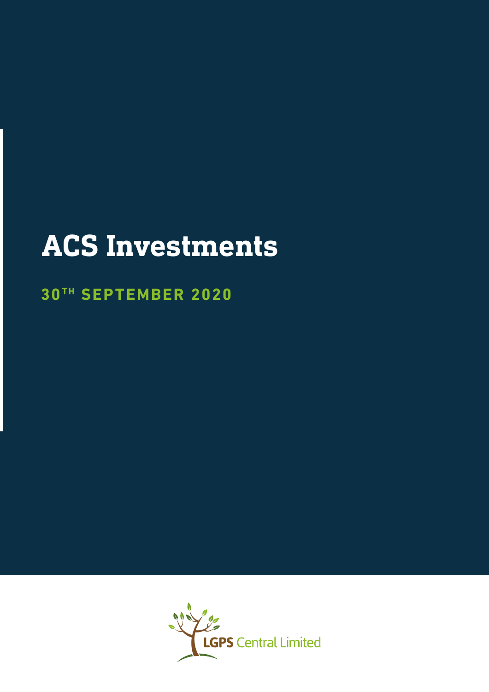# **ACS Investments**

## **30 TH SEPTEMBER 2020**

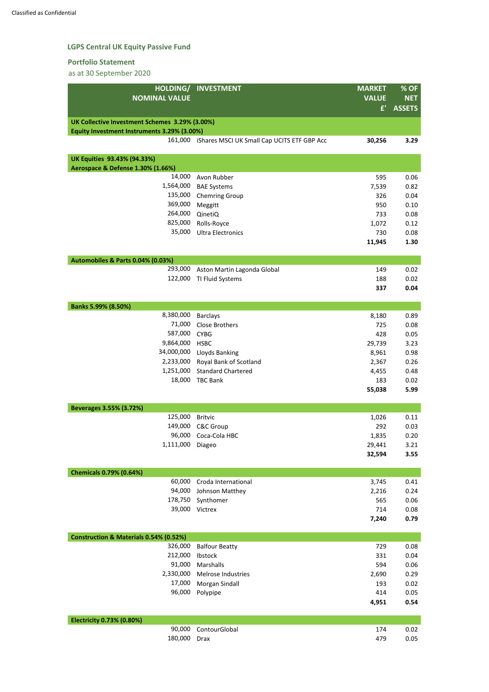## **LGPS Central UK Equity Passive Fund**

#### **Portfolio Statement**

as at 30 September 2020

| HOLDING/                                       | <b>INVESTMENT</b>                           | <b>MARKET</b> | % OF          |
|------------------------------------------------|---------------------------------------------|---------------|---------------|
| <b>NOMINAL VALUE</b>                           |                                             | <b>VALUE</b>  | <b>NET</b>    |
|                                                |                                             | f'            | <b>ASSETS</b> |
| UK Collective Investment Schemes 3.29% (3.00%) |                                             |               |               |
| Equity Investment Instruments 3.29% (3.00%)    |                                             |               |               |
| 161,000                                        | iShares MSCI UK Small Cap UCITS ETF GBP Acc | 30,256        | 3.29          |
| <b>UK Equities 93.43% (94.33%)</b>             |                                             |               |               |
| Aerospace & Defense 1.30% (1.66%)              |                                             |               |               |
| 14,000                                         | Avon Rubber                                 | 595           | 0.06          |
| 1,564,000                                      | <b>BAE Systems</b>                          | 7,539         | 0.82          |
| 135,000                                        | <b>Chemring Group</b>                       | 326           | 0.04          |
| 369,000                                        | Meggitt                                     | 950           | 0.10          |
| 264,000                                        | QinetiQ                                     | 733           | 0.08          |
| 825,000                                        | Rolls-Royce                                 | 1,072         | 0.12          |
| 35,000                                         | <b>Ultra Electronics</b>                    | 730           | 0.08          |
|                                                |                                             | 11,945        | 1.30          |
| <b>Automobiles &amp; Parts 0.04% (0.03%)</b>   |                                             |               |               |
| 293,000                                        | Aston Martin Lagonda Global                 | 149           | 0.02          |
| 122,000                                        | TI Fluid Systems                            | 188           | 0.02          |
|                                                |                                             | 337           | 0.04          |
| Banks 5.99% (8.50%)                            |                                             |               |               |
| 8,380,000                                      | <b>Barclays</b>                             | 8,180         | 0.89          |
| 71,000                                         | <b>Close Brothers</b>                       | 725           | 0.08          |
| 587,000                                        | <b>CYBG</b>                                 | 428           | 0.05          |
| 9,864,000 HSBC                                 |                                             | 29,739        | 3.23          |
| 34,000,000                                     | Lloyds Banking                              | 8,961         | 0.98          |
| 2,233,000                                      | Royal Bank of Scotland                      | 2,367         | 0.26          |
| 1,251,000                                      | <b>Standard Chartered</b>                   | 4,455         | 0.48          |
| 18,000                                         | <b>TBC Bank</b>                             | 183           | 0.02          |
|                                                |                                             | 55,038        | 5.99          |
| Beverages 3.55% (3.72%)                        |                                             |               |               |
| 125,000                                        | <b>Britvic</b>                              | 1,026         | 0.11          |
| 149,000                                        | <b>C&amp;C Group</b>                        | 292           | 0.03          |
| 96,000                                         | Coca-Cola HBC                               | 1,835         | 0.20          |
| 1,111,000                                      | Diageo                                      | 29,441        | 3.21          |
|                                                |                                             | 32,594        | 3.55          |
| <b>Chemicals 0.79% (0.64%)</b>                 |                                             |               |               |
| 60,000                                         | Croda International                         | 3,745         | 0.41          |
| 94,000                                         | Johnson Matthey                             | 2,216         | 0.24          |
| 178,750                                        | Synthomer                                   | 565           | 0.06          |
| 39,000                                         | Victrex                                     | 714           | 0.08          |
|                                                |                                             | 7,240         | 0.79          |

| <b>Construction &amp; Materials 0.54% (0.52%)</b> |                       |       |      |
|---------------------------------------------------|-----------------------|-------|------|
| 326,000                                           | <b>Balfour Beatty</b> | 729   | 0.08 |
| 212,000                                           | Ibstock               | 331   | 0.04 |
| 91,000                                            | Marshalls             | 594   | 0.06 |
| 2,330,000                                         | Melrose Industries    | 2,690 | 0.29 |
| 17,000                                            | Morgan Sindall        | 193   | 0.02 |
| 96,000                                            | Polypipe              | 414   | 0.05 |
|                                                   |                       | 4,951 | 0.54 |
|                                                   |                       |       |      |

| Electricity 0.73% (0.80%) |                      |     |      |
|---------------------------|----------------------|-----|------|
|                           | 90,000 ContourGlobal | 174 | 0.02 |
| 180,000 Drax              |                      | 479 | 0.05 |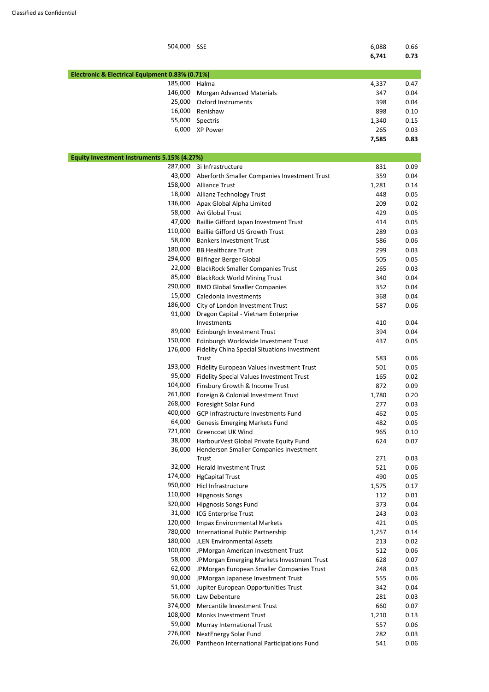| 504,000                                         | <b>SSE</b>                                                                           | 6,088<br>6,741 | 0.66<br>0.73 |
|-------------------------------------------------|--------------------------------------------------------------------------------------|----------------|--------------|
| Electronic & Electrical Equipment 0.83% (0.71%) |                                                                                      |                |              |
| 185,000                                         | Halma                                                                                | 4,337          | 0.47         |
| 146,000                                         | <b>Morgan Advanced Materials</b>                                                     | 347            | 0.04         |
| 25,000                                          | <b>Oxford Instruments</b>                                                            | 398            | 0.04         |
| 16,000                                          | Renishaw                                                                             | 898            | 0.10         |
| 55,000                                          | Spectris                                                                             | 1,340          | 0.15         |
| 6,000                                           | <b>XP Power</b>                                                                      | 265            | 0.03         |
|                                                 |                                                                                      | 7,585          | 0.83         |
| Equity Investment Instruments 5.15% (4.27%)     |                                                                                      |                |              |
| 287,000                                         | 3i Infrastructure                                                                    | 831            | 0.09         |
| 43,000                                          | Aberforth Smaller Companies Investment Trust                                         | 359            | 0.04         |
| 158,000                                         | <b>Alliance Trust</b>                                                                | 1,281          | 0.14         |
| 18,000                                          | <b>Allianz Technology Trust</b>                                                      | 448            | 0.05         |
| 136,000                                         | Apax Global Alpha Limited                                                            | 209            | 0.02         |
| 58,000                                          | Avi Global Trust                                                                     | 429            | 0.05         |
| 47,000                                          | Baillie Gifford Japan Investment Trust                                               | 414            | 0.05         |
| 110,000                                         | <b>Baillie Gifford US Growth Trust</b>                                               | 289            | 0.03         |
| 58,000                                          | <b>Bankers Investment Trust</b>                                                      | 586            | 0.06         |
| 180,000                                         | <b>BB Healthcare Trust</b>                                                           | 299            | 0.03         |
| 294,000                                         | <b>Bilfinger Berger Global</b>                                                       | 505            | 0.05         |
| 22,000                                          | <b>BlackRock Smaller Companies Trust</b>                                             | 265            | 0.03         |
| 85,000                                          | <b>BlackRock World Mining Trust</b>                                                  | 340            | 0.04         |
| 290,000                                         | <b>BMO Global Smaller Companies</b>                                                  | 352            | 0.04         |
| 15,000                                          | Caledonia Investments                                                                | 368            | 0.04         |
| 186,000                                         | City of London Investment Trust                                                      | 587            | 0.06         |
| 91,000                                          | Dragon Capital - Vietnam Enterprise                                                  |                |              |
|                                                 | Investments                                                                          | 410            | 0.04         |
| 89,000                                          | Edinburgh Investment Trust                                                           | 394            | 0.04         |
| 150,000<br>176,000                              | Edinburgh Worldwide Investment Trust<br>Fidelity China Special Situations Investment | 437            | 0.05         |
|                                                 | Trust                                                                                | 583            | 0.06         |
| 193,000                                         | Fidelity European Values Investment Trust                                            | 501            | 0.05         |
| 95,000                                          | Fidelity Special Values Investment Trust                                             | 165            | 0.02         |
| 104,000                                         | Finsbury Growth & Income Trust                                                       | 872            | 0.09         |
| 261,000                                         | Foreign & Colonial Investment Trust                                                  | 1,780          | 0.20         |
| 268,000                                         | Foresight Solar Fund                                                                 | 277            | 0.03         |
| 400,000                                         | GCP Infrastructure Investments Fund                                                  | 462            | 0.05         |
| 64,000                                          | <b>Genesis Emerging Markets Fund</b>                                                 | 482            | 0.05         |
| 721,000                                         | <b>Greencoat UK Wind</b>                                                             | 965            | 0.10         |
| 38,000                                          | HarbourVest Global Private Equity Fund                                               | 624            | 0.07         |
| 36,000                                          | Henderson Smaller Companies Investment                                               |                |              |
| 32,000                                          | Trust<br><b>Herald Investment Trust</b>                                              | 271            | 0.03         |
| 174,000                                         | <b>HgCapital Trust</b>                                                               | 521<br>490     | 0.06<br>0.05 |
| 950,000                                         | Hicl Infrastructure                                                                  | 1,575          | 0.17         |
| 110,000                                         | <b>Hipgnosis Songs</b>                                                               | 112            | 0.01         |
|                                                 |                                                                                      |                |              |

320,000 Hipgnosis Songs Fund 373 0.04 31,000 ICG Enterprise Trust 243 0.03

| 120,000 | <b>Impax Environmental Markets</b>         | 421   | 0.05 |
|---------|--------------------------------------------|-------|------|
| 780,000 | International Public Partnership           | 1,257 | 0.14 |
| 180,000 | <b>JLEN Environmental Assets</b>           | 213   | 0.02 |
| 100,000 | JPMorgan American Investment Trust         | 512   | 0.06 |
| 58,000  | JPMorgan Emerging Markets Investment Trust | 628   | 0.07 |
| 62,000  | JPMorgan European Smaller Companies Trust  | 248   | 0.03 |
| 90,000  | JPMorgan Japanese Investment Trust         | 555   | 0.06 |
| 51,000  | Jupiter European Opportunities Trust       | 342   | 0.04 |
| 56,000  | Law Debenture                              | 281   | 0.03 |
| 374,000 | Mercantile Investment Trust                | 660   | 0.07 |
| 108,000 | <b>Monks Investment Trust</b>              | 1,210 | 0.13 |
| 59,000  | Murray International Trust                 | 557   | 0.06 |
| 276,000 | <b>NextEnergy Solar Fund</b>               | 282   | 0.03 |
| 26,000  | Pantheon International Participations Fund | 541   | 0.06 |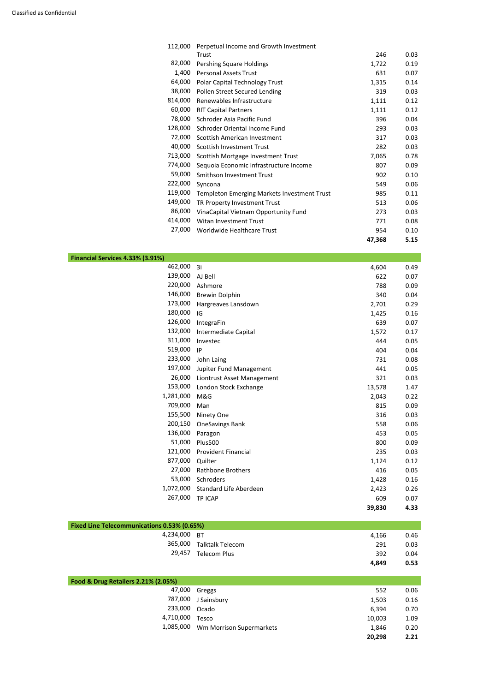| 112,000 | Perpetual Income and Growth Investment             |        |      |
|---------|----------------------------------------------------|--------|------|
|         | Trust                                              | 246    | 0.03 |
| 82,000  | Pershing Square Holdings                           | 1,722  | 0.19 |
| 1,400   | <b>Personal Assets Trust</b>                       | 631    | 0.07 |
| 64,000  | Polar Capital Technology Trust                     | 1,315  | 0.14 |
| 38,000  | Pollen Street Secured Lending                      | 319    | 0.03 |
| 814,000 | Renewables Infrastructure                          | 1,111  | 0.12 |
| 60,000  | <b>RIT Capital Partners</b>                        | 1,111  | 0.12 |
| 78,000  | Schroder Asia Pacific Fund                         | 396    | 0.04 |
| 128,000 | Schroder Oriental Income Fund                      | 293    | 0.03 |
| 72,000  | Scottish American Investment                       | 317    | 0.03 |
| 40,000  | <b>Scottish Investment Trust</b>                   | 282    | 0.03 |
| 713,000 | Scottish Mortgage Investment Trust                 | 7,065  | 0.78 |
| 774,000 | Sequoia Economic Infrastructure Income             | 807    | 0.09 |
| 59,000  | Smithson Investment Trust                          | 902    | 0.10 |
| 222,000 | Syncona                                            | 549    | 0.06 |
| 119,000 | <b>Templeton Emerging Markets Investment Trust</b> | 985    | 0.11 |
| 149,000 | TR Property Investment Trust                       | 513    | 0.06 |
| 86,000  | VinaCapital Vietnam Opportunity Fund               | 273    | 0.03 |
| 414,000 | Witan Investment Trust                             | 771    | 0.08 |
| 27,000  | Worldwide Healthcare Trust                         | 954    | 0.10 |
|         |                                                    | 47,368 | 5.15 |

| Financial Services 4.33% (3.91%) |                               |        |      |
|----------------------------------|-------------------------------|--------|------|
| 462,000                          | 3i                            | 4,604  | 0.49 |
| 139,000                          | AJ Bell                       | 622    | 0.07 |
| 220,000                          | Ashmore                       | 788    | 0.09 |
| 146,000                          | <b>Brewin Dolphin</b>         | 340    | 0.04 |
| 173,000                          | Hargreaves Lansdown           | 2,701  | 0.29 |
| 180,000                          | IG                            | 1,425  | 0.16 |
| 126,000                          | IntegraFin                    | 639    | 0.07 |
| 132,000                          | Intermediate Capital          | 1,572  | 0.17 |
| 311,000                          | Investec                      | 444    | 0.05 |
| 519,000                          | IP                            | 404    | 0.04 |
| 233,000                          | John Laing                    | 731    | 0.08 |
| 197,000                          | Jupiter Fund Management       | 441    | 0.05 |
| 26,000                           | Liontrust Asset Management    | 321    | 0.03 |
| 153,000                          | London Stock Exchange         | 13,578 | 1.47 |
| 1,281,000                        | M&G                           | 2,043  | 0.22 |
| 709,000                          | Man                           | 815    | 0.09 |
| 155,500                          | Ninety One                    | 316    | 0.03 |
| 200,150                          | <b>OneSavings Bank</b>        | 558    | 0.06 |
| 136,000                          | Paragon                       | 453    | 0.05 |
| 51,000                           | <b>Plus500</b>                | 800    | 0.09 |
| 121,000                          | <b>Provident Financial</b>    | 235    | 0.03 |
| 877,000                          | Quilter                       | 1,124  | 0.12 |
| 27,000                           | <b>Rathbone Brothers</b>      | 416    | 0.05 |
| 53,000                           | Schroders                     | 1,428  | 0.16 |
| 1,072,000                        | <b>Standard Life Aberdeen</b> | 2,423  | 0.26 |
| 267,000                          | <b>TP ICAP</b>                | 609    | 0.07 |
|                                  |                               | 39,830 | 4.33 |

| <b>Fixed Line Telecommunications 0.53% (0.65%)</b> |                          |       |      |
|----------------------------------------------------|--------------------------|-------|------|
| 4,234,000 BT                                       |                          | 4,166 | 0.46 |
|                                                    | 365,000 Talktalk Telecom | 291   | 0.03 |
| 29,457                                             | Telecom Plus             | 392   | 0.04 |
|                                                    |                          | 4,849 | 0.53 |
|                                                    |                          |       |      |

| Food & Drug Retailers 2.21% (2.05%) |                          |        |      |
|-------------------------------------|--------------------------|--------|------|
| 47,000                              | Greggs                   | 552    | 0.06 |
| 787,000                             | J Sainsbury              | 1,503  | 0.16 |
| 233,000                             | Ocado                    | 6,394  | 0.70 |
| 4,710,000                           | Tesco                    | 10,003 | 1.09 |
| 1,085,000                           | Wm Morrison Supermarkets | 1,846  | 0.20 |
|                                     |                          | 20,298 | 2.21 |
|                                     |                          |        |      |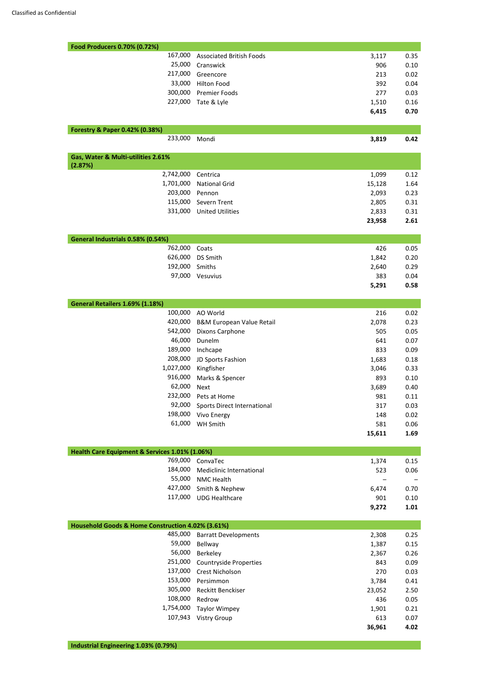| Food Producers 0.70% (0.72%)                   |                                         |              |              |
|------------------------------------------------|-----------------------------------------|--------------|--------------|
| 167,000                                        | <b>Associated British Foods</b>         | 3,117        | 0.35         |
| 25,000                                         | Cranswick                               | 906          | 0.10         |
| 217,000                                        | Greencore                               | 213          | 0.02         |
| 33,000                                         | <b>Hilton Food</b>                      | 392          | 0.04         |
| 300,000                                        | <b>Premier Foods</b>                    | 277          | 0.03         |
| 227,000                                        | Tate & Lyle                             | 1,510        | 0.16         |
|                                                |                                         | 6,415        | 0.70         |
| Forestry & Paper 0.42% (0.38%)                 |                                         |              |              |
| 233,000                                        | Mondi                                   | 3,819        | 0.42         |
| Gas, Water & Multi-utilities 2.61%             |                                         |              |              |
| (2.87%)                                        |                                         |              |              |
| 2,742,000                                      | Centrica                                | 1,099        | 0.12         |
| 1,701,000                                      | <b>National Grid</b>                    | 15,128       | 1.64         |
| 203,000                                        | Pennon                                  | 2,093        | 0.23         |
| 115,000                                        | Severn Trent                            | 2,805        | 0.31         |
| 331,000                                        | <b>United Utilities</b>                 | 2,833        | 0.31         |
|                                                |                                         | 23,958       | 2.61         |
| General Industrials 0.58% (0.54%)              |                                         |              |              |
| 762,000                                        | Coats                                   | 426          | 0.05         |
| 626,000                                        | <b>DS Smith</b>                         | 1,842        | 0.20         |
| 192,000                                        | Smiths                                  | 2,640        | 0.29         |
| 97,000                                         | Vesuvius                                | 383          | 0.04         |
|                                                |                                         | 5,291        | 0.58         |
| General Retailers 1.69% (1.18%)                |                                         |              |              |
| 100,000                                        | AO World                                | 216          | 0.02         |
| 420,000                                        | <b>B&amp;M European Value Retail</b>    | 2,078        | 0.23         |
| 542,000                                        | Dixons Carphone                         | 505          | 0.05         |
| 46,000                                         | Dunelm                                  | 641          | 0.07         |
| 189,000                                        | Inchcape                                | 833          | 0.09         |
| 208,000                                        | JD Sports Fashion                       | 1,683        | 0.18         |
| 1,027,000                                      | Kingfisher                              | 3,046        | 0.33         |
| 916,000                                        | Marks & Spencer                         | 893          | 0.10         |
| 62,000                                         | <b>Next</b>                             | 3,689        | 0.40         |
| 232,000                                        | Pets at Home                            | 981          | 0.11         |
| 92,000                                         | <b>Sports Direct International</b>      | 317          | 0.03         |
| 198,000                                        | Vivo Energy                             | 148          | 0.02         |
| 61,000                                         | <b>WH Smith</b>                         | 581          | 0.06         |
|                                                |                                         | 15,611       | 1.69         |
| Health Care Equipment & Services 1.01% (1.06%) |                                         |              |              |
| 769,000                                        | ConvaTec                                | 1,374        | 0.15         |
| 184,000                                        | Mediclinic International                | 523          | 0.06         |
|                                                |                                         |              |              |
|                                                |                                         |              |              |
| 55,000<br>427,000                              | <b>NMC Health</b>                       |              |              |
| 117,000                                        | Smith & Nephew<br><b>UDG Healthcare</b> | 6,474<br>901 | 0.70<br>0.10 |

| Household Goods & Home Construction 4.02% (3.61%) |                               |        |      |
|---------------------------------------------------|-------------------------------|--------|------|
| 485,000                                           | <b>Barratt Developments</b>   | 2,308  | 0.25 |
| 59,000                                            | Bellway                       | 1,387  | 0.15 |
| 56,000                                            | Berkeley                      | 2,367  | 0.26 |
| 251,000                                           | <b>Countryside Properties</b> | 843    | 0.09 |
| 137,000                                           | <b>Crest Nicholson</b>        | 270    | 0.03 |
| 153,000                                           | Persimmon                     | 3,784  | 0.41 |
| 305,000                                           | <b>Reckitt Benckiser</b>      | 23,052 | 2.50 |
| 108,000                                           | Redrow                        | 436    | 0.05 |
| 1,754,000                                         | <b>Taylor Wimpey</b>          | 1,901  | 0.21 |
| 107,943                                           | <b>Vistry Group</b>           | 613    | 0.07 |
|                                                   |                               | 36,961 | 4.02 |

## **Industrial Engineering 1.03% (0.79%)**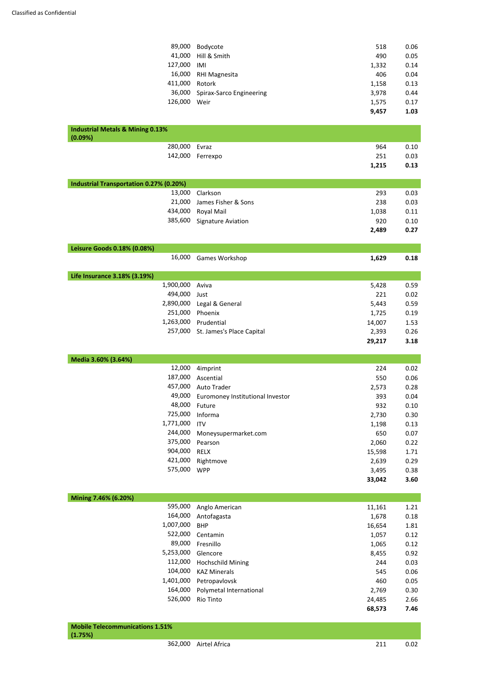| 89,000                                         | Bodycote                         | 518    | 0.06 |
|------------------------------------------------|----------------------------------|--------|------|
| 41,000                                         | Hill & Smith                     | 490    | 0.05 |
| 127,000                                        | IMI                              | 1,332  | 0.14 |
| 16,000                                         | <b>RHI Magnesita</b>             | 406    | 0.04 |
| 411,000                                        | Rotork                           | 1,158  | 0.13 |
| 36,000                                         | Spirax-Sarco Engineering         | 3,978  | 0.44 |
| 126,000                                        | Weir                             | 1,575  | 0.17 |
|                                                |                                  | 9,457  | 1.03 |
| <b>Industrial Metals &amp; Mining 0.13%</b>    |                                  |        |      |
| (0.09%)                                        |                                  |        |      |
| 280,000                                        | Evraz                            | 964    | 0.10 |
| 142,000                                        | Ferrexpo                         | 251    | 0.03 |
|                                                |                                  | 1,215  | 0.13 |
| <b>Industrial Transportation 0.27% (0.20%)</b> |                                  |        |      |
| 13,000                                         | Clarkson                         | 293    | 0.03 |
| 21,000                                         | James Fisher & Sons              | 238    | 0.03 |
| 434,000                                        | Royal Mail                       | 1,038  | 0.11 |
| 385,600                                        | Signature Aviation               | 920    | 0.10 |
|                                                |                                  | 2,489  | 0.27 |
|                                                |                                  |        |      |
| Leisure Goods 0.18% (0.08%)                    |                                  |        |      |
| 16,000                                         | Games Workshop                   | 1,629  | 0.18 |
| Life Insurance 3.18% (3.19%)                   |                                  |        |      |
| 1,900,000                                      | Aviva                            | 5,428  | 0.59 |
| 494,000                                        | Just                             | 221    | 0.02 |
| 2,890,000                                      | Legal & General                  | 5,443  | 0.59 |
| 251,000                                        | Phoenix                          | 1,725  | 0.19 |
| 1,263,000                                      | Prudential                       | 14,007 | 1.53 |
| 257,000                                        | St. James's Place Capital        | 2,393  | 0.26 |
|                                                |                                  | 29,217 | 3.18 |
| Media 3.60% (3.64%)                            |                                  |        |      |
| 12,000                                         | 4imprint                         | 224    | 0.02 |
| 187,000                                        | Ascential                        | 550    | 0.06 |
| 457,000                                        | <b>Auto Trader</b>               | 2,573  | 0.28 |
| 49,000                                         | Euromoney Institutional Investor | 393    | 0.04 |
| 48,000                                         | Future                           | 932    | 0.10 |
| 725,000                                        | Informa                          | 2,730  | 0.30 |
| 1,771,000                                      | <b>ITV</b>                       | 1,198  | 0.13 |
| 244,000                                        | Moneysupermarket.com             | 650    | 0.07 |
| 375,000                                        | Pearson                          | 2,060  | 0.22 |
| 904,000                                        | <b>RELX</b>                      | 15,598 | 1.71 |
| 421,000                                        | Rightmove                        | 2,639  | 0.29 |
| 575,000                                        | <b>WPP</b>                       | 3,495  | 0.38 |
|                                                |                                  | 33,042 | 3.60 |
| Mining 7.46% (6.20%)                           |                                  |        |      |
| 595,000                                        |                                  |        |      |
|                                                | Anglo American                   | 11,161 | 1.21 |

| 1,007,000 | <b>BHP</b>               | 16,654 | 1.81 |
|-----------|--------------------------|--------|------|
| 522,000   | Centamin                 | 1,057  | 0.12 |
| 89,000    | Fresnillo                | 1,065  | 0.12 |
| 5,253,000 | Glencore                 | 8,455  | 0.92 |
| 112,000   | <b>Hochschild Mining</b> | 244    | 0.03 |
| 104,000   | <b>KAZ Minerals</b>      | 545    | 0.06 |
| 1,401,000 | Petropavlovsk            | 460    | 0.05 |
| 164,000   | Polymetal International  | 2,769  | 0.30 |
| 526,000   | Rio Tinto                | 24,485 | 2.66 |
|           |                          | 68,573 | 7.46 |

| Mobile Telecommunications 1.51%<br>(1.75%) |                       |     |      |
|--------------------------------------------|-----------------------|-----|------|
|                                            | 362,000 Airtel Africa | 211 | 0.02 |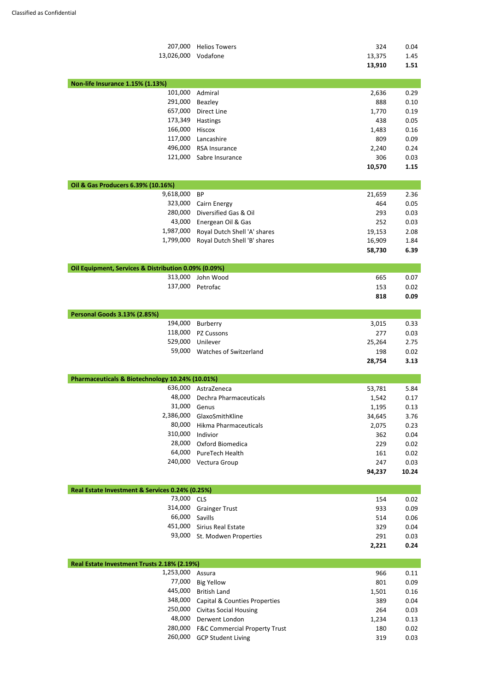| 207,000                                                    | <b>Helios Towers</b>          | 324           | 0.04          |
|------------------------------------------------------------|-------------------------------|---------------|---------------|
| 13,026,000                                                 | Vodafone                      | 13,375        | 1.45          |
|                                                            |                               | 13,910        | 1.51          |
| Non-life Insurance 1.15% (1.13%)                           |                               |               |               |
| 101,000                                                    | Admiral                       | 2,636         | 0.29          |
| 291,000                                                    | Beazley                       | 888           | 0.10          |
| 657,000                                                    | Direct Line                   | 1,770         | 0.19          |
| 173,349                                                    | Hastings                      | 438           | 0.05          |
| 166,000                                                    | Hiscox                        | 1,483         | 0.16          |
| 117,000                                                    | Lancashire                    | 809           | 0.09          |
| 496,000                                                    | <b>RSA Insurance</b>          | 2,240         | 0.24          |
| 121,000                                                    | Sabre Insurance               | 306           | 0.03          |
|                                                            |                               | 10,570        | 1.15          |
| Oil & Gas Producers 6.39% (10.16%)                         |                               |               |               |
| 9,618,000                                                  | <b>BP</b>                     | 21,659        | 2.36          |
| 323,000                                                    | Cairn Energy                  | 464           | 0.05          |
| 280,000                                                    | Diversified Gas & Oil         | 293           | 0.03          |
| 43,000                                                     | Energean Oil & Gas            | 252           | 0.03          |
| 1,987,000                                                  | Royal Dutch Shell 'A' shares  | 19,153        | 2.08          |
| 1,799,000                                                  | Royal Dutch Shell 'B' shares  | 16,909        | 1.84          |
|                                                            |                               | 58,730        | 6.39          |
| Oil Equipment, Services & Distribution 0.09% (0.09%)       |                               |               |               |
| 313,000                                                    | John Wood                     | 665           | 0.07          |
| 137,000                                                    | Petrofac                      | 153           | 0.02          |
|                                                            |                               | 818           | 0.09          |
| <b>Personal Goods 3.13% (2.85%)</b>                        |                               |               |               |
| 194,000                                                    | Burberry                      | 3,015         | 0.33          |
| 118,000                                                    | <b>PZ Cussons</b>             | 277           | 0.03          |
| 529,000                                                    | Unilever                      | 25,264        | 2.75          |
| 59,000                                                     | <b>Watches of Switzerland</b> | 198           | 0.02          |
|                                                            |                               | 28,754        | 3.13          |
|                                                            |                               |               |               |
| Pharmaceuticals & Biotechnology 10.24% (10.01%)<br>636,000 |                               |               |               |
|                                                            | AstraZeneca                   | 53,781        | 5.84          |
| 48,000<br>31,000                                           | <b>Dechra Pharmaceuticals</b> | 1,542         | 0.17          |
|                                                            | Genus                         | 1,195         | 0.13          |
| 2,386,000<br>80,000                                        | GlaxoSmithKline               | 34,645        | 3.76          |
|                                                            | Hikma Pharmaceuticals         | 2,075         | 0.23          |
| 310,000<br>28,000                                          | Indivior                      | 362           | 0.04          |
| 64,000                                                     | Oxford Biomedica              | 229           | 0.02          |
| 240,000                                                    | PureTech Health               | 161           | 0.02          |
|                                                            | Vectura Group                 | 247<br>94,237 | 0.03<br>10.24 |
|                                                            |                               |               |               |
| Real Estate Investment & Services 0.24% (0.25%)            |                               |               |               |
| 73,000                                                     | <b>CLS</b>                    | 154           | 0.02          |
| 314,000                                                    | <b>Grainger Trust</b>         | 933           | 0.09          |

66,000 Savills 514 0.06

|                              | 2,221 | 0.24 |
|------------------------------|-------|------|
| 93,000 St. Modwen Properties | 291   | 0.03 |
| 451,000 Sirius Real Estate   | -329  | 0.04 |

| Real Estate Investment Trusts 2.18% (2.19%) |                                          |       |      |  |  |
|---------------------------------------------|------------------------------------------|-------|------|--|--|
| 1,253,000                                   | Assura                                   | 966   | 0.11 |  |  |
| 77,000                                      | <b>Big Yellow</b>                        | 801   | 0.09 |  |  |
| 445,000                                     | <b>British Land</b>                      | 1,501 | 0.16 |  |  |
| 348,000                                     | Capital & Counties Properties            | 389   | 0.04 |  |  |
| 250,000                                     | <b>Civitas Social Housing</b>            | 264   | 0.03 |  |  |
| 48,000                                      | Derwent London                           | 1,234 | 0.13 |  |  |
| 280,000                                     | <b>F&amp;C Commercial Property Trust</b> | 180   | 0.02 |  |  |
| 260,000                                     | <b>GCP Student Living</b>                | 319   | 0.03 |  |  |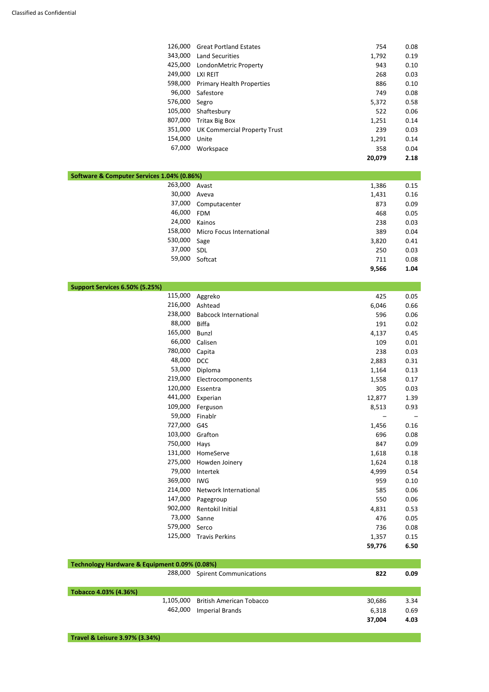| 126,000 | <b>Great Portland Estates</b>       | 754    | 0.08 |
|---------|-------------------------------------|--------|------|
| 343,000 | <b>Land Securities</b>              | 1,792  | 0.19 |
| 425,000 | LondonMetric Property               | 943    | 0.10 |
| 249,000 | <b>LXI REIT</b>                     | 268    | 0.03 |
| 598,000 | <b>Primary Health Properties</b>    | 886    | 0.10 |
| 96,000  | Safestore                           | 749    | 0.08 |
| 576,000 | Segro                               | 5,372  | 0.58 |
| 105,000 | Shaftesbury                         | 522    | 0.06 |
| 807,000 | <b>Tritax Big Box</b>               | 1,251  | 0.14 |
| 351,000 | <b>UK Commercial Property Trust</b> | 239    | 0.03 |
| 154,000 | Unite                               | 1,291  | 0.14 |
| 67,000  | Workspace                           | 358    | 0.04 |
|         |                                     | 20,079 | 2.18 |
|         |                                     |        |      |

| Software & Computer Services 1.04% (0.86%) |                           |       |      |  |  |
|--------------------------------------------|---------------------------|-------|------|--|--|
| 263,000                                    | Avast                     | 1,386 | 0.15 |  |  |
| 30,000                                     | Aveva                     | 1,431 | 0.16 |  |  |
| 37,000                                     | Computacenter             | 873   | 0.09 |  |  |
| 46,000                                     | <b>FDM</b>                | 468   | 0.05 |  |  |
| 24,000                                     | Kainos                    | 238   | 0.03 |  |  |
| 158,000                                    | Micro Focus International | 389   | 0.04 |  |  |
| 530,000                                    | Sage                      | 3,820 | 0.41 |  |  |
| 37,000                                     | SDL                       | 250   | 0.03 |  |  |
| 59,000                                     | Softcat                   | 711   | 0.08 |  |  |
|                                            |                           | 9,566 | 1.04 |  |  |

| Support Services 6.50% (5.25%) |                              |        |      |
|--------------------------------|------------------------------|--------|------|
| 115,000                        | Aggreko                      | 425    | 0.05 |
| 216,000                        | Ashtead                      | 6,046  | 0.66 |
| 238,000                        | <b>Babcock International</b> | 596    | 0.06 |
| 88,000                         | <b>Biffa</b>                 | 191    | 0.02 |
| 165,000                        | <b>Bunzl</b>                 | 4,137  | 0.45 |
| 66,000                         | Calisen                      | 109    | 0.01 |
| 780,000                        | Capita                       | 238    | 0.03 |
| 48,000                         | <b>DCC</b>                   | 2,883  | 0.31 |
| 53,000                         | Diploma                      | 1,164  | 0.13 |
| 219,000                        | Electrocomponents            | 1,558  | 0.17 |
| 120,000                        | Essentra                     | 305    | 0.03 |
| 441,000                        | Experian                     | 12,877 | 1.39 |
| 109,000                        | Ferguson                     | 8,513  | 0.93 |
| 59,000                         | Finablr                      |        |      |
| 727,000                        | G4S                          | 1,456  | 0.16 |
| 103,000                        | Grafton                      | 696    | 0.08 |
| 750,000                        | Hays                         | 847    | 0.09 |
| 131,000                        | HomeServe                    | 1,618  | 0.18 |
| 275,000                        | Howden Joinery               | 1,624  | 0.18 |
| 79,000                         | Intertek                     | 4,999  | 0.54 |
| 369,000                        | <b>IWG</b>                   | 959    | 0.10 |
| 214,000                        | Network International        | 585    | 0.06 |
| 147,000                        | Pagegroup                    | 550    | 0.06 |
| 902,000                        | Rentokil Initial             | 4,831  | 0.53 |

73,000 Sanne 476 0.05

| 579,000                                       | Serco                           | 736    | 0.08 |
|-----------------------------------------------|---------------------------------|--------|------|
| 125,000                                       | <b>Travis Perkins</b>           | 1,357  | 0.15 |
|                                               |                                 | 59,776 | 6.50 |
|                                               |                                 |        |      |
| Technology Hardware & Equipment 0.09% (0.08%) |                                 |        |      |
| 288,000                                       | <b>Spirent Communications</b>   | 822    | 0.09 |
|                                               |                                 |        |      |
| Tobacco 4.03% (4.36%)                         |                                 |        |      |
| 1,105,000                                     | <b>British American Tobacco</b> | 30,686 | 3.34 |
| 462,000                                       | <b>Imperial Brands</b>          | 6,318  | 0.69 |
|                                               |                                 | 37,004 | 4.03 |
|                                               |                                 |        |      |

**Travel & Leisure 3.97% (3.34%)**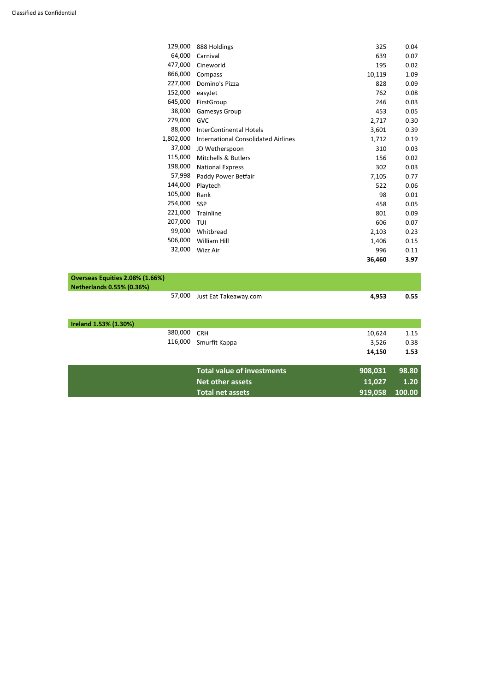| 129,000                          | 888 Holdings                               | 325    | 0.04 |
|----------------------------------|--------------------------------------------|--------|------|
| 64,000                           | Carnival                                   | 639    | 0.07 |
| 477,000                          | Cineworld                                  | 195    | 0.02 |
| 866,000                          | Compass                                    | 10,119 | 1.09 |
| 227,000                          | Domino's Pizza                             | 828    | 0.09 |
| 152,000                          | easyJet                                    | 762    | 0.08 |
| 645,000                          | FirstGroup                                 | 246    | 0.03 |
| 38,000                           | Gamesys Group                              | 453    | 0.05 |
| 279,000                          | <b>GVC</b>                                 | 2,717  | 0.30 |
| 88,000                           | <b>InterContinental Hotels</b>             | 3,601  | 0.39 |
| 1,802,000                        | <b>International Consolidated Airlines</b> | 1,712  | 0.19 |
| 37,000                           | JD Wetherspoon                             | 310    | 0.03 |
| 115,000                          | <b>Mitchells &amp; Butlers</b>             | 156    | 0.02 |
| 198,000                          | <b>National Express</b>                    | 302    | 0.03 |
| 57,998                           | Paddy Power Betfair                        | 7,105  | 0.77 |
| 144,000                          | Playtech                                   | 522    | 0.06 |
| 105,000                          | Rank                                       | 98     | 0.01 |
| 254,000                          | <b>SSP</b>                                 | 458    | 0.05 |
| 221,000                          | Trainline                                  | 801    | 0.09 |
| 207,000                          | TUI                                        | 606    | 0.07 |
| 99,000                           | Whitbread                                  | 2,103  | 0.23 |
| 506,000                          | William Hill                               | 1,406  | 0.15 |
| 32,000                           | Wizz Air                                   | 996    | 0.11 |
|                                  |                                            | 36,460 | 3.97 |
| Overseas Equities 2.08% (1.66%)  |                                            |        |      |
| <b>Netherlands 0.55% (0.36%)</b> |                                            |        |      |
| 57,000                           | Just Eat Takeaway.com                      | 4,953  | 0.55 |
|                                  |                                            |        |      |
| Ireland 1.53% (1.30%)            |                                            |        |      |
| 380,000                          | <b>CRH</b>                                 | 10,624 | 1.15 |
| 116,000                          | Smurfit Kappa                              | 3,526  | 0.38 |
|                                  |                                            | 14,150 | 1.53 |

| Total value of investments | 908,031 98.80              |
|----------------------------|----------------------------|
| 11.027<br>Net other assets | $\overline{\mathbf{1.20}}$ |
| <b>Total net assets</b>    | 919,058 100.00             |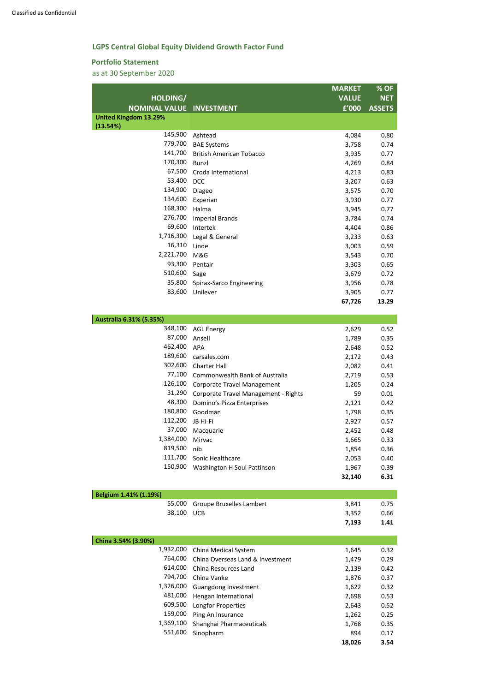## **LGPS Central Global Equity Dividend Growth Factor Fund**

#### **Portfolio Statement**

as at 30 September 2020

|                                 |                                      | <b>MARKET</b> | % OF          |
|---------------------------------|--------------------------------------|---------------|---------------|
| HOLDING/                        |                                      | <b>VALUE</b>  | <b>NET</b>    |
| <b>NOMINAL VALUE INVESTMENT</b> |                                      | £'000         | <b>ASSETS</b> |
| <b>United Kingdom 13.29%</b>    |                                      |               |               |
| (13.54%)                        |                                      |               |               |
| 145,900                         | Ashtead                              | 4,084         | 0.80          |
| 779,700                         | <b>BAE Systems</b>                   | 3,758         | 0.74          |
| 141,700                         | <b>British American Tobacco</b>      | 3,935         | 0.77          |
| 170,300                         | Bunzl                                | 4,269         | 0.84          |
| 67,500                          | Croda International                  | 4,213         | 0.83          |
| 53,400                          | <b>DCC</b>                           | 3,207         | 0.63          |
| 134,900                         | Diageo                               | 3,575         | 0.70          |
| 134,600                         | Experian                             | 3,930         | 0.77          |
| 168,300                         | Halma                                | 3,945         | 0.77          |
| 276,700                         | <b>Imperial Brands</b>               | 3,784         | 0.74          |
| 69,600                          | Intertek                             | 4,404         | 0.86          |
| 1,716,300                       | Legal & General                      | 3,233         | 0.63          |
| 16,310                          | Linde                                | 3,003         | 0.59          |
| 2,221,700                       | M&G                                  | 3,543         | 0.70          |
| 93,300                          | Pentair                              | 3,303         | 0.65          |
| 510,600                         | Sage                                 | 3,679         | 0.72          |
| 35,800                          | Spirax-Sarco Engineering             | 3,956         | 0.78          |
| 83,600                          | Unilever                             | 3,905         | 0.77          |
|                                 |                                      | 67,726        | 13.29         |
| Australia 6.31% (5.35%)         |                                      |               |               |
| 348,100                         | <b>AGL Energy</b>                    | 2,629         | 0.52          |
| 87,000                          | Ansell                               | 1,789         | 0.35          |
| 462,400                         | <b>APA</b>                           | 2,648         | 0.52          |
| 189,600                         | carsales.com                         | 2,172         | 0.43          |
| 302,600                         | <b>Charter Hall</b>                  | 2,082         | 0.41          |
| 77,100                          | Commonwealth Bank of Australia       | 2,719         | 0.53          |
| 126,100                         | <b>Corporate Travel Management</b>   | 1,205         | 0.24          |
| 31,290                          | Corporate Travel Management - Rights | 59            | 0.01          |
| 48,300                          | Domino's Pizza Enterprises           | 2,121         | 0.42          |
| 180,800                         | Goodman                              | 1,798         | 0.35          |
| 112,200                         | JB Hi-Fi                             | 2,927         | 0.57          |
| 37,000                          | Macquarie                            | 2,452         | 0.48          |
| 1,384,000                       | Mirvac                               | 1,665         | 0.33          |
| 819,500                         | nib                                  | 1,854         | 0.36          |
| 111,700                         | Sonic Healthcare                     | 2,053         | 0.40          |
| 150,900                         | <b>Washington H Soul Pattinson</b>   | 1,967         | 0.39          |
|                                 |                                      | 32,140        | 6.31          |
|                                 |                                      |               |               |
| Belgium 1.41% (1.19%)           |                                      |               |               |

| Belgium 1.41% (1.19%) |            |                                 |       |       |
|-----------------------|------------|---------------------------------|-------|-------|
|                       |            | 55,000 Groupe Bruxelles Lambert | 3.841 | 0.75  |
|                       | 38,100 UCB |                                 | 3,352 | 0.66  |
|                       |            |                                 | 7102  | 1 1 1 |

| China 3.54% (3.90%) |                                  |        |      |
|---------------------|----------------------------------|--------|------|
| 1,932,000           | China Medical System             | 1,645  | 0.32 |
| 764,000             | China Overseas Land & Investment | 1,479  | 0.29 |
| 614,000             | China Resources Land             | 2,139  | 0.42 |
| 794,700             | China Vanke                      | 1,876  | 0.37 |
| 1,326,000           | Guangdong Investment             | 1,622  | 0.32 |
| 481,000             | Hengan International             | 2,698  | 0.53 |
| 609,500             | <b>Longfor Properties</b>        | 2,643  | 0.52 |
| 159,000             | Ping An Insurance                | 1,262  | 0.25 |
| 1,369,100           | Shanghai Pharmaceuticals         | 1,768  | 0.35 |
| 551,600             | Sinopharm                        | 894    | 0.17 |
|                     |                                  | 18,026 | 3.54 |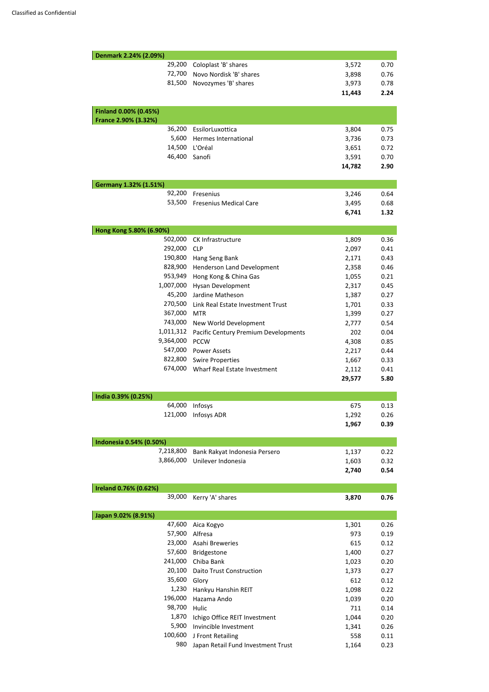| Denmark 2.24% (2.09%)         |                                      |                 |              |
|-------------------------------|--------------------------------------|-----------------|--------------|
| 29,200                        | Coloplast 'B' shares                 | 3,572           | 0.70         |
| 72,700                        | Novo Nordisk 'B' shares              | 3,898           | 0.76         |
| 81,500                        | Novozymes 'B' shares                 | 3,973           | 0.78         |
|                               |                                      | 11,443          | 2.24         |
| Finland 0.00% (0.45%)         |                                      |                 |              |
| France 2.90% (3.32%)          |                                      |                 |              |
| 36,200                        | EssilorLuxottica                     | 3,804           | 0.75         |
| 5,600                         | Hermes International                 | 3,736           | 0.73         |
| 14,500                        | L'Oréal                              | 3,651           | 0.72         |
| 46,400                        | Sanofi                               | 3,591           | 0.70         |
|                               |                                      | 14,782          | 2.90         |
| Germany 1.32% (1.51%)         |                                      |                 |              |
| 92,200                        | Fresenius                            | 3,246           | 0.64         |
| 53,500                        | <b>Fresenius Medical Care</b>        | 3,495           | 0.68         |
|                               |                                      | 6,741           | 1.32         |
| Hong Kong 5.80% (6.90%)       |                                      |                 |              |
| 502,000                       | CK Infrastructure                    | 1,809           | 0.36         |
| 292,000                       | <b>CLP</b>                           | 2,097           | 0.41         |
| 190,800                       | Hang Seng Bank                       | 2,171           | 0.43         |
| 828,900                       | Henderson Land Development           | 2,358           | 0.46         |
| 953,949                       | Hong Kong & China Gas                | 1,055           | 0.21         |
| 1,007,000                     | Hysan Development                    | 2,317           | 0.45         |
| 45,200                        | Jardine Matheson                     | 1,387           | 0.27         |
| 270,500                       | Link Real Estate Investment Trust    | 1,701           | 0.33         |
| 367,000                       | <b>MTR</b>                           | 1,399           | 0.27         |
| 743,000                       | New World Development                | 2,777           | 0.54         |
| 1,011,312                     | Pacific Century Premium Developments | 202             | 0.04         |
| 9,364,000                     | <b>PCCW</b>                          | 4,308           | 0.85         |
| 547,000                       |                                      |                 |              |
|                               | <b>Power Assets</b>                  | 2,217           | 0.44         |
| 822,800                       | <b>Swire Properties</b>              | 1,667           | 0.33         |
| 674,000                       | Wharf Real Estate Investment         | 2,112<br>29,577 | 0.41<br>5.80 |
|                               |                                      |                 |              |
| India 0.39% (0.25%)<br>64,000 |                                      | 675             | 0.13         |
| 121,000                       | Infosys                              |                 |              |
|                               | Infosys ADR                          | 1,292<br>1,967  | 0.26<br>0.39 |
| Indonesia 0.54% (0.50%)       |                                      |                 |              |
| 7,218,800                     | Bank Rakyat Indonesia Persero        | 1,137           | 0.22         |
| 3,866,000                     | Unilever Indonesia                   | 1,603           | 0.32         |
|                               |                                      | 2,740           | 0.54         |
| Ireland 0.76% (0.62%)         |                                      |                 |              |
| 39,000                        | Kerry 'A' shares                     | 3,870           | 0.76         |
| Japan 9.02% (8.91%)           |                                      |                 |              |
| 47,600                        | Aica Kogyo                           | 1,301           | 0.26         |
| 57,900                        | Alfresa                              | 973             | 0.19         |
| 23,000                        | Asahi Breweries                      | 615             | 0.12         |
| 57,600                        | Bridgestone                          | 1,400           | 0.27         |
| 241,000                       | Chiba Bank                           | 1,023           | 0.20         |
| 20,100                        | <b>Daito Trust Construction</b>      | 1,373           | 0.27         |
| 35,600                        | Glory                                | 612             | 0.12         |
| 1,230                         | Hankyu Hanshin REIT                  | 1,098           | 0.22         |
| 196,000                       | Hazama Ando                          | 1,039           | 0.20         |
| 98,700                        | Hulic                                | 711             | 0.14         |
| 1,870                         | Ichigo Office REIT Investment        | 1,044           | 0.20         |
| 5,900                         | Invincible Investment                | 1,341           | 0.26         |
| 100,600                       | J Front Retailing                    | 558             | 0.11         |
| 980                           | Japan Retail Fund Investment Trust   | 1,164           | 0.23         |
|                               |                                      |                 |              |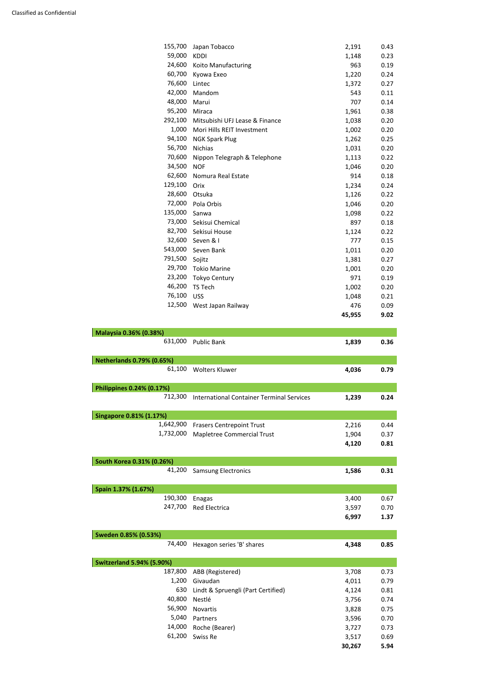| 155,700<br>2,191<br>Japan Tobacco<br>59,000<br><b>KDDI</b><br>1,148<br>24,600<br>Koito Manufacturing<br>963<br>60,700<br>1,220<br>Kyowa Exeo<br>76,600<br>Lintec<br>1,372<br>42,000<br>Mandom<br>543<br>48,000<br>Marui<br>707<br>95,200<br>Miraca<br>1,961<br>292,100<br>Mitsubishi UFJ Lease & Finance<br>1,038<br>1,000<br>Mori Hills REIT Investment<br>1,002<br>94,100<br>1,262<br><b>NGK Spark Plug</b><br>56,700<br><b>Nichias</b><br>1,031<br>0.20<br>70,600<br>Nippon Telegraph & Telephone<br>1,113<br>0.22<br>34,500<br><b>NOF</b><br>1,046<br>0.20<br>62,600<br>914<br>Nomura Real Estate<br>0.18<br>129,100<br>Orix<br>1,234<br>0.24<br>28,600<br>Otsuka<br>0.22<br>1,126<br>72,000<br>Pola Orbis<br>1,046<br>0.20<br>135,000<br>Sanwa<br>1,098<br>0.22<br>73,000<br>Sekisui Chemical<br>897<br>0.18<br>82,700<br>Sekisui House<br>0.22<br>1,124<br>32,600<br>Seven & I<br>777<br>0.15<br>543,000<br>Seven Bank<br>0.20<br>1,011<br>791,500<br>Sojitz<br>1,381<br>0.27<br>29,700<br><b>Tokio Marine</b><br>1,001<br>0.20<br>23,200<br>971<br><b>Tokyo Century</b><br>0.19<br>46,200<br><b>TS Tech</b><br>0.20<br>1,002<br>76,100<br><b>USS</b><br>1,048<br>0.21<br>12,500<br>West Japan Railway<br>0.09<br>476<br>45,955<br>Malaysia 0.36% (0.38%)<br>631,000<br>1,839<br><b>Public Bank</b><br><b>Netherlands 0.79% (0.65%)</b><br>61,100<br><b>Wolters Kluwer</b><br>4,036<br>0.79<br>Philippines 0.24% (0.17%)<br>712,300<br><b>International Container Terminal Services</b><br>1,239<br>0.24<br><b>Singapore 0.81% (1.17%)</b><br>1,642,900<br><b>Frasers Centrepoint Trust</b><br>2,216<br>1,732,000<br><b>Mapletree Commercial Trust</b><br>1,904<br>4,120 |                           |  |      |
|--------------------------------------------------------------------------------------------------------------------------------------------------------------------------------------------------------------------------------------------------------------------------------------------------------------------------------------------------------------------------------------------------------------------------------------------------------------------------------------------------------------------------------------------------------------------------------------------------------------------------------------------------------------------------------------------------------------------------------------------------------------------------------------------------------------------------------------------------------------------------------------------------------------------------------------------------------------------------------------------------------------------------------------------------------------------------------------------------------------------------------------------------------------------------------------------------------------------------------------------------------------------------------------------------------------------------------------------------------------------------------------------------------------------------------------------------------------------------------------------------------------------------------------------------------------------------------------------------------------------------------------------------------------------------------|---------------------------|--|------|
|                                                                                                                                                                                                                                                                                                                                                                                                                                                                                                                                                                                                                                                                                                                                                                                                                                                                                                                                                                                                                                                                                                                                                                                                                                                                                                                                                                                                                                                                                                                                                                                                                                                                                |                           |  | 0.43 |
|                                                                                                                                                                                                                                                                                                                                                                                                                                                                                                                                                                                                                                                                                                                                                                                                                                                                                                                                                                                                                                                                                                                                                                                                                                                                                                                                                                                                                                                                                                                                                                                                                                                                                |                           |  | 0.23 |
|                                                                                                                                                                                                                                                                                                                                                                                                                                                                                                                                                                                                                                                                                                                                                                                                                                                                                                                                                                                                                                                                                                                                                                                                                                                                                                                                                                                                                                                                                                                                                                                                                                                                                |                           |  | 0.19 |
|                                                                                                                                                                                                                                                                                                                                                                                                                                                                                                                                                                                                                                                                                                                                                                                                                                                                                                                                                                                                                                                                                                                                                                                                                                                                                                                                                                                                                                                                                                                                                                                                                                                                                |                           |  | 0.24 |
|                                                                                                                                                                                                                                                                                                                                                                                                                                                                                                                                                                                                                                                                                                                                                                                                                                                                                                                                                                                                                                                                                                                                                                                                                                                                                                                                                                                                                                                                                                                                                                                                                                                                                |                           |  | 0.27 |
|                                                                                                                                                                                                                                                                                                                                                                                                                                                                                                                                                                                                                                                                                                                                                                                                                                                                                                                                                                                                                                                                                                                                                                                                                                                                                                                                                                                                                                                                                                                                                                                                                                                                                |                           |  | 0.11 |
|                                                                                                                                                                                                                                                                                                                                                                                                                                                                                                                                                                                                                                                                                                                                                                                                                                                                                                                                                                                                                                                                                                                                                                                                                                                                                                                                                                                                                                                                                                                                                                                                                                                                                |                           |  | 0.14 |
|                                                                                                                                                                                                                                                                                                                                                                                                                                                                                                                                                                                                                                                                                                                                                                                                                                                                                                                                                                                                                                                                                                                                                                                                                                                                                                                                                                                                                                                                                                                                                                                                                                                                                |                           |  | 0.38 |
|                                                                                                                                                                                                                                                                                                                                                                                                                                                                                                                                                                                                                                                                                                                                                                                                                                                                                                                                                                                                                                                                                                                                                                                                                                                                                                                                                                                                                                                                                                                                                                                                                                                                                |                           |  | 0.20 |
|                                                                                                                                                                                                                                                                                                                                                                                                                                                                                                                                                                                                                                                                                                                                                                                                                                                                                                                                                                                                                                                                                                                                                                                                                                                                                                                                                                                                                                                                                                                                                                                                                                                                                |                           |  | 0.20 |
|                                                                                                                                                                                                                                                                                                                                                                                                                                                                                                                                                                                                                                                                                                                                                                                                                                                                                                                                                                                                                                                                                                                                                                                                                                                                                                                                                                                                                                                                                                                                                                                                                                                                                |                           |  | 0.25 |
|                                                                                                                                                                                                                                                                                                                                                                                                                                                                                                                                                                                                                                                                                                                                                                                                                                                                                                                                                                                                                                                                                                                                                                                                                                                                                                                                                                                                                                                                                                                                                                                                                                                                                |                           |  |      |
|                                                                                                                                                                                                                                                                                                                                                                                                                                                                                                                                                                                                                                                                                                                                                                                                                                                                                                                                                                                                                                                                                                                                                                                                                                                                                                                                                                                                                                                                                                                                                                                                                                                                                |                           |  |      |
|                                                                                                                                                                                                                                                                                                                                                                                                                                                                                                                                                                                                                                                                                                                                                                                                                                                                                                                                                                                                                                                                                                                                                                                                                                                                                                                                                                                                                                                                                                                                                                                                                                                                                |                           |  |      |
|                                                                                                                                                                                                                                                                                                                                                                                                                                                                                                                                                                                                                                                                                                                                                                                                                                                                                                                                                                                                                                                                                                                                                                                                                                                                                                                                                                                                                                                                                                                                                                                                                                                                                |                           |  |      |
|                                                                                                                                                                                                                                                                                                                                                                                                                                                                                                                                                                                                                                                                                                                                                                                                                                                                                                                                                                                                                                                                                                                                                                                                                                                                                                                                                                                                                                                                                                                                                                                                                                                                                |                           |  |      |
|                                                                                                                                                                                                                                                                                                                                                                                                                                                                                                                                                                                                                                                                                                                                                                                                                                                                                                                                                                                                                                                                                                                                                                                                                                                                                                                                                                                                                                                                                                                                                                                                                                                                                |                           |  |      |
|                                                                                                                                                                                                                                                                                                                                                                                                                                                                                                                                                                                                                                                                                                                                                                                                                                                                                                                                                                                                                                                                                                                                                                                                                                                                                                                                                                                                                                                                                                                                                                                                                                                                                |                           |  |      |
|                                                                                                                                                                                                                                                                                                                                                                                                                                                                                                                                                                                                                                                                                                                                                                                                                                                                                                                                                                                                                                                                                                                                                                                                                                                                                                                                                                                                                                                                                                                                                                                                                                                                                |                           |  |      |
|                                                                                                                                                                                                                                                                                                                                                                                                                                                                                                                                                                                                                                                                                                                                                                                                                                                                                                                                                                                                                                                                                                                                                                                                                                                                                                                                                                                                                                                                                                                                                                                                                                                                                |                           |  |      |
|                                                                                                                                                                                                                                                                                                                                                                                                                                                                                                                                                                                                                                                                                                                                                                                                                                                                                                                                                                                                                                                                                                                                                                                                                                                                                                                                                                                                                                                                                                                                                                                                                                                                                |                           |  |      |
|                                                                                                                                                                                                                                                                                                                                                                                                                                                                                                                                                                                                                                                                                                                                                                                                                                                                                                                                                                                                                                                                                                                                                                                                                                                                                                                                                                                                                                                                                                                                                                                                                                                                                |                           |  |      |
|                                                                                                                                                                                                                                                                                                                                                                                                                                                                                                                                                                                                                                                                                                                                                                                                                                                                                                                                                                                                                                                                                                                                                                                                                                                                                                                                                                                                                                                                                                                                                                                                                                                                                |                           |  |      |
|                                                                                                                                                                                                                                                                                                                                                                                                                                                                                                                                                                                                                                                                                                                                                                                                                                                                                                                                                                                                                                                                                                                                                                                                                                                                                                                                                                                                                                                                                                                                                                                                                                                                                |                           |  |      |
|                                                                                                                                                                                                                                                                                                                                                                                                                                                                                                                                                                                                                                                                                                                                                                                                                                                                                                                                                                                                                                                                                                                                                                                                                                                                                                                                                                                                                                                                                                                                                                                                                                                                                |                           |  |      |
|                                                                                                                                                                                                                                                                                                                                                                                                                                                                                                                                                                                                                                                                                                                                                                                                                                                                                                                                                                                                                                                                                                                                                                                                                                                                                                                                                                                                                                                                                                                                                                                                                                                                                |                           |  |      |
|                                                                                                                                                                                                                                                                                                                                                                                                                                                                                                                                                                                                                                                                                                                                                                                                                                                                                                                                                                                                                                                                                                                                                                                                                                                                                                                                                                                                                                                                                                                                                                                                                                                                                |                           |  |      |
|                                                                                                                                                                                                                                                                                                                                                                                                                                                                                                                                                                                                                                                                                                                                                                                                                                                                                                                                                                                                                                                                                                                                                                                                                                                                                                                                                                                                                                                                                                                                                                                                                                                                                |                           |  |      |
|                                                                                                                                                                                                                                                                                                                                                                                                                                                                                                                                                                                                                                                                                                                                                                                                                                                                                                                                                                                                                                                                                                                                                                                                                                                                                                                                                                                                                                                                                                                                                                                                                                                                                |                           |  |      |
|                                                                                                                                                                                                                                                                                                                                                                                                                                                                                                                                                                                                                                                                                                                                                                                                                                                                                                                                                                                                                                                                                                                                                                                                                                                                                                                                                                                                                                                                                                                                                                                                                                                                                |                           |  | 9.02 |
|                                                                                                                                                                                                                                                                                                                                                                                                                                                                                                                                                                                                                                                                                                                                                                                                                                                                                                                                                                                                                                                                                                                                                                                                                                                                                                                                                                                                                                                                                                                                                                                                                                                                                |                           |  |      |
|                                                                                                                                                                                                                                                                                                                                                                                                                                                                                                                                                                                                                                                                                                                                                                                                                                                                                                                                                                                                                                                                                                                                                                                                                                                                                                                                                                                                                                                                                                                                                                                                                                                                                |                           |  | 0.36 |
|                                                                                                                                                                                                                                                                                                                                                                                                                                                                                                                                                                                                                                                                                                                                                                                                                                                                                                                                                                                                                                                                                                                                                                                                                                                                                                                                                                                                                                                                                                                                                                                                                                                                                |                           |  |      |
|                                                                                                                                                                                                                                                                                                                                                                                                                                                                                                                                                                                                                                                                                                                                                                                                                                                                                                                                                                                                                                                                                                                                                                                                                                                                                                                                                                                                                                                                                                                                                                                                                                                                                |                           |  |      |
|                                                                                                                                                                                                                                                                                                                                                                                                                                                                                                                                                                                                                                                                                                                                                                                                                                                                                                                                                                                                                                                                                                                                                                                                                                                                                                                                                                                                                                                                                                                                                                                                                                                                                |                           |  |      |
|                                                                                                                                                                                                                                                                                                                                                                                                                                                                                                                                                                                                                                                                                                                                                                                                                                                                                                                                                                                                                                                                                                                                                                                                                                                                                                                                                                                                                                                                                                                                                                                                                                                                                |                           |  |      |
|                                                                                                                                                                                                                                                                                                                                                                                                                                                                                                                                                                                                                                                                                                                                                                                                                                                                                                                                                                                                                                                                                                                                                                                                                                                                                                                                                                                                                                                                                                                                                                                                                                                                                |                           |  |      |
|                                                                                                                                                                                                                                                                                                                                                                                                                                                                                                                                                                                                                                                                                                                                                                                                                                                                                                                                                                                                                                                                                                                                                                                                                                                                                                                                                                                                                                                                                                                                                                                                                                                                                |                           |  |      |
|                                                                                                                                                                                                                                                                                                                                                                                                                                                                                                                                                                                                                                                                                                                                                                                                                                                                                                                                                                                                                                                                                                                                                                                                                                                                                                                                                                                                                                                                                                                                                                                                                                                                                |                           |  | 0.44 |
|                                                                                                                                                                                                                                                                                                                                                                                                                                                                                                                                                                                                                                                                                                                                                                                                                                                                                                                                                                                                                                                                                                                                                                                                                                                                                                                                                                                                                                                                                                                                                                                                                                                                                |                           |  | 0.37 |
|                                                                                                                                                                                                                                                                                                                                                                                                                                                                                                                                                                                                                                                                                                                                                                                                                                                                                                                                                                                                                                                                                                                                                                                                                                                                                                                                                                                                                                                                                                                                                                                                                                                                                |                           |  | 0.81 |
|                                                                                                                                                                                                                                                                                                                                                                                                                                                                                                                                                                                                                                                                                                                                                                                                                                                                                                                                                                                                                                                                                                                                                                                                                                                                                                                                                                                                                                                                                                                                                                                                                                                                                | South Korea 0.31% (0.26%) |  |      |
| 41,200<br><b>Samsung Electronics</b><br>1,586                                                                                                                                                                                                                                                                                                                                                                                                                                                                                                                                                                                                                                                                                                                                                                                                                                                                                                                                                                                                                                                                                                                                                                                                                                                                                                                                                                                                                                                                                                                                                                                                                                  |                           |  | 0.31 |
| Spain 1.37% (1.67%)                                                                                                                                                                                                                                                                                                                                                                                                                                                                                                                                                                                                                                                                                                                                                                                                                                                                                                                                                                                                                                                                                                                                                                                                                                                                                                                                                                                                                                                                                                                                                                                                                                                            |                           |  |      |
| 190,300<br>3,400<br>Enagas                                                                                                                                                                                                                                                                                                                                                                                                                                                                                                                                                                                                                                                                                                                                                                                                                                                                                                                                                                                                                                                                                                                                                                                                                                                                                                                                                                                                                                                                                                                                                                                                                                                     |                           |  | 0.67 |
| 247,700<br>Red Electrica<br>3,597                                                                                                                                                                                                                                                                                                                                                                                                                                                                                                                                                                                                                                                                                                                                                                                                                                                                                                                                                                                                                                                                                                                                                                                                                                                                                                                                                                                                                                                                                                                                                                                                                                              |                           |  | 0.70 |

**6,997 1.37**

| Sweden 0.85% (0.53%)             |                                    |        |      |
|----------------------------------|------------------------------------|--------|------|
| 74,400                           | Hexagon series 'B' shares          | 4,348  | 0.85 |
|                                  |                                    |        |      |
| <b>Switzerland 5.94% (5.90%)</b> |                                    |        |      |
| 187,800                          | ABB (Registered)                   | 3,708  | 0.73 |
| 1,200                            | Givaudan                           | 4,011  | 0.79 |
| 630                              | Lindt & Spruengli (Part Certified) | 4,124  | 0.81 |
| 40,800                           | Nestlé                             | 3,756  | 0.74 |
| 56,900                           | <b>Novartis</b>                    | 3,828  | 0.75 |
| 5,040                            | Partners                           | 3,596  | 0.70 |
| 14,000                           | Roche (Bearer)                     | 3,727  | 0.73 |
| 61,200                           | Swiss Re                           | 3,517  | 0.69 |
|                                  |                                    | 30,267 | 5.94 |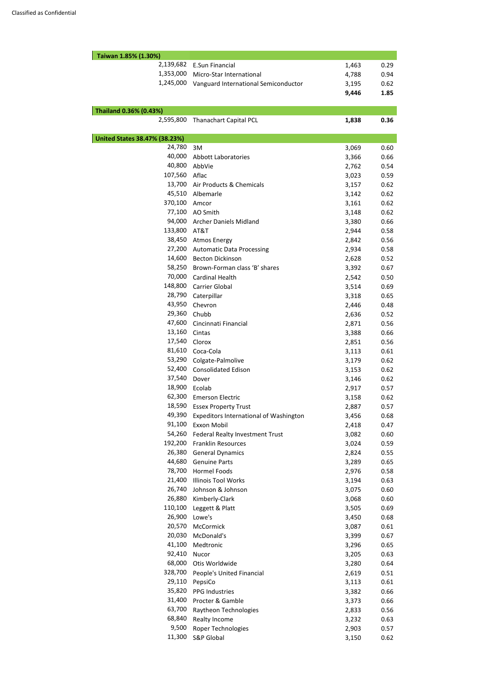| Taiwan 1.85% (1.30%)                 |                                        |       |      |
|--------------------------------------|----------------------------------------|-------|------|
| 2,139,682                            | <b>E.Sun Financial</b>                 | 1,463 | 0.29 |
|                                      | 1,353,000 Micro-Star International     | 4,788 | 0.94 |
| 1,245,000                            | Vanguard International Semiconductor   | 3,195 | 0.62 |
|                                      |                                        | 9,446 | 1.85 |
|                                      |                                        |       |      |
| Thailand 0.36% (0.43%)<br>2,595,800  | <b>Thanachart Capital PCL</b>          | 1,838 | 0.36 |
|                                      |                                        |       |      |
| <b>United States 38.47% (38.23%)</b> |                                        |       |      |
| 24,780                               | 3M                                     | 3,069 | 0.60 |
| 40,000                               | <b>Abbott Laboratories</b>             | 3,366 | 0.66 |
| 40,800                               | AbbVie                                 | 2,762 | 0.54 |
| 107,560                              | Aflac                                  | 3,023 | 0.59 |
| 13,700                               | Air Products & Chemicals               | 3,157 | 0.62 |
| 45,510                               | Albemarle                              | 3,142 | 0.62 |
| 370,100                              | Amcor                                  | 3,161 | 0.62 |
| 77,100                               | AO Smith                               | 3,148 | 0.62 |
| 94,000                               | <b>Archer Daniels Midland</b>          | 3,380 | 0.66 |
| 133,800                              | AT&T                                   | 2,944 | 0.58 |
| 38,450                               | <b>Atmos Energy</b>                    | 2,842 | 0.56 |
| 27,200                               | <b>Automatic Data Processing</b>       | 2,934 | 0.58 |
| 14,600                               | <b>Becton Dickinson</b>                | 2,628 | 0.52 |
| 58,250                               | Brown-Forman class 'B' shares          | 3,392 | 0.67 |
| 70,000                               | <b>Cardinal Health</b>                 | 2,542 | 0.50 |
| 148,800                              | <b>Carrier Global</b>                  | 3,514 | 0.69 |
| 28,790                               | Caterpillar                            | 3,318 | 0.65 |
| 43,950                               | Chevron                                | 2,446 | 0.48 |
| 29,360                               | Chubb                                  | 2,636 | 0.52 |
| 47,600                               | Cincinnati Financial                   | 2,871 | 0.56 |
| 13,160                               | Cintas                                 | 3,388 | 0.66 |
| 17,540                               | Clorox                                 | 2,851 | 0.56 |
| 81,610                               | Coca-Cola                              | 3,113 | 0.61 |
| 53,290                               | Colgate-Palmolive                      | 3,179 | 0.62 |
| 52,400                               | <b>Consolidated Edison</b>             | 3,153 | 0.62 |
| 37,540                               | Dover                                  | 3,146 | 0.62 |
| 18,900                               | Ecolab                                 | 2,917 | 0.57 |
| 62,300                               | <b>Emerson Electric</b>                | 3,158 | 0.62 |
| 18,590                               | <b>Essex Property Trust</b>            | 2,887 | 0.57 |
| 49,390                               | Expeditors International of Washington | 3,456 | 0.68 |
| 91,100                               | Exxon Mobil                            |       | 0.47 |
| 54,260                               |                                        | 2,418 |      |
| 192,200                              | Federal Realty Investment Trust        | 3,082 | 0.60 |
| 26,380                               | <b>Franklin Resources</b>              | 3,024 | 0.59 |
| 44,680                               | <b>General Dynamics</b>                | 2,824 | 0.55 |
|                                      | <b>Genuine Parts</b>                   | 3,289 | 0.65 |
| 78,700                               | <b>Hormel Foods</b>                    | 2,976 | 0.58 |
| 21,400                               | <b>Illinois Tool Works</b>             | 3,194 | 0.63 |
| 26,740                               | Johnson & Johnson                      | 3,075 | 0.60 |
| 26,880                               | Kimberly-Clark                         | 3,068 | 0.60 |
| 110,100                              | Leggett & Platt                        | 3,505 | 0.69 |
| 26,900                               | Lowe's                                 | 3,450 | 0.68 |
| 20,570                               | McCormick                              | 3,087 | 0.61 |
| 20,030                               | McDonald's                             | 3,399 | 0.67 |
| 41,100                               | Medtronic                              | 3,296 | 0.65 |
| 92,410                               | Nucor                                  | 3,205 | 0.63 |
| 68,000                               | Otis Worldwide                         | 3,280 | 0.64 |
| 328,700                              | People's United Financial              | 2,619 | 0.51 |
| 29,110                               | PepsiCo                                | 3,113 | 0.61 |
| 35,820                               | <b>PPG Industries</b>                  | 3,382 | 0.66 |
| 31,400                               | Procter & Gamble                       | 3,373 | 0.66 |
| 63,700                               | Raytheon Technologies                  | 2,833 | 0.56 |
| 68,840                               | Realty Income                          | 3,232 | 0.63 |
| 9,500                                | <b>Roper Technologies</b>              | 2,903 | 0.57 |
| 11,300                               | S&P Global                             | 3,150 | 0.62 |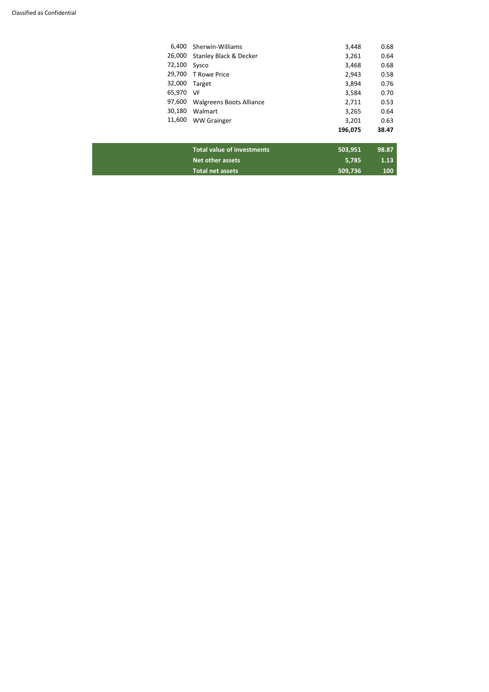| 6,400  | Sherwin-Williams                  | 3,448   | 0.68  |
|--------|-----------------------------------|---------|-------|
| 26,000 | <b>Stanley Black &amp; Decker</b> | 3,261   | 0.64  |
| 72,100 | Sysco                             | 3,468   | 0.68  |
| 29,700 | <b>T</b> Rowe Price               | 2,943   | 0.58  |
| 32,000 | Target                            | 3,894   | 0.76  |
| 65,970 | VF                                | 3,584   | 0.70  |
| 97,600 | <b>Walgreens Boots Alliance</b>   | 2,711   | 0.53  |
| 30,180 | Walmart                           | 3,265   | 0.64  |
| 11,600 | <b>WW Grainger</b>                | 3,201   | 0.63  |
|        |                                   | 196,075 | 38.47 |

| <b>Total value of investments</b><br>503.951 | 98.87            |
|----------------------------------------------|------------------|
| Net other assets<br>5.785                    | 1.13             |
| <b>Total net assets</b><br>509.736           | 100 <sub>1</sub> |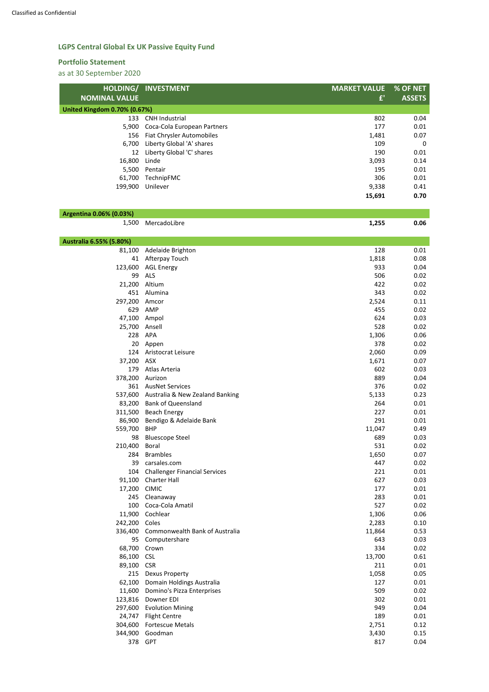## **LGPS Central Global Ex UK Passive Equity Fund**

#### **Portfolio Statement**

as at 30 September 2020

|                                     | HOLDING/ INVESTMENT              | <b>MARKET VALUE</b> | % OF NET      |  |  |  |  |
|-------------------------------------|----------------------------------|---------------------|---------------|--|--|--|--|
| <b>NOMINAL VALUE</b>                |                                  | f'                  | <b>ASSETS</b> |  |  |  |  |
| <b>United Kingdom 0.70% (0.67%)</b> |                                  |                     |               |  |  |  |  |
| 133                                 | <b>CNH</b> Industrial            | 802                 | 0.04          |  |  |  |  |
| 5,900                               | Coca-Cola European Partners      | 177                 | 0.01          |  |  |  |  |
| 156                                 | <b>Fiat Chrysler Automobiles</b> | 1,481               | 0.07          |  |  |  |  |
| 6,700                               | Liberty Global 'A' shares        | 109                 | $\mathbf 0$   |  |  |  |  |
| 12                                  | Liberty Global 'C' shares        | 190                 | 0.01          |  |  |  |  |
| 16,800                              | Linde                            | 3,093               | 0.14          |  |  |  |  |
| 5,500                               | Pentair                          | 195                 | 0.01          |  |  |  |  |
| 61,700                              | TechnipFMC                       | 306                 | 0.01          |  |  |  |  |
| 199,900                             | Unilever                         | 9,338               | 0.41          |  |  |  |  |
|                                     |                                  | 15,691              | 0.70          |  |  |  |  |

## **Argentina 0.06% (0.03%)**

1,500 MercadoLibre **1,255 0.06**

| Australia 6.55% (5.80%) |                                         |        |      |
|-------------------------|-----------------------------------------|--------|------|
| 81,100                  | Adelaide Brighton                       | 128    | 0.01 |
| 41                      | Afterpay Touch                          | 1,818  | 0.08 |
|                         | 123,600 AGL Energy                      | 933    | 0.04 |
| 99                      | <b>ALS</b>                              | 506    | 0.02 |
| 21,200                  | Altium                                  | 422    | 0.02 |
| 451                     | Alumina                                 | 343    | 0.02 |
| 297,200                 | Amcor                                   | 2,524  | 0.11 |
| 629                     | AMP                                     | 455    | 0.02 |
| 47,100 Ampol            |                                         | 624    | 0.03 |
| 25,700                  | Ansell                                  | 528    | 0.02 |
| 228                     | APA                                     | 1,306  | 0.06 |
| 20                      | Appen                                   | 378    | 0.02 |
| 124                     | Aristocrat Leisure                      | 2,060  | 0.09 |
| 37,200                  | ASX                                     | 1,671  | 0.07 |
| 179                     | Atlas Arteria                           | 602    | 0.03 |
| 378,200                 | Aurizon                                 | 889    | 0.04 |
|                         | 361 AusNet Services                     | 376    | 0.02 |
|                         | 537,600 Australia & New Zealand Banking | 5,133  | 0.23 |
| 83,200                  | <b>Bank of Queensland</b>               | 264    | 0.01 |
| 311,500                 | <b>Beach Energy</b>                     | 227    | 0.01 |
| 86,900                  | Bendigo & Adelaide Bank                 | 291    | 0.01 |
| 559,700                 | <b>BHP</b>                              | 11,047 | 0.49 |
| 98                      | <b>Bluescope Steel</b>                  | 689    | 0.03 |
| 210,400                 | <b>Boral</b>                            | 531    | 0.02 |
| 284                     | <b>Brambles</b>                         | 1,650  | 0.07 |
| 39                      | carsales.com                            | 447    | 0.02 |
| 104                     | <b>Challenger Financial Services</b>    | 221    | 0.01 |
| 91,100                  | <b>Charter Hall</b>                     | 627    | 0.03 |
| 17,200                  | <b>CIMIC</b>                            | 177    | 0.01 |
|                         | 245 Cleanaway                           | 283    | 0.01 |
| 100                     | Coca-Cola Amatil                        | 527    | 0.02 |
| 11,900                  | Cochlear                                | 1,306  | 0.06 |
| 242,200                 | Coles                                   | 2,283  | 0.10 |
| 336,400                 | Commonwealth Bank of Australia          | 11,864 | 0.53 |
| 95                      | Computershare                           | 643    | 0.03 |
| 68,700                  | Crown                                   | 334    | 0.02 |
| 86,100                  | <b>CSL</b>                              | 13,700 | 0.61 |
| 89,100                  | <b>CSR</b>                              | 211    | 0.01 |
| 215                     | <b>Dexus Property</b>                   | 1,058  | 0.05 |
| 62,100                  | Domain Holdings Australia               | 127    | 0.01 |
| 11,600                  | Domino's Pizza Enterprises              | 509    | 0.02 |
| 123,816                 | Downer EDI                              | 302    | 0.01 |
| 297,600                 | <b>Evolution Mining</b>                 | 949    | 0.04 |
| 24,747                  | <b>Flight Centre</b>                    | 189    | 0.01 |
| 304,600                 | <b>Fortescue Metals</b>                 | 2,751  | 0.12 |
| 344,900                 | Goodman                                 | 3,430  | 0.15 |
|                         | 378 GPT                                 | 817    | 0.04 |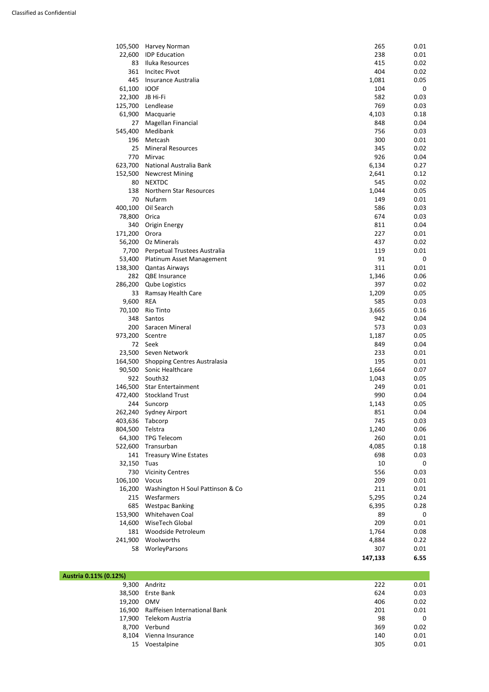| 105,500 | Harvey Norman                    | 265     | 0.01 |
|---------|----------------------------------|---------|------|
| 22,600  | <b>IDP</b> Education             | 238     | 0.01 |
| 83      | Iluka Resources                  | 415     | 0.02 |
| 361     | <b>Incitec Pivot</b>             | 404     | 0.02 |
| 445     | Insurance Australia              | 1,081   | 0.05 |
| 61,100  | <b>IOOF</b>                      | 104     | 0    |
| 22,300  | JB Hi-Fi                         | 582     | 0.03 |
| 125,700 | Lendlease                        | 769     | 0.03 |
| 61,900  | Macquarie                        | 4,103   | 0.18 |
| 27      | Magellan Financial               | 848     | 0.04 |
| 545,400 | Medibank                         | 756     | 0.03 |
| 196     | Metcash                          | 300     | 0.01 |
| 25      | <b>Mineral Resources</b>         | 345     | 0.02 |
| 770     | Mirvac                           | 926     | 0.04 |
| 623,700 | National Australia Bank          | 6,134   | 0.27 |
| 152,500 | <b>Newcrest Mining</b>           | 2,641   | 0.12 |
| 80      | <b>NEXTDC</b>                    | 545     | 0.02 |
|         |                                  |         |      |
| 138     | Northern Star Resources          | 1,044   | 0.05 |
| 70      | Nufarm                           | 149     | 0.01 |
| 400,100 | Oil Search                       | 586     | 0.03 |
| 78,800  | Orica                            | 674     | 0.03 |
| 340     | Origin Energy                    | 811     | 0.04 |
| 171,200 | Orora                            | 227     | 0.01 |
| 56,200  | Oz Minerals                      | 437     | 0.02 |
| 7,700   | Perpetual Trustees Australia     | 119     | 0.01 |
| 53,400  | Platinum Asset Management        | 91      | 0    |
| 138,300 | <b>Qantas Airways</b>            | 311     | 0.01 |
| 282     | <b>QBE Insurance</b>             | 1,346   | 0.06 |
| 286,200 | <b>Qube Logistics</b>            | 397     | 0.02 |
| 33      | Ramsay Health Care               | 1,209   | 0.05 |
| 9,600   | <b>REA</b>                       | 585     | 0.03 |
| 70,100  | Rio Tinto                        | 3,665   | 0.16 |
| 348     | Santos                           | 942     | 0.04 |
| 200     | Saracen Mineral                  | 573     | 0.03 |
| 973,200 | Scentre                          | 1,187   | 0.05 |
| 72      | Seek                             | 849     | 0.04 |
| 23,500  | Seven Network                    | 233     | 0.01 |
| 164,500 | Shopping Centres Australasia     | 195     | 0.01 |
|         | 90,500 Sonic Healthcare          | 1,664   | 0.07 |
| 922     | South32                          | 1,043   | 0.05 |
| 146,500 | <b>Star Entertainment</b>        | 249     | 0.01 |
| 472,400 | <b>Stockland Trust</b>           | 990     | 0.04 |
| 244     | Suncorp                          | 1,143   | 0.05 |
| 262,240 | Sydney Airport                   | 851     | 0.04 |
| 403,636 | Tabcorp                          | 745     | 0.03 |
| 804,500 | Telstra                          | 1,240   | 0.06 |
|         |                                  | 260     |      |
| 64,300  | <b>TPG Telecom</b>               |         | 0.01 |
| 522,600 | Transurban                       | 4,085   | 0.18 |
| 141     | <b>Treasury Wine Estates</b>     | 698     | 0.03 |
| 32,150  | Tuas                             | 10      | 0    |
| 730     | <b>Vicinity Centres</b>          | 556     | 0.03 |
| 106,100 | Vocus                            | 209     | 0.01 |
| 16,200  | Washington H Soul Pattinson & Co | 211     | 0.01 |
| 215     | Wesfarmers                       | 5,295   | 0.24 |
| 685     | <b>Westpac Banking</b>           | 6,395   | 0.28 |
| 153,900 | Whitehaven Coal                  | 89      | 0    |
| 14,600  | WiseTech Global                  | 209     | 0.01 |
| 181     | Woodside Petroleum               | 1,764   | 0.08 |
| 241,900 | Woolworths                       | 4,884   | 0.22 |
| 58      | WorleyParsons                    | 307     | 0.01 |
|         |                                  | 147,133 | 6.55 |

| Austria 0.11% (0.12%) |                                      |     |      |
|-----------------------|--------------------------------------|-----|------|
| 9,300                 | Andritz                              | 222 | 0.01 |
|                       | 38,500 Erste Bank                    | 624 | 0.03 |
| 19,200                | OMV                                  | 406 | 0.02 |
|                       | 16,900 Raiffeisen International Bank | 201 | 0.01 |
|                       | 17,900 Telekom Austria               | 98  | 0    |
| 8,700                 | Verbund                              | 369 | 0.02 |
| 8,104                 | Vienna Insurance                     | 140 | 0.01 |
| 15                    | Voestalpine                          | 305 | 0.01 |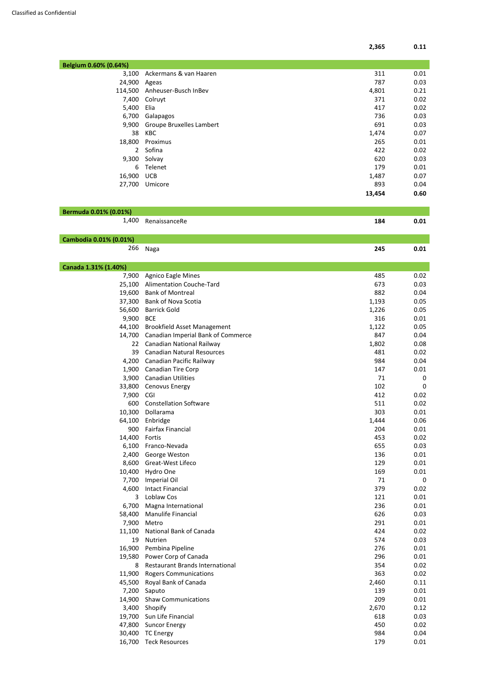| Ackermans & van Haaren          | 311    | 0.01 |
|---------------------------------|--------|------|
| Ageas                           | 787    | 0.03 |
| Anheuser-Busch InBev            | 4,801  | 0.21 |
| Colruyt                         | 371    | 0.02 |
| Elia                            | 417    | 0.02 |
| Galapagos                       | 736    | 0.03 |
| <b>Groupe Bruxelles Lambert</b> | 691    | 0.03 |
| KBC                             | 1,474  | 0.07 |
| Proximus                        | 265    | 0.01 |
| Sofina                          | 422    | 0.02 |
| Solvay                          | 620    | 0.03 |
| Telenet                         | 179    | 0.01 |
| <b>UCB</b>                      | 1,487  | 0.07 |
| Umicore                         | 893    | 0.04 |
|                                 | 13,454 | 0.60 |
|                                 |        |      |

| Bermuda 0.01% (0.01%) |                     |     |      |
|-----------------------|---------------------|-----|------|
|                       | 1,400 RenaissanceRe | 184 | 0.01 |
|                       |                     |     |      |

| Cambodia 0.01% (0.01%) |      |     |           |
|------------------------|------|-----|-----------|
| 266                    | Naga | 245 | <b>01</b> |

| ,,,,,  | <u>IVIELIU</u>                         | ᅀ고    | U.UI |
|--------|----------------------------------------|-------|------|
| 11,100 | National Bank of Canada                | 424   | 0.02 |
| 19     | <b>Nutrien</b>                         | 574   | 0.03 |
| 16,900 | Pembina Pipeline                       | 276   | 0.01 |
| 19,580 | Power Corp of Canada                   | 296   | 0.01 |
| 8      | <b>Restaurant Brands International</b> | 354   | 0.02 |
| 11,900 | <b>Rogers Communications</b>           | 363   | 0.02 |
| 45,500 | Royal Bank of Canada                   | 2,460 | 0.11 |
| 7,200  | Saputo                                 | 139   | 0.01 |
| 14,900 | <b>Shaw Communications</b>             | 209   | 0.01 |
| 3,400  | Shopify                                | 2,670 | 0.12 |
| 19,700 | Sun Life Financial                     | 618   | 0.03 |
| 47,800 | <b>Suncor Energy</b>                   | 450   | 0.02 |
| 30,400 | <b>TC Energy</b>                       | 984   | 0.04 |
| 16,700 | <b>Teck Resources</b>                  | 179   | 0.01 |

| Canada 1.31% (1.40%) |                                    |       |             |
|----------------------|------------------------------------|-------|-------------|
| 7,900                | <b>Agnico Eagle Mines</b>          | 485   | 0.02        |
| 25,100               | <b>Alimentation Couche-Tard</b>    | 673   | 0.03        |
| 19,600               | <b>Bank of Montreal</b>            | 882   | 0.04        |
| 37,300               | <b>Bank of Nova Scotia</b>         | 1,193 | 0.05        |
| 56,600               | <b>Barrick Gold</b>                | 1,226 | 0.05        |
| 9,900                | <b>BCE</b>                         | 316   | 0.01        |
| 44,100               | <b>Brookfield Asset Management</b> | 1,122 | 0.05        |
| 14,700               | Canadian Imperial Bank of Commerce | 847   | 0.04        |
| 22                   | Canadian National Railway          | 1,802 | 0.08        |
| 39                   | <b>Canadian Natural Resources</b>  | 481   | 0.02        |
| 4,200                | Canadian Pacific Railway           | 984   | 0.04        |
| 1,900                | <b>Canadian Tire Corp</b>          | 147   | 0.01        |
| 3,900                | <b>Canadian Utilities</b>          | 71    | 0           |
| 33,800               | Cenovus Energy                     | 102   | 0           |
| 7,900                | CGI                                | 412   | 0.02        |
| 600                  | <b>Constellation Software</b>      | 511   | 0.02        |
| 10,300               | Dollarama                          | 303   | 0.01        |
| 64,100               | Enbridge                           | 1,444 | 0.06        |
| 900                  | <b>Fairfax Financial</b>           | 204   | 0.01        |
| 14,400               | Fortis                             | 453   | 0.02        |
| 6,100                | Franco-Nevada                      | 655   | 0.03        |
| 2,400                | George Weston                      | 136   | 0.01        |
| 8,600                | <b>Great-West Lifeco</b>           | 129   | 0.01        |
| 10,400               | Hydro One                          | 169   | 0.01        |
| 7,700                | <b>Imperial Oil</b>                | 71    | $\mathbf 0$ |
| 4,600                | <b>Intact Financial</b>            | 379   | 0.02        |
| 3                    | Loblaw Cos                         | 121   | 0.01        |
| 6,700                | Magna International                | 236   | 0.01        |
| 58,400               | Manulife Financial                 | 626   | 0.03        |
| 7,900                | Metro                              | 291   | 0.01        |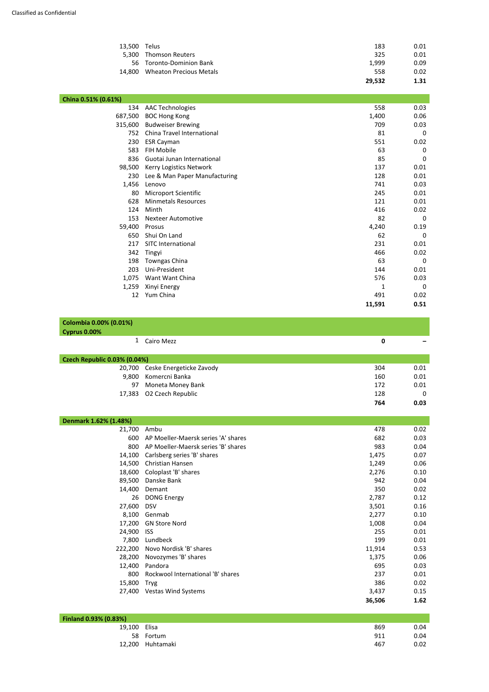| 13,500 Telus |                                | 183    | 0.01 |
|--------------|--------------------------------|--------|------|
| 5,300        | <b>Thomson Reuters</b>         | 325    | 0.01 |
|              | 56 Toronto-Dominion Bank       | 1,999  | 0.09 |
| 14.800       | <b>Wheaton Precious Metals</b> | 558    | 0.02 |
|              |                                | 29,532 | 1.31 |

| China 0.51% (0.61%) |                               |        |             |
|---------------------|-------------------------------|--------|-------------|
| 134                 | <b>AAC Technologies</b>       | 558    | 0.03        |
| 687,500             | <b>BOC Hong Kong</b>          | 1,400  | 0.06        |
| 315,600             | <b>Budweiser Brewing</b>      | 709    | 0.03        |
| 752                 | China Travel International    | 81     | 0           |
| 230                 | <b>ESR Cayman</b>             | 551    | 0.02        |
| 583                 | FIH Mobile                    | 63     | 0           |
| 836                 | Guotai Junan International    | 85     | $\mathbf 0$ |
| 98,500              | Kerry Logistics Network       | 137    | 0.01        |
| 230                 | Lee & Man Paper Manufacturing | 128    | 0.01        |
| 1,456               | Lenovo                        | 741    | 0.03        |
| 80                  | Microport Scientific          | 245    | 0.01        |
| 628                 | <b>Minmetals Resources</b>    | 121    | 0.01        |
| 124                 | Minth                         | 416    | 0.02        |
| 153                 | <b>Nexteer Automotive</b>     | 82     | 0           |
| 59,400              | Prosus                        | 4,240  | 0.19        |
| 650                 | Shui On Land                  | 62     | 0           |
| 217                 | SITC International            | 231    | 0.01        |
| 342                 | Tingyi                        | 466    | 0.02        |
| 198                 | <b>Towngas China</b>          | 63     | 0           |
| 203                 | Uni-President                 | 144    | 0.01        |
| 1,075               | Want Want China               | 576    | 0.03        |
| 1,259               | Xinyi Energy                  | 1      | 0           |
| 12                  | Yum China                     | 491    | 0.02        |
|                     |                               | 11,591 | 0.51        |

| Colombia 0.00% (0.01%)              |                                 |     |      |
|-------------------------------------|---------------------------------|-----|------|
| Cyprus 0.00%                        |                                 |     |      |
|                                     | 1 Cairo Mezz                    | 0   |      |
|                                     |                                 |     |      |
| <b>Czech Republic 0.03% (0.04%)</b> |                                 |     |      |
|                                     | 20,700 Ceske Energeticke Zavody | 304 | 0.01 |
| 9,800                               | Komercni Banka                  | 160 | 0.01 |

|                          | 764 | 0.03 |
|--------------------------|-----|------|
| 17,383 O2 Czech Republic | 128 |      |
| 97 Moneta Money Bank     | 172 | 0.01 |

| Denmark 1.62% (1.48%) |                                     |        |      |
|-----------------------|-------------------------------------|--------|------|
| 21,700                | Ambu                                | 478    | 0.02 |
| 600                   | AP Moeller-Maersk series 'A' shares | 682    | 0.03 |
| 800                   | AP Moeller-Maersk series 'B' shares | 983    | 0.04 |
| 14,100                | Carlsberg series 'B' shares         | 1,475  | 0.07 |
| 14,500                | Christian Hansen                    | 1,249  | 0.06 |
| 18,600                | Coloplast 'B' shares                | 2,276  | 0.10 |
| 89,500                | Danske Bank                         | 942    | 0.04 |
| 14,400                | Demant                              | 350    | 0.02 |
| 26                    | <b>DONG Energy</b>                  | 2,787  | 0.12 |
| 27,600                | <b>DSV</b>                          | 3,501  | 0.16 |
| 8,100                 | Genmab                              | 2,277  | 0.10 |
| 17,200                | <b>GN Store Nord</b>                | 1,008  | 0.04 |
| 24,900                | <b>ISS</b>                          | 255    | 0.01 |
| 7,800                 | Lundbeck                            | 199    | 0.01 |
| 222,200               | Novo Nordisk 'B' shares             | 11,914 | 0.53 |
| 28,200                | Novozymes 'B' shares                | 1,375  | 0.06 |
| 12,400                | Pandora                             | 695    | 0.03 |
| 800                   | Rockwool International 'B' shares   | 237    | 0.01 |
| 15,800                | <b>Tryg</b>                         | 386    | 0.02 |
| 27,400                | <b>Vestas Wind Systems</b>          | 3,437  | 0.15 |
|                       |                                     | 36,506 | 1.62 |
|                       |                                     |        |      |

| <b>Finland 0.93% (0.83%)</b> |                  |     |      |
|------------------------------|------------------|-----|------|
| 19,100 Elisa                 |                  | 869 | 0.04 |
|                              | 58 Fortum        | 911 | 0.04 |
|                              | 12,200 Huhtamaki | 467 | 0.02 |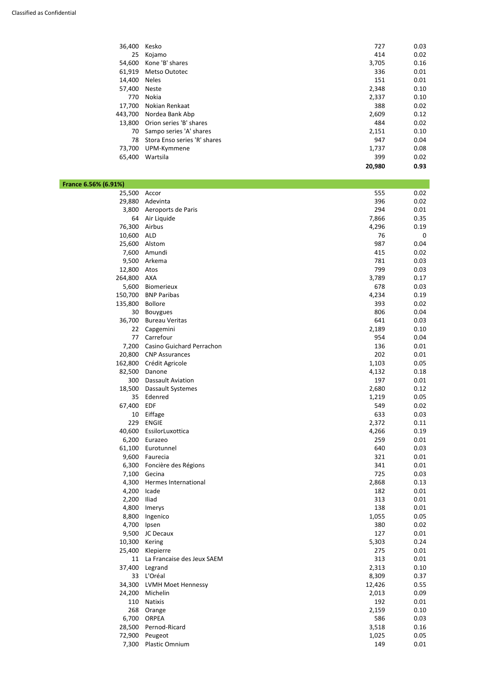| 36,400  | Kesko                        | 727    | 0.03 |
|---------|------------------------------|--------|------|
| 25      | Kojamo                       | 414    | 0.02 |
| 54,600  | Kone 'B' shares              | 3,705  | 0.16 |
| 61,919  | <b>Metso Outotec</b>         | 336    | 0.01 |
| 14,400  | <b>Neles</b>                 | 151    | 0.01 |
| 57,400  | <b>Neste</b>                 | 2,348  | 0.10 |
| 770     | Nokia                        | 2,337  | 0.10 |
| 17,700  | Nokian Renkaat               | 388    | 0.02 |
| 443,700 | Nordea Bank Abp              | 2,609  | 0.12 |
| 13,800  | Orion series 'B' shares      | 484    | 0.02 |
| 70      | Sampo series 'A' shares      | 2,151  | 0.10 |
| 78      | Stora Enso series 'R' shares | 947    | 0.04 |
| 73,700  | UPM-Kymmene                  | 1,737  | 0.08 |
| 65,400  | Wartsila                     | 399    | 0.02 |
|         |                              | 20,980 | 0.93 |

| France 6.56% (6.91%) |                            |       |             |
|----------------------|----------------------------|-------|-------------|
| 25,500               | Accor                      | 555   | 0.02        |
| 29,880               | Adevinta                   | 396   | 0.02        |
| 3,800                | Aeroports de Paris         | 294   | 0.01        |
| 64                   | Air Liquide                | 7,866 | 0.35        |
| 76,300               | Airbus                     | 4,296 | 0.19        |
| 10,600               | <b>ALD</b>                 | 76    | $\mathbf 0$ |
| 25,600               | Alstom                     | 987   | 0.04        |
| 7,600                | Amundi                     | 415   | 0.02        |
| 9,500                | Arkema                     | 781   | 0.03        |
| 12,800               | Atos                       | 799   | 0.03        |
| 264,800              | AXA                        | 3,789 | 0.17        |
| 5,600                | Biomerieux                 | 678   | 0.03        |
| 150,700              | <b>BNP Paribas</b>         | 4,234 | 0.19        |
| 135,800              | <b>Bollore</b>             | 393   | 0.02        |
| 30                   | <b>Bouygues</b>            | 806   | 0.04        |
| 36,700               | <b>Bureau Veritas</b>      | 641   | 0.03        |
| 22                   | Capgemini                  | 2,189 | 0.10        |
| 77                   | Carrefour                  | 954   | 0.04        |
| 7,200                | Casino Guichard Perrachon  | 136   | 0.01        |
| 20,800               | <b>CNP Assurances</b>      | 202   | 0.01        |
| 162,800              | Crédit Agricole            | 1,103 | 0.05        |
| 82,500               | Danone                     | 4,132 | 0.18        |
| 300                  | <b>Dassault Aviation</b>   | 197   | 0.01        |
| 18,500               | Dassault Systemes          | 2,680 | 0.12        |
| 35                   | Edenred                    | 1,219 | 0.05        |
| 67,400               | EDF                        | 549   | 0.02        |
| 10                   | Eiffage                    | 633   | 0.03        |
| 229                  | <b>ENGIE</b>               | 2,372 | 0.11        |
| 40,600               | EssilorLuxottica           | 4,266 | 0.19        |
|                      | 6,200 Eurazeo              | 259   | 0.01        |
|                      | 61,100 Eurotunnel          | 640   | 0.03        |
|                      | 9,600 Faurecia             | 321   | 0.01        |
|                      | 6,300 Foncière des Régions | 341   | 0.01        |
|                      | 7,100 Gecina               | 725   | 0.03        |
| 4,300                | Hermes International       | 2,868 | 0.13        |
| 4,200                | Icade                      | 182   | 0.01        |
| 2,200                | Iliad                      | 313   | 0.01        |
|                      | 4,800 Imerys               | 138   | 0.01        |
|                      | 8,800 Ingenico             | 1,055 | 0.05        |

| 4,700  | Ipsen                      | 380    | 0.02 |
|--------|----------------------------|--------|------|
| 9,500  | JC Decaux                  | 127    | 0.01 |
| 10,300 | Kering                     | 5,303  | 0.24 |
| 25,400 | Klepierre                  | 275    | 0.01 |
| 11     | La Francaise des Jeux SAEM | 313    | 0.01 |
| 37,400 | Legrand                    | 2,313  | 0.10 |
| 33     | L'Oréal                    | 8,309  | 0.37 |
| 34,300 | <b>LVMH Moet Hennessy</b>  | 12,426 | 0.55 |
| 24,200 | Michelin                   | 2,013  | 0.09 |
| 110    | <b>Natixis</b>             | 192    | 0.01 |
| 268    | Orange                     | 2,159  | 0.10 |
| 6,700  | <b>ORPEA</b>               | 586    | 0.03 |
| 28,500 | Pernod-Ricard              | 3,518  | 0.16 |
| 72,900 | Peugeot                    | 1,025  | 0.05 |
| 7,300  | <b>Plastic Omnium</b>      | 149    | 0.01 |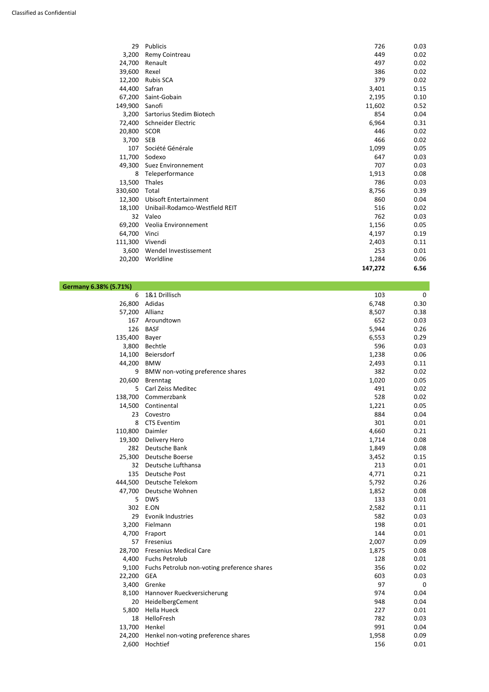| 29      | <b>Publicis</b>                | 726     | 0.03 |
|---------|--------------------------------|---------|------|
| 3,200   | Remy Cointreau                 | 449     | 0.02 |
| 24,700  | Renault                        | 497     | 0.02 |
| 39,600  | Rexel                          | 386     | 0.02 |
| 12,200  | <b>Rubis SCA</b>               | 379     | 0.02 |
| 44,400  | Safran                         | 3,401   | 0.15 |
| 67,200  | Saint-Gobain                   | 2,195   | 0.10 |
| 149,900 | Sanofi                         | 11,602  | 0.52 |
| 3,200   | Sartorius Stedim Biotech       | 854     | 0.04 |
| 72,400  | Schneider Electric             | 6,964   | 0.31 |
| 20,800  | <b>SCOR</b>                    | 446     | 0.02 |
| 3,700   | <b>SEB</b>                     | 466     | 0.02 |
| 107     | Société Générale               | 1,099   | 0.05 |
| 11,700  | Sodexo                         | 647     | 0.03 |
| 49,300  | Suez Environnement             | 707     | 0.03 |
| 8       | Teleperformance                | 1,913   | 0.08 |
| 13,500  | Thales                         | 786     | 0.03 |
| 330,600 | Total                          | 8,756   | 0.39 |
| 12,300  | <b>Ubisoft Entertainment</b>   | 860     | 0.04 |
| 18,100  | Unibail-Rodamco-Westfield REIT | 516     | 0.02 |
| 32      | Valeo                          | 762     | 0.03 |
| 69,200  | Veolia Environnement           | 1,156   | 0.05 |
| 64,700  | Vinci                          | 4,197   | 0.19 |
| 111,300 | Vivendi                        | 2,403   | 0.11 |
| 3,600   | Wendel Investissement          | 253     | 0.01 |
| 20,200  | Worldline                      | 1,284   | 0.06 |
|         |                                | 147,272 | 6.56 |

| Germany 6.38% (5.71%) |  |  |
|-----------------------|--|--|
|-----------------------|--|--|

| J. / 1/0 J |                                  |       |      |
|------------|----------------------------------|-------|------|
| 6          | 1&1 Drillisch                    | 103   | 0    |
| 26,800     | Adidas                           | 6,748 | 0.30 |
| 57,200     | Allianz                          | 8,507 | 0.38 |
| 167        | Aroundtown                       | 652   | 0.03 |
| 126        | <b>BASF</b>                      | 5,944 | 0.26 |
| 135,400    | <b>Bayer</b>                     | 6,553 | 0.29 |
| 3,800      | Bechtle                          | 596   | 0.03 |
| 14,100     | Beiersdorf                       | 1,238 | 0.06 |
| 44,200     | <b>BMW</b>                       | 2,493 | 0.11 |
| 9          | BMW non-voting preference shares | 382   | 0.02 |
| 20,600     | <b>Brenntag</b>                  | 1,020 | 0.05 |
| 5          | <b>Carl Zeiss Meditec</b>        | 491   | 0.02 |
| 138,700    | Commerzbank                      | 528   | 0.02 |
| 14,500     | Continental                      | 1,221 | 0.05 |
| 23         | Covestro                         | 884   | 0.04 |
| 8          | <b>CTS Eventim</b>               | 301   | 0.01 |
| 110,800    | Daimler                          | 4,660 | 0.21 |
| 19,300     | Delivery Hero                    | 1,714 | 0.08 |
| 282        | Deutsche Bank                    | 1,849 | 0.08 |
| 25,300     | Deutsche Boerse                  | 3,452 | 0.15 |
| 32         | Deutsche Lufthansa               | 213   | 0.01 |
| 135        | Deutsche Post                    | 4,771 | 0.21 |
| 444,500    | Deutsche Telekom                 | 5,792 | 0.26 |
| 47,700     | Deutsche Wohnen                  | 1,852 | 0.08 |
| 5          | <b>DWS</b>                       | 133   | 0.01 |
| 302        | E.ON                             | 2,582 | 0.11 |
| 29         | <b>Evonik Industries</b>         | 582   | 0.03 |
|            |                                  |       |      |

| 3,200  | Fielmann                                    | 198   | 0.01 |
|--------|---------------------------------------------|-------|------|
| 4,700  | Fraport                                     | 144   | 0.01 |
| 57     | Fresenius                                   | 2,007 | 0.09 |
| 28,700 | <b>Fresenius Medical Care</b>               | 1,875 | 0.08 |
| 4,400  | <b>Fuchs Petrolub</b>                       | 128   | 0.01 |
| 9,100  | Fuchs Petrolub non-voting preference shares | 356   | 0.02 |
| 22,200 | <b>GEA</b>                                  | 603   | 0.03 |
| 3,400  | Grenke                                      | 97    | 0    |
| 8,100  | Hannover Rueckversicherung                  | 974   | 0.04 |
| 20     | HeidelbergCement                            | 948   | 0.04 |
| 5,800  | Hella Hueck                                 | 227   | 0.01 |
| 18     | HelloFresh                                  | 782   | 0.03 |
| 13,700 | Henkel                                      | 991   | 0.04 |
| 24,200 | Henkel non-voting preference shares         | 1,958 | 0.09 |
| 2,600  | Hochtief                                    | 156   | 0.01 |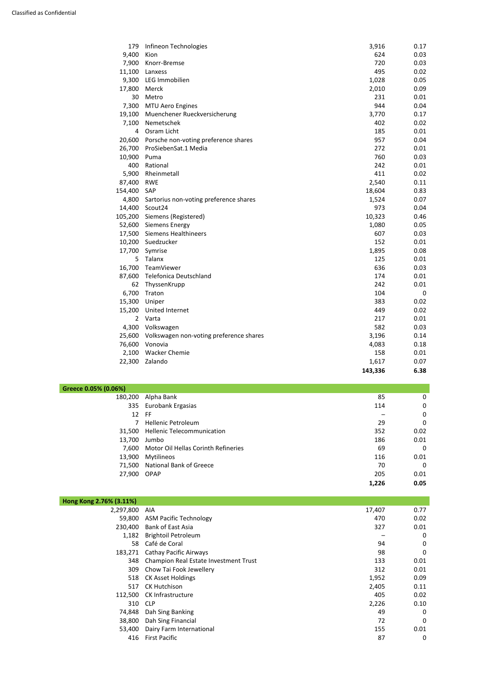| 179            | Infineon Technologies                          | 3,916   | 0.17        |
|----------------|------------------------------------------------|---------|-------------|
| 9,400          | Kion                                           | 624     | 0.03        |
| 7,900          | Knorr-Bremse                                   | 720     | 0.03        |
| 11,100         | Lanxess                                        | 495     | 0.02        |
| 9,300          | LEG Immobilien                                 | 1,028   | 0.05        |
| 17,800         | Merck                                          | 2,010   | 0.09        |
| 30             | Metro                                          | 231     | 0.01        |
| 7,300          | <b>MTU Aero Engines</b>                        | 944     | 0.04        |
| 19,100         | Muenchener Rueckversicherung                   | 3,770   | 0.17        |
| 7,100          | Nemetschek                                     | 402     | 0.02        |
| 4              | Osram Licht                                    | 185     | 0.01        |
| 20,600         | Porsche non-voting preference shares           | 957     | 0.04        |
| 26,700         | ProSiebenSat.1 Media                           | 272     | 0.01        |
| 10,900         | Puma                                           | 760     | 0.03        |
| 400            | Rational                                       | 242     | 0.01        |
| 5,900          | Rheinmetall                                    | 411     | 0.02        |
| 87,400         | <b>RWE</b>                                     | 2,540   | 0.11        |
| 154,400        | SAP                                            | 18,604  | 0.83        |
| 4,800          | Sartorius non-voting preference shares         | 1,524   | 0.07        |
| 14,400         | Scout24                                        | 973     | 0.04        |
| 105,200        | Siemens (Registered)                           | 10,323  | 0.46        |
| 52,600         | <b>Siemens Energy</b>                          | 1,080   | 0.05        |
|                | 17,500 Siemens Healthineers                    | 607     | 0.03        |
| 10,200         | Suedzucker                                     | 152     | 0.01        |
| 17,700         | Symrise                                        | 1,895   | 0.08        |
| 5              | Talanx                                         | 125     | 0.01        |
| 16,700         | TeamViewer                                     | 636     | 0.03        |
| 87,600         | <b>Telefonica Deutschland</b>                  | 174     | 0.01        |
| 62             | ThyssenKrupp                                   | 242     | 0.01        |
| 6,700          | Traton                                         | 104     | $\mathbf 0$ |
| 15,300         | Uniper                                         | 383     | 0.02        |
|                | 15,200 United Internet                         | 449     | 0.02        |
| $\overline{2}$ | Varta                                          | 217     | 0.01        |
| 4,300          | Volkswagen                                     | 582     | 0.03        |
|                | 25,600 Volkswagen non-voting preference shares | 3,196   | 0.14        |
|                | 76,600 Vonovia                                 | 4,083   | 0.18        |
| 2,100          | <b>Wacker Chemie</b>                           | 158     | 0.01        |
| 22,300         | Zalando                                        | 1,617   | 0.07        |
|                |                                                | 143,336 | 6.38        |

| 230,400 | <b>Bank of East Asia</b>              | 327   | 0.01 |
|---------|---------------------------------------|-------|------|
| 1,182   | <b>Brightoil Petroleum</b>            |       | 0    |
| 58      | Café de Coral                         | 94    | 0    |
| 183,271 | <b>Cathay Pacific Airways</b>         | 98    | 0    |
| 348     | Champion Real Estate Investment Trust | 133   | 0.01 |
| 309     | Chow Tai Fook Jewellery               | 312   | 0.01 |
| 518     | <b>CK Asset Holdings</b>              | 1,952 | 0.09 |
| 517     | <b>CK Hutchison</b>                   | 2,405 | 0.11 |
| 112,500 | <b>CK Infrastructure</b>              | 405   | 0.02 |
| 310     | <b>CLP</b>                            | 2,226 | 0.10 |
| 74,848  | Dah Sing Banking                      | 49    | 0    |
| 38,800  | Dah Sing Financial                    | 72    | 0    |
| 53,400  | Dairy Farm International              | 155   | 0.01 |
| 416     | <b>First Pacific</b>                  | 87    | 0    |

| Greece 0.05% (0.06%) |  |
|----------------------|--|
|----------------------|--|

| UU /0 I |                                     |       |      |
|---------|-------------------------------------|-------|------|
| 180,200 | Alpha Bank                          | 85    | 0    |
| 335     | Eurobank Ergasias                   | 114   | 0    |
| 12 FF   |                                     |       | 0    |
| 7       | <b>Hellenic Petroleum</b>           | 29    | 0    |
| 31,500  | <b>Hellenic Telecommunication</b>   | 352   | 0.02 |
| 13,700  | Jumbo                               | 186   | 0.01 |
| 7,600   | Motor Oil Hellas Corinth Refineries | 69    | 0    |
| 13,900  | Mytilineos                          | 116   | 0.01 |
| 71,500  | <b>National Bank of Greece</b>      | 70    | 0    |
| 27,900  | <b>OPAP</b>                         | 205   | 0.01 |
|         |                                     | 1,226 | 0.05 |

| Hong Kong 2.76% (3.11%) |                               |        |      |
|-------------------------|-------------------------------|--------|------|
| 2,297,800 AIA           |                               | 17,407 |      |
|                         | 59,800 ASM Pacific Technology | 470    | 0.02 |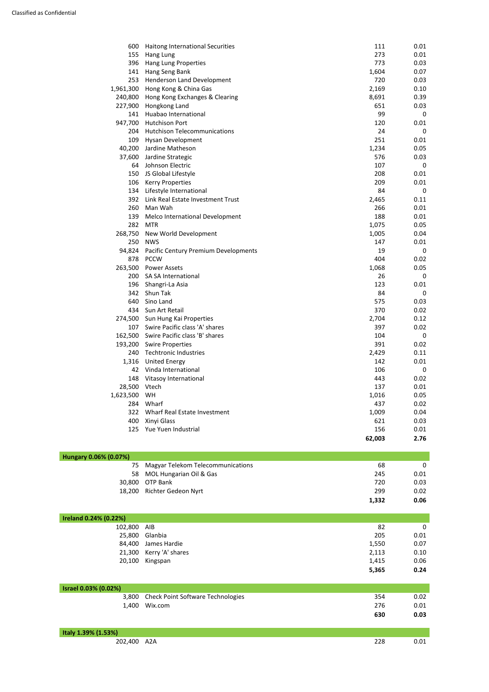| 600       | Haitong International Securities     | 111    | 0.01             |
|-----------|--------------------------------------|--------|------------------|
| 155       | Hang Lung                            | 273    | 0.01             |
| 396       | <b>Hang Lung Properties</b>          | 773    | 0.03             |
| 141       | Hang Seng Bank                       | 1,604  | 0.07             |
| 253       | Henderson Land Development           | 720    | 0.03             |
| 1,961,300 | Hong Kong & China Gas                | 2,169  | 0.10             |
| 240,800   | Hong Kong Exchanges & Clearing       | 8,691  | 0.39             |
| 227,900   | Hongkong Land                        | 651    | 0.03             |
| 141       | Huabao International                 | 99     | $\mathbf 0$      |
| 947,700   | <b>Hutchison Port</b>                | 120    | 0.01             |
| 204       | <b>Hutchison Telecommunications</b>  | 24     | 0                |
| 109       | <b>Hysan Development</b>             | 251    | 0.01             |
| 40,200    | Jardine Matheson                     | 1,234  | 0.05             |
| 37,600    | Jardine Strategic                    | 576    | 0.03             |
| 64        | Johnson Electric                     | 107    | 0                |
| 150       | JS Global Lifestyle                  | 208    | 0.01             |
| 106       | <b>Kerry Properties</b>              | 209    | 0.01             |
| 134       | Lifestyle International              | 84     | $\mathbf 0$      |
| 392       | Link Real Estate Investment Trust    | 2,465  | 0.11             |
| 260       | Man Wah                              | 266    | 0.01             |
| 139       | Melco International Development      | 188    | 0.01             |
| 282       | <b>MTR</b>                           | 1,075  | 0.05             |
| 268,750   | New World Development                | 1,005  | 0.04             |
| 250       | <b>NWS</b>                           | 147    | 0.01             |
| 94,824    | Pacific Century Premium Developments | 19     | $\mathbf 0$      |
| 878       | <b>PCCW</b>                          | 404    | 0.02             |
| 263,500   | <b>Power Assets</b>                  | 1,068  | 0.05             |
| 200       | SA SA International                  | 26     | 0                |
| 196       | Shangri-La Asia                      | 123    | 0.01             |
| 342       | Shun Tak                             | 84     | $\boldsymbol{0}$ |
|           | 640 Sino Land                        | 575    | 0.03             |
| 434       | Sun Art Retail                       | 370    | 0.02             |
| 274,500   | Sun Hung Kai Properties              | 2,704  | 0.12             |
| 107       | Swire Pacific class 'A' shares       | 397    | 0.02             |
| 162,500   | Swire Pacific class 'B' shares       | 104    | 0                |
| 193,200   | <b>Swire Properties</b>              | 391    | 0.02             |
| 240       | <b>Techtronic Industries</b>         | 2,429  | 0.11             |
| 1,316     | <b>United Energy</b>                 | 142    | 0.01             |
| 42        | Vinda International                  | 106    | 0                |
| 148       | Vitasoy International                | 443    | 0.02             |
| 28,500    | Vtech                                | 137    | 0.01             |
| 1,623,500 | WH                                   | 1,016  | 0.05             |
| 284       | Wharf                                | 437    | 0.02             |
| 322       | Wharf Real Estate Investment         | 1,009  | 0.04             |
| 400       | Xinyi Glass                          | 621    | 0.03             |
| 125       | Yue Yuen Industrial                  | 156    | 0.01             |
|           |                                      | 62,003 | 2.76             |

| Hungary 0.06% (0.07%) |                                      |       |      |
|-----------------------|--------------------------------------|-------|------|
|                       | 75 Magyar Telekom Telecommunications | 68    | 0    |
|                       | 58 MOL Hungarian Oil & Gas           | 245   | 0.01 |
|                       | 30,800 OTP Bank                      | 720   | 0.03 |
|                       | 18,200 Richter Gedeon Nyrt           | 299   | 0.02 |
|                       |                                      | 1,332 | 0.06 |

| 102,800 AIB |                         | 82    |      |
|-------------|-------------------------|-------|------|
| 25,800      | Glanbia                 | 205   | 0.01 |
| 84,400      | James Hardie            | 1,550 | 0.07 |
|             | 21,300 Kerry 'A' shares | 2,113 | 0.10 |
| 20,100      | Kingspan                | 1,415 | 0.06 |
|             |                         | 5,365 | 0.24 |

| Israel 0.03% (0.02%) |                                         |     |      |
|----------------------|-----------------------------------------|-----|------|
|                      | 3,800 Check Point Software Technologies | 354 | 0.02 |
|                      | 1,400 Wix.com                           | 276 | 0.01 |
|                      |                                         | 630 | 0.03 |

| Italy 1.39% (1.53%) |     |     |      |
|---------------------|-----|-----|------|
| 202,400             | A2A | 228 | ).01 |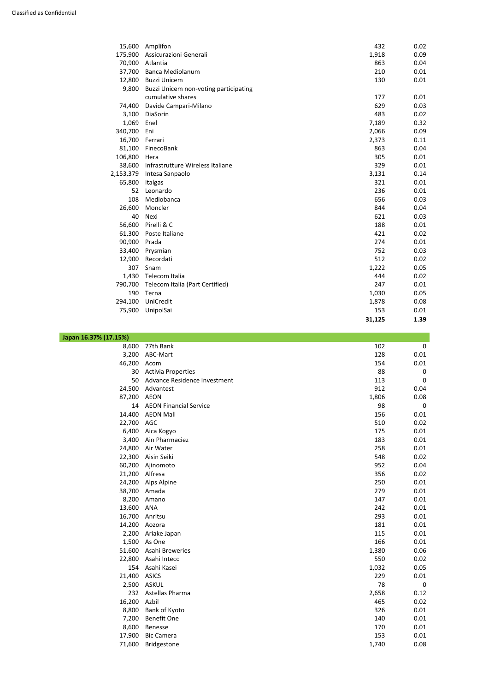| 15,600    | Amplifon                              | 432    | 0.02 |
|-----------|---------------------------------------|--------|------|
| 175,900   | Assicurazioni Generali                | 1,918  | 0.09 |
| 70,900    | Atlantia                              | 863    | 0.04 |
| 37,700    | Banca Mediolanum                      | 210    | 0.01 |
| 12,800    | <b>Buzzi Unicem</b>                   | 130    | 0.01 |
| 9,800     | Buzzi Unicem non-voting participating |        |      |
|           | cumulative shares                     | 177    | 0.01 |
| 74,400    | Davide Campari-Milano                 | 629    | 0.03 |
| 3,100     | DiaSorin                              | 483    | 0.02 |
| 1,069     | Enel                                  | 7,189  | 0.32 |
| 340,700   | Eni                                   | 2,066  | 0.09 |
| 16,700    | Ferrari                               | 2,373  | 0.11 |
| 81,100    | FinecoBank                            | 863    | 0.04 |
| 106,800   | Hera                                  | 305    | 0.01 |
| 38,600    | Infrastrutture Wireless Italiane      | 329    | 0.01 |
| 2,153,379 | Intesa Sanpaolo                       | 3,131  | 0.14 |
| 65,800    | Italgas                               | 321    | 0.01 |
| 52        | Leonardo                              | 236    | 0.01 |
| 108       | Mediobanca                            | 656    | 0.03 |
| 26,600    | Moncler                               | 844    | 0.04 |
| 40        | Nexi                                  | 621    | 0.03 |
| 56,600    | Pirelli & C                           | 188    | 0.01 |
| 61,300    | Poste Italiane                        | 421    | 0.02 |
| 90,900    | Prada                                 | 274    | 0.01 |
| 33,400    | Prysmian                              | 752    | 0.03 |
| 12,900    | Recordati                             | 512    | 0.02 |
| 307       | Snam                                  | 1,222  | 0.05 |
| 1,430     | Telecom Italia                        | 444    | 0.02 |
| 790,700   | Telecom Italia (Part Certified)       | 247    | 0.01 |
| 190       | Terna                                 | 1,030  | 0.05 |
| 294,100   | UniCredit                             | 1,878  | 0.08 |
| 75,900    | UnipolSai                             | 153    | 0.01 |
|           |                                       | 31,125 | 1.39 |

| 14,200 | Aozora             | 181   | 0.01 |
|--------|--------------------|-------|------|
| 2,200  | Ariake Japan       | 115   | 0.01 |
| 1,500  | As One             | 166   | 0.01 |
| 51,600 | Asahi Breweries    | 1,380 | 0.06 |
| 22,800 | Asahi Intecc       | 550   | 0.02 |
| 154    | Asahi Kasei        | 1,032 | 0.05 |
| 21,400 | <b>ASICS</b>       | 229   | 0.01 |
| 2,500  | <b>ASKUL</b>       | 78    | 0    |
| 232    | Astellas Pharma    | 2,658 | 0.12 |
| 16,200 | Azbil              | 465   | 0.02 |
| 8,800  | Bank of Kyoto      | 326   | 0.01 |
| 7,200  | <b>Benefit One</b> | 140   | 0.01 |
| 8,600  | <b>Benesse</b>     | 170   | 0.01 |
| 17,900 | <b>Bic Camera</b>  | 153   | 0.01 |
| 71,600 | Bridgestone        | 1,740 | 0.08 |

| Japan 16.37% (17.15%) |                               |       |             |
|-----------------------|-------------------------------|-------|-------------|
| 8,600                 | 77th Bank                     | 102   | 0           |
| 3,200                 | ABC-Mart                      | 128   | 0.01        |
| 46,200                | Acom                          | 154   | 0.01        |
| 30                    | <b>Activia Properties</b>     | 88    | 0           |
| 50                    | Advance Residence Investment  | 113   | $\mathbf 0$ |
| 24,500                | Advantest                     | 912   | 0.04        |
| 87,200                | <b>AEON</b>                   | 1,806 | 0.08        |
| 14                    | <b>AEON Financial Service</b> | 98    | $\mathbf 0$ |
| 14,400                | <b>AEON Mall</b>              | 156   | 0.01        |
| 22,700                | AGC                           | 510   | 0.02        |
| 6,400                 | Aica Kogyo                    | 175   | 0.01        |
| 3,400                 | Ain Pharmaciez                | 183   | 0.01        |
| 24,800                | Air Water                     | 258   | 0.01        |
| 22,300                | Aisin Seiki                   | 548   | 0.02        |
| 60,200                | Ajinomoto                     | 952   | 0.04        |
| 21,200                | Alfresa                       | 356   | 0.02        |
| 24,200                | Alps Alpine                   | 250   | 0.01        |
| 38,700                | Amada                         | 279   | 0.01        |
| 8,200                 | Amano                         | 147   | 0.01        |
| 13,600                | <b>ANA</b>                    | 242   | 0.01        |
| 16,700                | Anritsu                       | 293   | 0.01        |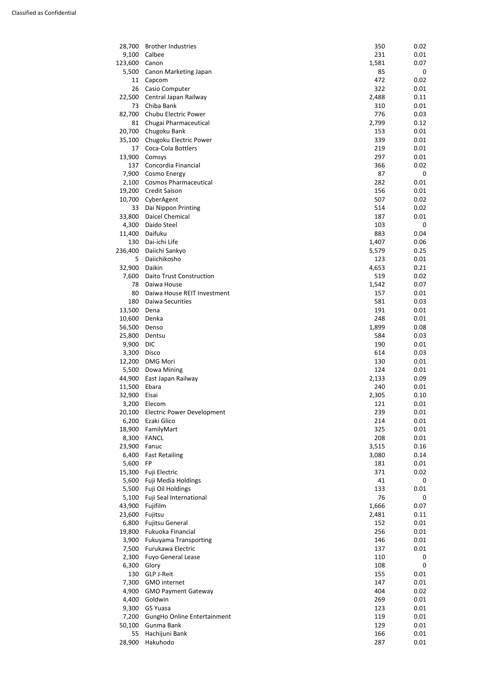| 28,700  | <b>Brother Industries</b>         | 350   | 0.02 |
|---------|-----------------------------------|-------|------|
| 9,100   | Calbee                            | 231   | 0.01 |
| 123,600 | Canon                             | 1,581 | 0.07 |
| 5,500   | Canon Marketing Japan             | 85    | 0    |
| 11      | Capcom                            | 472   | 0.02 |
| 26      | Casio Computer                    | 322   | 0.01 |
| 22,500  | Central Japan Railway             | 2,488 | 0.11 |
| 73      | Chiba Bank                        | 310   | 0.01 |
| 82,700  | Chubu Electric Power              | 776   | 0.03 |
| 81      | Chugai Pharmaceutical             | 2,799 | 0.12 |
| 20,700  | Chugoku Bank                      | 153   | 0.01 |
| 35,100  | Chugoku Electric Power            | 339   | 0.01 |
| 17      | Coca-Cola Bottlers                | 219   | 0.01 |
| 13,900  | Comsys                            | 297   | 0.01 |
| 137     | Concordia Financial               | 366   | 0.02 |
| 7,900   | Cosmo Energy                      | 87    | 0    |
| 2,100   | <b>Cosmos Pharmaceutical</b>      | 282   | 0.01 |
| 19,200  | <b>Credit Saison</b>              | 156   | 0.01 |
| 10,700  | CyberAgent                        | 507   | 0.02 |
| 33      |                                   | 514   | 0.02 |
|         | Dai Nippon Printing               |       |      |
| 33,800  | Daicel Chemical                   | 187   | 0.01 |
| 4,300   | Daido Steel                       | 103   | 0    |
| 11,400  | Daifuku                           | 883   | 0.04 |
| 130     | Dai-ichi Life                     | 1,407 | 0.06 |
| 236,400 | Daiichi Sankyo                    | 5,579 | 0.25 |
| 5       | Daiichikosho                      | 123   | 0.01 |
| 32,900  | Daikin                            | 4,653 | 0.21 |
| 7,600   | <b>Daito Trust Construction</b>   | 519   | 0.02 |
| 78      | Daiwa House                       | 1,542 | 0.07 |
| 80      | Daiwa House REIT Investment       | 157   | 0.01 |
| 180     | Daiwa Securities                  | 581   | 0.03 |
| 13,500  | Dena                              | 191   | 0.01 |
| 10,600  | Denka                             | 248   | 0.01 |
| 56,500  | Denso                             | 1,899 | 0.08 |
| 25,800  | Dentsu                            | 584   | 0.03 |
| 9,900   | <b>DIC</b>                        | 190   | 0.01 |
| 3,300   | Disco                             | 614   | 0.03 |
| 12,200  | <b>DMG Mori</b>                   | 130   | 0.01 |
| 5,500   | Dowa Mining                       | 124   | 0.01 |
| 44,900  | East Japan Railway                | 2,133 | 0.09 |
| 11,500  | Ebara                             | 240   | 0.01 |
| 32,900  | Eisai                             | 2,305 | 0.10 |
| 3,200   | Elecom                            | 121   | 0.01 |
| 20,100  | <b>Electric Power Development</b> | 239   | 0.01 |
| 6,200   | Ezaki Glico                       | 214   | 0.01 |
| 18,900  | FamilyMart                        | 325   | 0.01 |
| 8,300   | <b>FANCL</b>                      | 208   | 0.01 |
| 23,900  | Fanuc                             | 3,515 | 0.16 |
| 6,400   | <b>Fast Retailing</b>             | 3,080 | 0.14 |
| 5,600   | <b>FP</b>                         | 181   | 0.01 |
| 15,300  | Fuji Electric                     | 371   | 0.02 |
| 5,600   | Fuji Media Holdings               | 41    | 0    |
| 5,500   | Fuji Oil Holdings                 | 133   | 0.01 |
| 5,100   | Fuji Seal International           | 76    | 0    |
| 43,900  | Fujifilm                          | 1,666 | 0.07 |
| 23,600  | Fujitsu                           | 2,481 | 0.11 |
| 6,800   | <b>Fujitsu General</b>            | 152   | 0.01 |
|         |                                   |       |      |

|                                    |     | U.UI                    |
|------------------------------------|-----|-------------------------|
| Fukuoka Financial                  | 256 | 0.01                    |
| <b>Fukuyama Transporting</b>       | 146 | 0.01                    |
| Furukawa Electric                  | 137 | 0.01                    |
| <b>Fuyo General Lease</b>          | 110 | 0                       |
| Glory                              | 108 | 0                       |
| <b>GLP J-Reit</b>                  | 155 | 0.01                    |
| <b>GMO</b> internet                | 147 | 0.01                    |
| <b>GMO Payment Gateway</b>         | 404 | 0.02                    |
| Goldwin                            | 269 | 0.01                    |
| GS Yuasa                           | 123 | 0.01                    |
| <b>GungHo Online Entertainment</b> | 119 | 0.01                    |
| Gunma Bank                         | 129 | 0.01                    |
| Hachijuni Bank                     | 166 | 0.01                    |
| Hakuhodo                           | 287 | 0.01                    |
|                                    |     | FUJILSU OCHEI dI<br>⊥⊃∠ |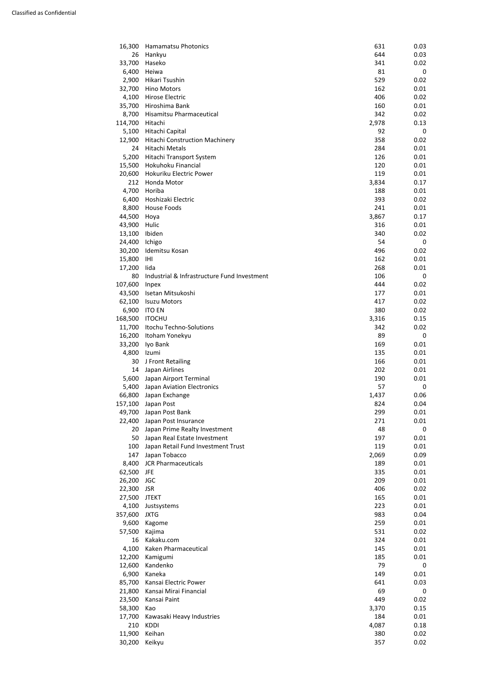| 16,300  | <b>Hamamatsu Photonics</b>                  | 631   | 0.03 |
|---------|---------------------------------------------|-------|------|
| 26      | Hankyu                                      | 644   | 0.03 |
| 33,700  | Haseko                                      | 341   | 0.02 |
| 6,400   | Heiwa                                       | 81    | 0    |
| 2,900   | Hikari Tsushin                              | 529   | 0.02 |
| 32,700  | <b>Hino Motors</b>                          | 162   | 0.01 |
| 4,100   | Hirose Electric                             | 406   | 0.02 |
| 35,700  | Hiroshima Bank                              | 160   | 0.01 |
| 8,700   | Hisamitsu Pharmaceutical                    | 342   | 0.02 |
| 114,700 | Hitachi                                     | 2,978 | 0.13 |
| 5,100   | Hitachi Capital                             | 92    | 0    |
| 12,900  | <b>Hitachi Construction Machinery</b>       | 358   | 0.02 |
| 24      | Hitachi Metals                              | 284   | 0.01 |
| 5,200   | Hitachi Transport System                    | 126   | 0.01 |
| 15,500  | Hokuhoku Financial                          | 120   | 0.01 |
| 20,600  | Hokuriku Electric Power                     | 119   | 0.01 |
| 212     | Honda Motor                                 | 3,834 | 0.17 |
| 4,700   | Horiba                                      | 188   | 0.01 |
|         | Hoshizaki Electric                          |       |      |
| 6,400   |                                             | 393   | 0.02 |
| 8,800   | <b>House Foods</b>                          | 241   | 0.01 |
| 44,500  | Hoya                                        | 3,867 | 0.17 |
| 43,900  | Hulic                                       | 316   | 0.01 |
| 13,100  | Ibiden                                      | 340   | 0.02 |
| 24,400  | Ichigo                                      | 54    | 0    |
| 30,200  | Idemitsu Kosan                              | 496   | 0.02 |
| 15,800  | IHI                                         | 162   | 0.01 |
| 17,200  | lida                                        | 268   | 0.01 |
| 80      | Industrial & Infrastructure Fund Investment | 106   | 0    |
| 107,600 | <b>Inpex</b>                                | 444   | 0.02 |
| 43,500  | Isetan Mitsukoshi                           | 177   | 0.01 |
| 62,100  | <b>Isuzu Motors</b>                         | 417   | 0.02 |
| 6,900   | <b>ITO EN</b>                               | 380   | 0.02 |
| 168,500 | <b>ITOCHU</b>                               | 3,316 | 0.15 |
| 11,700  | Itochu Techno-Solutions                     | 342   | 0.02 |
| 16,200  | Itoham Yonekyu                              | 89    | 0    |
| 33,200  | Iyo Bank                                    | 169   | 0.01 |
| 4,800   | Izumi                                       | 135   | 0.01 |
| 30      | J Front Retailing                           | 166   | 0.01 |
| 14      | Japan Airlines                              | 202   | 0.01 |
| 5,600   | Japan Airport Terminal                      | 190   | 0.01 |
| 5,400   | Japan Aviation Electronics                  | 57    | 0    |
| 66,800  | Japan Exchange                              | 1,437 | 0.06 |
| 157,100 | Japan Post                                  | 824   | 0.04 |
| 49,700  | Japan Post Bank                             | 299   | 0.01 |
| 22,400  | Japan Post Insurance                        | 271   | 0.01 |
| 20      | Japan Prime Realty Investment               | 48    | 0    |
| 50      | Japan Real Estate Investment                | 197   | 0.01 |
| 100     | Japan Retail Fund Investment Trust          | 119   | 0.01 |
| 147     | Japan Tobacco                               | 2,069 | 0.09 |
| 8,400   | <b>JCR Pharmaceuticals</b>                  | 189   | 0.01 |
| 62,500  | <b>JFE</b>                                  | 335   | 0.01 |
| 26,200  | <b>JGC</b>                                  | 209   | 0.01 |
| 22,300  | <b>JSR</b>                                  | 406   | 0.02 |
| 27,500  | <b>JTEKT</b>                                | 165   | 0.01 |
| 4,100   | Justsystems                                 | 223   | 0.01 |
| 357,600 | <b>JXTG</b>                                 | 983   | 0.04 |
|         |                                             |       |      |

| 9,600  | Kagome                    | 259   | 0.01 |
|--------|---------------------------|-------|------|
| 57,500 | Kajima                    | 531   | 0.02 |
| 16     | Kakaku.com                | 324   | 0.01 |
| 4,100  | Kaken Pharmaceutical      | 145   | 0.01 |
| 12,200 | Kamigumi                  | 185   | 0.01 |
| 12,600 | Kandenko                  | 79    | 0    |
| 6,900  | Kaneka                    | 149   | 0.01 |
| 85,700 | Kansai Electric Power     | 641   | 0.03 |
| 21,800 | Kansai Mirai Financial    | 69    | 0    |
| 23,500 | Kansai Paint              | 449   | 0.02 |
| 58,300 | Kao                       | 3,370 | 0.15 |
| 17,700 | Kawasaki Heavy Industries | 184   | 0.01 |
| 210    | <b>KDDI</b>               | 4,087 | 0.18 |
| 11,900 | Keihan                    | 380   | 0.02 |
| 30,200 | Keikyu                    | 357   | 0.02 |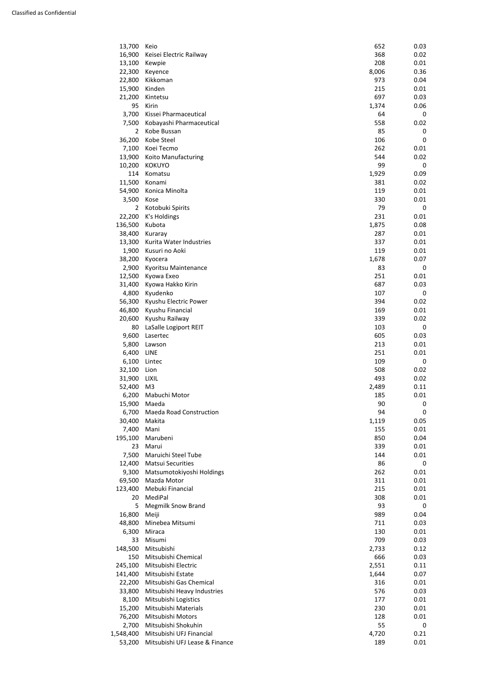| 40.OVV    | <u>IVIIIIEUE ENIILSUITII</u>   | 7 T T | U.UJ |
|-----------|--------------------------------|-------|------|
| 6,300     | Miraca                         | 130   | 0.01 |
| 33        | Misumi                         | 709   | 0.03 |
| 148,500   | Mitsubishi                     | 2,733 | 0.12 |
| 150       | Mitsubishi Chemical            | 666   | 0.03 |
| 245,100   | Mitsubishi Electric            | 2,551 | 0.11 |
| 141,400   | Mitsubishi Estate              | 1,644 | 0.07 |
| 22,200    | Mitsubishi Gas Chemical        | 316   | 0.01 |
| 33,800    | Mitsubishi Heavy Industries    | 576   | 0.03 |
| 8,100     | Mitsubishi Logistics           | 177   | 0.01 |
| 15,200    | Mitsubishi Materials           | 230   | 0.01 |
| 76,200    | Mitsubishi Motors              | 128   | 0.01 |
| 2,700     | Mitsubishi Shokuhin            | 55    | 0    |
| 1,548,400 | Mitsubishi UFJ Financial       | 4,720 | 0.21 |
| 53,200    | Mitsubishi UFJ Lease & Finance | 189   | 0.01 |

| 13,700         | Keio                           | 652   | 0.03        |
|----------------|--------------------------------|-------|-------------|
| 16,900         | Keisei Electric Railway        | 368   | 0.02        |
| 13,100         | Kewpie                         | 208   | 0.01        |
| 22,300         | Keyence                        | 8,006 | 0.36        |
| 22,800         | Kikkoman                       | 973   | 0.04        |
| 15,900         | Kinden                         | 215   | 0.01        |
| 21,200         | Kintetsu                       | 697   | 0.03        |
| 95             | Kirin                          | 1,374 | 0.06        |
| 3,700          | Kissei Pharmaceutical          | 64    | 0           |
| 7,500          | Kobayashi Pharmaceutical       | 558   | 0.02        |
| 2              | Kobe Bussan                    | 85    | 0           |
| 36,200         | Kobe Steel                     | 106   | $\mathbf 0$ |
| 7,100          | Koei Tecmo                     | 262   | 0.01        |
| 13,900         | Koito Manufacturing            | 544   | 0.02        |
| 10,200         | <b>KOKUYO</b>                  | 99    | 0           |
| 114            | Komatsu                        | 1,929 | 0.09        |
| 11,500         | Konami                         | 381   | 0.02        |
| 54,900         | Konica Minolta                 | 119   | 0.01        |
|                |                                |       |             |
| 3,500          | Kose                           | 330   | 0.01        |
| $\overline{2}$ | Kotobuki Spirits               | 79    | 0           |
| 22,200         | K's Holdings                   | 231   | 0.01        |
| 136,500        | Kubota                         | 1,875 | 0.08        |
| 38,400         | Kuraray                        | 287   | 0.01        |
| 13,300         | Kurita Water Industries        | 337   | 0.01        |
| 1,900          | Kusuri no Aoki                 | 119   | 0.01        |
| 38,200         | Kyocera                        | 1,678 | 0.07        |
| 2,900          | Kyoritsu Maintenance           | 83    | 0           |
| 12,500         | Kyowa Exeo                     | 251   | 0.01        |
| 31,400         | Kyowa Hakko Kirin              | 687   | 0.03        |
| 4,800          | Kyudenko                       | 107   | 0           |
| 56,300         | Kyushu Electric Power          | 394   | 0.02        |
| 46,800         | Kyushu Financial               | 169   | 0.01        |
| 20,600         | Kyushu Railway                 | 339   | 0.02        |
| 80             | LaSalle Logiport REIT          | 103   | 0           |
| 9,600          | Lasertec                       | 605   | 0.03        |
| 5,800          | Lawson                         | 213   | 0.01        |
| 6,400          | <b>LINE</b>                    | 251   | 0.01        |
| 6,100          | Lintec                         | 109   | 0           |
| 32,100         | Lion                           | 508   | 0.02        |
| 31,900         | <b>LIXIL</b>                   | 493   | 0.02        |
| 52,400         | M <sub>3</sub>                 | 2,489 | 0.11        |
| 6,200          | Mabuchi Motor                  | 185   | 0.01        |
| 15,900         | Maeda                          | 90    | 0           |
| 6,700          | <b>Maeda Road Construction</b> | 94    | 0           |
| 30,400         | Makita                         | 1,119 | 0.05        |
| 7,400          | Mani                           | 155   | 0.01        |
| 195,100        | Marubeni                       | 850   | 0.04        |
| 23             | Marui                          | 339   | 0.01        |
| 7,500          | Maruichi Steel Tube            | 144   | 0.01        |
| 12,400         | <b>Matsui Securities</b>       | 86    | 0           |
| 9,300          | Matsumotokiyoshi Holdings      | 262   | 0.01        |
| 69,500         | Mazda Motor                    | 311   | 0.01        |
| 123,400        | Mebuki Financial               | 215   | 0.01        |
| 20             | MediPal                        | 308   | 0.01        |
| 5              | <b>Megmilk Snow Brand</b>      | 93    | 0           |
| 16,800         | Meiji                          | 989   | 0.04        |
| 48,800         | Minebea Mitsumi                | 711   | 0.03        |
|                |                                |       |             |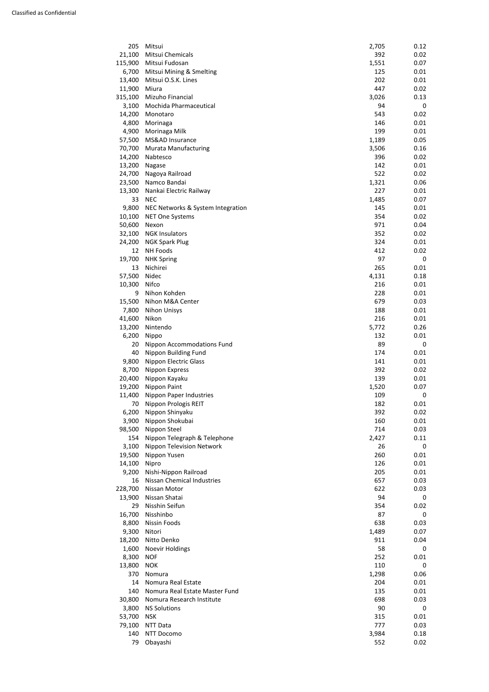| 205     | Mitsui                            | 2,705 | 0.12        |
|---------|-----------------------------------|-------|-------------|
| 21,100  | Mitsui Chemicals                  | 392   | 0.02        |
| 115,900 | Mitsui Fudosan                    | 1,551 | 0.07        |
| 6,700   | Mitsui Mining & Smelting          | 125   | 0.01        |
| 13,400  | Mitsui O.S.K. Lines               | 202   | 0.01        |
| 11,900  | Miura                             | 447   | 0.02        |
| 315,100 | Mizuho Financial                  | 3,026 | 0.13        |
| 3,100   | Mochida Pharmaceutical            | 94    | $\mathbf 0$ |
| 14,200  | Monotaro                          | 543   | 0.02        |
| 4,800   | Morinaga                          | 146   | 0.01        |
| 4,900   | Morinaga Milk                     | 199   | 0.01        |
| 57,500  | MS&AD Insurance                   | 1,189 | 0.05        |
| 70,700  | <b>Murata Manufacturing</b>       | 3,506 | 0.16        |
| 14,200  | Nabtesco                          | 396   | 0.02        |
| 13,200  | Nagase                            | 142   | 0.01        |
| 24,700  | Nagoya Railroad                   | 522   | 0.02        |
| 23,500  | Namco Bandai                      | 1,321 | 0.06        |
| 13,300  | Nankai Electric Railway           | 227   | 0.01        |
| 33      | <b>NEC</b>                        | 1,485 | 0.07        |
| 9,800   | NEC Networks & System Integration | 145   | 0.01        |
| 10,100  | <b>NET One Systems</b>            | 354   | 0.02        |
| 50,600  | Nexon                             | 971   | 0.04        |
| 32,100  | <b>NGK Insulators</b>             | 352   | 0.02        |
| 24,200  | <b>NGK Spark Plug</b>             | 324   | 0.01        |
| 12      | <b>NH Foods</b>                   | 412   | 0.02        |
| 19,700  | <b>NHK Spring</b>                 | 97    | 0           |
| 13      | Nichirei                          | 265   | 0.01        |
| 57,500  | Nidec                             | 4,131 | 0.18        |
| 10,300  | Nifco                             | 216   | 0.01        |
| 9       | Nihon Kohden                      | 228   | 0.01        |
| 15,500  | Nihon M&A Center                  | 679   | 0.03        |
| 7,800   | <b>Nihon Unisys</b>               | 188   | 0.01        |
| 41,600  | Nikon                             | 216   | 0.01        |
| 13,200  | Nintendo                          | 5,772 | 0.26        |
| 6,200   | Nippo                             | 132   | 0.01        |
| 20      | <b>Nippon Accommodations Fund</b> | 89    | 0           |
| 40      | Nippon Building Fund              | 174   | 0.01        |
| 9,800   | <b>Nippon Electric Glass</b>      | 141   | 0.01        |
| 8,700   | Nippon Express                    | 392   | 0.02        |
| 20,400  | Nippon Kayaku                     | 139   | 0.01        |
| 19,200  | Nippon Paint                      | 1,520 | 0.07        |
| 11,400  | Nippon Paper Industries           | 109   | 0           |
| 70      | Nippon Prologis REIT              | 182   | 0.01        |
| 6,200   | Nippon Shinyaku                   | 392   | 0.02        |
| 3,900   | Nippon Shokubai                   | 160   | 0.01        |
| 98,500  | Nippon Steel                      | 714   | 0.03        |
| 154     | Nippon Telegraph & Telephone      | 2,427 | 0.11        |
| 3,100   | <b>Nippon Television Network</b>  | 26    | 0           |
| 19,500  | Nippon Yusen                      | 260   | 0.01        |
| 14,100  | Nipro                             | 126   | 0.01        |
| 9,200   | Nishi-Nippon Railroad             | 205   | 0.01        |
| 16      | Nissan Chemical Industries        | 657   | 0.03        |
| 228,700 | Nissan Motor                      | 622   | 0.03        |
| 13,900  | Nissan Shatai                     | 94    | 0           |
| 29      | Nisshin Seifun                    | 354   | 0.02        |
| 16,700  | Nisshinbo                         | 87    | 0           |
| 8,800   | Nissin Foods                      | 638   | 0.03        |

| o,ouu  | INISSIII FUUUS                 | סכס   | U.UJ |
|--------|--------------------------------|-------|------|
| 9,300  | Nitori                         | 1,489 | 0.07 |
| 18,200 | Nitto Denko                    | 911   | 0.04 |
| 1,600  | <b>Noevir Holdings</b>         | 58    | 0    |
| 8,300  | <b>NOF</b>                     | 252   | 0.01 |
| 13,800 | <b>NOK</b>                     | 110   | 0    |
| 370    | Nomura                         | 1,298 | 0.06 |
| 14     | Nomura Real Estate             | 204   | 0.01 |
| 140    | Nomura Real Estate Master Fund | 135   | 0.01 |
| 30,800 | Nomura Research Institute      | 698   | 0.03 |
| 3,800  | <b>NS Solutions</b>            | 90    | 0    |
| 53,700 | <b>NSK</b>                     | 315   | 0.01 |
| 79,100 | NTT Data                       | 777   | 0.03 |
| 140    | NTT Docomo                     | 3,984 | 0.18 |
| 79     | Obayashi                       | 552   | 0.02 |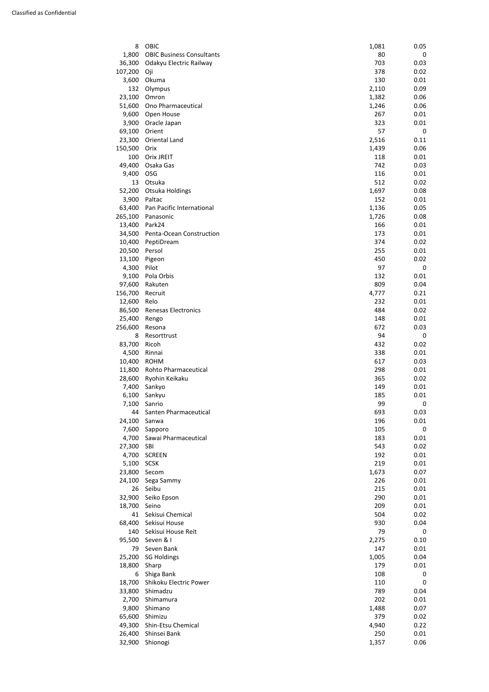| 8       | <b>OBIC</b>                      | 1,081 | 0.05        |
|---------|----------------------------------|-------|-------------|
| 1,800   | <b>OBIC Business Consultants</b> | 80    | 0           |
| 36,300  | Odakyu Electric Railway          | 703   | 0.03        |
| 107,200 | Oji                              | 378   | 0.02        |
| 3,600   | Okuma                            | 130   | 0.01        |
| 132     | Olympus                          | 2,110 | 0.09        |
| 23,100  | Omron                            | 1,382 | 0.06        |
| 51,600  | Ono Pharmaceutical               | 1,246 | 0.06        |
| 9,600   | Open House                       | 267   | 0.01        |
| 3,900   | Oracle Japan                     | 323   | 0.01        |
| 69,100  | Orient                           | 57    | $\mathbf 0$ |
| 23,300  | Oriental Land                    | 2,516 | 0.11        |
| 150,500 | Orix                             | 1,439 | 0.06        |
| 100     | <b>Orix JREIT</b>                | 118   | 0.01        |
| 49,400  | Osaka Gas                        | 742   | 0.03        |
| 9,400   | <b>OSG</b>                       | 116   | 0.01        |
| 13      | Otsuka                           | 512   | 0.02        |
| 52,200  | Otsuka Holdings                  | 1,697 | 0.08        |
| 3,900   | Paltac                           | 152   | 0.01        |
| 63,400  | Pan Pacific International        | 1,136 | 0.05        |
| 265,100 | Panasonic                        | 1,726 | 0.08        |
| 13,400  | Park24                           | 166   | 0.01        |
| 34,500  | Penta-Ocean Construction         | 173   | 0.01        |
| 10,400  | PeptiDream                       | 374   | 0.02        |
| 20,500  | Persol                           | 255   | 0.01        |
| 13,100  | Pigeon                           | 450   | 0.02        |
| 4,300   | Pilot                            | 97    | 0           |
| 9,100   | Pola Orbis                       | 132   | 0.01        |
| 97,600  | Rakuten                          | 809   | 0.04        |
| 156,700 | Recruit                          | 4,777 | 0.21        |
| 12,600  | Relo                             | 232   | 0.01        |
| 86,500  | Renesas Electronics              | 484   | 0.02        |
| 25,400  | Rengo                            | 148   | 0.01        |
| 256,600 | Resona                           | 672   | 0.03        |
| 8       | Resorttrust                      | 94    | 0           |
| 83,700  | Ricoh                            | 432   | 0.02        |
| 4,500   | Rinnai                           | 338   | 0.01        |
| 10,400  | <b>ROHM</b>                      | 617   | 0.03        |
| 11,800  | <b>Rohto Pharmaceutical</b>      | 298   | 0.01        |
| 28,600  | Ryohin Keikaku                   | 365   | 0.02        |
| 7,400   | Sankyo                           | 149   | 0.01        |
| 6,100   | Sankyu                           | 185   | 0.01        |
| 7,100   | Sanrio                           | 99    | 0           |
| 44      | Santen Pharmaceutical            | 693   | 0.03        |
| 24,100  | Sanwa                            | 196   | 0.01        |
| 7,600   | Sapporo                          | 105   | $\mathbf 0$ |
| 4,700   | Sawai Pharmaceutical             | 183   | 0.01        |
| 27,300  | <b>SBI</b>                       | 543   | 0.02        |
| 4,700   | <b>SCREEN</b>                    | 192   | 0.01        |
| 5,100   | <b>SCSK</b>                      | 219   | 0.01        |
| 23,800  | Secom                            | 1,673 | 0.07        |
| 24,100  | Sega Sammy                       | 226   | 0.01        |
| 26      | Seibu                            | 215   | 0.01        |
| 32,900  | Seiko Epson                      | 290   | 0.01        |
| 18,700  | Seino                            | 209   | 0.01        |
| 41      | Sekisui Chemical                 | 504   | 0.02        |
| 68,400  | Sekisui House                    | 930   | 0.04        |
|         |                                  |       |             |

| 08,400 | SEKISUI HOUSE          | รรบ   | U.U4 |
|--------|------------------------|-------|------|
| 140    | Sekisui House Reit     | 79    | 0    |
| 95,500 | Seven & I              | 2,275 | 0.10 |
| 79     | Seven Bank             | 147   | 0.01 |
| 25,200 | <b>SG Holdings</b>     | 1,005 | 0.04 |
| 18,800 | Sharp                  | 179   | 0.01 |
| 6      | Shiga Bank             | 108   | 0    |
| 18,700 | Shikoku Electric Power | 110   | 0    |
| 33,800 | Shimadzu               | 789   | 0.04 |
| 2,700  | Shimamura              | 202   | 0.01 |
| 9,800  | Shimano                | 1,488 | 0.07 |
| 65,600 | Shimizu                | 379   | 0.02 |
| 49,300 | Shin-Etsu Chemical     | 4,940 | 0.22 |
| 26,400 | Shinsei Bank           | 250   | 0.01 |
| 32,900 | Shionogi               | 1,357 | 0.06 |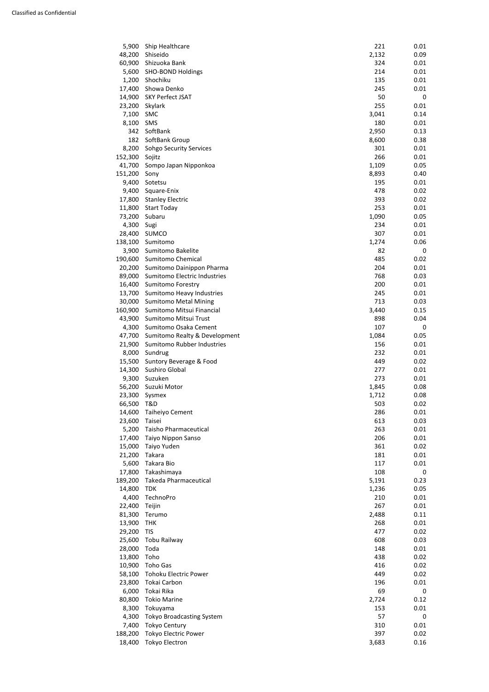| 19,900  | $1 \Pi N$                        | 200   | U.UT        |
|---------|----------------------------------|-------|-------------|
| 29,200  | <b>TIS</b>                       | 477   | 0.02        |
| 25,600  | Tobu Railway                     | 608   | 0.03        |
| 28,000  | Toda                             | 148   | 0.01        |
| 13,800  | Toho                             | 438   | 0.02        |
| 10,900  | Toho Gas                         | 416   | 0.02        |
| 58,100  | <b>Tohoku Electric Power</b>     | 449   | 0.02        |
| 23,800  | Tokai Carbon                     | 196   | 0.01        |
| 6,000   | Tokai Rika                       | 69    | $\mathbf 0$ |
| 80,800  | <b>Tokio Marine</b>              | 2,724 | 0.12        |
| 8,300   | Tokuyama                         | 153   | 0.01        |
| 4,300   | <b>Tokyo Broadcasting System</b> | 57    | 0           |
| 7,400   | <b>Tokyo Century</b>             | 310   | 0.01        |
| 188,200 | <b>Tokyo Electric Power</b>      | 397   | 0.02        |
| 18,400  | <b>Tokyo Electron</b>            | 3,683 | 0.16        |

| 5,900   | Ship Healthcare                   | 221   | 0.01 |
|---------|-----------------------------------|-------|------|
| 48,200  | Shiseido                          | 2,132 | 0.09 |
| 60,900  | Shizuoka Bank                     | 324   | 0.01 |
| 5,600   | <b>SHO-BOND Holdings</b>          | 214   | 0.01 |
| 1,200   | Shochiku                          | 135   | 0.01 |
| 17,400  | Showa Denko                       | 245   | 0.01 |
| 14,900  | <b>SKY Perfect JSAT</b>           | 50    | 0    |
| 23,200  | Skylark                           | 255   | 0.01 |
| 7,100   | <b>SMC</b>                        | 3,041 | 0.14 |
| 8,100   | <b>SMS</b>                        | 180   | 0.01 |
| 342     | SoftBank                          | 2,950 | 0.13 |
| 182     | SoftBank Group                    | 8,600 | 0.38 |
| 8,200   | Sohgo Security Services           | 301   | 0.01 |
| 152,300 | Sojitz                            | 266   | 0.01 |
| 41,700  | Sompo Japan Nipponkoa             | 1,109 | 0.05 |
| 151,200 | Sony                              | 8,893 | 0.40 |
| 9,400   | Sotetsu                           | 195   | 0.01 |
| 9,400   | Square-Enix                       | 478   | 0.02 |
| 17,800  | <b>Stanley Electric</b>           | 393   | 0.02 |
| 11,800  | <b>Start Today</b>                | 253   | 0.01 |
| 73,200  | Subaru                            | 1,090 | 0.05 |
| 4,300   | Sugi                              | 234   | 0.01 |
| 28,400  | <b>SUMCO</b>                      | 307   | 0.01 |
| 138,100 | Sumitomo                          | 1,274 | 0.06 |
| 3,900   | Sumitomo Bakelite                 | 82    | 0    |
| 190,600 | Sumitomo Chemical                 | 485   | 0.02 |
| 20,200  | Sumitomo Dainippon Pharma         | 204   | 0.01 |
| 89,000  | Sumitomo Electric Industries      | 768   | 0.03 |
| 16,400  | <b>Sumitomo Forestry</b>          | 200   | 0.01 |
| 13,700  | Sumitomo Heavy Industries         | 245   | 0.01 |
| 30,000  | <b>Sumitomo Metal Mining</b>      | 713   | 0.03 |
|         | 160,900 Sumitomo Mitsui Financial | 3,440 | 0.15 |
| 43,900  | Sumitomo Mitsui Trust             | 898   | 0.04 |
| 4,300   | Sumitomo Osaka Cement             | 107   | 0    |
| 47,700  | Sumitomo Realty & Development     | 1,084 | 0.05 |
| 21,900  | Sumitomo Rubber Industries        | 156   | 0.01 |
| 8,000   | Sundrug                           | 232   | 0.01 |
| 15,500  | Suntory Beverage & Food           | 449   | 0.02 |
| 14,300  | Sushiro Global                    | 277   | 0.01 |
| 9,300   | Suzuken                           | 273   | 0.01 |
| 56,200  | Suzuki Motor                      | 1,845 | 0.08 |
| 23,300  | Sysmex                            | 1,712 | 0.08 |
| 66,500  | T&D                               | 503   | 0.02 |
| 14,600  | Taiheiyo Cement                   | 286   | 0.01 |
| 23,600  | Taisei                            | 613   | 0.03 |
| 5,200   | <b>Taisho Pharmaceutical</b>      | 263   | 0.01 |
| 17,400  | Taiyo Nippon Sanso                | 206   | 0.01 |
| 15,000  | Taiyo Yuden                       | 361   | 0.02 |
| 21,200  | Takara                            | 181   | 0.01 |
| 5,600   | Takara Bio                        | 117   | 0.01 |
| 17,800  | Takashimaya                       | 108   | 0    |
| 189,200 | <b>Takeda Pharmaceutical</b>      | 5,191 | 0.23 |
| 14,800  | <b>TDK</b>                        | 1,236 | 0.05 |
| 4,400   | TechnoPro                         | 210   | 0.01 |
| 22,400  | Teijin                            | 267   | 0.01 |
| 81,300  | Terumo                            | 2,488 | 0.11 |
| 13,900  | THK                               | 268   | 0.01 |
|         |                                   |       |      |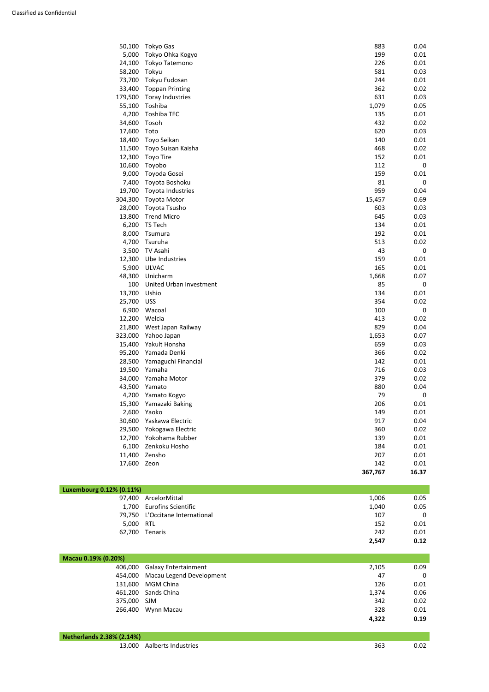| 50,100  | <b>Tokyo Gas</b>        | 883     | 0.04             |
|---------|-------------------------|---------|------------------|
| 5,000   | Tokyo Ohka Kogyo        | 199     | 0.01             |
| 24,100  | Tokyo Tatemono          | 226     | 0.01             |
| 58,200  | Tokyu                   | 581     | 0.03             |
| 73,700  | Tokyu Fudosan           | 244     | 0.01             |
| 33,400  | <b>Toppan Printing</b>  | 362     | 0.02             |
| 179,500 | <b>Toray Industries</b> | 631     | 0.03             |
| 55,100  | Toshiba                 | 1,079   | 0.05             |
| 4,200   | <b>Toshiba TEC</b>      | 135     | 0.01             |
| 34,600  | Tosoh                   | 432     | 0.02             |
| 17,600  | Toto                    | 620     | 0.03             |
| 18,400  | Toyo Seikan             | 140     | 0.01             |
| 11,500  | Toyo Suisan Kaisha      | 468     | 0.02             |
| 12,300  | <b>Toyo Tire</b>        | 152     | 0.01             |
| 10,600  | Toyobo                  | 112     | $\mathbf 0$      |
| 9,000   | Toyoda Gosei            | 159     | 0.01             |
| 7,400   | Toyota Boshoku          | 81      | $\mathbf 0$      |
| 19,700  | Toyota Industries       | 959     | 0.04             |
| 304,300 | <b>Toyota Motor</b>     | 15,457  | 0.69             |
| 28,000  | Toyota Tsusho           | 603     | 0.03             |
| 13,800  | <b>Trend Micro</b>      | 645     | 0.03             |
| 6,200   | TS Tech                 | 134     | 0.01             |
| 8,000   | Tsumura                 | 192     | 0.01             |
| 4,700   | Tsuruha                 | 513     | 0.02             |
| 3,500   | TV Asahi                | 43      | $\boldsymbol{0}$ |
| 12,300  | Ube Industries          | 159     | 0.01             |
| 5,900   | <b>ULVAC</b>            | 165     | 0.01             |
| 48,300  | Unicharm                | 1,668   | 0.07             |
| 100     | United Urban Investment | 85      | $\mathbf 0$      |
| 13,700  | Ushio                   | 134     | 0.01             |
| 25,700  | <b>USS</b>              | 354     | 0.02             |
| 6,900   | Wacoal                  | 100     | $\boldsymbol{0}$ |
| 12,200  | Welcia                  | 413     | 0.02             |
| 21,800  | West Japan Railway      | 829     | 0.04             |
| 323,000 | Yahoo Japan             | 1,653   | 0.07             |
| 15,400  | Yakult Honsha           | 659     | 0.03             |
| 95,200  | Yamada Denki            | 366     | 0.02             |
| 28,500  | Yamaguchi Financial     | 142     | 0.01             |
| 19,500  | Yamaha                  | 716     | 0.03             |
| 34,000  | Yamaha Motor            | 379     | 0.02             |
| 43,500  | Yamato                  | 880     | 0.04             |
| 4,200   | Yamato Kogyo            | 79      | $\mathbf 0$      |
| 15,300  | Yamazaki Baking         | 206     | 0.01             |
| 2,600   | Yaoko                   | 149     | 0.01             |
|         |                         |         |                  |
| 30,600  | Yaskawa Electric        | 917     | 0.04             |
| 29,500  | Yokogawa Electric       | 360     | 0.02             |
| 12,700  | Yokohama Rubber         | 139     | 0.01             |
| 6,100   | Zenkoku Hosho           | 184     | 0.01             |
| 11,400  | Zensho                  | 207     | 0.01             |
| 17,600  | Zeon                    | 142     | 0.01             |
|         |                         | 367,767 | 16.37            |
|         |                         |         |                  |

| Luxembourg 0.12% (0.11%) |                                 |       |      |
|--------------------------|---------------------------------|-------|------|
|                          | 97,400 ArcelorMittal            | 1,006 | 0.05 |
|                          | 1,700 Eurofins Scientific       | 1,040 | 0.05 |
|                          | 79,750 L'Occitane International | 107   | 0    |
| 5,000 RTL                |                                 | 152   | 0.01 |
|                          | 62,700 Tenaris                  | 242   | 0.01 |
|                          |                                 | 2,547 | 0.12 |

| Macau 0.19% (0.20%) |                              |       |             |
|---------------------|------------------------------|-------|-------------|
|                     | 406,000 Galaxy Entertainment | 2,105 | 0.09        |
| 454,000             | Macau Legend Development     | 47    | $\mathbf 0$ |
| 131,600             | MGM China                    | 126   | 0.01        |
|                     | 461,200 Sands China          | 1,374 | 0.06        |
| 375,000 SJM         |                              | 342   | 0.02        |
| 266,400             | Wynn Macau                   | 328   | 0.01        |
|                     |                              | 4,322 | 0.19        |

| <b>Netherlands 2.38% (2.14%)</b> |                            |     |      |
|----------------------------------|----------------------------|-----|------|
|                                  | 13,000 Aalberts Industries | 363 | 0.02 |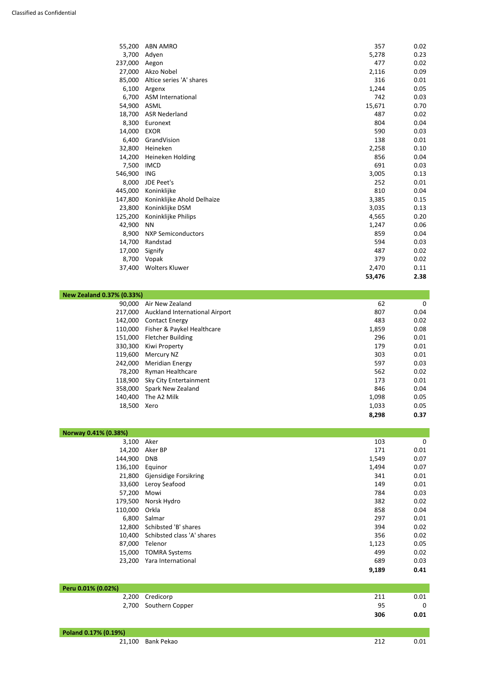| 55,200  | <b>ABN AMRO</b>            | 357    | 0.02 |
|---------|----------------------------|--------|------|
| 3,700   | Adyen                      | 5,278  | 0.23 |
| 237,000 | Aegon                      | 477    | 0.02 |
| 27,000  | Akzo Nobel                 | 2,116  | 0.09 |
| 85,000  | Altice series 'A' shares   | 316    | 0.01 |
| 6,100   | Argenx                     | 1,244  | 0.05 |
| 6,700   | <b>ASM International</b>   | 742    | 0.03 |
| 54,900  | <b>ASML</b>                | 15,671 | 0.70 |
| 18,700  | <b>ASR Nederland</b>       | 487    | 0.02 |
| 8,300   | Euronext                   | 804    | 0.04 |
| 14,000  | <b>EXOR</b>                | 590    | 0.03 |
| 6,400   | GrandVision                | 138    | 0.01 |
| 32,800  | Heineken                   | 2,258  | 0.10 |
| 14,200  | Heineken Holding           | 856    | 0.04 |
| 7,500   | <b>IMCD</b>                | 691    | 0.03 |
| 546,900 | <b>ING</b>                 | 3,005  | 0.13 |
| 8,000   | JDE Peet's                 | 252    | 0.01 |
| 445,000 | Koninklijke                | 810    | 0.04 |
| 147,800 | Koninklijke Ahold Delhaize | 3,385  | 0.15 |
| 23,800  | Koninklijke DSM            | 3,035  | 0.13 |
| 125,200 | Koninklijke Philips        | 4,565  | 0.20 |
| 42,900  | <b>NN</b>                  | 1,247  | 0.06 |
| 8,900   | <b>NXP Semiconductors</b>  | 859    | 0.04 |
| 14,700  | Randstad                   | 594    | 0.03 |
| 17,000  | Signify                    | 487    | 0.02 |
| 8,700   | Vopak                      | 379    | 0.02 |
| 37,400  | <b>Wolters Kluwer</b>      | 2,470  | 0.11 |
|         |                            | 53,476 | 2.38 |

| <b>New Zealand 0.37% (0.33%)</b> |                                |       |      |
|----------------------------------|--------------------------------|-------|------|
| 90,000                           | Air New Zealand                | 62    | 0    |
| 217,000                          | Auckland International Airport | 807   | 0.04 |
| 142,000                          | <b>Contact Energy</b>          | 483   | 0.02 |
| 110,000                          | Fisher & Paykel Healthcare     | 1,859 | 0.08 |
| 151,000                          | <b>Fletcher Building</b>       | 296   | 0.01 |
| 330,300                          | Kiwi Property                  | 179   | 0.01 |
| 119,600                          | Mercury NZ                     | 303   | 0.01 |
| 242,000                          | <b>Meridian Energy</b>         | 597   | 0.03 |
| 78,200                           | <b>Ryman Healthcare</b>        | 562   | 0.02 |
| 118,900                          | Sky City Entertainment         | 173   | 0.01 |
| 358,000                          | Spark New Zealand              | 846   | 0.04 |
| 140,400                          | The A2 Milk                    | 1,098 | 0.05 |
| 18,500                           | Xero                           | 1,033 | 0.05 |
|                                  |                                | 8,298 | 0.37 |

| Norway 0.41% (0.38%) |                              |       |             |  |
|----------------------|------------------------------|-------|-------------|--|
| 3,100 Aker           |                              | 103   | $\mathbf 0$ |  |
|                      | 14,200 Aker BP               | 171   | 0.01        |  |
| 144,900 DNB          |                              | 1,549 | 0.07        |  |
| 136,100 Equinor      |                              | 1,494 | 0.07        |  |
|                      | 21,800 Gjensidige Forsikring | 341   | 0.01        |  |
|                      | 33,600 Leroy Seafood         | 149   | 0.01        |  |
| 57,200 Mowi          |                              | 784   | 0.03        |  |
|                      | 179,500 Norsk Hydro          | 382   | 0.02        |  |
| 110,000 Orkla        |                              | 858   | 0.04        |  |
|                      | 6,800 Salmar                 | 297   | 0.01        |  |

|        |                                   | 9,189 | 0.41 |
|--------|-----------------------------------|-------|------|
| 23,200 | Yara International                | 689   | 0.03 |
| 15,000 | TOMRA Systems                     | 499   | 0.02 |
| 87,000 | <b>Telenor</b>                    | 1,123 | 0.05 |
|        | 10,400 Schibsted class 'A' shares | 356   | 0.02 |
| 12,800 | Schibsted 'B' shares              | 394   | 0.02 |

| Peru 0.01% (0.02%) |                       |     |      |
|--------------------|-----------------------|-----|------|
|                    | 2,200 Credicorp       | 211 | 0.01 |
|                    | 2,700 Southern Copper | 95  |      |
|                    |                       | 306 | 0.01 |

| Poland 0.17% (0.19%) |                   |  |
|----------------------|-------------------|--|
|                      | 21,100 Bank Pekao |  |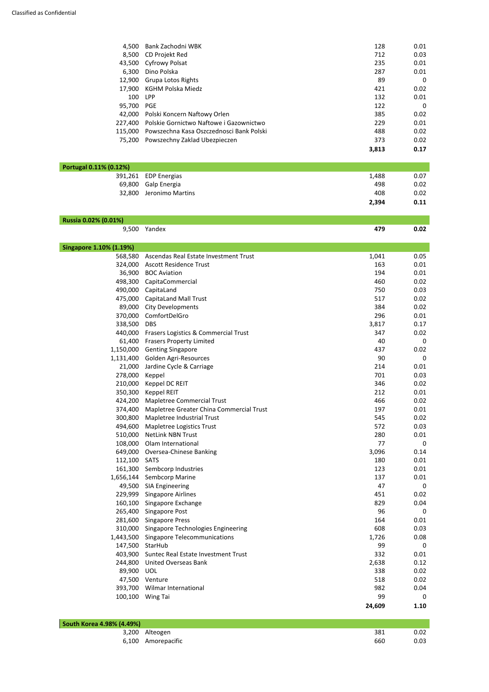| 4,500   | Bank Zachodni WBK                        | 128   | 0.01 |
|---------|------------------------------------------|-------|------|
| 8,500   | CD Projekt Red                           | 712   | 0.03 |
| 43,500  | <b>Cyfrowy Polsat</b>                    | 235   | 0.01 |
| 6,300   | Dino Polska                              | 287   | 0.01 |
| 12,900  | <b>Grupa Lotos Rights</b>                | 89    | 0    |
| 17,900  | <b>KGHM Polska Miedz</b>                 | 421   | 0.02 |
| 100     | <b>LPP</b>                               | 132   | 0.01 |
| 95,700  | <b>PGE</b>                               | 122   | 0    |
| 42,000  | Polski Koncern Naftowy Orlen             | 385   | 0.02 |
| 227,400 | Polskie Gornictwo Naftowe i Gazownictwo  | 229   | 0.01 |
| 115.000 | Powszechna Kasa Oszczednosci Bank Polski | 488   | 0.02 |
| 75,200  | Powszechny Zaklad Ubezpieczen            | 373   | 0.02 |
|         |                                          | 3,813 | 0.17 |

| Portugal 0.11% (0.12%) |                         |       |      |  |
|------------------------|-------------------------|-------|------|--|
|                        | 391,261 EDP Energias    | 1,488 | 0.07 |  |
|                        | 69,800 Galp Energia     | 498   | 0.02 |  |
|                        | 32,800 Jeronimo Martins | 408   | 0.02 |  |
|                        |                         | 2,394 | 0.11 |  |

#### **Russia 0.02% (0.01%)**

9,500 Yandex **479 0.02**

| <b>Singapore 1.10% (1.19%)</b> |                                             |        |      |
|--------------------------------|---------------------------------------------|--------|------|
| 568,580                        | Ascendas Real Estate Investment Trust       | 1,041  | 0.05 |
|                                | 324,000 Ascott Residence Trust              | 163    | 0.01 |
|                                | 36,900 BOC Aviation                         | 194    | 0.01 |
| 498,300                        | CapitaCommercial                            | 460    | 0.02 |
|                                | 490,000 CapitaLand                          | 750    | 0.03 |
| 475,000                        | <b>CapitaLand Mall Trust</b>                | 517    | 0.02 |
| 89,000                         | <b>City Developments</b>                    | 384    | 0.02 |
| 370,000                        | ComfortDelGro                               | 296    | 0.01 |
| 338,500                        | <b>DBS</b>                                  | 3,817  | 0.17 |
| 440,000                        | Frasers Logistics & Commercial Trust        | 347    | 0.02 |
| 61,400                         | <b>Frasers Property Limited</b>             | 40     | 0    |
|                                | 1,150,000 Genting Singapore                 | 437    | 0.02 |
|                                | 1,131,400 Golden Agri-Resources             | 90     | 0    |
|                                | 21,000 Jardine Cycle & Carriage             | 214    | 0.01 |
| 278,000                        | Keppel                                      | 701    | 0.03 |
| 210,000                        | Keppel DC REIT                              | 346    | 0.02 |
| 350,300                        | <b>Keppel REIT</b>                          | 212    | 0.01 |
| 424,200                        | <b>Mapletree Commercial Trust</b>           | 466    | 0.02 |
| 374,400                        | Mapletree Greater China Commercial Trust    | 197    | 0.01 |
| 300,800                        | Mapletree Industrial Trust                  | 545    | 0.02 |
|                                | 494,600 Mapletree Logistics Trust           | 572    | 0.03 |
| 510,000                        | <b>NetLink NBN Trust</b>                    | 280    | 0.01 |
|                                | 108,000 Olam International                  | 77     | 0    |
| 649,000                        | Oversea-Chinese Banking                     | 3,096  | 0.14 |
| 112,100                        | <b>SATS</b>                                 | 180    | 0.01 |
|                                | 161,300 Sembcorp Industries                 | 123    | 0.01 |
|                                | 1,656,144 Sembcorp Marine                   | 137    | 0.01 |
|                                | 49,500 SIA Engineering                      | 47     | 0    |
| 229,999                        | <b>Singapore Airlines</b>                   | 451    | 0.02 |
|                                | 160,100 Singapore Exchange                  | 829    | 0.04 |
|                                | 265,400 Singapore Post                      | 96     | 0    |
|                                | 281,600 Singapore Press                     | 164    | 0.01 |
|                                | 310,000 Singapore Technologies Engineering  | 608    | 0.03 |
|                                | 1,443,500 Singapore Telecommunications      | 1,726  | 0.08 |
|                                | 147,500 StarHub                             | 99     | 0    |
|                                | 403,900 Suntec Real Estate Investment Trust | 332    | 0.01 |
|                                | 244,800 United Overseas Bank                | 2,638  | 0.12 |
| 89,900 UOL                     |                                             | 338    | 0.02 |
|                                | 47,500 Venture                              | 518    | 0.02 |
| 393,700                        | Wilmar International                        | 982    | 0.04 |
|                                | 100,100 Wing Tai                            | 99     | 0    |
|                                |                                             | 24,609 | 1.10 |

| <b>South Korea 4.98% (4.49%)</b> |                    |     |      |
|----------------------------------|--------------------|-----|------|
|                                  | 3,200 Alteogen     | 381 | 0.02 |
|                                  | 6,100 Amorepacific | 660 | 0.03 |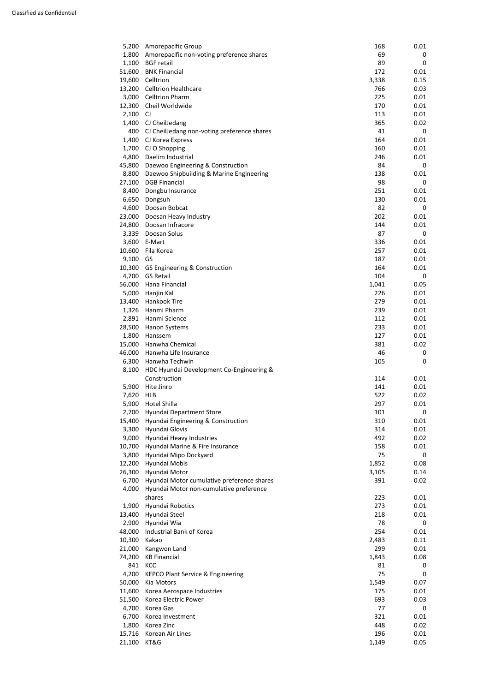| 2,JUU  | <b>HYUHUAI VYIA</b>               | 70    | υ    |
|--------|-----------------------------------|-------|------|
| 48,000 | Industrial Bank of Korea          | 254   | 0.01 |
| 10,300 | Kakao                             | 2,483 | 0.11 |
| 21,000 | Kangwon Land                      | 299   | 0.01 |
| 74,200 | <b>KB Financial</b>               | 1,843 | 0.08 |
| 841    | <b>KCC</b>                        | 81    | 0    |
| 4,200  | KEPCO Plant Service & Engineering | 75    | 0    |
| 50,000 | Kia Motors                        | 1,549 | 0.07 |
| 11,600 | Korea Aerospace Industries        | 175   | 0.01 |
| 51,500 | Korea Electric Power              | 693   | 0.03 |
| 4,700  | Korea Gas                         | 77    | 0    |
| 6,700  | Korea Investment                  | 321   | 0.01 |
| 1,800  | Korea Zinc                        | 448   | 0.02 |
| 15,716 | Korean Air Lines                  | 196   | 0.01 |
| 21,100 | KT&G                              | 1,149 | 0.05 |

| 5,200  | Amorepacific Group                          | 168   | 0.01 |
|--------|---------------------------------------------|-------|------|
| 1,800  | Amorepacific non-voting preference shares   | 69    | 0    |
| 1,100  | <b>BGF</b> retail                           | 89    | 0    |
| 51,600 | <b>BNK Financial</b>                        | 172   | 0.01 |
| 19,600 | Celltrion                                   | 3,338 | 0.15 |
| 13,200 | <b>Celltrion Healthcare</b>                 | 766   | 0.03 |
| 3,000  | <b>Celltrion Pharm</b>                      | 225   | 0.01 |
| 12,300 | Cheil Worldwide                             | 170   | 0.01 |
| 2,100  | CJ.                                         | 113   | 0.01 |
| 1,400  | CJ CheilJedang                              | 365   | 0.02 |
| 400    | CJ CheilJedang non-voting preference shares | 41    | 0    |
| 1,400  | CJ Korea Express                            | 164   | 0.01 |
| 1,700  | CJ O Shopping                               | 160   | 0.01 |
| 4,800  | Daelim Industrial                           | 246   | 0.01 |
| 45,800 | Daewoo Engineering & Construction           | 84    | 0    |
| 8,800  | Daewoo Shipbuilding & Marine Engineering    | 138   | 0.01 |
| 27,100 | <b>DGB Financial</b>                        | 98    | 0    |
| 8,400  | Dongbu Insurance                            | 251   | 0.01 |
| 6,650  | Dongsuh                                     | 130   | 0.01 |
| 4,600  | Doosan Bobcat                               | 82    | 0    |
| 23,000 | Doosan Heavy Industry                       | 202   | 0.01 |
| 24,800 | Doosan Infracore                            | 144   | 0.01 |
| 3,339  | Doosan Solus                                | 87    | 0    |
| 3,600  | E-Mart                                      | 336   | 0.01 |
| 10,600 | Fila Korea                                  | 257   | 0.01 |
| 9,100  | <b>GS</b>                                   | 187   | 0.01 |
| 10,300 | GS Engineering & Construction               | 164   | 0.01 |
| 4,700  | <b>GS Retail</b>                            | 104   | 0    |
| 56,000 | Hana Financial                              | 1,041 | 0.05 |
| 5,000  | Hanjin Kal                                  | 226   | 0.01 |
| 13,400 | Hankook Tire                                | 279   | 0.01 |
| 1,326  | Hanmi Pharm                                 | 239   | 0.01 |
| 2,891  | Hanmi Science                               | 112   | 0.01 |
| 28,500 | <b>Hanon Systems</b>                        | 233   | 0.01 |
| 1,800  | Hanssem                                     | 127   | 0.01 |
| 15,000 | Hanwha Chemical                             | 381   | 0.02 |
| 46,000 | Hanwha Life Insurance                       | 46    | 0    |
| 6,300  | Hanwha Techwin                              | 105   | 0    |
| 8,100  | HDC Hyundai Development Co-Engineering &    |       |      |
|        | Construction                                | 114   | 0.01 |
| 5,900  | Hite Jinro                                  | 141   | 0.01 |
| 7,620  | <b>HLB</b>                                  | 522   | 0.02 |
| 5,900  | Hotel Shilla                                | 297   | 0.01 |
| 2,700  | Hyundai Department Store                    | 101   | 0    |
| 15,400 | Hyundai Engineering & Construction          | 310   | 0.01 |
| 3,300  | Hyundai Glovis                              | 314   | 0.01 |
| 9,000  | Hyundai Heavy Industries                    | 492   | 0.02 |
| 10,700 | Hyundai Marine & Fire Insurance             | 158   | 0.01 |
| 3,800  | Hyundai Mipo Dockyard                       | 75    | 0    |
| 12,200 | Hyundai Mobis                               | 1,852 | 0.08 |
| 26,300 | Hyundai Motor                               | 3,105 | 0.14 |
| 6,700  | Hyundai Motor cumulative preference shares  | 391   | 0.02 |
| 4,000  | Hyundai Motor non-cumulative preference     |       |      |
|        | shares                                      | 223   | 0.01 |
| 1,900  | Hyundai Robotics                            | 273   | 0.01 |
| 13,400 | Hyundai Steel                               | 218   | 0.01 |
| 2,900  | Hyundai Wia                                 | 78    | 0    |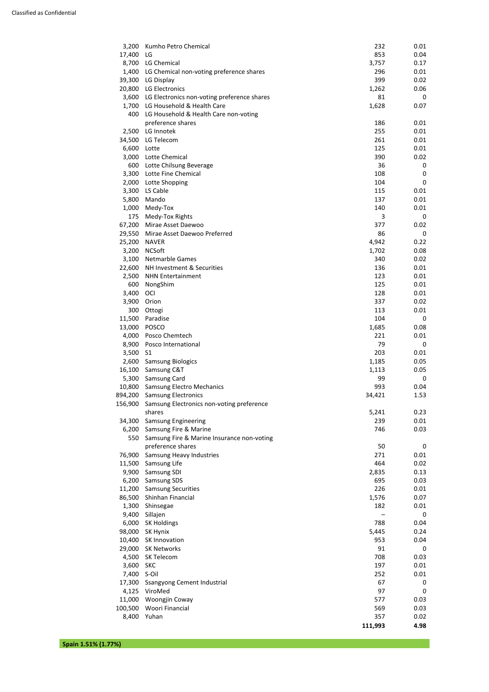| 3,200   | Kumho Petro Chemical                           | 232    | 0.01        |
|---------|------------------------------------------------|--------|-------------|
| 17,400  | LG                                             | 853    | 0.04        |
| 8,700   | LG Chemical                                    | 3,757  | 0.17        |
| 1,400   | LG Chemical non-voting preference shares       | 296    | 0.01        |
| 39,300  | LG Display                                     | 399    | 0.02        |
| 20,800  | LG Electronics                                 | 1,262  | 0.06        |
| 3,600   | LG Electronics non-voting preference shares    | 81     | 0           |
| 1,700   | LG Household & Health Care                     | 1,628  | 0.07        |
| 400     | LG Household & Health Care non-voting          |        |             |
|         | preference shares                              | 186    | 0.01        |
| 2,500   | LG Innotek                                     | 255    | 0.01        |
| 34,500  | LG Telecom                                     | 261    | 0.01        |
| 6,600   | Lotte                                          | 125    | 0.01        |
| 3,000   | Lotte Chemical                                 | 390    | 0.02        |
| 600     |                                                | 36     | 0           |
|         | Lotte Chilsung Beverage<br>Lotte Fine Chemical | 108    |             |
| 3,300   |                                                |        | 0           |
| 2,000   | Lotte Shopping                                 | 104    | 0           |
| 3,300   | LS Cable                                       | 115    | 0.01        |
| 5,800   | Mando                                          | 137    | 0.01        |
| 1,000   | Medy-Tox                                       | 140    | 0.01        |
| 175     | Medy-Tox Rights                                | 3      | 0           |
| 67,200  | Mirae Asset Daewoo                             | 377    | 0.02        |
| 29,550  | Mirae Asset Daewoo Preferred                   | 86     | $\mathbf 0$ |
| 25,200  | <b>NAVER</b>                                   | 4,942  | 0.22        |
| 3,200   | <b>NCSoft</b>                                  | 1,702  | 0.08        |
| 3,100   | <b>Netmarble Games</b>                         | 340    | 0.02        |
| 22,600  | NH Investment & Securities                     | 136    | 0.01        |
| 2,500   | <b>NHN Entertainment</b>                       | 123    | 0.01        |
| 600     | NongShim                                       | 125    | 0.01        |
| 3,400   | OCI                                            | 128    | 0.01        |
| 3,900   | Orion                                          | 337    | 0.02        |
| 300     | Ottogi                                         | 113    | 0.01        |
| 11,500  | Paradise                                       | 104    | 0           |
| 13,000  | <b>POSCO</b>                                   | 1,685  | 0.08        |
| 4,000   | Posco Chemtech                                 | 221    | 0.01        |
| 8,900   | Posco International                            | 79     | 0           |
| 3,500   | S <sub>1</sub>                                 | 203    | 0.01        |
| 2,600   | <b>Samsung Biologics</b>                       | 1,185  | 0.05        |
| 16,100  | Samsung C&T                                    | 1,113  | 0.05        |
| 5,300   | Samsung Card                                   | 99     | 0           |
| 10,800  | <b>Samsung Electro Mechanics</b>               | 993    | 0.04        |
| 894,200 | <b>Samsung Electronics</b>                     | 34,421 | 1.53        |
| 156,900 | Samsung Electronics non-voting preference      |        |             |
|         | shares                                         | 5,241  | 0.23        |
| 34,300  | <b>Samsung Engineering</b>                     | 239    | 0.01        |
| 6,200   | Samsung Fire & Marine                          | 746    | 0.03        |
| 550     | Samsung Fire & Marine Insurance non-voting     |        |             |
|         | preference shares                              | 50     | 0           |
| 76,900  | <b>Samsung Heavy Industries</b>                | 271    | 0.01        |
| 11,500  | Samsung Life                                   | 464    | 0.02        |
|         |                                                |        |             |
| 9,900   | <b>Samsung SDI</b>                             | 2,835  | 0.13        |
| 6,200   | <b>Samsung SDS</b>                             | 695    | 0.03        |
| 11,200  | <b>Samsung Securities</b>                      | 226    | 0.01        |
| 86,500  | Shinhan Financial                              | 1,576  | 0.07        |
| 1,300   | Shinsegae                                      | 182    | 0.01        |
| 9,400   | Sillajen                                       |        | 0           |
| 6,000   | <b>SK Holdings</b>                             | 788    | 0.04        |

| <b>SN HUIGHTES</b>                                                                            | 700            | <b>U.U4</b> |
|-----------------------------------------------------------------------------------------------|----------------|-------------|
| SK Hynix                                                                                      | 5,445          | 0.24        |
| SK Innovation                                                                                 | 953            | 0.04        |
| <b>SK Networks</b>                                                                            | 91             | 0           |
| SK Telecom                                                                                    | 708            | 0.03        |
| <b>SKC</b>                                                                                    | 197            | 0.01        |
| S-Oil                                                                                         | 252            | 0.01        |
| Ssangyong Cement Industrial                                                                   | 67             | 0           |
| ViroMed                                                                                       | 97             | 0           |
| <b>Woongjin Coway</b>                                                                         | 577            | 0.03        |
| Woori Financial                                                                               | 569            | 0.03        |
| Yuhan                                                                                         | 357            | 0.02        |
|                                                                                               | 111,993        | 4.98        |
| 0,UUU<br>98,000<br>10,400<br>29,000<br>4,500<br>17,300<br>4,125<br>11,000<br>100,500<br>8,400 | 3,600<br>7,400 |             |

**Spain 1.51% (1.77%)**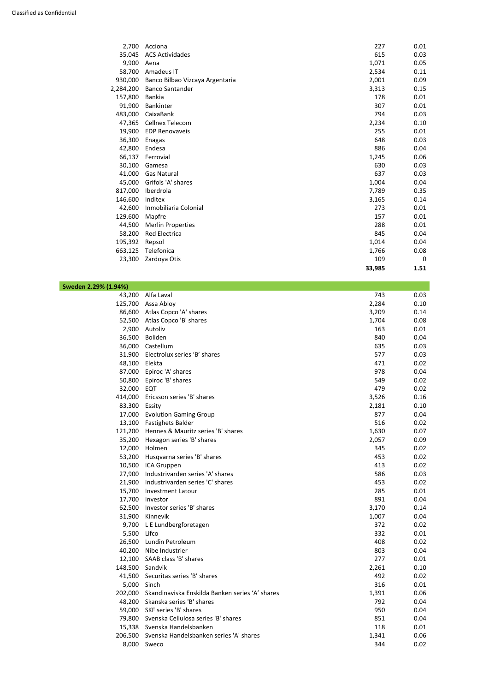| 2,700     | Acciona                         | 227    | 0.01        |
|-----------|---------------------------------|--------|-------------|
| 35,045    | <b>ACS Actividades</b>          | 615    | 0.03        |
| 9,900     | Aena                            | 1,071  | 0.05        |
| 58,700    | Amadeus IT                      | 2,534  | 0.11        |
| 930,000   | Banco Bilbao Vizcaya Argentaria | 2,001  | 0.09        |
| 2,284,200 | <b>Banco Santander</b>          | 3,313  | 0.15        |
| 157,800   | <b>Bankia</b>                   | 178    | 0.01        |
| 91,900    | <b>Bankinter</b>                | 307    | 0.01        |
| 483,000   | CaixaBank                       | 794    | 0.03        |
| 47,365    | Cellnex Telecom                 | 2,234  | 0.10        |
| 19,900    | <b>EDP Renovaveis</b>           | 255    | 0.01        |
| 36,300    | Enagas                          | 648    | 0.03        |
| 42,800    | Endesa                          | 886    | 0.04        |
| 66,137    | Ferrovial                       | 1,245  | 0.06        |
| 30,100    | Gamesa                          | 630    | 0.03        |
| 41,000    | <b>Gas Natural</b>              | 637    | 0.03        |
| 45,000    | Grifols 'A' shares              | 1,004  | 0.04        |
| 817,000   | Iberdrola                       | 7,789  | 0.35        |
| 146,600   | Inditex                         | 3,165  | 0.14        |
| 42,600    | Inmobiliaria Colonial           | 273    | 0.01        |
| 129,600   | Mapfre                          | 157    | 0.01        |
| 44,500    | <b>Merlin Properties</b>        | 288    | 0.01        |
| 58,200    | <b>Red Electrica</b>            | 845    | 0.04        |
| 195,392   | Repsol                          | 1,014  | 0.04        |
| 663,125   | Telefonica                      | 1,766  | 0.08        |
| 23,300    | Zardoya Otis                    | 109    | $\mathbf 0$ |
|           |                                 | 33,985 | 1.51        |

| 9,700   | L E Lundbergforetagen                           | 372   | 0.02 |
|---------|-------------------------------------------------|-------|------|
| 5,500   | Lifco                                           | 332   | 0.01 |
| 26,500  | Lundin Petroleum                                | 408   | 0.02 |
| 40,200  | Nibe Industrier                                 | 803   | 0.04 |
| 12,100  | SAAB class 'B' shares                           | 277   | 0.01 |
| 148,500 | Sandvik                                         | 2,261 | 0.10 |
| 41,500  | Securitas series 'B' shares                     | 492   | 0.02 |
| 5,000   | Sinch                                           | 316   | 0.01 |
| 202,000 | Skandinaviska Enskilda Banken series 'A' shares | 1,391 | 0.06 |
| 48,200  | Skanska series 'B' shares                       | 792   | 0.04 |
| 59,000  | SKF series 'B' shares                           | 950   | 0.04 |
| 79,800  | Svenska Cellulosa series 'B' shares             | 851   | 0.04 |
| 15,338  | Svenska Handelsbanken                           | 118   | 0.01 |
| 206,500 | Svenska Handelsbanken series 'A' shares         | 1,341 | 0.06 |
| 8,000   | Sweco                                           | 344   | 0.02 |

| Sweden 2.29% (1.94%) |                                    |       |      |
|----------------------|------------------------------------|-------|------|
| 43,200               | Alfa Laval                         | 743   | 0.03 |
| 125,700              | Assa Abloy                         | 2,284 | 0.10 |
| 86,600               | Atlas Copco 'A' shares             | 3,209 | 0.14 |
| 52,500               | Atlas Copco 'B' shares             | 1,704 | 0.08 |
| 2,900                | Autoliv                            | 163   | 0.01 |
| 36,500               | Boliden                            | 840   | 0.04 |
| 36,000               | Castellum                          | 635   | 0.03 |
| 31,900               | Electrolux series 'B' shares       | 577   | 0.03 |
| 48,100               | Elekta                             | 471   | 0.02 |
| 87,000               | Epiroc 'A' shares                  | 978   | 0.04 |
| 50,800               | Epiroc 'B' shares                  | 549   | 0.02 |
| 32,000               | EQT                                | 479   | 0.02 |
| 414,000              | Ericsson series 'B' shares         | 3,526 | 0.16 |
| 83,300               | Essity                             | 2,181 | 0.10 |
| 17,000               | <b>Evolution Gaming Group</b>      | 877   | 0.04 |
| 13,100               | <b>Fastighets Balder</b>           | 516   | 0.02 |
| 121,200              | Hennes & Mauritz series 'B' shares | 1,630 | 0.07 |
| 35,200               | Hexagon series 'B' shares          | 2,057 | 0.09 |
| 12,000               | Holmen                             | 345   | 0.02 |
| 53,200               | Husqvarna series 'B' shares        | 453   | 0.02 |
| 10,500               | ICA Gruppen                        | 413   | 0.02 |
| 27,900               | Industrivarden series 'A' shares   | 586   | 0.03 |
| 21,900               | Industrivarden series 'C' shares   | 453   | 0.02 |

|        | 15,700 Investment Latour          | 285   | 0.01 |
|--------|-----------------------------------|-------|------|
| 17,700 | Investor                          | 891   | 0.04 |
|        | 62,500 Investor series 'B' shares | 3,170 | 0.14 |
|        | 31,900 Kinnevik                   | 1,007 | 0.04 |
|        | 9,700 L E Lundbergforetagen       | 372   | 0.02 |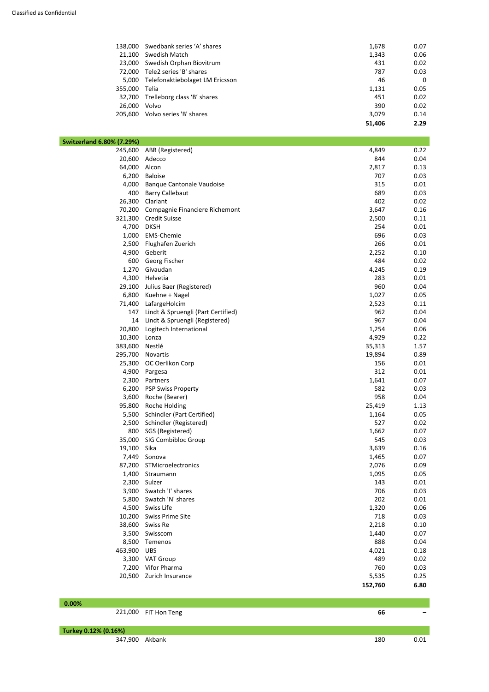| 32,700<br>26,000 | Trelleborg class 'B' shares<br>Volvo | 451<br>390 | 0.02<br>0.02 |
|------------------|--------------------------------------|------------|--------------|
| 355,000          | Telia                                | 1,131      | 0.05         |
| 5,000            | Telefonaktiebolaget LM Ericsson      | 46         | $\mathbf 0$  |
| 72,000           | Tele2 series 'B' shares              | 787        | 0.03         |
| 23,000           | Swedish Orphan Biovitrum             | 431        | 0.02         |
| 21,100           | Swedish Match                        | 1,343      | 0.06         |
| 138,000          | Swedbank series 'A' shares           | 1,678      | 0.07         |

÷

| <b>Switzerland 6.80% (7.29%)</b> |                                    |         |      |
|----------------------------------|------------------------------------|---------|------|
| 245,600                          | ABB (Registered)                   | 4,849   | 0.22 |
| 20,600                           | Adecco                             | 844     | 0.04 |
| 64,000                           | Alcon                              | 2,817   | 0.13 |
| 6,200                            | <b>Baloise</b>                     | 707     | 0.03 |
| 4,000                            | <b>Banque Cantonale Vaudoise</b>   | 315     | 0.01 |
| 400                              | <b>Barry Callebaut</b>             | 689     | 0.03 |
| 26,300                           | Clariant                           | 402     | 0.02 |
| 70,200                           | Compagnie Financiere Richemont     | 3,647   | 0.16 |
| 321,300                          | <b>Credit Suisse</b>               | 2,500   | 0.11 |
| 4,700                            | <b>DKSH</b>                        | 254     | 0.01 |
| 1,000                            | <b>EMS-Chemie</b>                  | 696     | 0.03 |
| 2,500                            | Flughafen Zuerich                  | 266     | 0.01 |
| 4,900                            | Geberit                            | 2,252   | 0.10 |
| 600                              | Georg Fischer                      | 484     | 0.02 |
| 1,270                            | Givaudan                           | 4,245   | 0.19 |
| 4,300                            | Helvetia                           | 283     | 0.01 |
| 29,100                           | Julius Baer (Registered)           | 960     | 0.04 |
| 6,800                            | Kuehne + Nagel                     | 1,027   | 0.05 |
| 71,400                           | LafargeHolcim                      | 2,523   | 0.11 |
| 147                              | Lindt & Spruengli (Part Certified) | 962     | 0.04 |
| 14                               | Lindt & Spruengli (Registered)     | 967     | 0.04 |
| 20,800                           | Logitech International             | 1,254   | 0.06 |
| 10,300                           | Lonza                              | 4,929   | 0.22 |
| 383,600                          | Nestlé                             | 35,313  | 1.57 |
| 295,700                          | Novartis                           | 19,894  | 0.89 |
| 25,300                           | OC Oerlikon Corp                   | 156     | 0.01 |
| 4,900                            | Pargesa                            | 312     | 0.01 |
| 2,300                            | Partners                           | 1,641   | 0.07 |
| 6,200                            | <b>PSP Swiss Property</b>          | 582     | 0.03 |
| 3,600                            | Roche (Bearer)                     | 958     | 0.04 |
|                                  | 95,800 Roche Holding               | 25,419  | 1.13 |
| 5,500                            | <b>Schindler (Part Certified)</b>  | 1,164   | 0.05 |
| 2,500                            | Schindler (Registered)             | 527     | 0.02 |
| 800                              | SGS (Registered)                   | 1,662   | 0.07 |
| 35,000                           | <b>SIG Combibloc Group</b>         | 545     | 0.03 |
| 19,100                           | Sika                               | 3,639   | 0.16 |
| 7,449                            | Sonova                             | 1,465   | 0.07 |
| 87,200                           | STMicroelectronics                 | 2,076   | 0.09 |
| 1,400                            | Straumann                          | 1,095   | 0.05 |
| 2,300                            | Sulzer                             | 143     | 0.01 |
|                                  | 3,900 Swatch 'I' shares            | 706     | 0.03 |
| 5,800                            | Swatch 'N' shares                  | 202     | 0.01 |
| 4,500                            | Swiss Life                         | 1,320   | 0.06 |
| 10,200                           | <b>Swiss Prime Site</b>            | 718     | 0.03 |
|                                  | 38,600 Swiss Re                    | 2,218   | 0.10 |
| 3,500                            | Swisscom                           | 1,440   | 0.07 |
| 8,500                            | Temenos                            | 888     | 0.04 |
| 463,900                          | <b>UBS</b>                         | 4,021   | 0.18 |
|                                  | 3,300 VAT Group                    | 489     | 0.02 |
| 7,200                            | Vifor Pharma                       | 760     | 0.03 |
|                                  | 20,500 Zurich Insurance            | 5,535   | 0.25 |
|                                  |                                    | 152,760 | 6.80 |
|                                  |                                    |         |      |

| $.00\%$ |                            |                          |
|---------|----------------------------|--------------------------|
|         | 221,000 FIT Hon Teng<br>bt | $\overline{\phantom{0}}$ |

| Turkey 0.12% (0.16%)<br>$\cdots$ |        |     |   |
|----------------------------------|--------|-----|---|
| .900<br>34,                      | Akbank | 180 | , |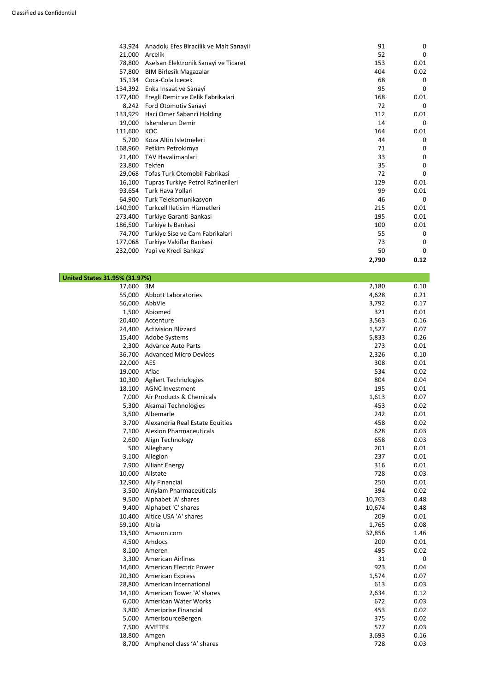| 43,924  | Anadolu Efes Biracilik ve Malt Sanayii | 91    | 0        |
|---------|----------------------------------------|-------|----------|
| 21,000  | Arcelik                                | 52    | 0        |
| 78,800  | Aselsan Elektronik Sanayi ve Ticaret   | 153   | 0.01     |
| 57,800  | <b>BIM Birlesik Magazalar</b>          | 404   | 0.02     |
| 15,134  | Coca-Cola Icecek                       | 68    | 0        |
| 134,392 | Enka Insaat ve Sanayi                  | 95    | 0        |
| 177,400 | Eregli Demir ve Celik Fabrikalari      | 168   | 0.01     |
|         | 8,242 Ford Otomotiv Sanayi             | 72    | 0        |
| 133,929 | Haci Omer Sabanci Holding              | 112   | 0.01     |
| 19,000  | Iskenderun Demir                       | 14    | $\Omega$ |
| 111,600 | KOC                                    | 164   | 0.01     |
| 5,700   | Koza Altin Isletmeleri                 | 44    | 0        |
| 168,960 | Petkim Petrokimya                      | 71    | 0        |
| 21,400  | <b>TAV Havalimanlari</b>               | 33    | 0        |
| 23,800  | Tekfen                                 | 35    | 0        |
| 29,068  | Tofas Turk Otomobil Fabrikasi          | 72    | 0        |
| 16,100  | Tupras Turkiye Petrol Rafinerileri     | 129   | 0.01     |
| 93,654  | Turk Hava Yollari                      | 99    | 0.01     |
| 64,900  | Turk Telekomunikasyon                  | 46    | $\Omega$ |
| 140,900 | Turkcell Iletisim Hizmetleri           | 215   | 0.01     |
| 273,400 | Turkiye Garanti Bankasi                | 195   | 0.01     |
| 186,500 | Turkiye Is Bankasi                     | 100   | 0.01     |
| 74,700  | Turkiye Sise ve Cam Fabrikalari        | 55    | 0        |
|         | 177,068 Turkiye Vakiflar Bankasi       | 73    | 0        |
| 232,000 | Yapi ve Kredi Bankasi                  | 50    | 0        |
|         |                                        | 2,790 | 0.12     |

## **United States 31.95% (31.97%)**

| 17,600 | 3M                              | 2,180  | 0.10 |
|--------|---------------------------------|--------|------|
| 55,000 | Abbott Laboratories             | 4,628  | 0.21 |
| 56,000 | AbbVie                          | 3,792  | 0.17 |
| 1,500  | Abiomed                         | 321    | 0.01 |
| 20,400 | Accenture                       | 3,563  | 0.16 |
| 24,400 | <b>Activision Blizzard</b>      | 1,527  | 0.07 |
| 15,400 | Adobe Systems                   | 5,833  | 0.26 |
| 2,300  | <b>Advance Auto Parts</b>       | 273    | 0.01 |
| 36,700 | <b>Advanced Micro Devices</b>   | 2,326  | 0.10 |
| 22,000 | <b>AES</b>                      | 308    | 0.01 |
| 19,000 | Aflac                           | 534    | 0.02 |
| 10,300 | Agilent Technologies            | 804    | 0.04 |
| 18,100 | <b>AGNC Investment</b>          | 195    | 0.01 |
| 7,000  | Air Products & Chemicals        | 1,613  | 0.07 |
| 5,300  | Akamai Technologies             | 453    | 0.02 |
| 3,500  | Albemarle                       | 242    | 0.01 |
| 3,700  | Alexandria Real Estate Equities | 458    | 0.02 |
| 7,100  | <b>Alexion Pharmaceuticals</b>  | 628    | 0.03 |
| 2,600  | Align Technology                | 658    | 0.03 |
| 500    | Alleghany                       | 201    | 0.01 |
| 3,100  | Allegion                        | 237    | 0.01 |
| 7,900  | <b>Alliant Energy</b>           | 316    | 0.01 |
| 10,000 | Allstate                        | 728    | 0.03 |
| 12,900 | <b>Ally Financial</b>           | 250    | 0.01 |
| 3,500  | <b>Alnylam Pharmaceuticals</b>  | 394    | 0.02 |
| 9,500  | Alphabet 'A' shares             | 10,763 | 0.48 |
| 9,400  | Alphabet 'C' shares             | 10,674 | 0.48 |
| 10,400 | Altice USA 'A' shares           | 209    | 0.01 |
| 59,100 | Altria                          | 1,765  | 0.08 |
| 13,500 | Amazon.com                      | 32,856 | 1.46 |
| 4,500  | Amdocs                          | 200    | 0.01 |
| 8,100  | Ameren                          | 495    | 0.02 |
| 3,300  | <b>American Airlines</b>        | 31     | 0    |
| 14,600 | American Electric Power         | 923    | 0.04 |
| 20,300 | <b>American Express</b>         | 1,574  | 0.07 |
| 28,800 | American International          | 613    | 0.03 |
| 14,100 | American Tower 'A' shares       | 2,634  | 0.12 |
| 6,000  | American Water Works            | 672    | 0.03 |
| 3,800  | Ameriprise Financial            | 453    | 0.02 |
| 5,000  | AmerisourceBergen               | 375    | 0.02 |
| 7,500  | AMETEK                          | 577    | 0.03 |
| 18,800 | Amgen                           | 3,693  | 0.16 |
| 8,700  | Amphenol class 'A' shares       | 728    | 0.03 |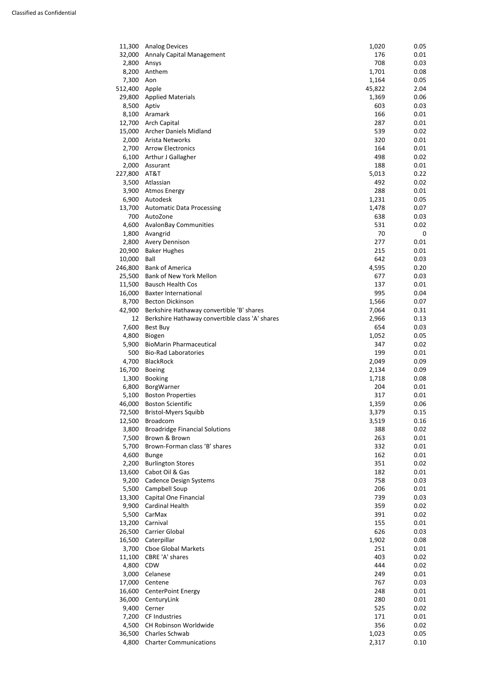| 11,300  | <b>Analog Devices</b>                           | 1,020  | 0.05 |
|---------|-------------------------------------------------|--------|------|
| 32,000  | <b>Annaly Capital Management</b>                | 176    | 0.01 |
| 2,800   | Ansys                                           | 708    | 0.03 |
| 8,200   | Anthem                                          | 1,701  | 0.08 |
| 7,300   | Aon                                             | 1,164  | 0.05 |
| 512,400 | Apple                                           | 45,822 | 2.04 |
| 29,800  | <b>Applied Materials</b>                        | 1,369  | 0.06 |
| 8,500   | Aptiv                                           | 603    | 0.03 |
| 8,100   | Aramark                                         | 166    | 0.01 |
| 12,700  | <b>Arch Capital</b>                             | 287    | 0.01 |
| 15,000  | <b>Archer Daniels Midland</b>                   | 539    | 0.02 |
| 2,000   | Arista Networks                                 | 320    | 0.01 |
| 2,700   | <b>Arrow Electronics</b>                        | 164    | 0.01 |
| 6,100   | Arthur J Gallagher                              | 498    | 0.02 |
| 2,000   | Assurant                                        | 188    | 0.01 |
| 227,800 | AT&T                                            | 5,013  | 0.22 |
| 3,500   | Atlassian                                       | 492    | 0.02 |
| 3,900   | <b>Atmos Energy</b>                             | 288    | 0.01 |
| 6,900   | Autodesk                                        | 1,231  | 0.05 |
| 13,700  | <b>Automatic Data Processing</b>                | 1,478  | 0.07 |
| 700     | AutoZone                                        | 638    | 0.03 |
| 4,600   | <b>AvalonBay Communities</b>                    | 531    | 0.02 |
| 1,800   | Avangrid                                        | 70     | 0    |
| 2,800   | <b>Avery Dennison</b>                           | 277    | 0.01 |
| 20,900  | <b>Baker Hughes</b>                             | 215    | 0.01 |
| 10,000  | Ball                                            | 642    | 0.03 |
| 246,800 | <b>Bank of America</b>                          | 4,595  | 0.20 |
| 25,500  | <b>Bank of New York Mellon</b>                  | 677    | 0.03 |
| 11,500  | <b>Bausch Health Cos</b>                        | 137    | 0.01 |
| 16,000  | <b>Baxter International</b>                     | 995    | 0.04 |
| 8,700   | <b>Becton Dickinson</b>                         | 1,566  | 0.07 |
| 42,900  | Berkshire Hathaway convertible 'B' shares       | 7,064  | 0.31 |
| 12      | Berkshire Hathaway convertible class 'A' shares | 2,966  | 0.13 |
| 7,600   | Best Buy                                        | 654    | 0.03 |
| 4,800   | Biogen                                          | 1,052  | 0.05 |
| 5,900   | <b>BioMarin Pharmaceutical</b>                  | 347    | 0.02 |
| 500     | <b>Bio-Rad Laboratories</b>                     | 199    | 0.01 |
| 4,700   | <b>BlackRock</b>                                | 2,049  | 0.09 |
| 16,700  | <b>Boeing</b>                                   | 2,134  | 0.09 |
| 1,300   | <b>Booking</b>                                  | 1,718  | 0.08 |
| 6,800   | BorgWarner                                      | 204    | 0.01 |
| 5,100   | <b>Boston Properties</b>                        | 317    | 0.01 |
| 46,000  | <b>Boston Scientific</b>                        | 1,359  | 0.06 |
| 72,500  | <b>Bristol-Myers Squibb</b>                     | 3,379  | 0.15 |
| 12,500  | <b>Broadcom</b>                                 | 3,519  | 0.16 |
| 3,800   | <b>Broadridge Financial Solutions</b>           | 388    | 0.02 |
| 7,500   | Brown & Brown                                   | 263    | 0.01 |
| 5,700   | Brown-Forman class 'B' shares                   | 332    | 0.01 |
| 4,600   | <b>Bunge</b>                                    | 162    | 0.01 |
| 2,200   | <b>Burlington Stores</b>                        | 351    | 0.02 |
| 13,600  | Cabot Oil & Gas                                 | 182    | 0.01 |
| 9,200   | <b>Cadence Design Systems</b>                   | 758    | 0.03 |
| 5,500   | Campbell Soup                                   | 206    | 0.01 |
| 13,300  | Capital One Financial                           | 739    | 0.03 |
| 9,900   | Cardinal Health                                 | 359    | 0.02 |
| 5,500   | CarMax                                          | 391    | 0.02 |
| 13,200  | Carnival                                        | 155    | 0.01 |

| LJ,ZUU. | Carnival                      | ככד   | U.UI |
|---------|-------------------------------|-------|------|
| 26,500  | Carrier Global                | 626   | 0.03 |
| 16,500  | Caterpillar                   | 1,902 | 0.08 |
| 3,700   | <b>Choe Global Markets</b>    | 251   | 0.01 |
| 11,100  | CBRE 'A' shares               | 403   | 0.02 |
| 4,800   | <b>CDW</b>                    | 444   | 0.02 |
| 3,000   | Celanese                      | 249   | 0.01 |
| 17,000  | Centene                       | 767   | 0.03 |
| 16,600  | <b>CenterPoint Energy</b>     | 248   | 0.01 |
| 36,000  | CenturyLink                   | 280   | 0.01 |
| 9,400   | Cerner                        | 525   | 0.02 |
| 7,200   | <b>CF Industries</b>          | 171   | 0.01 |
| 4,500   | <b>CH Robinson Worldwide</b>  | 356   | 0.02 |
| 36,500  | Charles Schwab                | 1,023 | 0.05 |
| 4,800   | <b>Charter Communications</b> | 2,317 | 0.10 |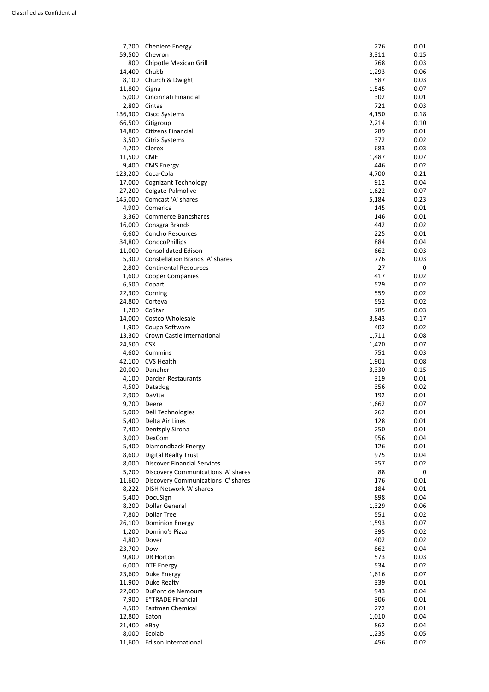| 7,700   | <b>Cheniere Energy</b>                 | 276   | 0.01 |
|---------|----------------------------------------|-------|------|
| 59,500  | Chevron                                | 3,311 | 0.15 |
| 800     | Chipotle Mexican Grill                 | 768   | 0.03 |
| 14,400  | Chubb                                  | 1,293 | 0.06 |
| 8,100   | Church & Dwight                        | 587   | 0.03 |
| 11,800  | Cigna                                  | 1,545 | 0.07 |
| 5,000   | Cincinnati Financial                   | 302   | 0.01 |
| 2,800   | Cintas                                 | 721   | 0.03 |
| 136,300 | Cisco Systems                          | 4,150 | 0.18 |
| 66,500  | Citigroup                              | 2,214 | 0.10 |
| 14,800  | Citizens Financial                     | 289   | 0.01 |
| 3,500   | <b>Citrix Systems</b>                  | 372   | 0.02 |
| 4,200   | Clorox                                 | 683   | 0.03 |
| 11,500  | <b>CME</b>                             | 1,487 | 0.07 |
| 9,400   | <b>CMS Energy</b>                      | 446   | 0.02 |
| 123,200 | Coca-Cola                              | 4,700 | 0.21 |
|         | <b>Cognizant Technology</b>            | 912   | 0.04 |
| 17,000  |                                        |       |      |
| 27,200  | Colgate-Palmolive                      | 1,622 | 0.07 |
| 145,000 | Comcast 'A' shares                     | 5,184 | 0.23 |
| 4,900   | Comerica                               | 145   | 0.01 |
| 3,360   | <b>Commerce Bancshares</b>             | 146   | 0.01 |
| 16,000  | Conagra Brands                         | 442   | 0.02 |
| 6,600   | Concho Resources                       | 225   | 0.01 |
| 34,800  | ConocoPhillips                         | 884   | 0.04 |
| 11,000  | <b>Consolidated Edison</b>             | 662   | 0.03 |
| 5,300   | <b>Constellation Brands 'A' shares</b> | 776   | 0.03 |
| 2,800   | <b>Continental Resources</b>           | 27    | 0    |
| 1,600   | <b>Cooper Companies</b>                | 417   | 0.02 |
| 6,500   | Copart                                 | 529   | 0.02 |
| 22,300  | Corning                                | 559   | 0.02 |
| 24,800  | Corteva                                | 552   | 0.02 |
| 1,200   | CoStar                                 | 785   | 0.03 |
| 14,000  | Costco Wholesale                       | 3,843 | 0.17 |
| 1,900   | Coupa Software                         | 402   | 0.02 |
| 13,300  | Crown Castle International             | 1,711 | 0.08 |
| 24,500  | <b>CSX</b>                             | 1,470 | 0.07 |
| 4,600   | Cummins                                | 751   | 0.03 |
| 42,100  | <b>CVS Health</b>                      | 1,901 | 0.08 |
| 20,000  | Danaher                                | 3,330 | 0.15 |
| 4,100   | Darden Restaurants                     | 319   | 0.01 |
| 4,500   | Datadog                                | 356   | 0.02 |
| 2,900   | DaVita                                 | 192   | 0.01 |
| 9,700   | Deere                                  | 1,662 | 0.07 |
| 5,000   | Dell Technologies                      | 262   | 0.01 |
| 5,400   | Delta Air Lines                        | 128   | 0.01 |
| 7,400   | <b>Dentsply Sirona</b>                 | 250   | 0.01 |
| 3,000   | DexCom                                 | 956   | 0.04 |
| 5,400   | Diamondback Energy                     | 126   | 0.01 |
| 8,600   | <b>Digital Realty Trust</b>            | 975   | 0.04 |
|         | <b>Discover Financial Services</b>     | 357   | 0.02 |
| 8,000   |                                        |       |      |
| 5,200   | Discovery Communications 'A' shares    | 88    | 0    |
| 11,600  | Discovery Communications 'C' shares    | 176   | 0.01 |
| 8,222   | DISH Network 'A' shares                | 184   | 0.01 |
| 5,400   | DocuSign                               | 898   | 0.04 |
| 8,200   | <b>Dollar General</b>                  | 1,329 | 0.06 |
| 7,800   | <b>Dollar Tree</b>                     | 551   | 0.02 |
| 26,100  | <b>Dominion Energy</b>                 | 1,593 | 0.07 |

| 20,1UU | <b>DOMINION ENGLEY</b>   | 1,593 | 0.07 |
|--------|--------------------------|-------|------|
| 1,200  | Domino's Pizza           | 395   | 0.02 |
| 4,800  | Dover                    | 402   | 0.02 |
| 23,700 | Dow                      | 862   | 0.04 |
| 9,800  | DR Horton                | 573   | 0.03 |
| 6,000  | DTE Energy               | 534   | 0.02 |
| 23,600 | Duke Energy              | 1,616 | 0.07 |
| 11,900 | Duke Realty              | 339   | 0.01 |
| 22,000 | DuPont de Nemours        | 943   | 0.04 |
| 7,900  | <b>E*TRADE Financial</b> | 306   | 0.01 |
| 4,500  | Eastman Chemical         | 272   | 0.01 |
| 12,800 | Eaton                    | 1,010 | 0.04 |
| 21,400 | eBay                     | 862   | 0.04 |
| 8,000  | Ecolab                   | 1,235 | 0.05 |
| 11,600 | Edison International     | 456   | 0.02 |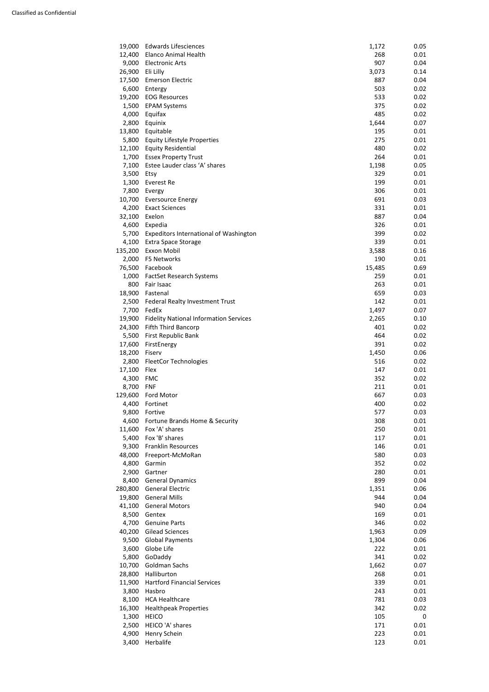| 19,000  | <b>Edwards Lifesciences</b>                   | 1,172      | 0.05         |
|---------|-----------------------------------------------|------------|--------------|
| 12,400  | <b>Elanco Animal Health</b>                   | 268        | 0.01         |
| 9,000   | <b>Electronic Arts</b>                        | 907        | 0.04         |
| 26,900  | Eli Lilly                                     | 3,073      | 0.14         |
| 17,500  | <b>Emerson Electric</b>                       | 887        | 0.04         |
| 6,600   | Entergy                                       | 503        | 0.02         |
| 19,200  | <b>EOG Resources</b>                          | 533        | 0.02         |
| 1,500   | <b>EPAM Systems</b>                           | 375        | 0.02         |
| 4,000   | Equifax                                       | 485        | 0.02         |
| 2,800   |                                               |            |              |
|         | Equinix                                       | 1,644      | 0.07         |
| 13,800  | Equitable                                     | 195        | 0.01         |
| 5,800   | <b>Equity Lifestyle Properties</b>            | 275        | 0.01         |
| 12,100  | <b>Equity Residential</b>                     | 480        | 0.02         |
| 1,700   | <b>Essex Property Trust</b>                   | 264        | 0.01         |
| 7,100   | Estee Lauder class 'A' shares                 | 1,198      | 0.05         |
| 3,500   | Etsy                                          | 329        | 0.01         |
| 1,300   | Everest Re                                    | 199        | 0.01         |
| 7,800   | Evergy                                        | 306        | 0.01         |
| 10,700  | <b>Eversource Energy</b>                      | 691        | 0.03         |
| 4,200   | <b>Exact Sciences</b>                         | 331        | 0.01         |
| 32,100  | Exelon                                        | 887        | 0.04         |
| 4,600   | Expedia                                       | 326        | 0.01         |
| 5,700   | <b>Expeditors International of Washington</b> | 399        | 0.02         |
| 4,100   | <b>Extra Space Storage</b>                    | 339        | 0.01         |
| 135,200 | <b>Exxon Mobil</b>                            | 3,588      | 0.16         |
| 2,000   | F5 Networks                                   | 190        | 0.01         |
| 76,500  | Facebook                                      | 15,485     | 0.69         |
| 1,000   | <b>FactSet Research Systems</b>               | 259        | 0.01         |
| 800     | Fair Isaac                                    | 263        | 0.01         |
| 18,900  | Fastenal                                      | 659        | 0.03         |
| 2,500   |                                               | 142        | 0.01         |
|         | Federal Realty Investment Trust               |            |              |
| 7,700   | FedEx                                         | 1,497      | 0.07         |
| 19,900  | <b>Fidelity National Information Services</b> | 2,265      | 0.10         |
| 24,300  | <b>Fifth Third Bancorp</b>                    | 401        | 0.02         |
| 5,500   | First Republic Bank                           | 464        | 0.02         |
| 17,600  | FirstEnergy                                   | 391        | 0.02         |
| 18,200  | Fiserv                                        | 1,450      | 0.06         |
| 2,800   | <b>FleetCor Technologies</b>                  | 516        | 0.02         |
| 17,100  | Flex                                          | 147        | 0.01         |
| 4,300   | <b>FMC</b>                                    | 352        | 0.02         |
| 8,700   | <b>FNF</b>                                    | 211        | 0.01         |
| 129,600 | Ford Motor                                    | 667        | 0.03         |
| 4,400   | Fortinet                                      | 400        | 0.02         |
| 9,800   | Fortive                                       | 577        | 0.03         |
| 4,600   | Fortune Brands Home & Security                | 308        | 0.01         |
| 11,600  | Fox 'A' shares                                | 250        | 0.01         |
| 5,400   | Fox 'B' shares                                | 117        | 0.01         |
| 9,300   | <b>Franklin Resources</b>                     | 146        | 0.01         |
| 48,000  | Freeport-McMoRan                              | 580        | 0.03         |
| 4,800   | Garmin                                        | 352        | 0.02         |
| 2,900   | Gartner                                       | 280        | 0.01         |
| 8,400   | <b>General Dynamics</b>                       | 899        | 0.04         |
| 280,800 | <b>General Electric</b>                       | 1,351      | 0.06         |
|         |                                               |            |              |
| 19,800  | <b>General Mills</b>                          | 944        | 0.04         |
| 41,100  | <b>General Motors</b>                         | 940        | 0.04         |
| 8,500   | Gentex<br>1.700 Convine Darts                 | 169<br>216 | 0.01<br>റ റാ |
|         |                                               |            |              |

| 4,700  | <b>Genuine Parts</b>               | 346   | 0.02 |
|--------|------------------------------------|-------|------|
| 40,200 | <b>Gilead Sciences</b>             | 1,963 | 0.09 |
| 9,500  | <b>Global Payments</b>             | 1,304 | 0.06 |
| 3,600  | Globe Life                         | 222   | 0.01 |
| 5,800  | GoDaddy                            | 341   | 0.02 |
| 10,700 | Goldman Sachs                      | 1,662 | 0.07 |
| 28,800 | Halliburton                        | 268   | 0.01 |
| 11,900 | <b>Hartford Financial Services</b> | 339   | 0.01 |
| 3,800  | Hasbro                             | 243   | 0.01 |
| 8,100  | <b>HCA Healthcare</b>              | 781   | 0.03 |
| 16,300 | <b>Healthpeak Properties</b>       | 342   | 0.02 |
| 1,300  | <b>HEICO</b>                       | 105   | 0    |
| 2,500  | HEICO 'A' shares                   | 171   | 0.01 |
| 4,900  | Henry Schein                       | 223   | 0.01 |
| 3,400  | Herbalife                          | 123   | 0.01 |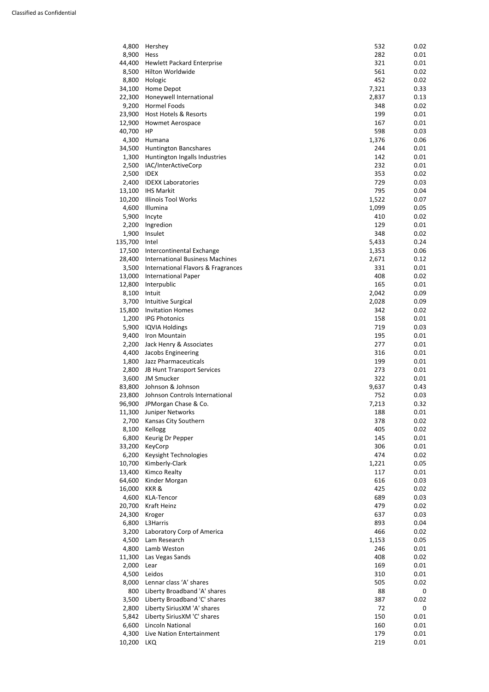| 4,800   | Hershey                                | 532   | 0.02 |
|---------|----------------------------------------|-------|------|
| 8,900   | Hess                                   | 282   | 0.01 |
|         |                                        |       |      |
| 44,400  | <b>Hewlett Packard Enterprise</b>      | 321   | 0.01 |
| 8,500   | Hilton Worldwide                       | 561   | 0.02 |
| 8,800   | Hologic                                | 452   | 0.02 |
| 34,100  | Home Depot                             | 7,321 | 0.33 |
| 22,300  | Honeywell International                | 2,837 | 0.13 |
|         |                                        |       |      |
| 9,200   | Hormel Foods                           | 348   | 0.02 |
| 23,900  | Host Hotels & Resorts                  | 199   | 0.01 |
| 12,900  | <b>Howmet Aerospace</b>                | 167   | 0.01 |
| 40,700  | HP                                     | 598   | 0.03 |
| 4,300   | Humana                                 | 1,376 | 0.06 |
| 34,500  | <b>Huntington Bancshares</b>           | 244   | 0.01 |
|         |                                        |       |      |
| 1,300   | Huntington Ingalls Industries          | 142   | 0.01 |
| 2,500   | IAC/InterActiveCorp                    | 232   | 0.01 |
| 2,500   | <b>IDEX</b>                            | 353   | 0.02 |
| 2,400   | <b>IDEXX Laboratories</b>              | 729   | 0.03 |
| 13,100  | <b>IHS Markit</b>                      | 795   | 0.04 |
| 10,200  | <b>Illinois Tool Works</b>             | 1,522 | 0.07 |
|         |                                        |       |      |
| 4,600   | Illumina                               | 1,099 | 0.05 |
| 5,900   | Incyte                                 | 410   | 0.02 |
| 2,200   | Ingredion                              | 129   | 0.01 |
| 1,900   | Insulet                                | 348   | 0.02 |
| 135,700 | Intel                                  | 5,433 | 0.24 |
| 17,500  | Intercontinental Exchange              | 1,353 | 0.06 |
|         |                                        |       |      |
| 28,400  | <b>International Business Machines</b> | 2,671 | 0.12 |
| 3,500   | International Flavors & Fragrances     | 331   | 0.01 |
| 13,000  | <b>International Paper</b>             | 408   | 0.02 |
| 12,800  | Interpublic                            | 165   | 0.01 |
| 8,100   | Intuit                                 | 2,042 | 0.09 |
| 3,700   | Intuitive Surgical                     | 2,028 | 0.09 |
|         |                                        |       |      |
| 15,800  | <b>Invitation Homes</b>                | 342   | 0.02 |
| 1,200   | <b>IPG Photonics</b>                   | 158   | 0.01 |
| 5,900   | <b>IQVIA Holdings</b>                  | 719   | 0.03 |
| 9,400   | Iron Mountain                          | 195   | 0.01 |
| 2,200   | Jack Henry & Associates                | 277   | 0.01 |
| 4,400   | Jacobs Engineering                     | 316   | 0.01 |
|         |                                        |       |      |
| 1,800   | Jazz Pharmaceuticals                   | 199   | 0.01 |
| 2,800   | JB Hunt Transport Services             | 273   | 0.01 |
| 3,600   | <b>JM Smucker</b>                      | 322   | 0.01 |
| 83,800  | Johnson & Johnson                      | 9,637 | 0.43 |
| 23,800  | Johnson Controls International         | 752   | 0.03 |
| 96,900  | JPMorgan Chase & Co.                   | 7,213 | 0.32 |
|         |                                        |       |      |
| 11,300  | Juniper Networks                       | 188   | 0.01 |
| 2,700   | Kansas City Southern                   | 378   | 0.02 |
| 8,100   | Kellogg                                | 405   | 0.02 |
| 6,800   | Keurig Dr Pepper                       | 145   | 0.01 |
| 33,200  | KeyCorp                                | 306   | 0.01 |
| 6,200   | Keysight Technologies                  | 474   | 0.02 |
|         |                                        |       |      |
| 10,700  | Kimberly-Clark                         | 1,221 | 0.05 |
| 13,400  | <b>Kimco Realty</b>                    | 117   | 0.01 |
| 64,600  | Kinder Morgan                          | 616   | 0.03 |
| 16,000  | KKR&                                   | 425   | 0.02 |
| 4,600   | <b>KLA-Tencor</b>                      | 689   | 0.03 |
| 20,700  | Kraft Heinz                            | 479   | 0.02 |
|         |                                        |       |      |
| 24,300  | Kroger                                 | 637   | 0.03 |
| 6,800   | L3Harris                               | 893   | 0.04 |
| 3,200   | Laboratory Corp of America             | 466   | 0.02 |
| 4,500   | Lam Research                           | 1,153 | 0.05 |
| 4,800   | Lamb Weston                            | 246   | 0.01 |
| 11,300  | Las Vegas Sands                        | 408   | 0.02 |
|         |                                        |       |      |
| 2,000   | Lear                                   | 169   | 0.01 |
| 4,500   | Leidos                                 | 310   | 0.01 |
| 8,000   | Lennar class 'A' shares                | 505   | 0.02 |
| 800     | Liberty Broadband 'A' shares           | 88    | 0    |
| 3,500   | Liberty Broadband 'C' shares           | 387   | 0.02 |
| 2,800   | Liberty SiriusXM 'A' shares            | 72    | 0    |
|         |                                        |       |      |
| 5,842   | Liberty SiriusXM 'C' shares            | 150   | 0.01 |
| 6,600   | <b>Lincoln National</b>                | 160   | 0.01 |
| 4,300   | Live Nation Entertainment              | 179   | 0.01 |
| 10,200  | <b>LKQ</b>                             | 219   | 0.01 |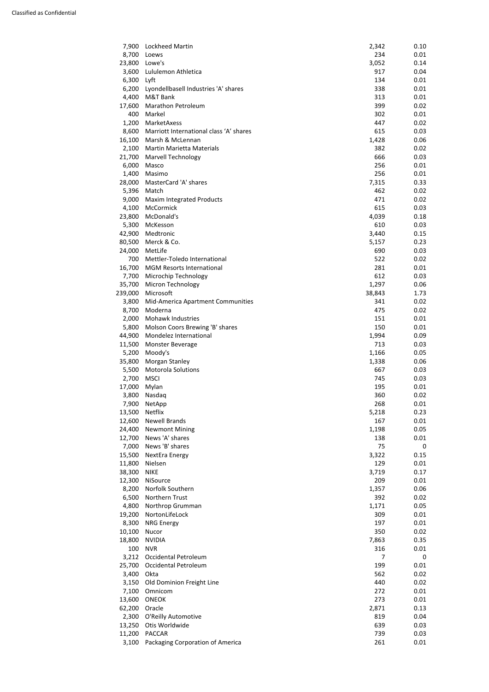| 7,900   | Lockheed Martin                         | 2,342  | 0.10        |
|---------|-----------------------------------------|--------|-------------|
| 8,700   | Loews                                   | 234    | 0.01        |
| 23,800  | Lowe's                                  | 3,052  | 0.14        |
| 3,600   | Lululemon Athletica                     | 917    | 0.04        |
| 6,300   | Lyft                                    | 134    | 0.01        |
| 6,200   | Lyondellbasell Industries 'A' shares    | 338    | 0.01        |
| 4,400   | M&T Bank                                | 313    | 0.01        |
| 17,600  | Marathon Petroleum                      | 399    | 0.02        |
| 400     | Markel                                  | 302    | 0.01        |
| 1,200   | MarketAxess                             | 447    | 0.02        |
| 8,600   | Marriott International class 'A' shares | 615    | 0.03        |
| 16,100  | Marsh & McLennan                        | 1,428  | 0.06        |
| 2,100   | <b>Martin Marietta Materials</b>        | 382    | 0.02        |
| 21,700  | <b>Marvell Technology</b>               | 666    | 0.03        |
| 6,000   | Masco                                   | 256    | 0.01        |
| 1,400   | Masimo                                  | 256    | 0.01        |
| 28,000  | MasterCard 'A' shares                   | 7,315  | 0.33        |
| 5,396   | Match                                   | 462    | 0.02        |
| 9,000   | <b>Maxim Integrated Products</b>        | 471    | 0.02        |
| 4,100   | McCormick                               | 615    | 0.03        |
| 23,800  | McDonald's                              | 4,039  | 0.18        |
| 5,300   | McKesson                                | 610    | 0.03        |
| 42,900  | Medtronic                               | 3,440  | 0.15        |
| 80,500  | Merck & Co.                             | 5,157  | 0.23        |
| 24,000  | MetLife                                 | 690    | 0.03        |
| 700     | Mettler-Toledo International            | 522    | 0.02        |
| 16,700  | <b>MGM Resorts International</b>        | 281    | 0.01        |
| 7,700   | Microchip Technology                    | 612    | 0.03        |
| 35,700  | Micron Technology                       | 1,297  | 0.06        |
| 239,000 | Microsoft                               | 38,843 | 1.73        |
| 3,800   | Mid-America Apartment Communities       | 341    | 0.02        |
| 8,700   | Moderna                                 | 475    | 0.02        |
| 2,000   | Mohawk Industries                       | 151    | 0.01        |
| 5,800   | Molson Coors Brewing 'B' shares         | 150    | 0.01        |
| 44,900  | Mondelez International                  | 1,994  | 0.09        |
| 11,500  | Monster Beverage                        | 713    | 0.03        |
| 5,200   | Moody's                                 | 1,166  | 0.05        |
| 35,800  | Morgan Stanley                          | 1,338  | 0.06        |
| 5,500   | <b>Motorola Solutions</b>               | 667    | 0.03        |
| 2,700   | <b>MSCI</b>                             | 745    | 0.03        |
| 17,000  | Mylan                                   | 195    | 0.01        |
| 3,800   | Nasdaq                                  | 360    | 0.02        |
| 7,900   | NetApp                                  | 268    | 0.01        |
| 13,500  | Netflix                                 | 5,218  | 0.23        |
| 12,600  | <b>Newell Brands</b>                    | 167    | 0.01        |
| 24,400  | <b>Newmont Mining</b>                   | 1,198  | 0.05        |
| 12,700  | News 'A' shares                         | 138    | 0.01        |
| 7,000   | News 'B' shares                         | 75     | $\mathbf 0$ |
| 15,500  | NextEra Energy                          | 3,322  | 0.15        |
| 11,800  | Nielsen                                 | 129    | 0.01        |
| 38,300  | <b>NIKE</b>                             | 3,719  | 0.17        |
| 12,300  | NiSource                                | 209    | 0.01        |
| 8,200   | Norfolk Southern                        | 1,357  | 0.06        |
| 6,500   | Northern Trust                          | 392    | 0.02        |
| 4,800   | Northrop Grumman                        | 1,171  | 0.05        |
| 19,200  | NortonLifeLock                          | 309    | 0.01        |
| 8,300   | <b>NRG Energy</b>                       | 197    | 0.01        |

| o,juu  | <b>INNO LIICIKY</b>              | ᅩᄀᄼ   | U.UT |
|--------|----------------------------------|-------|------|
| 10,100 | Nucor                            | 350   | 0.02 |
| 18,800 | <b>NVIDIA</b>                    | 7,863 | 0.35 |
| 100    | <b>NVR</b>                       | 316   | 0.01 |
| 3,212  | Occidental Petroleum             |       | 0    |
| 25,700 | Occidental Petroleum             | 199   | 0.01 |
| 3,400  | Okta                             | 562   | 0.02 |
| 3,150  | Old Dominion Freight Line        | 440   | 0.02 |
| 7,100  | Omnicom                          | 272   | 0.01 |
| 13,600 | <b>ONEOK</b>                     | 273   | 0.01 |
| 62,200 | Oracle                           | 2,871 | 0.13 |
| 2,300  | O'Reilly Automotive              | 819   | 0.04 |
| 13,250 | Otis Worldwide                   | 639   | 0.03 |
| 11,200 | <b>PACCAR</b>                    | 739   | 0.03 |
| 3,100  | Packaging Corporation of America | 261   | 0.01 |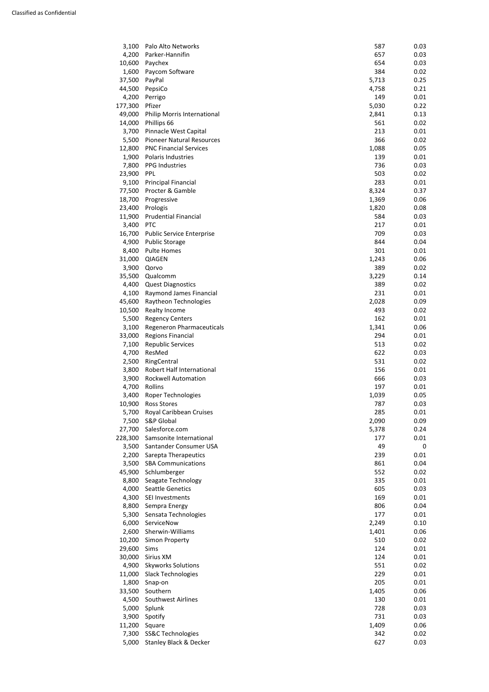| 6,000  | ServiceNow                        | 2,249 | 0.10 |
|--------|-----------------------------------|-------|------|
| 2,600  | Sherwin-Williams                  | 1,401 | 0.06 |
| 10,200 | Simon Property                    | 510   | 0.02 |
| 29,600 | Sims                              | 124   | 0.01 |
| 30,000 | Sirius XM                         | 124   | 0.01 |
| 4,900  | <b>Skyworks Solutions</b>         | 551   | 0.02 |
| 11,000 | <b>Slack Technologies</b>         | 229   | 0.01 |
| 1,800  | Snap-on                           | 205   | 0.01 |
| 33,500 | Southern                          | 1,405 | 0.06 |
| 4,500  | <b>Southwest Airlines</b>         | 130   | 0.01 |
| 5,000  | Splunk                            | 728   | 0.03 |
| 3,900  | Spotify                           | 731   | 0.03 |
| 11,200 | Square                            | 1,409 | 0.06 |
| 7,300  | <b>SS&amp;C Technologies</b>      | 342   | 0.02 |
| 5,000  | <b>Stanley Black &amp; Decker</b> | 627   | 0.03 |

| 3,100   | Palo Alto Networks               | 587   | 0.03           |
|---------|----------------------------------|-------|----------------|
| 4,200   | Parker-Hannifin                  | 657   | 0.03           |
| 10,600  | Paychex                          | 654   | 0.03           |
| 1,600   | Paycom Software                  | 384   | 0.02           |
| 37,500  | PayPal                           | 5,713 | 0.25           |
| 44,500  | PepsiCo                          | 4,758 | 0.21           |
| 4,200   | Perrigo                          | 149   | 0.01           |
| 177,300 | Pfizer                           | 5,030 | 0.22           |
| 49,000  | Philip Morris International      | 2,841 | 0.13           |
| 14,000  | Phillips 66                      | 561   | 0.02           |
| 3,700   | Pinnacle West Capital            | 213   | 0.01           |
| 5,500   | <b>Pioneer Natural Resources</b> | 366   | 0.02           |
| 12,800  | <b>PNC Financial Services</b>    | 1,088 | 0.05           |
| 1,900   | Polaris Industries               | 139   | 0.01           |
| 7,800   | <b>PPG Industries</b>            | 736   | 0.03           |
| 23,900  | <b>PPL</b>                       | 503   | 0.02           |
| 9,100   | <b>Principal Financial</b>       | 283   | 0.01           |
| 77,500  | Procter & Gamble                 | 8,324 | 0.37           |
| 18,700  | Progressive                      | 1,369 | 0.06           |
| 23,400  | Prologis                         | 1,820 | 0.08           |
| 11,900  | <b>Prudential Financial</b>      | 584   | 0.03           |
| 3,400   | <b>PTC</b>                       | 217   | 0.01           |
| 16,700  | <b>Public Service Enterprise</b> | 709   | 0.03           |
| 4,900   | <b>Public Storage</b>            | 844   | 0.04           |
| 8,400   | <b>Pulte Homes</b>               | 301   | 0.01           |
| 31,000  | <b>QIAGEN</b>                    | 1,243 | 0.06           |
| 3,900   | Qorvo                            | 389   | 0.02           |
| 35,500  | Qualcomm                         | 3,229 | 0.14           |
| 4,400   | <b>Quest Diagnostics</b>         | 389   | 0.02           |
| 4,100   | Raymond James Financial          | 231   | 0.01           |
| 45,600  | Raytheon Technologies            | 2,028 | 0.09           |
| 10,500  | Realty Income                    | 493   | 0.02           |
| 5,500   | <b>Regency Centers</b>           | 162   | 0.01           |
| 3,100   | <b>Regeneron Pharmaceuticals</b> | 1,341 | 0.06           |
| 33,000  | <b>Regions Financial</b>         | 294   | 0.01           |
| 7,100   | <b>Republic Services</b>         | 513   | 0.02           |
| 4,700   | ResMed                           | 622   | 0.03           |
| 2,500   | RingCentral                      | 531   | 0.02           |
| 3,800   | Robert Half International        | 156   | 0.01           |
| 3,900   | <b>Rockwell Automation</b>       | 666   | 0.03           |
| 4,700   | Rollins                          | 197   | 0.01           |
| 3,400   | Roper Technologies               | 1,039 | 0.05           |
| 10,900  | <b>Ross Stores</b>               | 787   | 0.03           |
| 5,700   | Royal Caribbean Cruises          | 285   | 0.01           |
| 7,500   | <b>S&amp;P Global</b>            | 2,090 | 0.09           |
| 27,700  | Salesforce.com                   | 5,378 | 0.24           |
| 228,300 | Samsonite International          | 177   | 0.01           |
| 3,500   | Santander Consumer USA           | 49    | 0              |
| 2,200   | Sarepta Therapeutics             | 239   | 0.01           |
| 3,500   | <b>SBA Communications</b>        | 861   | 0.04           |
| 45,900  | Schlumberger                     | 552   | 0.02           |
| 8,800   | Seagate Technology               | 335   | 0.01           |
| 4,000   | <b>Seattle Genetics</b>          | 605   | 0.03           |
| 4,300   | SEI Investments                  | 169   | 0.01           |
| 8,800   | Sempra Energy                    | 806   | 0.04           |
| 5,300   | Sensata Technologies             | 177   | 0.01           |
|         | 6.000 ServiceNow                 | 2.249 | <u>n 10. l</u> |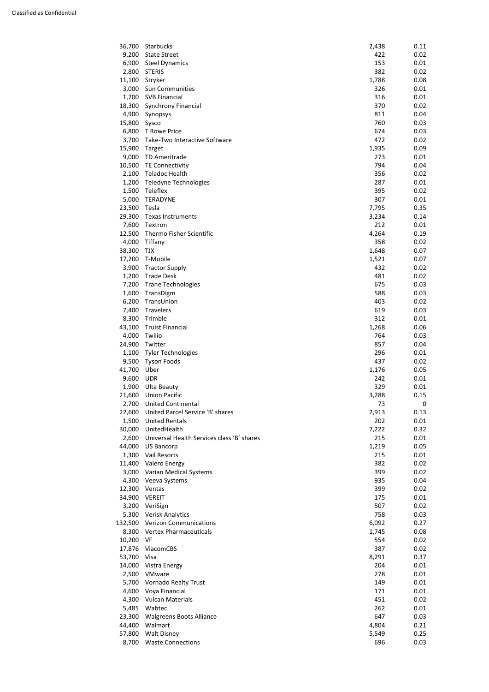| 36,700  | Starbucks                                  | 2,438 | 0.11        |
|---------|--------------------------------------------|-------|-------------|
| 9,200   | <b>State Street</b>                        | 422   | 0.02        |
| 6,900   | <b>Steel Dynamics</b>                      | 153   | 0.01        |
| 2,800   | <b>STERIS</b>                              | 382   | 0.02        |
| 11,100  | Stryker                                    | 1,788 | 0.08        |
| 3,000   | Sun Communities                            | 326   | 0.01        |
| 1,700   | <b>SVB Financial</b>                       | 316   | 0.01        |
| 18,300  | <b>Synchrony Financial</b>                 | 370   | 0.02        |
| 4,900   | Synopsys                                   | 811   | 0.04        |
| 15,800  | Sysco                                      | 760   | 0.03        |
| 6,800   | T Rowe Price                               | 674   | 0.03        |
| 3,700   | Take-Two Interactive Software              | 472   | 0.02        |
| 15,900  | Target                                     | 1,935 | 0.09        |
| 9,000   | TD Ameritrade                              | 273   | 0.01        |
| 10,500  | <b>TE Connectivity</b>                     | 794   | 0.04        |
| 2,100   | Teladoc Health                             | 356   | 0.02        |
| 1,200   | Teledyne Technologies                      | 287   | 0.01        |
| 1,500   | Teleflex                                   | 395   | 0.02        |
| 5,000   | <b>TERADYNE</b>                            | 307   | 0.01        |
| 23,500  | Tesla                                      | 7,795 | 0.35        |
| 29,300  | <b>Texas Instruments</b>                   | 3,234 | 0.14        |
| 7,600   | Textron                                    | 212   | 0.01        |
| 12,500  | Thermo Fisher Scientific                   | 4,264 | 0.19        |
| 4,000   | Tiffany                                    | 358   | 0.02        |
| 38,300  | <b>TJX</b>                                 | 1,648 | 0.07        |
| 17,200  | T-Mobile                                   | 1,521 | 0.07        |
| 3,900   | <b>Tractor Supply</b>                      | 432   | 0.02        |
| 1,200   | <b>Trade Desk</b>                          | 481   | 0.02        |
| 7,200   | <b>Trane Technologies</b>                  | 675   | 0.03        |
| 1,600   | TransDigm                                  | 588   | 0.03        |
| 6,200   | TransUnion                                 | 403   | 0.02        |
| 7,400   | Travelers                                  | 619   | 0.03        |
| 8,300   | Trimble                                    | 312   | 0.01        |
| 43,100  | <b>Truist Financial</b>                    | 1,268 | 0.06        |
| 4,000   | Twilio                                     | 764   | 0.03        |
| 24,900  | Twitter                                    | 857   | 0.04        |
| 1,100   | <b>Tyler Technologies</b>                  | 296   | 0.01        |
| 9,500   | <b>Tyson Foods</b>                         | 437   | 0.02        |
| 41,700  | Uber                                       | 1,176 | 0.05        |
| 9,600   | <b>UDR</b>                                 | 242   | 0.01        |
| 1,900   | Ulta Beauty                                | 329   | 0.01        |
| 21,600  | <b>Union Pacific</b>                       | 3,288 | 0.15        |
| 2,700   | <b>United Continental</b>                  | 73    | $\mathbf 0$ |
| 22,600  | United Parcel Service 'B' shares           | 2,913 | 0.13        |
| 1,500   | <b>United Rentals</b>                      | 202   | 0.01        |
| 30,000  | UnitedHealth                               | 7,222 | 0.32        |
| 2,600   | Universal Health Services class 'B' shares | 215   | 0.01        |
| 44,000  | <b>US Bancorp</b>                          | 1,219 | 0.05        |
| 1,300   | Vail Resorts                               | 215   | 0.01        |
| 11,400  | <b>Valero Energy</b>                       | 382   | 0.02        |
| 3,000   | Varian Medical Systems                     | 399   | 0.02        |
| 4,300   | Veeva Systems                              | 935   | 0.04        |
| 12,300  | Ventas                                     | 399   | 0.02        |
| 34,900  | <b>VEREIT</b>                              | 175   | 0.01        |
| 3,200   | VeriSign                                   | 507   | 0.02        |
| 5,300   | <b>Verisk Analytics</b>                    | 758   | 0.03        |
| 132,500 | <b>Verizon Communications</b>              | 6,092 | 0.27        |

| LJZ,JUU | <b>VEHZULL COMMUNICATIONS</b>   | O,UYZ | <u>U.ZI</u> |
|---------|---------------------------------|-------|-------------|
| 8,300   | <b>Vertex Pharmaceuticals</b>   | 1,745 | 0.08        |
| 10,200  | VF                              | 554   | 0.02        |
| 17,876  | <b>ViacomCBS</b>                | 387   | 0.02        |
| 53,700  | Visa                            | 8,291 | 0.37        |
| 14,000  | Vistra Energy                   | 204   | 0.01        |
| 2,500   | <b>VMware</b>                   | 278   | 0.01        |
| 5,700   | <b>Vornado Realty Trust</b>     | 149   | 0.01        |
| 4,600   | Voya Financial                  | 171   | 0.01        |
| 4,300   | <b>Vulcan Materials</b>         | 451   | 0.02        |
| 5,485   | Wabtec                          | 262   | 0.01        |
| 23,300  | <b>Walgreens Boots Alliance</b> | 647   | 0.03        |
| 44,400  | Walmart                         | 4,804 | 0.21        |
| 57,800  | <b>Walt Disney</b>              | 5,549 | 0.25        |
| 8,700   | <b>Waste Connections</b>        | 696   | 0.03        |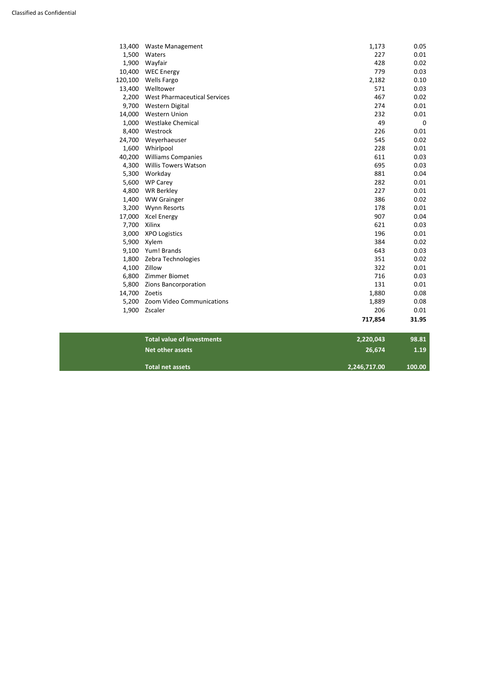| 13,400  | <b>Waste Management</b>             | 1,173   | 0.05        |
|---------|-------------------------------------|---------|-------------|
| 1,500   | Waters                              | 227     | 0.01        |
| 1,900   | Wayfair                             | 428     | 0.02        |
| 10,400  | <b>WEC Energy</b>                   | 779     | 0.03        |
| 120,100 | <b>Wells Fargo</b>                  | 2,182   | 0.10        |
| 13,400  | Welltower                           | 571     | 0.03        |
| 2,200   | <b>West Pharmaceutical Services</b> | 467     | 0.02        |
| 9,700   | Western Digital                     | 274     | 0.01        |
| 14,000  | <b>Western Union</b>                | 232     | 0.01        |
| 1,000   | <b>Westlake Chemical</b>            | 49      | $\mathbf 0$ |
| 8,400   | Westrock                            | 226     | 0.01        |
| 24,700  | Weyerhaeuser                        | 545     | 0.02        |
| 1,600   | Whirlpool                           | 228     | 0.01        |
| 40,200  | <b>Williams Companies</b>           | 611     | 0.03        |
| 4,300   | <b>Willis Towers Watson</b>         | 695     | 0.03        |
| 5,300   | Workday                             | 881     | 0.04        |
| 5,600   | <b>WP Carey</b>                     | 282     | 0.01        |
| 4,800   | <b>WR Berkley</b>                   | 227     | 0.01        |
| 1,400   | <b>WW Grainger</b>                  | 386     | 0.02        |
| 3,200   | Wynn Resorts                        | 178     | 0.01        |
| 17,000  | <b>Xcel Energy</b>                  | 907     | 0.04        |
| 7,700   | Xilinx                              | 621     | 0.03        |
| 3,000   | <b>XPO Logistics</b>                | 196     | 0.01        |
| 5,900   | Xylem                               | 384     | 0.02        |
| 9,100   | Yum! Brands                         | 643     | 0.03        |
| 1,800   | Zebra Technologies                  | 351     | 0.02        |
| 4,100   | Zillow                              | 322     | 0.01        |
| 6,800   | Zimmer Biomet                       | 716     | 0.03        |
| 5,800   | Zions Bancorporation                | 131     | 0.01        |
| 14,700  | Zoetis                              | 1,880   | 0.08        |
| 5,200   | Zoom Video Communications           | 1,889   | 0.08        |
| 1,900   | Zscaler                             | 206     | 0.01        |
|         |                                     | 717,854 | 31.95       |

| <b>Total value of investments</b><br>2,220,043 | 98.81  |
|------------------------------------------------|--------|
| Net other assets<br>26.674                     | 1.19   |
| <b>Total net assets</b><br>2,246,717.00        | 100.00 |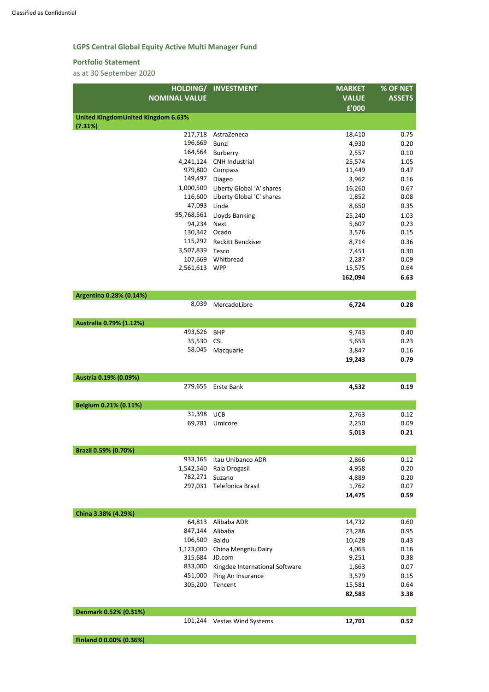## **LGPS Central Global Equity Active Multi Manager Fund**

#### **Portfolio Statement**

|                                           | HOLDING/ INVESTMENT       | <b>MARKET</b> | % OF NET      |
|-------------------------------------------|---------------------------|---------------|---------------|
| <b>NOMINAL VALUE</b>                      |                           | <b>VALUE</b>  | <b>ASSETS</b> |
|                                           |                           | £'000         |               |
| <b>United KingdomUnited Kingdom 6.63%</b> |                           |               |               |
| (7.31%)                                   |                           |               |               |
| 217,718                                   | AstraZeneca               | 18,410        | 0.75          |
| 196,669                                   | <b>Bunzl</b>              | 4,930         | 0.20          |
| 164,564                                   | Burberry                  | 2,557         | 0.10          |
| 4,241,124                                 | <b>CNH Industrial</b>     | 25,574        | 1.05          |
| 979,800                                   | Compass                   | 11,449        | 0.47          |
| 149,497                                   | Diageo                    | 3,962         | 0.16          |
| 1,000,500                                 | Liberty Global 'A' shares | 16,260        | 0.67          |
| 116,600                                   | Liberty Global 'C' shares | 1,852         | 0.08          |
| 47,093                                    | Linde                     | 8,650         | 0.35          |
| 95,768,561                                | <b>Lloyds Banking</b>     | 25,240        | 1.03          |
| 94,234                                    | <b>Next</b>               | 5,607         | 0.23          |
| 130,342                                   | Ocado                     | 3,576         | 0.15          |
| 115,292                                   | Reckitt Benckiser         | 8,714         | 0.36          |
| 3,507,839                                 | Tesco                     | 7,451         | 0.30          |
|                                           | 107,669 Whitbread         | 2,287         | 0.09          |
| 2,561,613                                 | <b>WPP</b>                | 15,575        | 0.64          |
|                                           |                           | 162,094       | 6.63          |
|                                           |                           |               |               |
| Argentina 0.28% (0.14%)                   |                           |               |               |
| 8,039                                     | MercadoLibre              | 6,724         | 0.28          |
|                                           |                           |               |               |
| Australia 0.79% (1.12%)                   |                           |               |               |
| 493,626                                   | <b>BHP</b>                | 9,743         | 0.40          |
| 35,530                                    | <b>CSL</b>                | 5,653         | 0.23          |
| 58,045                                    | Macquarie                 | 3,847         | 0.16          |
|                                           |                           | 19,243        | 0.79          |
|                                           |                           |               |               |
| Austria 0.19% (0.09%)                     |                           |               |               |
| 279,655                                   | Erste Bank                | 4,532         | 0.19          |
|                                           |                           |               |               |
| Belgium 0.21% (0.11%)                     |                           |               |               |
| 31,398                                    | <b>UCB</b>                | 2,763         | 0.12          |
|                                           | 69,781 Umicore            | 2,250         | 0.09          |
|                                           |                           | 5,013         | 0.21          |
|                                           |                           |               |               |
| Brazil 0.59% (0.70%)                      |                           |               |               |
| 933,165                                   | Itau Unibanco ADR         | 2,866         | 0.12          |
| 1,542,540                                 | Raia Drogasil             | 4,958         | 0.20          |
| 782,271                                   | Suzano                    | 4,889         | 0.20          |
|                                           | 297,031 Telefonica Brasil | 1,762         | 0.07          |
|                                           |                           | 14,475        | 0.59          |
|                                           |                           |               |               |
| China 3.38% (4.29%)                       |                           |               |               |

|  | .<br><b>ADR</b><br>റ 1 റ<br>64.81.<br>Alibaba | $-0$<br>14.<br>v.ov<br>ັ<br>$\sim$ $\sim$ |
|--|-----------------------------------------------|-------------------------------------------|

| <b>04.013</b> | Aliyaya ADN                    | 14,732 | v.vv |
|---------------|--------------------------------|--------|------|
| 847,144       | Alibaba                        | 23,286 | 0.95 |
| 106,500       | <b>Baidu</b>                   | 10,428 | 0.43 |
| 1,123,000     | China Mengniu Dairy            | 4,063  | 0.16 |
| 315,684       | JD.com                         | 9,251  | 0.38 |
| 833,000       | Kingdee International Software | 1,663  | 0.07 |
| 451,000       | Ping An Insurance              | 3,579  | 0.15 |
| 305,200       | Tencent                        | 15,581 | 0.64 |
|               |                                | 82,583 | 3.38 |
|               |                                |        |      |

| Denmark 0.52% (0.31%)   |                             |        |      |
|-------------------------|-----------------------------|--------|------|
|                         | 101,244 Vestas Wind Systems | 12,701 | 0.52 |
| Finland 0 0.00% (0.36%) |                             |        |      |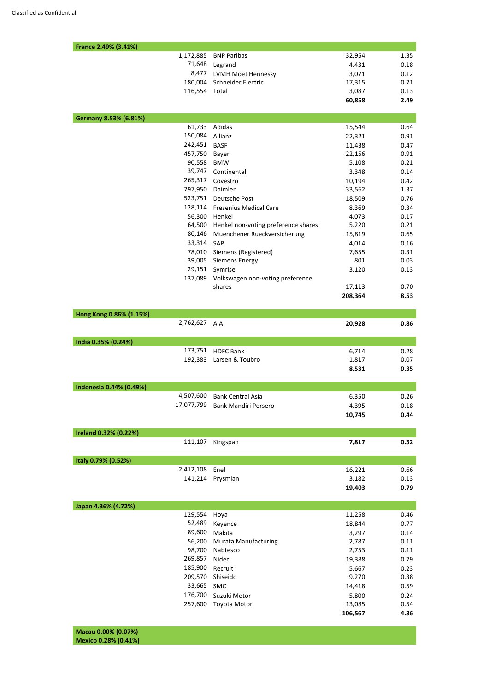| France 2.49% (3.41%)            |                                     |                  |              |
|---------------------------------|-------------------------------------|------------------|--------------|
| 1,172,885                       | <b>BNP Paribas</b>                  | 32,954           | 1.35         |
| 71,648                          | Legrand                             | 4,431            | 0.18         |
| 8,477                           | LVMH Moet Hennessy                  | 3,071            | 0.12         |
| 180,004                         | Schneider Electric                  | 17,315           | 0.71         |
| 116,554 Total                   |                                     | 3,087            | 0.13         |
|                                 |                                     | 60,858           | 2.49         |
|                                 |                                     |                  |              |
| Germany 8.53% (6.81%)<br>61,733 | Adidas                              | 15,544           | 0.64         |
| 150,084                         | Allianz                             | 22,321           | 0.91         |
| 242,451                         | <b>BASF</b>                         |                  |              |
| 457,750                         | Bayer                               | 11,438<br>22,156 | 0.47<br>0.91 |
| 90,558                          | <b>BMW</b>                          | 5,108            | 0.21         |
| 39,747                          | Continental                         | 3,348            | 0.14         |
| 265,317                         | Covestro                            |                  |              |
| 797,950                         | Daimler                             | 10,194<br>33,562 | 0.42<br>1.37 |
| 523,751                         | Deutsche Post                       | 18,509           | 0.76         |
| 128,114                         | <b>Fresenius Medical Care</b>       | 8,369            | 0.34         |
| 56,300                          | Henkel                              | 4,073            | 0.17         |
| 64,500                          | Henkel non-voting preference shares | 5,220            | 0.21         |
| 80,146                          | Muenchener Rueckversicherung        | 15,819           | 0.65         |
| 33,314                          | SAP                                 |                  | 0.16         |
| 78,010                          | Siemens (Registered)                | 4,014<br>7,655   | 0.31         |
| 39,005                          | <b>Siemens Energy</b>               | 801              | 0.03         |
| 29,151                          | Symrise                             | 3,120            | 0.13         |
| 137,089                         | Volkswagen non-voting preference    |                  |              |
|                                 | shares                              | 17,113           | 0.70         |
|                                 |                                     | 208,364          | 8.53         |
|                                 |                                     |                  |              |
| Hong Kong 0.86% (1.15%)         |                                     |                  |              |
| 2,762,627                       | AIA                                 | 20,928           | 0.86         |
| India 0.35% (0.24%)             |                                     |                  |              |
| 173,751                         | <b>HDFC Bank</b>                    | 6,714            | 0.28         |
| 192,383                         | Larsen & Toubro                     | 1,817            | 0.07         |
|                                 |                                     | 8,531            | 0.35         |
|                                 |                                     |                  |              |
| Indonesia 0.44% (0.49%)         |                                     |                  |              |
| 4,507,600                       | <b>Bank Central Asia</b>            | 6,350            | 0.26         |
|                                 | 17,077,799 Bank Mandiri Persero     | 4,395            | 0.18         |
|                                 |                                     | 10,745           | 0.44         |
|                                 |                                     |                  |              |
| Ireland 0.32% (0.22%)           |                                     |                  |              |
| 111,107                         | Kingspan                            | 7,817            | 0.32         |
|                                 |                                     |                  |              |
| Italy 0.79% (0.52%)             |                                     |                  |              |
| 2,412,108                       | Enel                                | 16,221           | 0.66         |
| 141,214                         | Prysmian                            | 3,182            | 0.13         |
|                                 |                                     | 19,403           | 0.79         |
|                                 |                                     |                  |              |
| Japan 4.36% (4.72%)             |                                     |                  |              |
| 129,554 Hoya                    |                                     | 11,258           | 0.46         |

| 52,489  | Keyence                     | 18,844  | 0.77 |
|---------|-----------------------------|---------|------|
| 89,600  | Makita                      | 3,297   | 0.14 |
| 56,200  | <b>Murata Manufacturing</b> | 2,787   | 0.11 |
| 98,700  | Nabtesco                    | 2,753   | 0.11 |
| 269,857 | Nidec                       | 19,388  | 0.79 |
| 185,900 | Recruit                     | 5,667   | 0.23 |
| 209,570 | Shiseido                    | 9,270   | 0.38 |
| 33,665  | <b>SMC</b>                  | 14,418  | 0.59 |
| 176,700 | Suzuki Motor                | 5,800   | 0.24 |
| 257,600 | Toyota Motor                | 13,085  | 0.54 |
|         |                             | 106,567 | 4.36 |
|         |                             |         |      |

**Macau 0.00% (0.07%) Mexico 0.28% (0.41%)**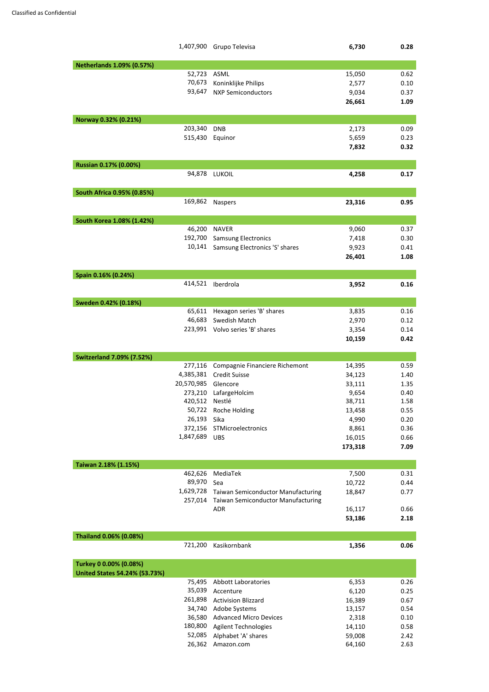|                                  | 1,407,900 Grupo Televisa                                                               | 6,730           | 0.28         |
|----------------------------------|----------------------------------------------------------------------------------------|-----------------|--------------|
| <b>Netherlands 1.09% (0.57%)</b> |                                                                                        |                 |              |
| 52,723                           | ASML                                                                                   | 15,050          | 0.62         |
| 70,673                           | Koninklijke Philips                                                                    | 2,577           | 0.10         |
| 93,647                           | <b>NXP Semiconductors</b>                                                              | 9,034           | 0.37         |
|                                  |                                                                                        | 26,661          | 1.09         |
| Norway 0.32% (0.21%)             |                                                                                        |                 |              |
| 203,340                          | <b>DNB</b>                                                                             | 2,173           | 0.09         |
| 515,430                          | Equinor                                                                                | 5,659           | 0.23         |
|                                  |                                                                                        | 7,832           | 0.32         |
| Russian 0.17% (0.00%)            |                                                                                        |                 |              |
| 94,878                           | <b>LUKOIL</b>                                                                          | 4,258           | 0.17         |
| South Africa 0.95% (0.85%)       |                                                                                        |                 |              |
| 169,862                          | <b>Naspers</b>                                                                         | 23,316          | 0.95         |
| South Korea 1.08% (1.42%)        |                                                                                        |                 |              |
| 46,200                           | <b>NAVER</b>                                                                           | 9,060           | 0.37         |
| 192,700                          | <b>Samsung Electronics</b>                                                             | 7,418           | 0.30         |
| 10,141                           | Samsung Electronics 'S' shares                                                         | 9,923           | 0.41         |
|                                  |                                                                                        | 26,401          | 1.08         |
| Spain 0.16% (0.24%)              |                                                                                        |                 |              |
| 414,521                          | Iberdrola                                                                              | 3,952           | 0.16         |
| Sweden 0.42% (0.18%)             |                                                                                        |                 |              |
| 65,611                           | Hexagon series 'B' shares                                                              | 3,835           | 0.16         |
| 46,683                           | Swedish Match                                                                          | 2,970           | 0.12         |
|                                  | 223,991 Volvo series 'B' shares                                                        | 3,354           | 0.14         |
|                                  |                                                                                        | 10,159          | 0.42         |
| <b>Switzerland 7.09% (7.52%)</b> |                                                                                        |                 |              |
| 277,116                          | Compagnie Financiere Richemont                                                         | 14,395          | 0.59         |
| 4,385,381                        | <b>Credit Suisse</b>                                                                   | 34,123          | 1.40         |
| 20,570,985<br>273,210            | Glencore<br>LafargeHolcim                                                              | 33,111<br>9,654 | 1.35<br>0.40 |
| 420,512                          | Nestlé                                                                                 | 38,711          | 1.58         |
| 50,722                           | Roche Holding                                                                          | 13,458          | 0.55         |
| 26,193                           | Sika                                                                                   | 4,990           | 0.20         |
| 372,156                          | STMicroelectronics                                                                     | 8,861           | 0.36         |
| 1,847,689                        | <b>UBS</b>                                                                             | 16,015          | 0.66         |
|                                  |                                                                                        | 173,318         | 7.09         |
| Taiwan 2.18% (1.15%)             |                                                                                        |                 |              |
| 462,626                          | MediaTek                                                                               | 7,500           | 0.31         |
| 89,970                           | Sea                                                                                    | 10,722          | 0.44         |
| 1,629,728<br>257,014             | <b>Taiwan Semiconductor Manufacturing</b><br><b>Taiwan Semiconductor Manufacturing</b> | 18,847          | 0.77         |
|                                  | <b>ADR</b>                                                                             | 16,117          | 0.66         |
|                                  |                                                                                        | 53,186          | 2.18         |

| Thailand 0.06% (0.08%)               |                               |        |      |
|--------------------------------------|-------------------------------|--------|------|
| 721,200                              | Kasikornbank                  | 1,356  | 0.06 |
|                                      |                               |        |      |
| Turkey 0 0.00% (0.08%)               |                               |        |      |
| <b>United States 54.24% (53.73%)</b> |                               |        |      |
| 75,495                               | <b>Abbott Laboratories</b>    | 6,353  | 0.26 |
| 35,039                               | Accenture                     | 6,120  | 0.25 |
| 261,898                              | <b>Activision Blizzard</b>    | 16,389 | 0.67 |
| 34,740                               | Adobe Systems                 | 13,157 | 0.54 |
| 36,580                               | <b>Advanced Micro Devices</b> | 2,318  | 0.10 |
| 180,800                              | <b>Agilent Technologies</b>   | 14,110 | 0.58 |
| 52,085                               | Alphabet 'A' shares           | 59,008 | 2.42 |
| 26,362                               | Amazon.com                    | 64,160 | 2.63 |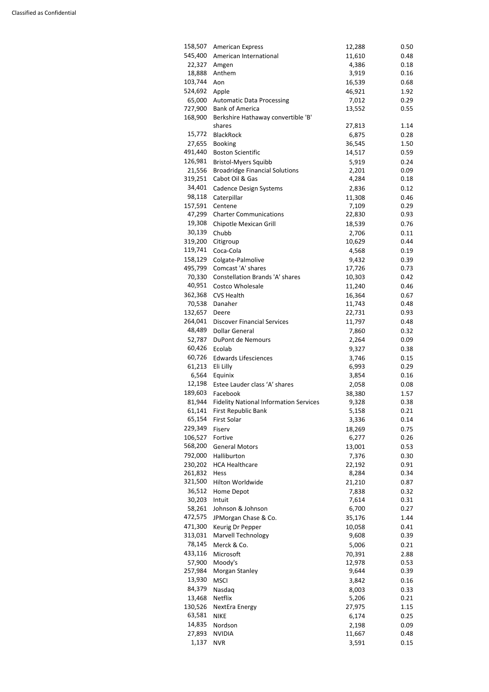| 158,507            | <b>American Express</b>                       | 12,288 | 0.50         |
|--------------------|-----------------------------------------------|--------|--------------|
| 545,400            | American International                        | 11,610 | 0.48         |
| 22,327             | Amgen                                         | 4,386  | 0.18         |
| 18,888             | Anthem                                        | 3,919  | 0.16         |
| 103,744            | Aon                                           | 16,539 | 0.68         |
| 524,692            | Apple                                         | 46,921 | 1.92         |
| 65,000             | <b>Automatic Data Processing</b>              | 7,012  | 0.29         |
| 727,900            | <b>Bank of America</b>                        | 13,552 | 0.55         |
| 168,900            | Berkshire Hathaway convertible 'B'            |        |              |
|                    | shares                                        | 27,813 | 1.14         |
| 15,772             | <b>BlackRock</b>                              | 6,875  | 0.28         |
| 27,655             | <b>Booking</b>                                | 36,545 | 1.50         |
| 491,440            | <b>Boston Scientific</b>                      | 14,517 | 0.59         |
| 126,981            | <b>Bristol-Myers Squibb</b>                   | 5,919  | 0.24         |
| 21,556             | <b>Broadridge Financial Solutions</b>         | 2,201  | 0.09         |
| 319,251            | Cabot Oil & Gas                               | 4,284  | 0.18         |
| 34,401             | <b>Cadence Design Systems</b>                 | 2,836  | 0.12         |
| 98,118             | Caterpillar                                   | 11,308 | 0.46         |
| 157,591            | Centene                                       | 7,109  | 0.29         |
|                    | 47,299 Charter Communications                 | 22,830 | 0.93         |
| 19,308             | Chipotle Mexican Grill                        | 18,539 | 0.76         |
| 30,139             | Chubb                                         | 2,706  | 0.11         |
| 319,200            | Citigroup                                     | 10,629 | 0.44         |
| 119,741            | Coca-Cola                                     | 4,568  | 0.19         |
| 158,129            | Colgate-Palmolive                             | 9,432  | 0.39         |
| 495,799            | Comcast 'A' shares                            | 17,726 | 0.73         |
| 70,330             | <b>Constellation Brands 'A' shares</b>        | 10,303 | 0.42         |
| 40,951             | Costco Wholesale                              | 11,240 | 0.46         |
|                    | 362,368 CVS Health                            |        |              |
|                    |                                               | 16,364 | 0.67<br>0.48 |
| 70,538             | Danaher                                       | 11,743 |              |
| 132,657<br>264,041 | Deere                                         | 22,731 | 0.93         |
|                    | <b>Discover Financial Services</b>            | 11,797 | 0.48         |
| 48,489             | <b>Dollar General</b>                         | 7,860  | 0.32         |
| 52,787             | DuPont de Nemours                             | 2,264  | 0.09         |
| 60,426             | Ecolab                                        | 9,327  | 0.38         |
| 60,726             | <b>Edwards Lifesciences</b>                   | 3,746  | 0.15         |
| 61,213             | Eli Lilly                                     | 6,993  | 0.29         |
| 6,564              | Equinix                                       | 3,854  | 0.16         |
| 12,198             | Estee Lauder class 'A' shares                 | 2,058  | 0.08         |
| 189,603            | Facebook                                      | 38,380 | 1.57         |
| 81,944             | <b>Fidelity National Information Services</b> | 9,328  | 0.38         |
| 61,141             | First Republic Bank                           | 5,158  | 0.21         |
| 65,154             | First Solar                                   | 3,336  | 0.14         |
| 229,349            | Fiserv                                        | 18,269 | 0.75         |
| 106,527            | Fortive                                       | 6,277  | 0.26         |
| 568,200            | <b>General Motors</b>                         | 13,001 | 0.53         |
| 792,000            | Halliburton                                   | 7,376  | 0.30         |
| 230,202            | <b>HCA Healthcare</b>                         | 22,192 | 0.91         |
| 261,832            | Hess                                          | 8,284  | 0.34         |
| 321,500            | Hilton Worldwide                              | 21,210 | 0.87         |
| 36,512             | Home Depot                                    | 7,838  | 0.32         |
| 30,203             | Intuit                                        | 7,614  | 0.31         |
| 58,261             | Johnson & Johnson                             | 6,700  | 0.27         |
| 472,575            | JPMorgan Chase & Co.                          | 35,176 | 1.44         |
| 471,300            | Keurig Dr Pepper                              | 10,058 | 0.41         |
| 313,031            | <b>Marvell Technology</b>                     | 9,608  | 0.39         |
| 78,145             | Merck & Co.                                   | 5,006  | 0.21         |
| 433,116            | Microsoft                                     | 70,391 | 2.88         |
| 57,900             | Moody's                                       | 12,978 | 0.53         |
| 257,984            | Morgan Stanley                                | 9,644  | 0.39         |
| 13,930             | <b>MSCI</b>                                   | 3,842  | 0.16         |
| 84,379             | Nasdaq                                        | 8,003  | 0.33         |
| 13,468             | Netflix                                       | 5,206  | 0.21         |
| 130,526            | NextEra Energy                                | 27,975 | 1.15         |
| 63,581             | <b>NIKE</b>                                   | 6,174  | 0.25         |
| 14,835             | Nordson                                       | 2,198  | 0.09         |
| 27,893             | <b>NVIDIA</b>                                 | 11,667 | 0.48         |
| 1,137              | <b>NVR</b>                                    | 3,591  | 0.15         |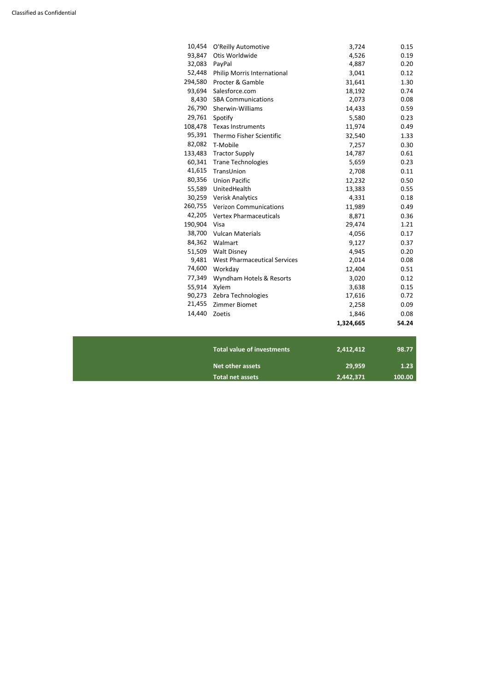| 10,454  | O'Reilly Automotive                 | 3,724     | 0.15  |
|---------|-------------------------------------|-----------|-------|
| 93,847  | Otis Worldwide                      | 4,526     | 0.19  |
| 32,083  | PayPal                              | 4,887     | 0.20  |
| 52,448  | Philip Morris International         | 3,041     | 0.12  |
| 294,580 | Procter & Gamble                    | 31,641    | 1.30  |
| 93,694  | Salesforce.com                      | 18,192    | 0.74  |
| 8,430   | <b>SBA Communications</b>           | 2,073     | 0.08  |
| 26,790  | Sherwin-Williams                    | 14,433    | 0.59  |
| 29,761  | Spotify                             | 5,580     | 0.23  |
| 108,478 | <b>Texas Instruments</b>            | 11,974    | 0.49  |
| 95,391  | Thermo Fisher Scientific            | 32,540    | 1.33  |
| 82,082  | T-Mobile                            | 7,257     | 0.30  |
| 133,483 | <b>Tractor Supply</b>               | 14,787    | 0.61  |
| 60,341  | <b>Trane Technologies</b>           | 5,659     | 0.23  |
| 41,615  | TransUnion                          | 2,708     | 0.11  |
| 80,356  | <b>Union Pacific</b>                | 12,232    | 0.50  |
| 55,589  | UnitedHealth                        | 13,383    | 0.55  |
| 30,259  | <b>Verisk Analytics</b>             | 4,331     | 0.18  |
| 260,755 | <b>Verizon Communications</b>       | 11,989    | 0.49  |
| 42,205  | <b>Vertex Pharmaceuticals</b>       | 8,871     | 0.36  |
| 190,904 | Visa                                | 29,474    | 1.21  |
| 38,700  | <b>Vulcan Materials</b>             | 4,056     | 0.17  |
| 84,362  | Walmart                             | 9,127     | 0.37  |
| 51,509  | <b>Walt Disney</b>                  | 4,945     | 0.20  |
| 9,481   | <b>West Pharmaceutical Services</b> | 2,014     | 0.08  |
| 74,600  | Workday                             | 12,404    | 0.51  |
| 77,349  | Wyndham Hotels & Resorts            | 3,020     | 0.12  |
| 55,914  | Xylem                               | 3,638     | 0.15  |
| 90,273  | Zebra Technologies                  | 17,616    | 0.72  |
| 21,455  | Zimmer Biomet                       | 2,258     | 0.09  |
| 14,440  | Zoetis                              | 1,846     | 0.08  |
|         |                                     | 1,324,665 | 54.24 |

| <b>Total value of investments</b> | 2,412,412 | 98.77  |
|-----------------------------------|-----------|--------|
| Net other assets                  | 29,959    | 1.23   |
| <b>Total net assets</b>           | 2,442,371 | 100.00 |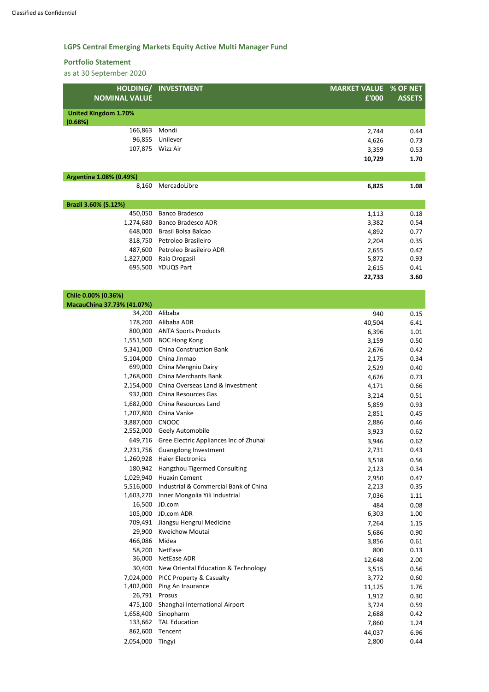# **LGPS Central Emerging Markets Equity Active Multi Manager Fund**

## **Portfolio Statement**

| HOLDING/                                          | <b>INVESTMENT</b>                              | <b>MARKET VALUE</b> | % OF NET      |
|---------------------------------------------------|------------------------------------------------|---------------------|---------------|
| <b>NOMINAL VALUE</b>                              |                                                | £'000               | <b>ASSETS</b> |
| <b>United Kingdom 1.70%</b>                       |                                                |                     |               |
| (0.68%)                                           |                                                |                     |               |
| 166,863                                           | Mondi                                          | 2,744               | 0.44          |
| 96,855                                            | Unilever                                       | 4,626               | 0.73          |
| 107,875                                           | Wizz Air                                       | 3,359               | 0.53          |
|                                                   |                                                | 10,729              | 1.70          |
| Argentina 1.08% (0.49%)                           |                                                |                     |               |
| 8,160                                             | MercadoLibre                                   | 6,825               | 1.08          |
|                                                   |                                                |                     |               |
| Brazil 3.60% (5.12%)                              |                                                |                     |               |
| 450,050                                           | <b>Banco Bradesco</b>                          | 1,113               | 0.18          |
| 1,274,680                                         | <b>Banco Bradesco ADR</b>                      | 3,382               | 0.54          |
| 648,000                                           | <b>Brasil Bolsa Balcao</b>                     | 4,892               | 0.77          |
| 818,750                                           | Petroleo Brasileiro                            | 2,204               | 0.35          |
| 487,600                                           | Petroleo Brasileiro ADR                        | 2,655               | 0.42          |
| 1,827,000                                         | Raia Drogasil                                  | 5,872               | 0.93          |
| 695,500                                           | <b>YDUQS Part</b>                              | 2,615               | 0.41          |
|                                                   |                                                | 22,733              | 3.60          |
|                                                   |                                                |                     |               |
| Chile 0.00% (0.36%)<br>MacauChina 37.73% (41.07%) |                                                |                     |               |
| 34,200                                            | Alibaba                                        | 940                 | 0.15          |
| 178,200                                           | Alibaba ADR                                    | 40,504              | 6.41          |
| 800,000                                           | <b>ANTA Sports Products</b>                    | 6,396               | 1.01          |
| 1,551,500                                         | <b>BOC Hong Kong</b>                           | 3,159               | 0.50          |
|                                                   | 5,341,000 China Construction Bank              | 2,676               | 0.42          |
|                                                   | 5,104,000 China Jinmao                         | 2,175               | 0.34          |
|                                                   | 699,000 China Mengniu Dairy                    | 2,529               | 0.40          |
|                                                   | 1,268,000 China Merchants Bank                 | 4,626               | 0.73          |
|                                                   | 2,154,000 China Overseas Land & Investment     | 4,171               | 0.66          |
|                                                   | 932,000 China Resources Gas                    | 3,214               | 0.51          |
|                                                   | 1,682,000 China Resources Land                 | 5,859               | 0.93          |
|                                                   | 1,207,800 China Vanke                          | 2,851               | 0.45          |
| 3,887,000 CNOOC                                   |                                                | 2,886               | 0.46          |
|                                                   | 2,552,000 Geely Automobile                     | 3,923               | 0.62          |
|                                                   | 649,716 Gree Electric Appliances Inc of Zhuhai | 3,946               | 0.62          |
|                                                   | 2,231,756 Guangdong Investment                 | 2,731               | 0.43          |
|                                                   | 1,260,928 Haier Electronics                    | 3,518               | 0.56          |
|                                                   | 180,942 Hangzhou Tigermed Consulting           | 2,123               | 0.34          |
|                                                   | 1,029,940 Huaxin Cement                        | 2,950               | 0.47          |
| 5,516,000                                         | Industrial & Commercial Bank of China          | 2,213               | 0.35          |
|                                                   | 1,603,270 Inner Mongolia Yili Industrial       | 7,036               | 1.11          |
| 16,500                                            | JD.com                                         | 484                 | 0.08          |
| 105,000                                           | JD.com ADR                                     | 6,303               | 1.00          |
|                                                   | 709,491 Jiangsu Hengrui Medicine               | 7,264               | 1.15          |

| ,,,,,,    | <b>JIDIIISJU HUHELUI IVILUILIIL</b> | 7,204  | 1.IJ |
|-----------|-------------------------------------|--------|------|
| 29,900    | <b>Kweichow Moutai</b>              | 5,686  | 0.90 |
| 466,086   | Midea                               | 3,856  | 0.61 |
| 58,200    | <b>NetEase</b>                      | 800    | 0.13 |
| 36,000    | NetEase ADR                         | 12,648 | 2.00 |
| 30,400    | New Oriental Education & Technology | 3,515  | 0.56 |
| 7,024,000 | PICC Property & Casualty            | 3,772  | 0.60 |
| 1,402,000 | Ping An Insurance                   | 11,125 | 1.76 |
| 26,791    | Prosus                              | 1,912  | 0.30 |
| 475,100   | Shanghai International Airport      | 3,724  | 0.59 |
| 1,658,400 | Sinopharm                           | 2,688  | 0.42 |
| 133,662   | <b>TAL Education</b>                | 7,860  | 1.24 |
| 862,600   | Tencent                             | 44,037 | 6.96 |
| 2,054,000 | Tingyi                              | 2,800  | 0.44 |
|           |                                     |        |      |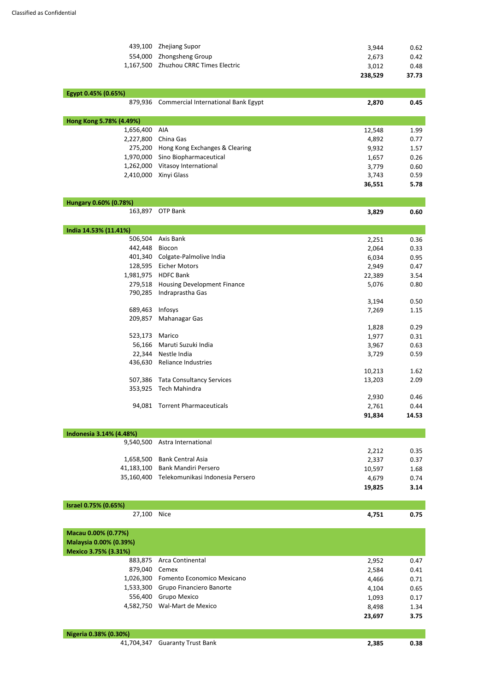| 439,100                              | <b>Zhejiang Supor</b>                       | 3,944   | 0.62  |
|--------------------------------------|---------------------------------------------|---------|-------|
| 554,000                              | Zhongsheng Group                            | 2,673   | 0.42  |
| 1,167,500                            | <b>Zhuzhou CRRC Times Electric</b>          | 3,012   | 0.48  |
|                                      |                                             | 238,529 | 37.73 |
| Egypt 0.45% (0.65%)                  |                                             |         |       |
| 879,936                              | <b>Commercial International Bank Egypt</b>  | 2,870   | 0.45  |
|                                      |                                             |         |       |
| Hong Kong 5.78% (4.49%)<br>1,656,400 | <b>AIA</b>                                  |         |       |
|                                      |                                             | 12,548  | 1.99  |
| 2,227,800                            | China Gas                                   | 4,892   | 0.77  |
|                                      | 275,200 Hong Kong Exchanges & Clearing      | 9,932   | 1.57  |
| 1,970,000                            | Sino Biopharmaceutical                      | 1,657   | 0.26  |
| 1,262,000                            | Vitasoy International                       | 3,779   | 0.60  |
| 2,410,000                            | Xinyi Glass                                 | 3,743   | 0.59  |
|                                      |                                             | 36,551  | 5.78  |
| Hungary 0.60% (0.78%)                |                                             |         |       |
| 163,897                              | <b>OTP Bank</b>                             | 3,829   | 0.60  |
|                                      |                                             |         |       |
| India 14.53% (11.41%)                |                                             |         |       |
| 506,504                              | Axis Bank                                   | 2,251   | 0.36  |
| 442,448                              | Biocon                                      | 2,064   | 0.33  |
| 401,340                              | Colgate-Palmolive India                     | 6,034   | 0.95  |
| 128,595                              | <b>Eicher Motors</b>                        | 2,949   | 0.47  |
| 1,981,975                            | <b>HDFC Bank</b>                            | 22,389  | 3.54  |
|                                      | 279,518 Housing Development Finance         | 5,076   | 0.80  |
| 790,285                              | Indraprastha Gas                            |         |       |
|                                      |                                             | 3,194   | 0.50  |
| 689,463                              | Infosys                                     | 7,269   | 1.15  |
| 209,857                              | Mahanagar Gas                               |         |       |
|                                      |                                             | 1,828   | 0.29  |
| 523,173                              | Marico                                      | 1,977   | 0.31  |
| 56,166                               | Maruti Suzuki India                         | 3,967   | 0.63  |
|                                      | 22,344 Nestle India                         | 3,729   | 0.59  |
|                                      | 436,630 Reliance Industries                 |         |       |
|                                      |                                             |         |       |
|                                      |                                             | 10,213  | 1.62  |
| 507,386                              | <b>Tata Consultancy Services</b>            | 13,203  | 2.09  |
| 353,925                              | Tech Mahindra                               |         |       |
|                                      |                                             | 2,930   | 0.46  |
| 94,081                               | <b>Torrent Pharmaceuticals</b>              | 2,761   | 0.44  |
|                                      |                                             | 91,834  | 14.53 |
| Indonesia 3.14% (4.48%)              |                                             |         |       |
| 9,540,500                            | Astra International                         |         |       |
|                                      |                                             | 2,212   | 0.35  |
| 1,658,500                            | <b>Bank Central Asia</b>                    | 2,337   | 0.37  |
|                                      | 41,183,100 Bank Mandiri Persero             | 10,597  | 1.68  |
|                                      | 35,160,400 Telekomunikasi Indonesia Persero | 4,679   | 0.74  |
|                                      |                                             |         |       |

**19,825 3.14**

| <b>Israel 0.75% (0.65%)</b> |      |       |      |
|-----------------------------|------|-------|------|
| 27,100                      | Nice | 4,751 | J.75 |

### **Macau 0.00% (0.77%)**

**Malaysia 0.00% (0.39%) Mexico 3.75% (3.31%)** 

|               | 883,875 Arca Continental             | 2,952  | 0.47 |
|---------------|--------------------------------------|--------|------|
| 879,040 Cemex |                                      | 2,584  | 0.41 |
|               | 1,026,300 Fomento Economico Mexicano | 4,466  | 0.71 |
|               | 1,533,300 Grupo Financiero Banorte   | 4,104  | 0.65 |
|               | 556,400 Grupo Mexico                 | 1,093  | 0.17 |
|               | 4,582,750 Wal-Mart de Mexico         | 8,498  | 1.34 |
|               |                                      | 23,697 | 3.75 |

| Nigeria 0.38% (0.30%) |                                |       |      |
|-----------------------|--------------------------------|-------|------|
|                       | 41,704,347 Guaranty Trust Bank | 2,385 | 0.38 |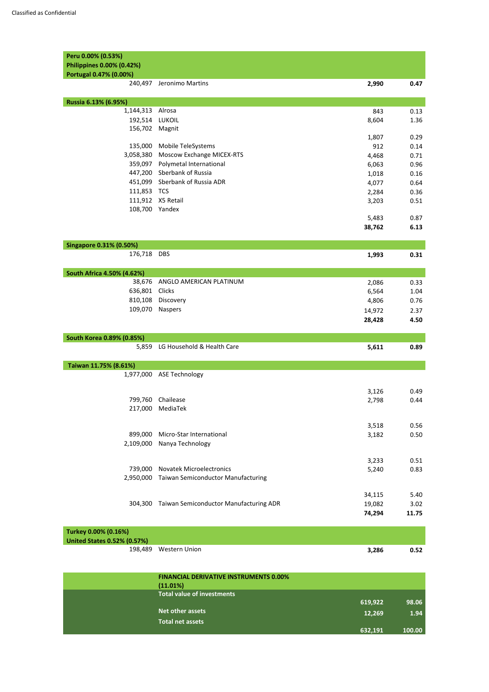| Peru 0.00% (0.53%)             |                                               |                |              |
|--------------------------------|-----------------------------------------------|----------------|--------------|
| Philippines 0.00% (0.42%)      |                                               |                |              |
| Portugal 0.47% (0.00%)         |                                               |                |              |
| 240,497                        | Jeronimo Martins                              | 2,990          | 0.47         |
| Russia 6.13% (6.95%)           |                                               |                |              |
| 1,144,313                      | Alrosa                                        | 843            | 0.13         |
| 192,514                        | LUKOIL                                        | 8,604          | 1.36         |
| 156,702                        | Magnit                                        |                |              |
|                                |                                               | 1,807          | 0.29         |
| 135,000                        | Mobile TeleSystems                            | 912            | 0.14         |
| 3,058,380                      | <b>Moscow Exchange MICEX-RTS</b>              | 4,468          | 0.71         |
| 359,097<br>447,200             | Polymetal International<br>Sberbank of Russia | 6,063          | 0.96         |
| 451,099                        | Sberbank of Russia ADR                        | 1,018          | 0.16         |
| 111,853                        | <b>TCS</b>                                    | 4,077          | 0.64         |
|                                | 111,912 X5 Retail                             | 2,284<br>3,203 | 0.36<br>0.51 |
| 108,700 Yandex                 |                                               |                |              |
|                                |                                               | 5,483          | 0.87         |
|                                |                                               | 38,762         | 6.13         |
|                                |                                               |                |              |
| <b>Singapore 0.31% (0.50%)</b> |                                               |                |              |
| 176,718 DBS                    |                                               | 1,993          | 0.31         |
| South Africa 4.50% (4.62%)     |                                               |                |              |
| 38,676                         | ANGLO AMERICAN PLATINUM                       | 2,086          | 0.33         |
| 636,801                        | Clicks                                        | 6,564          | 1.04         |
| 810,108                        | Discovery                                     | 4,806          | 0.76         |
| 109,070                        | <b>Naspers</b>                                | 14,972         | 2.37         |
|                                |                                               | 28,428         | 4.50         |
| South Korea 0.89% (0.85%)      |                                               |                |              |
| 5,859                          | LG Household & Health Care                    | 5,611          | 0.89         |
| Taiwan 11.75% (8.61%)          |                                               |                |              |
|                                | 1,977,000 ASE Technology                      |                |              |
|                                |                                               |                |              |
|                                |                                               | 3,126          | 0.49         |
| 799,760                        | Chailease                                     | 2,798          | 0.44         |
| 217,000                        | MediaTek                                      |                |              |
|                                |                                               | 3,518          | 0.56         |
| 899,000                        | Micro-Star International                      | 3,182          | 0.50         |
| 2,109,000                      | Nanya Technology                              |                |              |
|                                |                                               |                |              |
|                                |                                               | 3,233          | 0.51         |
| 739,000                        | <b>Novatek Microelectronics</b>               | 5,240          | 0.83         |
| 2,950,000                      | <b>Taiwan Semiconductor Manufacturing</b>     |                |              |
|                                |                                               |                |              |
|                                |                                               | 34,115         | 5.40         |
| 304,300                        | <b>Taiwan Semiconductor Manufacturing ADR</b> | 19,082         | 3.02         |

**74,294 11.75** 

| Turkey 0.00% (0.16%)               |                       |       |      |
|------------------------------------|-----------------------|-------|------|
| <b>United States 0.52% (0.57%)</b> |                       |       |      |
|                                    | 198,489 Western Union | 3,286 | 0.52 |

| <b>FINANCIAL DERIVATIVE INSTRUMENTS 0.00%</b> |         |        |
|-----------------------------------------------|---------|--------|
| (11.01%)                                      |         |        |
| <b>Total value of investments</b>             |         |        |
|                                               | 619,922 | 98.06  |
| <b>Net other assets</b>                       | 12,269  | 1.94   |
| <b>Total net assets</b>                       |         |        |
|                                               | 632,191 | 100.00 |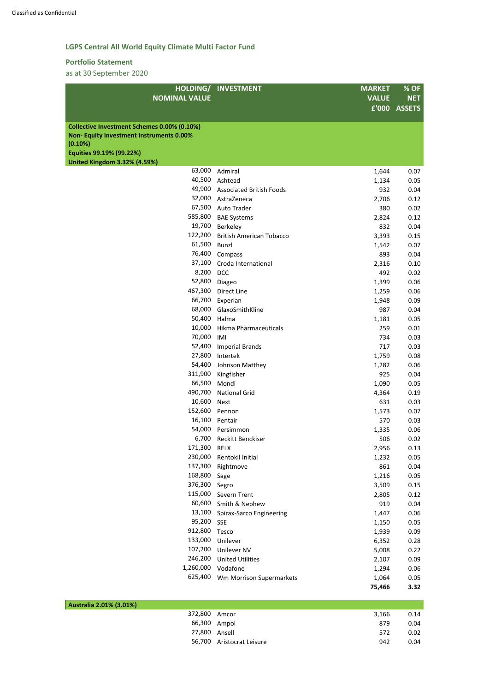# **LGPS Central All World Equity Climate Multi Factor Fund**

## **Portfolio Statement**

|                                                | HOLDING/ INVESTMENT                    | <b>MARKET</b> | % OF         |
|------------------------------------------------|----------------------------------------|---------------|--------------|
| <b>NOMINAL VALUE</b>                           |                                        | <b>VALUE</b>  | <b>NET</b>   |
|                                                |                                        |               | £'000 ASSETS |
|                                                |                                        |               |              |
| Collective Investment Schemes 0.00% (0.10%)    |                                        |               |              |
| <b>Non-Equity Investment Instruments 0.00%</b> |                                        |               |              |
| (0.10%)                                        |                                        |               |              |
| Equities 99.19% (99.22%)                       |                                        |               |              |
| <b>United Kingdom 3.32% (4.59%)</b><br>63,000  | Admiral                                |               | 0.07         |
| 40,500                                         | Ashtead                                | 1,644         | 0.05         |
| 49,900                                         | <b>Associated British Foods</b>        | 1,134<br>932  | 0.04         |
| 32,000                                         | AstraZeneca                            | 2,706         | 0.12         |
| 67,500                                         | <b>Auto Trader</b>                     | 380           | 0.02         |
| 585,800                                        |                                        |               | 0.12         |
| 19,700                                         | <b>BAE Systems</b>                     | 2,824         |              |
|                                                | Berkeley                               | 832           | 0.04         |
| 122,200                                        | <b>British American Tobacco</b>        | 3,393         | 0.15         |
| 61,500                                         | Bunzl                                  | 1,542         | 0.07         |
| 76,400                                         | Compass                                | 893           | 0.04         |
| 37,100                                         | Croda International                    | 2,316         | 0.10         |
| 8,200                                          | <b>DCC</b>                             | 492           | 0.02         |
| 52,800                                         | Diageo                                 | 1,399         | 0.06         |
| 467,300                                        | <b>Direct Line</b>                     | 1,259         | 0.06         |
| 66,700                                         | Experian                               | 1,948         | 0.09         |
| 68,000                                         | GlaxoSmithKline                        | 987           | 0.04         |
| 50,400                                         | Halma                                  | 1,181         | 0.05         |
| 10,000                                         | Hikma Pharmaceuticals                  | 259           | 0.01         |
| 70,000                                         | IMI                                    | 734           | 0.03         |
| 52,400                                         | <b>Imperial Brands</b>                 | 717           | 0.03         |
| 27,800                                         | Intertek                               | 1,759         | 0.08         |
| 54,400                                         | Johnson Matthey                        | 1,282         | 0.06         |
| 311,900                                        | Kingfisher                             | 925           | 0.04         |
| 66,500                                         | Mondi                                  | 1,090         | 0.05         |
| 490,700                                        | <b>National Grid</b>                   | 4,364         | 0.19         |
| 10,600                                         | <b>Next</b>                            | 631           | 0.03         |
| 152,600                                        | Pennon                                 | 1,573         | 0.07         |
| 16,100                                         | Pentair                                | 570           | 0.03         |
| 54,000                                         | Persimmon                              | 1,335         | 0.06         |
| 6,700                                          | Reckitt Benckiser                      | 506           | 0.02         |
| 171,300                                        | <b>RELX</b>                            | 2,956         | 0.13         |
| 230,000                                        | Rentokil Initial                       | 1,232         | 0.05         |
| 137,300                                        | Rightmove                              | 861           | 0.04         |
| 168,800                                        | Sage                                   | 1,216         | 0.05         |
| 376,300                                        | Segro                                  | 3,509         | 0.15         |
| 115,000                                        | Severn Trent                           | 2,805         | 0.12         |
| 60,600                                         | Smith & Nephew                         | 919           | 0.04         |
| 13,100                                         |                                        |               |              |
| 95,200                                         | Spirax-Sarco Engineering<br><b>SSE</b> | 1,447         | 0.06         |
| 912,800                                        |                                        | 1,150         | 0.05         |
| 133,000                                        | Tesco                                  | 1,939         | 0.09         |
| 107,200                                        | Unilever                               | 6,352         | 0.28         |
|                                                | <b>Unilever NV</b>                     | 5,008         | 0.22         |
| 246,200                                        | <b>United Utilities</b>                | 2,107         | 0.09         |
| 1,260,000                                      | Vodafone                               | 1,294         | 0.06         |
| 625,400                                        | Wm Morrison Supermarkets               | 1,064         | 0.05         |
|                                                |                                        | 75,466        | 3.32         |

| Australia 2.01% (3.01%) |                           |       |      |
|-------------------------|---------------------------|-------|------|
|                         | 372,800 Amcor             | 3,166 | 0.14 |
|                         | 66,300 Ampol              | 879   | 0.04 |
|                         | 27,800 Ansell             | 572   | 0.02 |
|                         | 56,700 Aristocrat Leisure | 942   | 0.04 |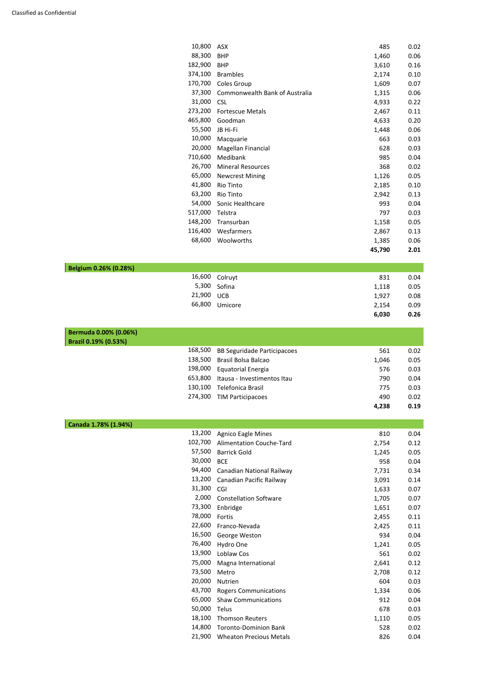|                       | 10,800  | <b>ASX</b>                         | 485    | 0.02 |
|-----------------------|---------|------------------------------------|--------|------|
|                       | 88,300  | <b>BHP</b>                         | 1,460  | 0.06 |
|                       | 182,900 | <b>BHP</b>                         | 3,610  | 0.16 |
|                       | 374,100 | <b>Brambles</b>                    | 2,174  | 0.10 |
|                       | 170,700 | Coles Group                        | 1,609  | 0.07 |
|                       | 37,300  | Commonwealth Bank of Australia     | 1,315  | 0.06 |
|                       | 31,000  | <b>CSL</b>                         | 4,933  | 0.22 |
|                       | 273,200 | <b>Fortescue Metals</b>            | 2,467  | 0.11 |
|                       | 465,800 | Goodman                            | 4,633  | 0.20 |
|                       | 55,500  | JB Hi-Fi                           | 1,448  | 0.06 |
|                       | 10,000  | Macquarie                          | 663    | 0.03 |
|                       | 20,000  | Magellan Financial                 | 628    | 0.03 |
|                       | 710,600 | Medibank                           | 985    | 0.04 |
|                       | 26,700  | <b>Mineral Resources</b>           | 368    | 0.02 |
|                       | 65,000  | <b>Newcrest Mining</b>             | 1,126  | 0.05 |
|                       | 41,800  | <b>Rio Tinto</b>                   | 2,185  | 0.10 |
|                       | 63,200  | Rio Tinto                          | 2,942  | 0.13 |
|                       | 54,000  | Sonic Healthcare                   | 993    | 0.04 |
|                       | 517,000 | Telstra                            | 797    | 0.03 |
|                       | 148,200 | Transurban                         | 1,158  | 0.05 |
|                       | 116,400 | Wesfarmers                         | 2,867  | 0.13 |
|                       | 68,600  | Woolworths                         | 1,385  | 0.06 |
|                       |         |                                    | 45,790 | 2.01 |
|                       |         |                                    |        |      |
| Belgium 0.26% (0.28%) |         |                                    |        |      |
|                       | 16,600  | Colruyt                            | 831    | 0.04 |
|                       | 5,300   | Sofina                             |        | 0.05 |
|                       | 21,900  | <b>UCB</b>                         | 1,118  | 0.08 |
|                       | 66,800  |                                    | 1,927  |      |
|                       |         | Umicore                            | 2,154  | 0.09 |
|                       |         |                                    | 6,030  | 0.26 |
| Bermuda 0.00% (0.06%) |         |                                    |        |      |
| Brazil 0.19% (0.53%)  |         |                                    |        |      |
|                       | 168,500 | <b>BB Seguridade Participacoes</b> | 561    | 0.02 |
|                       | 138,500 | Brasil Bolsa Balcao                | 1,046  | 0.05 |
|                       | 198,000 | <b>Equatorial Energia</b>          | 576    | 0.03 |
|                       | 653,800 | Itausa - Investimentos Itau        | 790    | 0.04 |
|                       | 130,100 | Telefonica Brasil                  | 775    | 0.03 |
|                       | 274,300 | <b>TIM Participacoes</b>           | 490    | 0.02 |
|                       |         |                                    |        |      |
|                       |         |                                    | 4,238  | 0.19 |
| Canada 1.78% (1.94%)  |         |                                    |        |      |
|                       | 13,200  | <b>Agnico Eagle Mines</b>          | 810    | 0.04 |
|                       | 102,700 | <b>Alimentation Couche-Tard</b>    | 2,754  | 0.12 |
|                       | 57,500  | <b>Barrick Gold</b>                | 1,245  | 0.05 |
|                       | 30,000  | <b>BCE</b>                         | 958    | 0.04 |
|                       |         | 01 100 Canadian National Dailway   | 7721   | 0.21 |

| 22,600 | Franco-Nevada                  | 2,425 | 0.11 |
|--------|--------------------------------|-------|------|
| 16,500 | George Weston                  | 934   | 0.04 |
| 76,400 | Hydro One                      | 1,241 | 0.05 |
| 13,900 | Loblaw Cos                     | 561   | 0.02 |
| 75,000 | Magna International            | 2,641 | 0.12 |
| 73,500 | Metro                          | 2,708 | 0.12 |
| 20,000 | <b>Nutrien</b>                 | 604   | 0.03 |
| 43,700 | <b>Rogers Communications</b>   | 1,334 | 0.06 |
| 65,000 | <b>Shaw Communications</b>     | 912   | 0.04 |
| 50,000 | Telus                          | 678   | 0.03 |
| 18,100 | <b>Thomson Reuters</b>         | 1,110 | 0.05 |
| 14,800 | <b>Toronto-Dominion Bank</b>   | 528   | 0.02 |
| 21,900 | <b>Wheaton Precious Metals</b> | 826   | 0.04 |

| 57,500 | <b>Barrick Gold</b>           | 1,245 | 0.05 |
|--------|-------------------------------|-------|------|
| 30,000 | <b>BCE</b>                    | 958   | 0.04 |
| 94,400 | Canadian National Railway     | 7,731 | 0.34 |
| 13,200 | Canadian Pacific Railway      | 3,091 | 0.14 |
| 31,300 | CGI                           | 1,633 | 0.07 |
| 2,000  | <b>Constellation Software</b> | 1,705 | 0.07 |
| 73,300 | Enbridge                      | 1,651 | 0.07 |
| 78,000 | Fortis                        | 2,455 | 0.11 |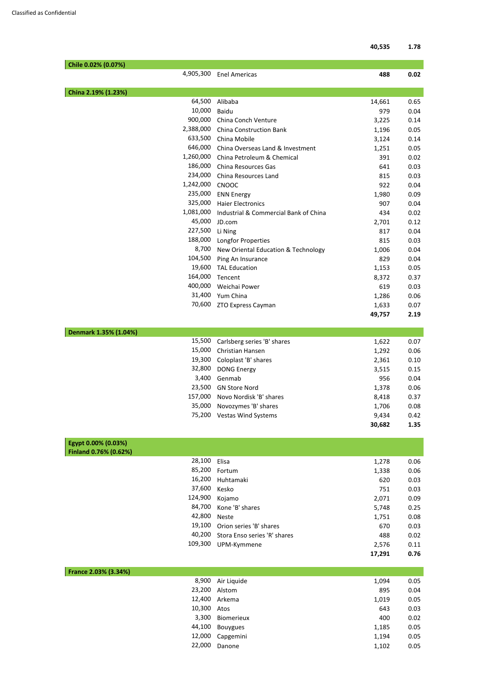|                       |           |                                       | 40,535 | 1.78 |
|-----------------------|-----------|---------------------------------------|--------|------|
| Chile 0.02% (0.07%)   |           |                                       |        |      |
|                       | 4,905,300 | <b>Enel Americas</b>                  | 488    | 0.02 |
| China 2.19% (1.23%)   |           |                                       |        |      |
|                       | 64,500    | Alibaba                               | 14,661 | 0.65 |
|                       | 10,000    | <b>Baidu</b>                          | 979    |      |
|                       | 900,000   | China Conch Venture                   | 3,225  |      |
|                       | 2,388,000 | <b>China Construction Bank</b>        | 1,196  |      |
|                       | 633,500   | China Mobile                          | 3,124  |      |
|                       | 646,000   | China Overseas Land & Investment      | 1,251  |      |
|                       | 1,260,000 | China Petroleum & Chemical            | 391    |      |
|                       | 186,000   | China Resources Gas                   | 641    |      |
|                       | 234,000   | China Resources Land                  | 815    |      |
|                       | 1,242,000 | <b>CNOOC</b>                          | 922    |      |
|                       | 235,000   | <b>ENN Energy</b>                     | 1,980  |      |
|                       | 325,000   | <b>Haier Electronics</b>              | 907    |      |
|                       | 1,081,000 | Industrial & Commercial Bank of China | 434    |      |
|                       | 45,000    | JD.com                                | 2,701  |      |
|                       | 227,500   | Li Ning                               | 817    |      |
|                       | 188,000   | Longfor Properties                    | 815    |      |
|                       | 8,700     | New Oriental Education & Technology   | 1,006  |      |
|                       | 104,500   | Ping An Insurance                     | 829    |      |
|                       | 19,600    | <b>TAL Education</b>                  | 1,153  |      |
|                       | 164,000   | Tencent                               | 8,372  |      |
|                       | 400,000   | Weichai Power                         | 619    |      |
|                       | 31,400    | Yum China                             | 1,286  |      |
|                       |           | 70,600 ZTO Express Cayman             | 1,633  |      |
|                       |           |                                       | 49,757 |      |
| Denmark 1.35% (1.04%) |           |                                       |        |      |
|                       | 15,500    | Carlsberg series 'B' shares           | 1,622  |      |
|                       | 15,000    | Christian Hansen                      | 1,292  |      |
|                       | 19,300    | Coloplast 'B' shares                  | 2,361  |      |
|                       | 32,800    | <b>DONG Energy</b>                    | 3,515  |      |
|                       | 3,400     | Genmab                                | 956    |      |
|                       | 23,500    | <b>GN Store Nord</b>                  | 1,378  |      |
|                       | 157,000   | Novo Nordisk 'B' shares               | 8,418  |      |
|                       | 35,000    | Novozymes 'B' shares                  | 1,706  | 0.08 |
|                       | 75,200    | <b>Vestas Wind Systems</b>            | 9,434  |      |
|                       |           |                                       | 30,682 |      |

| pt 0.00% (0.03%)  |                        |       |      |
|-------------------|------------------------|-------|------|
| and 0.76% (0.62%) |                        |       |      |
| 28,100 Elisa      |                        | 1,278 | 0.06 |
|                   | 85,200 Fortum          | 1,338 | 0.06 |
|                   | 16,200 Huhtamaki       | 620   | 0.03 |
| 37,600 Kesko      |                        | 751   | 0.03 |
| 124,900 Kojamo    |                        | 2,071 | 0.09 |
|                   | 84,700 Kone 'B' shares | 5,748 | 0.25 |
| 42,800            | <b>Neste</b>           | 1,751 | 0.08 |

|                                     | 17.291 | 0.76 |
|-------------------------------------|--------|------|
| 109,300 UPM-Kymmene                 | 2.576  | 0.11 |
| 40,200 Stora Enso series 'R' shares | 488    | 0.02 |
| 19,100 Orion series 'B' shares      | 670    | 0.03 |

| France 2.03% (3.34%) |                   |       |      |
|----------------------|-------------------|-------|------|
| 8,900                | Air Liquide       | 1,094 | 0.05 |
| 23,200               | Alstom            | 895   | 0.04 |
| 12,400               | Arkema            | 1,019 | 0.05 |
| 10,300               | Atos              | 643   | 0.03 |
| 3,300                | <b>Biomerieux</b> | 400   | 0.02 |
| 44,100               | <b>Bouygues</b>   | 1,185 | 0.05 |
| 12,000               | Capgemini         | 1,194 | 0.05 |
| 22,000               | Danone            | 1,102 | 0.05 |
|                      |                   |       |      |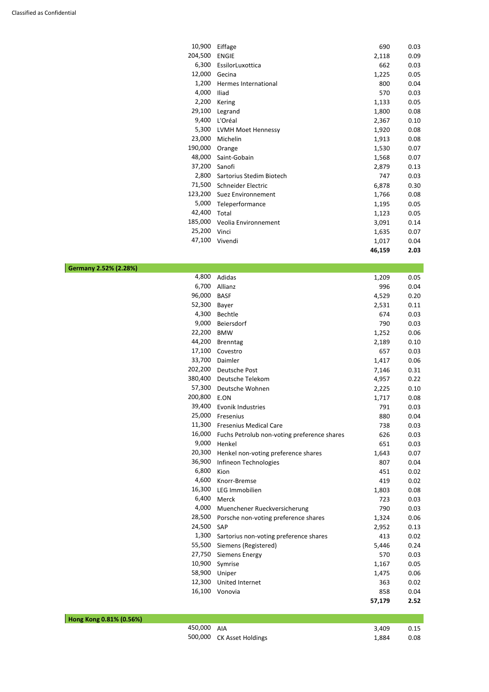| 10,900  | Eiffage                   | 690    | 0.03 |
|---------|---------------------------|--------|------|
| 204,500 | <b>ENGIE</b>              | 2,118  | 0.09 |
| 6,300   | EssilorLuxottica          | 662    | 0.03 |
| 12,000  | Gecina                    | 1,225  | 0.05 |
| 1,200   | Hermes International      | 800    | 0.04 |
| 4,000   | Iliad                     | 570    | 0.03 |
| 2,200   | Kering                    | 1,133  | 0.05 |
| 29,100  | Legrand                   | 1,800  | 0.08 |
| 9,400   | L'Oréal                   | 2,367  | 0.10 |
| 5,300   | <b>LVMH Moet Hennessy</b> | 1,920  | 0.08 |
| 23,000  | Michelin                  | 1,913  | 0.08 |
| 190,000 | Orange                    | 1,530  | 0.07 |
| 48,000  | Saint-Gobain              | 1,568  | 0.07 |
| 37,200  | Sanofi                    | 2,879  | 0.13 |
| 2,800   | Sartorius Stedim Biotech  | 747    | 0.03 |
| 71,500  | Schneider Electric        | 6,878  | 0.30 |
| 123,200 | Suez Environnement        | 1,766  | 0.08 |
| 5,000   | Teleperformance           | 1,195  | 0.05 |
| 42,400  | Total                     | 1,123  | 0.05 |
| 185,000 | Veolia Environnement      | 3,091  | 0.14 |
| 25,200  | Vinci                     | 1,635  | 0.07 |
| 47,100  | Vivendi                   | 1,017  | 0.04 |
|         |                           | 46,159 | 2.03 |

**Germany 2.52% (2.28%)** 

| 4,800   | Adidas                                      | 1,209  | 0.05 |
|---------|---------------------------------------------|--------|------|
| 6,700   | Allianz                                     | 996    | 0.04 |
| 96,000  | <b>BASF</b>                                 | 4,529  | 0.20 |
| 52,300  | Bayer                                       | 2,531  | 0.11 |
| 4,300   | Bechtle                                     | 674    | 0.03 |
| 9,000   | Beiersdorf                                  | 790    | 0.03 |
| 22,200  | <b>BMW</b>                                  | 1,252  | 0.06 |
| 44,200  | <b>Brenntag</b>                             | 2,189  | 0.10 |
| 17,100  | Covestro                                    | 657    | 0.03 |
| 33,700  | Daimler                                     | 1,417  | 0.06 |
| 202,200 | <b>Deutsche Post</b>                        | 7,146  | 0.31 |
| 380,400 | Deutsche Telekom                            | 4,957  | 0.22 |
| 57,300  | Deutsche Wohnen                             | 2,225  | 0.10 |
| 200,800 | E.ON                                        | 1,717  | 0.08 |
| 39,400  | Evonik Industries                           | 791    | 0.03 |
| 25,000  | Fresenius                                   | 880    | 0.04 |
| 11,300  | <b>Fresenius Medical Care</b>               | 738    | 0.03 |
| 16,000  | Fuchs Petrolub non-voting preference shares | 626    | 0.03 |
| 9,000   | Henkel                                      | 651    | 0.03 |
| 20,300  | Henkel non-voting preference shares         | 1,643  | 0.07 |
| 36,900  | Infineon Technologies                       | 807    | 0.04 |
| 6,800   | Kion                                        | 451    | 0.02 |
| 4,600   | Knorr-Bremse                                | 419    | 0.02 |
| 16,300  | LEG Immobilien                              | 1,803  | 0.08 |
| 6,400   | Merck                                       | 723    | 0.03 |
| 4,000   | Muenchener Rueckversicherung                | 790    | 0.03 |
| 28,500  | Porsche non-voting preference shares        | 1,324  | 0.06 |
| 24,500  | <b>SAP</b>                                  | 2,952  | 0.13 |
| 1,300   | Sartorius non-voting preference shares      | 413    | 0.02 |
| 55,500  | Siemens (Registered)                        | 5,446  | 0.24 |
| 27,750  | Siemens Energy                              | 570    | 0.03 |
| 10,900  | Symrise                                     | 1,167  | 0.05 |
| 58,900  | Uniper                                      | 1,475  | 0.06 |
| 12,300  | United Internet                             | 363    | 0.02 |
| 16,100  | Vonovia                                     | 858    | 0.04 |
|         |                                             | 57,179 | 2.52 |

| Hong Kong 0.81% (0.56%) |                           |       |      |
|-------------------------|---------------------------|-------|------|
| 450,000 AIA             |                           | 3,409 | 0.15 |
|                         | 500,000 CK Asset Holdings | 1,884 | 0.08 |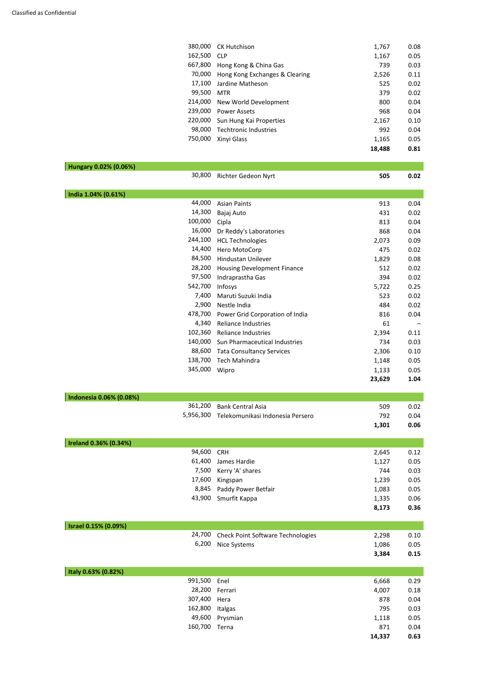|                         | 380,000 | <b>CK Hutchison</b>                        | 1,767  | 0.08 |
|-------------------------|---------|--------------------------------------------|--------|------|
|                         | 162,500 | <b>CLP</b>                                 | 1,167  | 0.05 |
|                         | 667,800 | Hong Kong & China Gas                      | 739    | 0.03 |
|                         | 70,000  | Hong Kong Exchanges & Clearing             | 2,526  | 0.11 |
|                         | 17,100  | Jardine Matheson                           | 525    | 0.02 |
|                         | 99,500  | <b>MTR</b>                                 | 379    | 0.02 |
|                         | 214,000 | New World Development                      | 800    | 0.04 |
|                         | 239,000 | <b>Power Assets</b>                        | 968    | 0.04 |
|                         | 220,000 | Sun Hung Kai Properties                    | 2,167  | 0.10 |
|                         | 98,000  | <b>Techtronic Industries</b>               | 992    | 0.04 |
|                         | 750,000 | Xinyi Glass                                | 1,165  | 0.05 |
|                         |         |                                            | 18,488 | 0.81 |
|                         |         |                                            |        |      |
| Hungary 0.02% (0.06%)   |         |                                            |        |      |
|                         | 30,800  | Richter Gedeon Nyrt                        | 505    | 0.02 |
|                         |         |                                            |        |      |
| India 1.04% (0.61%)     |         |                                            |        |      |
|                         | 44,000  | <b>Asian Paints</b>                        | 913    | 0.04 |
|                         | 14,300  | Bajaj Auto                                 | 431    | 0.02 |
|                         | 100,000 | Cipla                                      | 813    | 0.04 |
|                         | 16,000  | Dr Reddy's Laboratories                    | 868    | 0.04 |
|                         | 244,100 | <b>HCL Technologies</b>                    | 2,073  | 0.09 |
|                         | 14,400  | Hero MotoCorp                              | 475    | 0.02 |
|                         | 84,500  | Hindustan Unilever                         | 1,829  | 0.08 |
|                         | 28,200  | <b>Housing Development Finance</b>         | 512    | 0.02 |
|                         | 97,500  |                                            | 394    | 0.02 |
|                         | 542,700 | Indraprastha Gas                           |        |      |
|                         |         | Infosys                                    | 5,722  | 0.25 |
|                         | 7,400   | Maruti Suzuki India                        | 523    | 0.02 |
|                         | 2,900   | Nestle India                               | 484    | 0.02 |
|                         | 478,700 | Power Grid Corporation of India            | 816    | 0.04 |
|                         | 4,340   | <b>Reliance Industries</b>                 | 61     |      |
|                         | 102,360 | <b>Reliance Industries</b>                 | 2,394  | 0.11 |
|                         | 140,000 | Sun Pharmaceutical Industries              | 734    | 0.03 |
|                         | 88,600  | <b>Tata Consultancy Services</b>           | 2,306  | 0.10 |
|                         | 138,700 | <b>Tech Mahindra</b>                       | 1,148  | 0.05 |
|                         | 345,000 | Wipro                                      | 1,133  | 0.05 |
|                         |         |                                            | 23,629 | 1.04 |
|                         |         |                                            |        |      |
| Indonesia 0.06% (0.08%) |         |                                            |        |      |
|                         | 361,200 | <b>Bank Central Asia</b>                   | 509    | 0.02 |
|                         |         | 5,956,300 Telekomunikasi Indonesia Persero | 792    | 0.04 |
|                         |         |                                            | 1,301  | 0.06 |
|                         |         |                                            |        |      |
| Ireland 0.36% (0.34%)   | 94,600  |                                            |        |      |
|                         | 61,400  | <b>CRH</b>                                 | 2,645  | 0.12 |
|                         |         | James Hardie                               | 1,127  | 0.05 |
|                         | 7,500   | Kerry 'A' shares                           | 744    | 0.03 |
|                         | 17,600  | Kingspan                                   | 1,239  | 0.05 |
|                         | 8,845   | Paddy Power Betfair                        | 1,083  | 0.05 |
|                         | 43,900  | Smurfit Kappa                              | 1,335  | 0.06 |

**8,173** 0.36

| Israel 0.15% (0.09%) |         |                                          |        |      |
|----------------------|---------|------------------------------------------|--------|------|
|                      | 24,700  | <b>Check Point Software Technologies</b> | 2,298  | 0.10 |
|                      | 6,200   | Nice Systems                             | 1,086  | 0.05 |
|                      |         |                                          | 3,384  | 0.15 |
|                      |         |                                          |        |      |
| Italy 0.63% (0.82%)  |         |                                          |        |      |
|                      | 991,500 | Enel                                     | 6,668  | 0.29 |
|                      | 28,200  | Ferrari                                  | 4,007  | 0.18 |
|                      | 307,400 | Hera                                     | 878    | 0.04 |
|                      | 162,800 | Italgas                                  | 795    | 0.03 |
|                      | 49,600  | Prysmian                                 | 1,118  | 0.05 |
|                      | 160,700 | Terna                                    | 871    | 0.04 |
|                      |         |                                          | 14,337 | 0.63 |
|                      |         |                                          |        |      |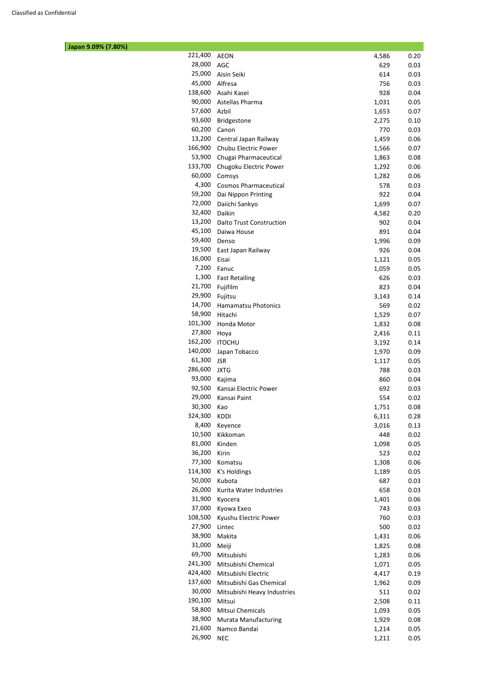| Japan 9.09% (7.80%) |         |                                 |       |      |
|---------------------|---------|---------------------------------|-------|------|
|                     | 221,400 | <b>AEON</b>                     | 4,586 | 0.20 |
|                     | 28,000  | AGC                             | 629   | 0.03 |
|                     | 25,000  | Aisin Seiki                     | 614   | 0.03 |
|                     | 45,000  | Alfresa                         | 756   | 0.03 |
|                     | 138,600 | Asahi Kasei                     | 928   | 0.04 |
|                     | 90,000  | Astellas Pharma                 | 1,031 | 0.05 |
|                     | 57,600  | Azbil                           | 1,653 | 0.07 |
|                     | 93,600  | Bridgestone                     | 2,275 | 0.10 |
|                     | 60,200  | Canon                           | 770   | 0.03 |
|                     | 13,200  | Central Japan Railway           | 1,459 | 0.06 |
|                     | 166,900 | Chubu Electric Power            | 1,566 | 0.07 |
|                     | 53,900  | Chugai Pharmaceutical           | 1,863 | 0.08 |
|                     | 133,700 | Chugoku Electric Power          | 1,292 | 0.06 |
|                     | 60,000  | Comsys                          | 1,282 | 0.06 |
|                     | 4,300   | <b>Cosmos Pharmaceutical</b>    | 578   | 0.03 |
|                     | 59,200  | Dai Nippon Printing             | 922   | 0.04 |
|                     | 72,000  | Daiichi Sankyo                  | 1,699 | 0.07 |
|                     | 32,400  | Daikin                          | 4,582 | 0.20 |
|                     | 13,200  | <b>Daito Trust Construction</b> | 902   | 0.04 |
|                     | 45,100  | Daiwa House                     | 891   | 0.04 |
|                     | 59,400  | Denso                           | 1,996 | 0.09 |
|                     | 19,500  | East Japan Railway              | 926   | 0.04 |
|                     | 16,000  | Eisai                           | 1,121 | 0.05 |
|                     | 7,200   | Fanuc                           | 1,059 | 0.05 |
|                     | 1,300   | <b>Fast Retailing</b>           | 626   | 0.03 |
|                     | 21,700  | Fujifilm                        | 823   | 0.04 |
|                     | 29,900  | Fujitsu                         | 3,143 | 0.14 |
|                     | 14,700  | <b>Hamamatsu Photonics</b>      | 569   | 0.02 |
|                     | 58,900  | Hitachi                         | 1,529 | 0.07 |
|                     | 101,300 | Honda Motor                     | 1,832 | 0.08 |
|                     | 27,800  | Hoya                            | 2,416 | 0.11 |
|                     | 162,200 | <b>ITOCHU</b>                   | 3,192 | 0.14 |
|                     | 140,000 | Japan Tobacco                   | 1,970 | 0.09 |
|                     | 61,300  | <b>JSR</b>                      | 1,117 | 0.05 |
|                     | 286,600 | <b>JXTG</b>                     | 788   | 0.03 |
|                     | 93,000  | Kajima                          | 860   | 0.04 |
|                     | 92,500  | Kansai Electric Power           | 692   | 0.03 |
|                     | 29,000  | Kansai Paint                    | 554   | 0.02 |
|                     | 30,300  | Kao                             | 1,751 | 0.08 |
|                     | 324,300 | KDDI                            | 6,311 | 0.28 |
|                     | 8,400   | Keyence                         | 3,016 | 0.13 |
|                     | 10,500  | Kikkoman                        | 448   | 0.02 |
|                     | 81,000  | Kinden                          | 1,098 | 0.05 |
|                     | 36,200  | Kirin                           | 523   | 0.02 |
|                     | 77,300  | Komatsu                         | 1,308 | 0.06 |
|                     | 114,300 | K's Holdings                    | 1,189 | 0.05 |
|                     | 50,000  | Kubota                          | 687   | 0.03 |
|                     | 26,000  | Kurita Water Industries         | 658   | 0.03 |
|                     | 31,900  | Kyocera                         | 1,401 | 0.06 |
|                     | 37,000  | Kyowa Exeo                      | 743   | 0.03 |
|                     | 108,500 | Kyushu Electric Power           | 760   | 0.03 |
|                     | 27,900  | Lintec                          | 500   | 0.02 |
|                     | 38,900  | Makita                          | 1,431 | 0.06 |
|                     | 31,000  | Meiji                           | 1,825 | 0.08 |
|                     | 69,700  | Mitsubishi                      | 1,283 | 0.06 |
|                     |         | 241,300 Mitsubishi Chemical     | 1,071 | 0.05 |
|                     | 424,400 | Mitsubishi Electric             | 4,417 | 0.19 |
|                     | 137,600 | Mitsubishi Gas Chemical         | 1,962 | 0.09 |
|                     | 30,000  | Mitsubishi Heavy Industries     | 511   | 0.02 |
|                     | 190,100 | Mitsui                          | 2,508 | 0.11 |
|                     | 58,800  | Mitsui Chemicals                | 1,093 | 0.05 |
|                     | 38,900  | <b>Murata Manufacturing</b>     | 1,929 | 0.08 |
|                     | 21,600  | Namco Bandai                    | 1,214 | 0.05 |
|                     | 26,900  | <b>NEC</b>                      | 1,211 | 0.05 |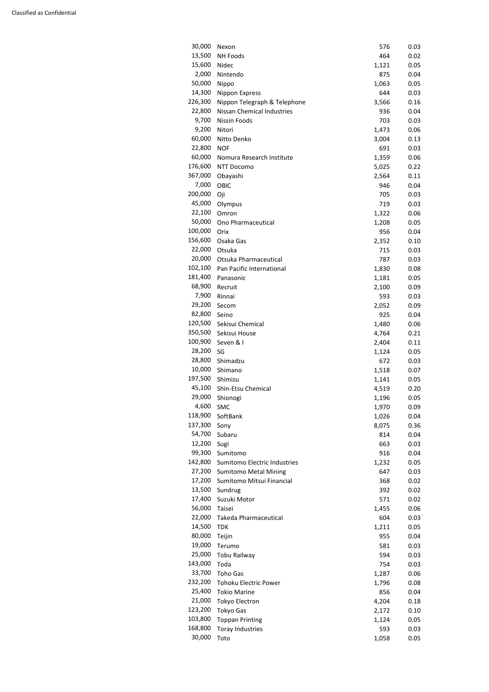| 30,000  | Nexon                             | 576   | 0.03 |
|---------|-----------------------------------|-------|------|
| 13,500  | <b>NH Foods</b>                   | 464   | 0.02 |
| 15,600  | Nidec                             | 1,121 | 0.05 |
| 2,000   | Nintendo                          | 875   | 0.04 |
| 50,000  | Nippo                             | 1,063 | 0.05 |
| 14,300  | Nippon Express                    | 644   | 0.03 |
| 226,300 | Nippon Telegraph & Telephone      | 3,566 | 0.16 |
| 22,800  | <b>Nissan Chemical Industries</b> | 936   | 0.04 |
| 9,700   | <b>Nissin Foods</b>               | 703   | 0.03 |
| 9,200   | Nitori                            | 1,473 | 0.06 |
| 60,000  | Nitto Denko                       | 3,004 | 0.13 |
| 22,800  | <b>NOF</b>                        | 691   | 0.03 |
| 60,000  | Nomura Research Institute         | 1,359 | 0.06 |
| 176,600 | NTT Docomo                        | 5,025 | 0.22 |
| 367,000 | Obayashi                          | 2,564 | 0.11 |
| 7,000   | OBIC                              | 946   | 0.04 |
| 200,000 | Oji                               | 705   | 0.03 |
| 45,000  | Olympus                           | 719   | 0.03 |
| 22,100  | Omron                             | 1,322 | 0.06 |
| 50,000  | Ono Pharmaceutical                | 1,208 | 0.05 |
| 100,000 | Orix                              | 956   | 0.04 |
| 156,600 | Osaka Gas                         | 2,352 | 0.10 |
| 22,000  | Otsuka                            | 715   | 0.03 |
| 20,000  | Otsuka Pharmaceutical             | 787   | 0.03 |
| 102,100 | Pan Pacific International         | 1,830 | 0.08 |
| 181,400 | Panasonic                         | 1,181 | 0.05 |
| 68,900  | Recruit                           | 2,100 | 0.09 |
| 7,900   | Rinnai                            | 593   | 0.03 |
| 29,200  | Secom                             | 2,052 | 0.09 |
| 82,800  | Seino                             | 925   | 0.04 |
| 120,500 | Sekisui Chemical                  | 1,480 | 0.06 |
| 350,500 | Sekisui House                     | 4,764 | 0.21 |
| 100,900 | Seven & I                         | 2,404 | 0.11 |
| 28,200  | SG                                | 1,124 | 0.05 |
| 28,800  | Shimadzu                          | 672   | 0.03 |
| 10,000  | Shimano                           | 1,518 | 0.07 |
| 197,500 | Shimizu                           | 1,141 | 0.05 |
| 45,100  | Shin-Etsu Chemical                | 4,519 | 0.20 |
| 29,000  | Shionogi                          | 1,196 | 0.05 |
| 4,600   | SMC                               | 1,970 | 0.09 |
| 118,900 | SoftBank                          | 1,026 | 0.04 |
| 137,300 | Sony                              | 8,075 | 0.36 |
| 54,700  | Subaru                            | 814   | 0.04 |
| 12,200  | Sugi                              | 663   | 0.03 |
| 99,300  | Sumitomo                          | 916   | 0.04 |
| 142,800 | Sumitomo Electric Industries      | 1,232 | 0.05 |
| 27,200  | <b>Sumitomo Metal Mining</b>      | 647   | 0.03 |
| 17,200  | Sumitomo Mitsui Financial         | 368   | 0.02 |
| 13,500  | Sundrug                           | 392   | 0.02 |
| 17,400  | Suzuki Motor                      | 571   | 0.02 |
| 56,000  | Taisei                            | 1,455 | 0.06 |
| 22,000  | Takeda Pharmaceutical             | 604   | 0.03 |
|         |                                   |       |      |

| 14,500  | <b>TDK</b>                   | 1,211 | 0.05 |
|---------|------------------------------|-------|------|
| 80,000  | Teijin                       | 955   | 0.04 |
| 19,000  | Terumo                       | 581   | 0.03 |
| 25,000  | Tobu Railway                 | 594   | 0.03 |
| 143,000 | Toda                         | 754   | 0.03 |
| 33,700  | <b>Toho Gas</b>              | 1,287 | 0.06 |
| 232,200 | <b>Tohoku Electric Power</b> | 1,796 | 0.08 |
| 25,400  | <b>Tokio Marine</b>          | 856   | 0.04 |
| 21,000  | <b>Tokyo Electron</b>        | 4,204 | 0.18 |
| 123,200 | <b>Tokyo Gas</b>             | 2,172 | 0.10 |
| 103,800 | <b>Toppan Printing</b>       | 1,124 | 0.05 |
| 168,800 | <b>Toray Industries</b>      | 593   | 0.03 |
| 30,000  | Toto                         | 1,058 | 0.05 |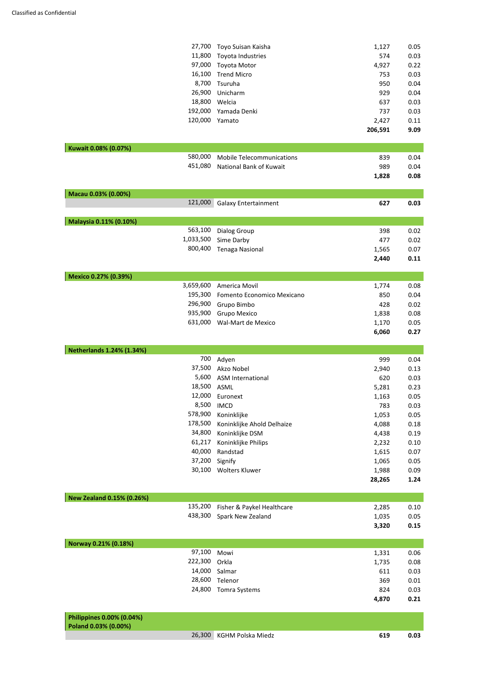|                                  | 27,700    | Toyo Suisan Kaisha               | 1,127   | 0.05 |
|----------------------------------|-----------|----------------------------------|---------|------|
|                                  | 11,800    | Toyota Industries                | 574     | 0.03 |
|                                  | 97,000    | Toyota Motor                     | 4,927   | 0.22 |
|                                  | 16,100    | <b>Trend Micro</b>               | 753     | 0.03 |
|                                  | 8,700     | Tsuruha                          | 950     | 0.04 |
|                                  | 26,900    | Unicharm                         | 929     | 0.04 |
|                                  | 18,800    | Welcia                           | 637     | 0.03 |
|                                  | 192,000   | Yamada Denki                     | 737     | 0.03 |
|                                  | 120,000   | Yamato                           | 2,427   | 0.11 |
|                                  |           |                                  | 206,591 | 9.09 |
| Kuwait 0.08% (0.07%)             |           |                                  |         |      |
|                                  | 580,000   | <b>Mobile Telecommunications</b> | 839     | 0.04 |
|                                  | 451,080   | National Bank of Kuwait          | 989     | 0.04 |
|                                  |           |                                  | 1,828   | 0.08 |
| Macau 0.03% (0.00%)              |           |                                  |         |      |
|                                  | 121,000   | <b>Galaxy Entertainment</b>      | 627     | 0.03 |
| Malaysia 0.11% (0.10%)           |           |                                  |         |      |
|                                  | 563,100   | <b>Dialog Group</b>              | 398     | 0.02 |
|                                  | 1,033,500 | Sime Darby                       | 477     | 0.02 |
|                                  | 800,400   | <b>Tenaga Nasional</b>           | 1,565   | 0.07 |
|                                  |           |                                  | 2,440   | 0.11 |
| Mexico 0.27% (0.39%)             |           |                                  |         |      |
|                                  | 3,659,600 | America Movil                    | 1,774   | 0.08 |
|                                  | 195,300   | Fomento Economico Mexicano       | 850     | 0.04 |
|                                  | 296,900   | Grupo Bimbo                      | 428     | 0.02 |
|                                  | 935,900   | Grupo Mexico                     | 1,838   | 0.08 |
|                                  | 631,000   | Wal-Mart de Mexico               | 1,170   | 0.05 |
|                                  |           |                                  | 6,060   | 0.27 |
| <b>Netherlands 1.24% (1.34%)</b> |           |                                  |         |      |
|                                  | 700       | Adyen                            | 999     | 0.04 |
|                                  | 37,500    | Akzo Nobel                       | 2,940   | 0.13 |
|                                  | 5,600     | <b>ASM International</b>         | 620     | 0.03 |
|                                  | 18,500    | ASML                             | 5,281   | 0.23 |
|                                  | 12,000    | Euronext                         | 1,163   | 0.05 |
|                                  | 8,500     | <b>IMCD</b>                      | 783     | 0.03 |
|                                  | 578,900   | Koninklijke                      | 1,053   | 0.05 |
|                                  | 178,500   | Koninklijke Ahold Delhaize       | 4,088   | 0.18 |
|                                  | 34,800    | Koninklijke DSM                  | 4,438   | 0.19 |
|                                  | 61,217    | Koninklijke Philips              | 2,232   | 0.10 |
|                                  | 40,000    | Randstad                         | 1,615   | 0.07 |
|                                  | 37,200    | Signify                          | 1,065   | 0.05 |
|                                  | 30,100    | <b>Wolters Kluwer</b>            | 1,988   | 0.09 |
|                                  |           |                                  | 28,265  | 1.24 |
| New Zealand 0.15% (0.26%)        |           |                                  |         |      |
|                                  | 135,200   | Fisher & Paykel Healthcare       | 2,285   | 0.10 |
|                                  | 438,300   | Spark New Zealand                | 1,035   | 0.05 |
|                                  |           |                                  |         |      |

**3,320** 0.15

| Norway 0.21% (0.18%) |                      |       |      |
|----------------------|----------------------|-------|------|
| 97,100               | Mowi                 | 1,331 | 0.06 |
| 222,300 Orkla        |                      | 1,735 | 0.08 |
|                      | 14,000 Salmar        | 611   | 0.03 |
| 28,600               | Telenor              | 369   | 0.01 |
| 24,800               | <b>Tomra Systems</b> | 824   | 0.03 |
|                      |                      | 4,870 | 0.21 |

| <b>Philippines 0.00% (0.04%)</b><br>Poland 0.03% (0.00%) |                          |     |      |
|----------------------------------------------------------|--------------------------|-----|------|
|                                                          | 26,300 KGHM Polska Miedz | 619 | 0.03 |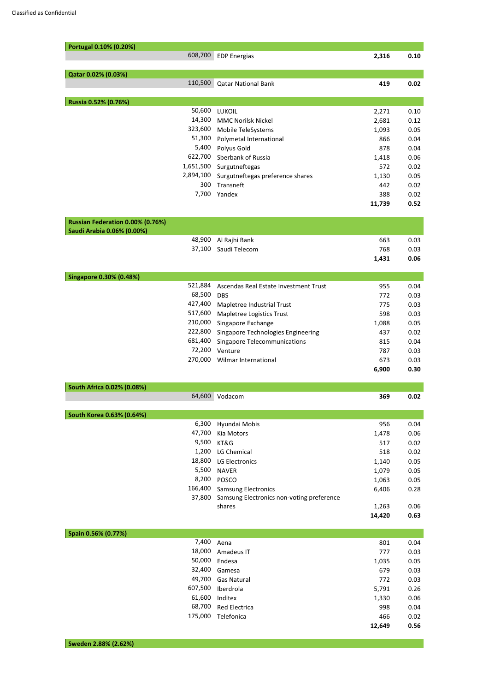| Portugal 0.10% (0.20%)           |                                           |        |      |
|----------------------------------|-------------------------------------------|--------|------|
| 608,700                          | <b>EDP Energias</b>                       | 2,316  | 0.10 |
|                                  |                                           |        |      |
| Qatar 0.02% (0.03%)              |                                           |        |      |
| 110,500                          | <b>Qatar National Bank</b>                | 419    | 0.02 |
|                                  |                                           |        |      |
| Russia 0.52% (0.76%)             |                                           |        |      |
| 50,600                           | <b>LUKOIL</b>                             | 2,271  | 0.10 |
| 14,300                           | <b>MMC Norilsk Nickel</b>                 | 2,681  | 0.12 |
| 323,600                          | Mobile TeleSystems                        | 1,093  | 0.05 |
| 51,300                           | Polymetal International                   | 866    | 0.04 |
| 5,400                            | Polyus Gold                               | 878    | 0.04 |
| 622,700                          | Sberbank of Russia                        | 1,418  | 0.06 |
| 1,651,500                        | Surgutneftegas                            | 572    | 0.02 |
| 2,894,100                        | Surgutneftegas preference shares          | 1,130  | 0.05 |
| 300                              | Transneft                                 | 442    | 0.02 |
| 7,700                            | Yandex                                    | 388    | 0.02 |
|                                  |                                           | 11,739 | 0.52 |
| Russian Federation 0.00% (0.76%) |                                           |        |      |
| Saudi Arabia 0.06% (0.00%)       |                                           |        |      |
| 48,900                           | Al Rajhi Bank                             | 663    | 0.03 |
| 37,100                           | Saudi Telecom                             | 768    | 0.03 |
|                                  |                                           | 1,431  | 0.06 |
|                                  |                                           |        |      |
| <b>Singapore 0.30% (0.48%)</b>   |                                           |        |      |
| 521,884                          | Ascendas Real Estate Investment Trust     | 955    | 0.04 |
| 68,500                           | <b>DBS</b>                                | 772    | 0.03 |
| 427,400                          | Mapletree Industrial Trust                | 775    | 0.03 |
| 517,600                          | Mapletree Logistics Trust                 | 598    | 0.03 |
| 210,000                          | Singapore Exchange                        | 1,088  | 0.05 |
| 222,800                          | Singapore Technologies Engineering        | 437    | 0.02 |
| 681,400                          | <b>Singapore Telecommunications</b>       | 815    | 0.04 |
| 72,200                           | Venture                                   | 787    | 0.03 |
| 270,000                          | Wilmar International                      | 673    | 0.03 |
|                                  |                                           | 6,900  | 0.30 |
|                                  |                                           |        |      |
| South Africa 0.02% (0.08%)       |                                           |        |      |
| 64,600                           | Vodacom                                   | 369    | 0.02 |
|                                  |                                           |        |      |
| <b>South Korea 0.63% (0.64%)</b> |                                           |        |      |
| 6,300                            | Hyundai Mobis                             | 956    | 0.04 |
| 47,700                           | Kia Motors                                | 1,478  | 0.06 |
| 9,500                            | KT&G                                      | 517    | 0.02 |
| 1,200                            | LG Chemical                               | 518    | 0.02 |
| 18,800                           | LG Electronics                            | 1,140  | 0.05 |
| 5,500                            | <b>NAVER</b>                              | 1,079  | 0.05 |
| 8,200                            | <b>POSCO</b>                              | 1,063  | 0.05 |
| 166,400                          | <b>Samsung Electronics</b>                | 6,406  | 0.28 |
| 37,800                           | Samsung Electronics non-voting preference |        |      |
|                                  | shares                                    | 1,263  | 0.06 |

| Spain 0.56% (0.77%) |                      |        |      |
|---------------------|----------------------|--------|------|
|                     | 7,400 Aena           | 801    | 0.04 |
| 18,000              | Amadeus IT           | 777    | 0.03 |
|                     | 50,000 Endesa        | 1,035  | 0.05 |
| 32,400              | Gamesa               | 679    | 0.03 |
| 49,700              | <b>Gas Natural</b>   | 772    | 0.03 |
| 607,500             | Iberdrola            | 5,791  | 0.26 |
| 61,600              | Inditex              | 1,330  | 0.06 |
| 68,700              | <b>Red Electrica</b> | 998    | 0.04 |
| 175,000             | Telefonica           | 466    | 0.02 |
|                     |                      | 12,649 | 0.56 |

**14,420 0.63**

#### **Sweden 2.88% (2.62%)**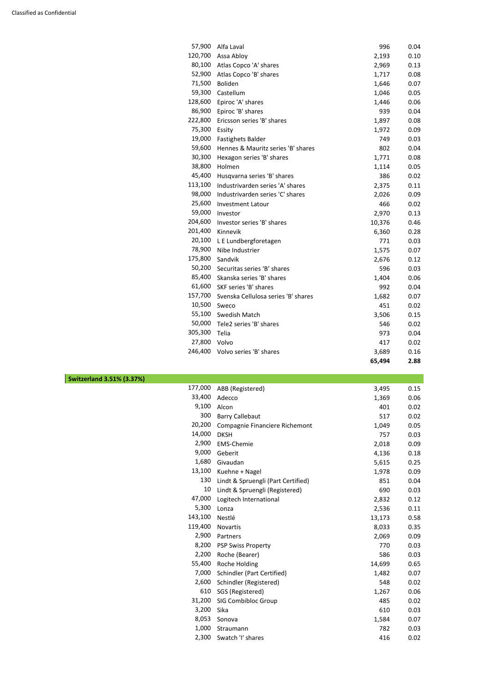| 57,900  | Alfa Laval                          | 996    | 0.04 |
|---------|-------------------------------------|--------|------|
| 120,700 | Assa Abloy                          | 2,193  | 0.10 |
| 80,100  | Atlas Copco 'A' shares              | 2,969  | 0.13 |
| 52,900  | Atlas Copco 'B' shares              | 1,717  | 0.08 |
| 71,500  | <b>Boliden</b>                      | 1,646  | 0.07 |
| 59,300  | Castellum                           | 1,046  | 0.05 |
| 128,600 | Epiroc 'A' shares                   | 1,446  | 0.06 |
| 86,900  | Epiroc 'B' shares                   | 939    | 0.04 |
| 222,800 | Ericsson series 'B' shares          | 1,897  | 0.08 |
| 75,300  | Essity                              | 1,972  | 0.09 |
| 19,000  | <b>Fastighets Balder</b>            | 749    | 0.03 |
| 59,600  | Hennes & Mauritz series 'B' shares  | 802    | 0.04 |
| 30,300  | Hexagon series 'B' shares           | 1,771  | 0.08 |
| 38,800  | Holmen                              | 1,114  | 0.05 |
| 45,400  | Husqvarna series 'B' shares         | 386    | 0.02 |
| 113,100 | Industrivarden series 'A' shares    | 2,375  | 0.11 |
| 98,000  | Industrivarden series 'C' shares    | 2,026  | 0.09 |
| 25,600  | <b>Investment Latour</b>            | 466    | 0.02 |
| 59,000  | Investor                            | 2,970  | 0.13 |
| 204,600 | Investor series 'B' shares          | 10,376 | 0.46 |
| 201,400 | Kinnevik                            | 6,360  | 0.28 |
| 20,100  | L E Lundbergforetagen               | 771    | 0.03 |
| 78,900  | Nibe Industrier                     | 1,575  | 0.07 |
| 175,800 | Sandvik                             | 2,676  | 0.12 |
| 50,200  | Securitas series 'B' shares         | 596    | 0.03 |
| 85,400  | Skanska series 'B' shares           | 1,404  | 0.06 |
|         | 61,600 SKF series 'B' shares        | 992    | 0.04 |
| 157,700 | Svenska Cellulosa series 'B' shares | 1,682  | 0.07 |
| 10,500  | Sweco                               | 451    | 0.02 |
| 55,100  | Swedish Match                       | 3,506  | 0.15 |
| 50,000  | Tele2 series 'B' shares             | 546    | 0.02 |
| 305,300 | Telia                               | 973    | 0.04 |
| 27,800  | Volvo                               | 417    | 0.02 |
| 246,400 | Volvo series 'B' shares             | 3,689  | 0.16 |
|         |                                     | 65,494 | 2.88 |

| <b>Switzerland 3.51% (3.37%)</b> |                                    |                      |                      |
|----------------------------------|------------------------------------|----------------------|----------------------|
| 177,000                          | ABB (Registered)                   | 3,495                | 0.15                 |
| 33,400                           | Adecco                             | 1,369                | 0.06                 |
| 9,100                            | Alcon                              | 401                  | 0.02                 |
| 300                              | <b>Barry Callebaut</b>             | 517                  | 0.02                 |
| 20,200                           | Compagnie Financiere Richemont     | 1,049                | 0.05                 |
| 14,000                           | <b>DKSH</b>                        | 757                  | 0.03                 |
| 2,900                            | <b>EMS-Chemie</b>                  | 2,018                | 0.09                 |
| 9,000                            | Geberit                            | 4,136                | 0.18                 |
| 1,680                            | Givaudan                           | 5,615                | 0.25                 |
| 13,100                           | Kuehne + Nagel                     | 1,978                | 0.09                 |
| 130                              | Lindt & Spruengli (Part Certified) | 851                  | 0.04                 |
| 10                               | Lindt & Spruengli (Registered)     | 690                  | 0.03                 |
| 47,000                           | Logitech International             | 2,832                | 0.12                 |
| 5,300                            | Lonza                              | 2,536                | 0.11                 |
|                                  | 112100                             | $\sim$ $\sim$ $\sim$ | $\sim$ $\sim$ $\sim$ |

| 143,100 | Nestlé                     | 13,173 | 0.58 |
|---------|----------------------------|--------|------|
| 119,400 | <b>Novartis</b>            | 8,033  | 0.35 |
| 2,900   | Partners                   | 2,069  | 0.09 |
| 8,200   | <b>PSP Swiss Property</b>  | 770    | 0.03 |
| 2,200   | Roche (Bearer)             | 586    | 0.03 |
| 55,400  | Roche Holding              | 14,699 | 0.65 |
| 7,000   | Schindler (Part Certified) | 1,482  | 0.07 |
| 2,600   | Schindler (Registered)     | 548    | 0.02 |
| 610     | SGS (Registered)           | 1,267  | 0.06 |
| 31,200  | <b>SIG Combibloc Group</b> | 485    | 0.02 |
| 3,200   | Sika                       | 610    | 0.03 |
| 8,053   | Sonova                     | 1,584  | 0.07 |
| 1,000   | Straumann                  | 782    | 0.03 |
| 2,300   | Swatch 'I' shares          | 416    | 0.02 |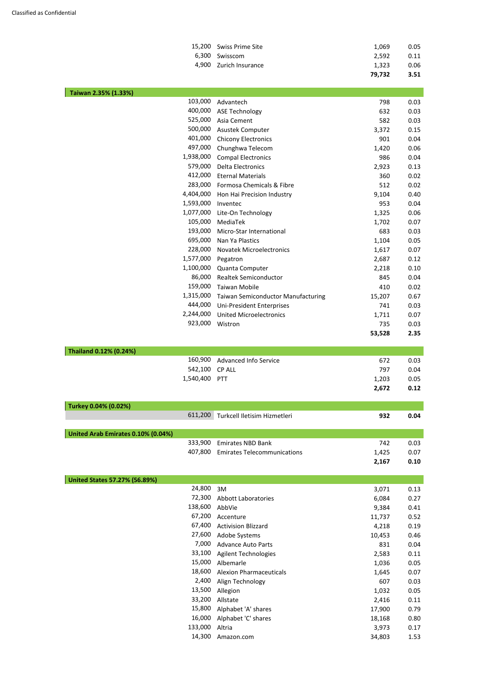|                         | 79,732 | 3.51 |
|-------------------------|--------|------|
| 4,900 Zurich Insurance  | 1,323  | 0.06 |
| 6,300 Swisscom          | 2.592  | 0.11 |
| 15,200 Swiss Prime Site | 1.069  | 0.05 |

| Taiwan 2.35% (1.33%)                 |                |                                           |        |      |
|--------------------------------------|----------------|-------------------------------------------|--------|------|
|                                      | 103,000        | Advantech                                 | 798    | 0.03 |
|                                      | 400,000        | <b>ASE Technology</b>                     | 632    | 0.03 |
|                                      | 525,000        | Asia Cement                               | 582    | 0.03 |
|                                      | 500,000        | Asustek Computer                          | 3,372  | 0.15 |
|                                      | 401,000        | <b>Chicony Electronics</b>                | 901    | 0.04 |
|                                      | 497,000        | Chunghwa Telecom                          | 1,420  | 0.06 |
|                                      | 1,938,000      | <b>Compal Electronics</b>                 | 986    | 0.04 |
|                                      | 579,000        | <b>Delta Electronics</b>                  | 2,923  | 0.13 |
|                                      | 412,000        | <b>Eternal Materials</b>                  | 360    | 0.02 |
|                                      | 283,000        | Formosa Chemicals & Fibre                 | 512    | 0.02 |
|                                      | 4,404,000      | Hon Hai Precision Industry                | 9,104  | 0.40 |
|                                      | 1,593,000      | Inventec                                  | 953    | 0.04 |
|                                      | 1,077,000      | Lite-On Technology                        | 1,325  | 0.06 |
|                                      | 105,000        | MediaTek                                  | 1,702  | 0.07 |
|                                      | 193,000        | Micro-Star International                  | 683    | 0.03 |
|                                      | 695,000        | Nan Ya Plastics                           | 1,104  | 0.05 |
|                                      | 228,000        | <b>Novatek Microelectronics</b>           | 1,617  | 0.07 |
|                                      | 1,577,000      | Pegatron                                  | 2,687  | 0.12 |
|                                      | 1,100,000      | Quanta Computer                           | 2,218  | 0.10 |
|                                      | 86,000         | <b>Realtek Semiconductor</b>              | 845    | 0.04 |
|                                      | 159,000        | <b>Taiwan Mobile</b>                      | 410    | 0.02 |
|                                      | 1,315,000      |                                           |        |      |
|                                      | 444,000        | <b>Taiwan Semiconductor Manufacturing</b> | 15,207 | 0.67 |
|                                      |                | Uni-President Enterprises                 | 741    | 0.03 |
|                                      | 2,244,000      | <b>United Microelectronics</b>            | 1,711  | 0.07 |
|                                      | 923,000        | Wistron                                   | 735    | 0.03 |
|                                      |                |                                           | 53,528 | 2.35 |
| Thailand 0.12% (0.24%)               |                |                                           |        |      |
|                                      | 160,900        | <b>Advanced Info Service</b>              | 672    | 0.03 |
|                                      | 542,100 CP ALL |                                           | 797    | 0.04 |
|                                      | 1,540,400 PTT  |                                           | 1,203  | 0.05 |
|                                      |                |                                           | 2,672  | 0.12 |
|                                      |                |                                           |        |      |
| Turkey 0.04% (0.02%)                 | 611,200        |                                           |        |      |
|                                      |                | Turkcell Iletisim Hizmetleri              | 932    | 0.04 |
| United Arab Emirates 0.10% (0.04%)   |                |                                           |        |      |
|                                      | 333,900        | <b>Emirates NBD Bank</b>                  | 742    | 0.03 |
|                                      | 407,800        | <b>Emirates Telecommunications</b>        | 1,425  | 0.07 |
|                                      |                |                                           | 2,167  | 0.10 |
|                                      |                |                                           |        |      |
| <b>United States 57.27% (56.89%)</b> | 24,800         |                                           |        |      |
|                                      |                | 3M                                        | 3,071  | 0.13 |
|                                      | 72,300         | <b>Abbott Laboratories</b>                | 6,084  | 0.27 |
|                                      | 138,600 AbbVie |                                           | 9,384  | 0.41 |

67,200 Accenture 11,737 0.52

| 67,400  | <b>Activision Blizzard</b>     | 4,218  | 0.19 |
|---------|--------------------------------|--------|------|
| 27,600  | Adobe Systems                  | 10,453 | 0.46 |
| 7,000   | <b>Advance Auto Parts</b>      | 831    | 0.04 |
| 33,100  | <b>Agilent Technologies</b>    | 2,583  | 0.11 |
| 15,000  | Albemarle                      | 1,036  | 0.05 |
| 18,600  | <b>Alexion Pharmaceuticals</b> | 1,645  | 0.07 |
| 2,400   | Align Technology               | 607    | 0.03 |
| 13,500  | Allegion                       | 1,032  | 0.05 |
| 33,200  | Allstate                       | 2,416  | 0.11 |
| 15,800  | Alphabet 'A' shares            | 17,900 | 0.79 |
| 16,000  | Alphabet 'C' shares            | 18,168 | 0.80 |
| 133,000 | Altria                         | 3,973  | 0.17 |
| 14,300  | Amazon.com                     | 34,803 | 1.53 |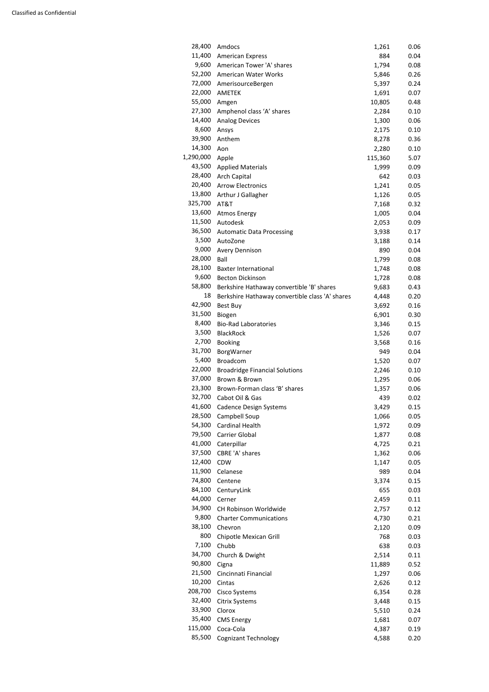| 28,400    | Amdocs                                          | 1,261          | 0.06 |
|-----------|-------------------------------------------------|----------------|------|
| 11,400    | <b>American Express</b>                         | 884            | 0.04 |
| 9,600     | American Tower 'A' shares                       | 1,794          | 0.08 |
| 52,200    | American Water Works                            | 5,846          | 0.26 |
| 72,000    | AmerisourceBergen                               | 5,397          | 0.24 |
| 22,000    | <b>AMETEK</b>                                   | 1,691          | 0.07 |
| 55,000    | Amgen                                           | 10,805         | 0.48 |
| 27,300    | Amphenol class 'A' shares                       | 2,284          | 0.10 |
| 14,400    | <b>Analog Devices</b>                           | 1,300          | 0.06 |
| 8,600     | Ansys                                           | 2,175          | 0.10 |
| 39,900    | Anthem                                          | 8,278          | 0.36 |
| 14,300    | Aon                                             | 2,280          | 0.10 |
| 1,290,000 | Apple                                           | 115,360        | 5.07 |
| 43,500    | <b>Applied Materials</b>                        | 1,999          | 0.09 |
| 28,400    | <b>Arch Capital</b>                             | 642            | 0.03 |
| 20,400    | <b>Arrow Electronics</b>                        | 1,241          | 0.05 |
| 13,800    | Arthur J Gallagher                              | 1,126          | 0.05 |
| 325,700   | AT&T                                            | 7,168          | 0.32 |
| 13,600    | <b>Atmos Energy</b>                             | 1,005          | 0.04 |
| 11,500    | Autodesk                                        | 2,053          | 0.09 |
| 36,500    | <b>Automatic Data Processing</b>                | 3,938          | 0.17 |
| 3,500     | AutoZone                                        | 3,188          | 0.14 |
| 9,000     | <b>Avery Dennison</b>                           | 890            | 0.04 |
| 28,000    | Ball                                            | 1,799          | 0.08 |
| 28,100    | <b>Baxter International</b>                     | 1,748          | 0.08 |
| 9,600     | <b>Becton Dickinson</b>                         |                | 0.08 |
| 58,800    |                                                 | 1,728          |      |
| 18        | Berkshire Hathaway convertible 'B' shares       | 9,683          | 0.43 |
| 42,900    | Berkshire Hathaway convertible class 'A' shares | 4,448          | 0.20 |
| 31,500    | <b>Best Buy</b>                                 | 3,692<br>6,901 | 0.16 |
| 8,400     | Biogen<br><b>Bio-Rad Laboratories</b>           | 3,346          | 0.30 |
| 3,500     | <b>BlackRock</b>                                | 1,526          | 0.15 |
| 2,700     |                                                 |                | 0.07 |
| 31,700    | <b>Booking</b>                                  | 3,568          | 0.16 |
| 5,400     | BorgWarner<br><b>Broadcom</b>                   | 949            | 0.04 |
| 22,000    |                                                 | 1,520          | 0.07 |
| 37,000    | <b>Broadridge Financial Solutions</b>           | 2,246          | 0.10 |
| 23,300    | Brown & Brown                                   | 1,295          | 0.06 |
|           | Brown-Forman class 'B' shares                   | 1,357          | 0.06 |
| 32,700    | Cabot Oil & Gas                                 | 439            | 0.02 |
| 41,600    | <b>Cadence Design Systems</b>                   | 3,429          | 0.15 |
| 28,500    | Campbell Soup                                   | 1,066          | 0.05 |
| 54,300    | <b>Cardinal Health</b>                          | 1,972          | 0.09 |
| 79,500    | <b>Carrier Global</b>                           | 1,877          | 0.08 |
| 41,000    | Caterpillar                                     | 4,725          | 0.21 |
| 37,500    | CBRE 'A' shares                                 | 1,362          | 0.06 |
| 12,400    | <b>CDW</b>                                      | 1,147          | 0.05 |
| 11,900    | Celanese                                        | 989            | 0.04 |
| 74,800    | Centene                                         | 3,374          | 0.15 |
| 84,100    | CenturyLink                                     | 655            | 0.03 |
| 44,000    | Cerner                                          | 2,459          | 0.11 |
| 34,900    | CH Robinson Worldwide                           | 2,757          | 0.12 |
| 9,800     | <b>Charter Communications</b>                   | 4,730          | 0.21 |

| 38,100  | Chevron                     | 2,120  | 0.09 |
|---------|-----------------------------|--------|------|
| 800     | Chipotle Mexican Grill      | 768    | 0.03 |
| 7,100   | Chubb                       | 638    | 0.03 |
| 34,700  | Church & Dwight             | 2,514  | 0.11 |
| 90,800  | Cigna                       | 11,889 | 0.52 |
| 21,500  | Cincinnati Financial        | 1,297  | 0.06 |
| 10,200  | Cintas                      | 2,626  | 0.12 |
| 208,700 | <b>Cisco Systems</b>        | 6,354  | 0.28 |
| 32,400  | <b>Citrix Systems</b>       | 3,448  | 0.15 |
| 33,900  | Clorox                      | 5,510  | 0.24 |
| 35,400  | <b>CMS Energy</b>           | 1,681  | 0.07 |
| 115,000 | Coca-Cola                   | 4,387  | 0.19 |
| 85,500  | <b>Cognizant Technology</b> | 4,588  | 0.20 |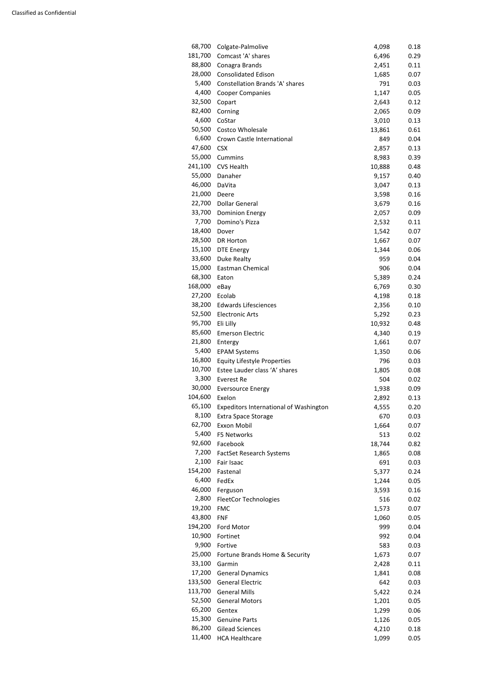| 68,700  | Colgate-Palmolive                             | 4,098  | 0.18 |
|---------|-----------------------------------------------|--------|------|
| 181,700 | Comcast 'A' shares                            | 6,496  | 0.29 |
| 88,800  | Conagra Brands                                | 2,451  | 0.11 |
| 28,000  | <b>Consolidated Edison</b>                    | 1,685  | 0.07 |
| 5,400   | Constellation Brands 'A' shares               | 791    |      |
|         |                                               |        | 0.03 |
| 4,400   | <b>Cooper Companies</b>                       | 1,147  | 0.05 |
| 32,500  | Copart                                        | 2,643  | 0.12 |
| 82,400  | Corning                                       | 2,065  | 0.09 |
| 4,600   | CoStar                                        | 3,010  | 0.13 |
| 50,500  | <b>Costco Wholesale</b>                       | 13,861 | 0.61 |
| 6,600   | Crown Castle International                    | 849    | 0.04 |
| 47,600  | <b>CSX</b>                                    | 2,857  | 0.13 |
| 55,000  | Cummins                                       | 8,983  | 0.39 |
| 241,100 | CVS Health                                    | 10,888 | 0.48 |
| 55,000  | Danaher                                       | 9,157  | 0.40 |
| 46,000  | DaVita                                        | 3,047  | 0.13 |
| 21,000  |                                               |        |      |
|         | Deere                                         | 3,598  | 0.16 |
| 22,700  | <b>Dollar General</b>                         | 3,679  | 0.16 |
| 33,700  | <b>Dominion Energy</b>                        | 2,057  | 0.09 |
| 7,700   | Domino's Pizza                                | 2,532  | 0.11 |
| 18,400  | Dover                                         | 1,542  | 0.07 |
| 28,500  | <b>DR Horton</b>                              | 1,667  | 0.07 |
| 15,100  | <b>DTE Energy</b>                             | 1,344  | 0.06 |
| 33,600  | Duke Realty                                   | 959    | 0.04 |
| 15,000  | <b>Eastman Chemical</b>                       | 906    | 0.04 |
| 68,300  | Eaton                                         | 5,389  | 0.24 |
| 168,000 | eBay                                          | 6,769  | 0.30 |
| 27,200  |                                               |        |      |
| 38,200  | Ecolab                                        | 4,198  | 0.18 |
|         | <b>Edwards Lifesciences</b>                   | 2,356  | 0.10 |
| 52,500  | <b>Electronic Arts</b>                        | 5,292  | 0.23 |
| 95,700  | Eli Lilly                                     | 10,932 | 0.48 |
| 85,600  | <b>Emerson Electric</b>                       | 4,340  | 0.19 |
| 21,800  | Entergy                                       | 1,661  | 0.07 |
| 5,400   | <b>EPAM Systems</b>                           | 1,350  | 0.06 |
| 16,800  | <b>Equity Lifestyle Properties</b>            | 796    | 0.03 |
| 10,700  | Estee Lauder class 'A' shares                 | 1,805  | 0.08 |
| 3,300   | Everest Re                                    | 504    | 0.02 |
| 30,000  | <b>Eversource Energy</b>                      | 1,938  | 0.09 |
| 104,600 | Exelon                                        | 2,892  | 0.13 |
| 65,100  | <b>Expeditors International of Washington</b> | 4,555  | 0.20 |
| 8,100   |                                               | 670    |      |
| 62,700  | <b>Extra Space Storage</b>                    |        | 0.03 |
|         | Exxon Mobil                                   | 1,664  | 0.07 |
| 5,400   | F5 Networks                                   | 513    | 0.02 |
| 92,600  | Facebook                                      | 18,744 | 0.82 |
| 7,200   | <b>FactSet Research Systems</b>               | 1,865  | 0.08 |
| 2,100   | Fair Isaac                                    | 691    | 0.03 |
| 154,200 | Fastenal                                      | 5,377  | 0.24 |
| 6,400   | FedEx                                         | 1,244  | 0.05 |
| 46,000  | Ferguson                                      | 3,593  | 0.16 |
| 2,800   | <b>FleetCor Technologies</b>                  | 516    | 0.02 |
| 19,200  | <b>FMC</b>                                    | 1,573  | 0.07 |
| 43,800  | <b>FNF</b>                                    | 1,060  | 0.05 |
| 194,200 | <b>Ford Motor</b>                             | 999    | 0.04 |
| 10,900  | Fortinet                                      |        |      |
|         |                                               | 992    | 0.04 |
|         | 9,900 Fortive                                 | 583    | 0.03 |
|         | 25,000 Fortune Brands Home & Security         | 1,673  | 0.07 |
|         | 33,100 Garmin                                 | 2,428  | 0.11 |
| 17,200  | <b>General Dynamics</b>                       | 1,841  | 0.08 |
| 133,500 | <b>General Electric</b>                       | 642    | 0.03 |
| 113,700 | <b>General Mills</b>                          | 5,422  | 0.24 |
| 52,500  | <b>General Motors</b>                         | 1,201  | 0.05 |
| 65,200  | Gentex                                        | 1,299  | 0.06 |
| 15,300  | <b>Genuine Parts</b>                          | 1,126  | 0.05 |
| 86,200  | <b>Gilead Sciences</b>                        | 4,210  | 0.18 |
| 11,400  | <b>HCA Healthcare</b>                         | 1,099  | 0.05 |
|         |                                               |        |      |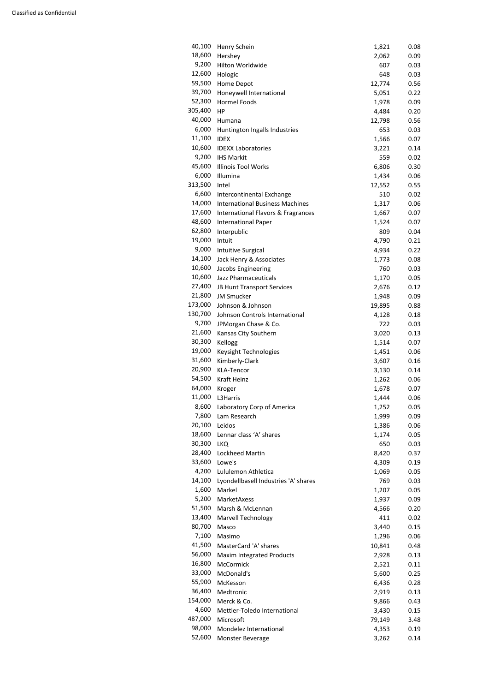| 40,100  | Henry Schein                           | 1,821  | 0.08 |
|---------|----------------------------------------|--------|------|
| 18,600  | Hershey                                | 2,062  | 0.09 |
| 9,200   | Hilton Worldwide                       | 607    | 0.03 |
| 12,600  | Hologic                                | 648    | 0.03 |
| 59,500  | Home Depot                             | 12,774 | 0.56 |
| 39,700  | Honeywell International                | 5,051  | 0.22 |
| 52,300  | Hormel Foods                           | 1,978  | 0.09 |
| 305,400 | HP                                     | 4,484  | 0.20 |
| 40,000  | Humana                                 | 12,798 | 0.56 |
| 6,000   | Huntington Ingalls Industries          | 653    | 0.03 |
| 11,100  | <b>IDEX</b>                            | 1,566  | 0.07 |
| 10,600  | <b>IDEXX Laboratories</b>              | 3,221  | 0.14 |
| 9,200   | <b>IHS Markit</b>                      | 559    | 0.02 |
| 45,600  | <b>Illinois Tool Works</b>             | 6,806  | 0.30 |
| 6,000   | Illumina                               | 1,434  | 0.06 |
| 313,500 | Intel                                  | 12,552 | 0.55 |
| 6,600   | Intercontinental Exchange              | 510    | 0.02 |
| 14,000  | <b>International Business Machines</b> | 1,317  | 0.06 |
| 17,600  | International Flavors & Fragrances     | 1,667  | 0.07 |
| 48,600  | <b>International Paper</b>             | 1,524  | 0.07 |
| 62,800  | Interpublic                            | 809    | 0.04 |
| 19,000  | Intuit                                 | 4,790  | 0.21 |
| 9,000   | <b>Intuitive Surgical</b>              | 4,934  | 0.22 |
| 14,100  | Jack Henry & Associates                | 1,773  | 0.08 |
| 10,600  | Jacobs Engineering                     | 760    | 0.03 |
| 10,600  | Jazz Pharmaceuticals                   | 1,170  | 0.05 |
| 27,400  | JB Hunt Transport Services             | 2,676  | 0.12 |
| 21,800  | <b>JM Smucker</b>                      | 1,948  | 0.09 |
| 173,000 | Johnson & Johnson                      | 19,895 | 0.88 |
| 130,700 | Johnson Controls International         | 4,128  | 0.18 |
| 9,700   | JPMorgan Chase & Co.                   | 722    | 0.03 |
| 21,600  | Kansas City Southern                   | 3,020  | 0.13 |
| 30,300  | Kellogg                                | 1,514  | 0.07 |
| 19,000  | Keysight Technologies                  | 1,451  | 0.06 |
| 31,600  | Kimberly-Clark                         | 3,607  | 0.16 |
| 20,900  | <b>KLA-Tencor</b>                      | 3,130  | 0.14 |
| 54,500  | <b>Kraft Heinz</b>                     | 1,262  | 0.06 |
| 64,000  | Kroger                                 | 1,678  | 0.07 |
| 11,000  | L3Harris                               | 1,444  | 0.06 |
| 8,600   | Laboratory Corp of America             | 1,252  | 0.05 |
| 7,800   | Lam Research                           | 1,999  | 0.09 |
| 20,100  | Leidos                                 | 1,386  | 0.06 |
| 18,600  | Lennar class 'A' shares                | 1,174  | 0.05 |
| 30,300  | LKQ                                    | 650    | 0.03 |
| 28,400  | <b>Lockheed Martin</b>                 | 8,420  | 0.37 |
| 33,600  | Lowe's                                 | 4,309  | 0.19 |
| 4,200   | Lululemon Athletica                    | 1,069  | 0.05 |
| 14,100  | Lyondellbasell Industries 'A' shares   | 769    | 0.03 |
| 1,600   | Markel                                 | 1,207  | 0.05 |
| 5,200   | MarketAxess                            | 1,937  | 0.09 |
| 51,500  | Marsh & McLennan                       | 4,566  | 0.20 |
| 13,400  | <b>Marvell Technology</b>              | 411    | 0.02 |
|         |                                        |        |      |

| 80,700  | Masco                            | 3,440  | 0.15 |
|---------|----------------------------------|--------|------|
| 7,100   | Masimo                           | 1,296  | 0.06 |
| 41,500  | MasterCard 'A' shares            | 10,841 | 0.48 |
| 56,000  | <b>Maxim Integrated Products</b> | 2,928  | 0.13 |
| 16,800  | <b>McCormick</b>                 | 2,521  | 0.11 |
| 33,000  | McDonald's                       | 5,600  | 0.25 |
| 55,900  | McKesson                         | 6,436  | 0.28 |
| 36,400  | Medtronic                        | 2,919  | 0.13 |
| 154,000 | Merck & Co.                      | 9,866  | 0.43 |
| 4,600   | Mettler-Toledo International     | 3,430  | 0.15 |
| 487,000 | Microsoft                        | 79,149 | 3.48 |
| 98,000  | Mondelez International           | 4,353  | 0.19 |
| 52,600  | <b>Monster Beverage</b>          | 3,262  | 0.14 |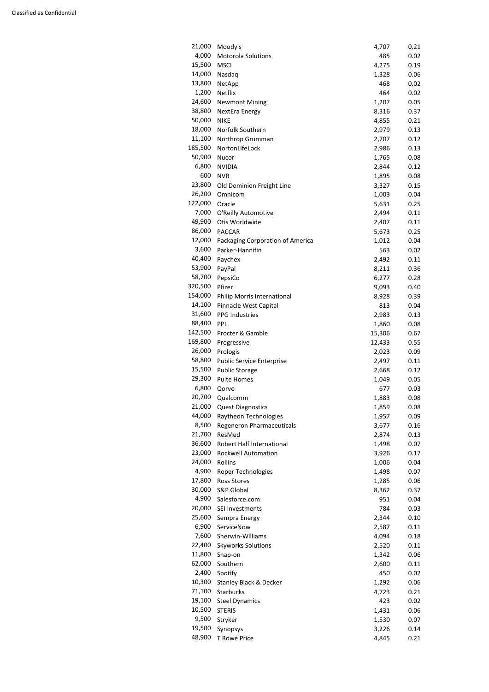| 21,000  | Moody's                           | 4,707  | 0.21 |
|---------|-----------------------------------|--------|------|
| 4,000   | Motorola Solutions                | 485    | 0.02 |
| 15,500  | <b>MSCI</b>                       | 4,275  | 0.19 |
| 14,000  | Nasdaq                            | 1,328  | 0.06 |
| 13,800  | NetApp                            | 468    | 0.02 |
| 1,200   |                                   |        |      |
|         | Netflix                           | 464    | 0.02 |
| 24,600  | <b>Newmont Mining</b>             | 1,207  | 0.05 |
| 38,800  | NextEra Energy                    | 8,316  | 0.37 |
| 50,000  | <b>NIKE</b>                       | 4,855  | 0.21 |
| 18,000  | Norfolk Southern                  | 2,979  | 0.13 |
| 11,100  | Northrop Grumman                  | 2,707  | 0.12 |
| 185,500 | NortonLifeLock                    | 2,986  | 0.13 |
| 50,900  | Nucor                             | 1,765  | 0.08 |
| 6,800   | <b>NVIDIA</b>                     | 2,844  | 0.12 |
| 600     | <b>NVR</b>                        | 1,895  | 0.08 |
| 23,800  |                                   |        |      |
|         | Old Dominion Freight Line         | 3,327  | 0.15 |
| 26,200  | Omnicom                           | 1,003  | 0.04 |
| 122,000 | Oracle                            | 5,631  | 0.25 |
| 7,000   | O'Reilly Automotive               | 2,494  | 0.11 |
| 49,900  | Otis Worldwide                    | 2,407  | 0.11 |
| 86,000  | <b>PACCAR</b>                     | 5,673  | 0.25 |
| 12,000  | Packaging Corporation of America  | 1,012  | 0.04 |
| 3,600   | Parker-Hannifin                   | 563    | 0.02 |
| 40,400  | Paychex                           | 2,492  | 0.11 |
| 53,900  | PayPal                            | 8,211  | 0.36 |
| 58,700  | PepsiCo                           | 6,277  | 0.28 |
| 320,500 | Pfizer                            |        |      |
|         |                                   | 9,093  | 0.40 |
| 154,000 | Philip Morris International       | 8,928  | 0.39 |
| 14,100  | Pinnacle West Capital             | 813    | 0.04 |
| 31,600  | <b>PPG Industries</b>             | 2,983  | 0.13 |
| 88,400  | <b>PPL</b>                        | 1,860  | 0.08 |
| 142,500 | Procter & Gamble                  | 15,306 | 0.67 |
| 169,800 | Progressive                       | 12,433 | 0.55 |
| 26,000  | Prologis                          | 2,023  | 0.09 |
| 58,800  | <b>Public Service Enterprise</b>  | 2,497  | 0.11 |
| 15,500  | <b>Public Storage</b>             | 2,668  | 0.12 |
| 29,300  | <b>Pulte Homes</b>                | 1,049  | 0.05 |
| 6,800   | Qorvo                             | 677    | 0.03 |
| 20,700  |                                   |        |      |
|         | Qualcomm                          | 1,883  | 0.08 |
| 21,000  | <b>Quest Diagnostics</b>          | 1,859  | 0.08 |
| 44,000  | Raytheon Technologies             | 1,957  | 0.09 |
| 8,500   | Regeneron Pharmaceuticals         | 3,677  | 0.16 |
| 21,700  | ResMed                            | 2,874  | 0.13 |
| 36,600  | Robert Half International         | 1,498  | 0.07 |
| 23,000  | <b>Rockwell Automation</b>        | 3,926  | 0.17 |
| 24,000  | Rollins                           | 1,006  | 0.04 |
| 4,900   | Roper Technologies                | 1,498  | 0.07 |
| 17,800  | <b>Ross Stores</b>                | 1,285  | 0.06 |
| 30,000  | <b>S&amp;P Global</b>             | 8,362  | 0.37 |
| 4,900   | Salesforce.com                    | 951    | 0.04 |
|         |                                   |        |      |
| 20,000  | SEI Investments                   | 784    | 0.03 |
| 25,600  | Sempra Energy                     | 2,344  | 0.10 |
| 6,900   | ServiceNow                        | 2,587  | 0.11 |
| 7,600   | Sherwin-Williams                  | 4,094  | 0.18 |
| 22,400  | <b>Skyworks Solutions</b>         | 2,520  | 0.11 |
| 11,800  | Snap-on                           | 1,342  | 0.06 |
| 62,000  | Southern                          | 2,600  | 0.11 |
| 2,400   | Spotify                           | 450    | 0.02 |
| 10,300  | <b>Stanley Black &amp; Decker</b> | 1,292  | 0.06 |
| 71,100  | <b>Starbucks</b>                  | 4,723  | 0.21 |
| 19,100  |                                   | 423    | 0.02 |
|         | <b>Steel Dynamics</b>             |        |      |
| 10,500  | <b>STERIS</b>                     | 1,431  | 0.06 |
| 9,500   | Stryker                           | 1,530  | 0.07 |
| 19,500  | Synopsys                          | 3,226  | 0.14 |
| 48,900  | T Rowe Price                      | 4,845  | 0.21 |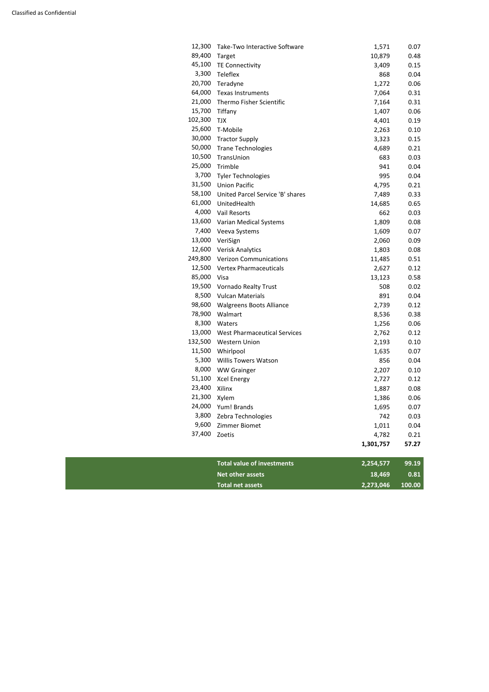|         |                                     | 1,301,757 | 57.27 |
|---------|-------------------------------------|-----------|-------|
| 37,400  | Zoetis                              | 4,782     | 0.21  |
| 9,600   | Zimmer Biomet                       | 1,011     | 0.04  |
| 3,800   | Zebra Technologies                  | 742       | 0.03  |
| 24,000  | Yum! Brands                         | 1,695     | 0.07  |
| 21,300  | Xylem                               | 1,386     | 0.06  |
| 23,400  | Xilinx                              | 1,887     | 0.08  |
| 51,100  | <b>Xcel Energy</b>                  | 2,727     | 0.12  |
| 8,000   | <b>WW Grainger</b>                  | 2,207     | 0.10  |
| 5,300   | <b>Willis Towers Watson</b>         | 856       | 0.04  |
| 11,500  | Whirlpool                           | 1,635     | 0.07  |
| 132,500 | <b>Western Union</b>                | 2,193     | 0.10  |
| 13,000  | <b>West Pharmaceutical Services</b> | 2,762     | 0.12  |
| 8,300   | Waters                              | 1,256     | 0.06  |
| 78,900  | Walmart                             | 8,536     | 0.38  |
| 98,600  | <b>Walgreens Boots Alliance</b>     | 2,739     | 0.12  |
| 8,500   | <b>Vulcan Materials</b>             | 891       | 0.04  |
| 19,500  | <b>Vornado Realty Trust</b>         | 508       | 0.02  |
| 85,000  | Visa                                | 13,123    | 0.58  |
|         | 12,500 Vertex Pharmaceuticals       | 2,627     | 0.12  |
| 249,800 | <b>Verizon Communications</b>       | 11,485    | 0.51  |
| 12,600  | <b>Verisk Analytics</b>             | 1,803     | 0.08  |
| 13,000  | VeriSign                            | 2,060     | 0.09  |
| 7,400   | Veeva Systems                       | 1,609     | 0.07  |
|         | 13,600 Varian Medical Systems       | 1,809     | 0.08  |
|         | 4,000 Vail Resorts                  | 662       | 0.03  |
| 61,000  | UnitedHealth                        | 14,685    | 0.65  |
| 58,100  | United Parcel Service 'B' shares    | 7,489     | 0.33  |
| 31,500  | <b>Union Pacific</b>                | 4,795     | 0.21  |
| 3,700   | <b>Tyler Technologies</b>           | 995       | 0.04  |
| 25,000  | Trimble                             | 941       | 0.04  |
| 10,500  | TransUnion                          | 683       | 0.03  |
| 50,000  | <b>Trane Technologies</b>           | 4,689     | 0.21  |
| 30,000  | <b>Tractor Supply</b>               | 3,323     | 0.15  |
| 25,600  | T-Mobile                            | 2,263     | 0.10  |
| 102,300 | <b>TJX</b>                          | 4,401     | 0.19  |
| 15,700  | Tiffany                             | 1,407     | 0.06  |
| 21,000  | Thermo Fisher Scientific            | 7,164     | 0.31  |
| 64,000  | Texas Instruments                   | 7,064     | 0.31  |
| 20,700  | Teradyne                            | 1,272     | 0.06  |
| 3,300   | Teleflex                            | 868       | 0.04  |
| 45,100  | <b>TE Connectivity</b>              | 3,409     | 0.15  |
| 89,400  | Target                              | 10,879    | 0.48  |
| 12,300  | Take-Two Interactive Software       | 1,571     | 0.07  |
|         |                                     |           |       |

| Total value of investments<br>2,254,577     | 99.19 |
|---------------------------------------------|-------|
| 18.469<br>Net other assets                  | 0.81  |
| 2,273,046 100.00<br><b>Total net assets</b> |       |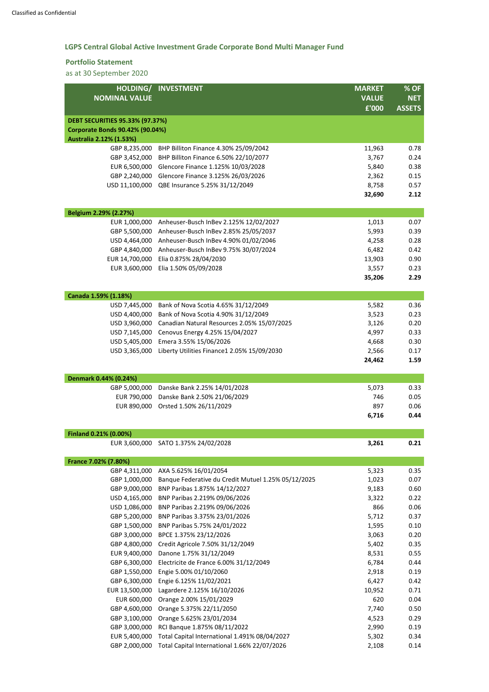# **LGPS Central Global Active Investment Grade Corporate Bond Multi Manager Fund**

#### **Portfolio Statement**

| HOLDING/                                                   | <b>INVESTMENT</b>                                         | <b>MARKET</b>   | % OF          |
|------------------------------------------------------------|-----------------------------------------------------------|-----------------|---------------|
| <b>NOMINAL VALUE</b>                                       |                                                           | <b>VALUE</b>    | <b>NET</b>    |
|                                                            |                                                           | £'000           | <b>ASSETS</b> |
| <b>DEBT SECURITIES 95.33% (97.37%)</b>                     |                                                           |                 |               |
| Corporate Bonds 90.42% (90.04%)<br>Australia 2.12% (1.53%) |                                                           |                 |               |
| GBP 8,235,000                                              | BHP Billiton Finance 4.30% 25/09/2042                     | 11,963          | 0.78          |
| GBP 3,452,000                                              | BHP Billiton Finance 6.50% 22/10/2077                     | 3,767           | 0.24          |
| EUR 6,500,000                                              | Glencore Finance 1.125% 10/03/2028                        | 5,840           | 0.38          |
| GBP 2,240,000                                              | Glencore Finance 3.125% 26/03/2026                        | 2,362           | 0.15          |
| USD 11,100,000                                             | QBE Insurance 5.25% 31/12/2049                            | 8,758           | 0.57          |
|                                                            |                                                           | 32,690          | 2.12          |
| Belgium 2.29% (2.27%)                                      |                                                           |                 |               |
| EUR 1,000,000                                              | Anheuser-Busch InBev 2.125% 12/02/2027                    | 1,013           | 0.07          |
| GBP 5,500,000                                              | Anheuser-Busch InBev 2.85% 25/05/2037                     | 5,993           | 0.39          |
| USD 4,464,000                                              | Anheuser-Busch InBev 4.90% 01/02/2046                     | 4,258           | 0.28          |
| GBP 4,840,000                                              | Anheuser-Busch InBev 9.75% 30/07/2024                     | 6,482           | 0.42          |
| EUR 14,700,000                                             | Elia 0.875% 28/04/2030                                    | 13,903          | 0.90          |
| EUR 3,600,000                                              | Elia 1.50% 05/09/2028                                     | 3,557           | 0.23          |
|                                                            |                                                           | 35,206          | 2.29          |
| Canada 1.59% (1.18%)                                       |                                                           |                 |               |
| USD 7,445,000                                              | Bank of Nova Scotia 4.65% 31/12/2049                      | 5,582           | 0.36          |
| USD 4,400,000                                              | Bank of Nova Scotia 4.90% 31/12/2049                      | 3,523           | 0.23          |
| USD 3,960,000                                              | Canadian Natural Resources 2.05% 15/07/2025               | 3,126           | 0.20          |
| USD 7,145,000                                              | Cenovus Energy 4.25% 15/04/2027                           | 4,997           | 0.33          |
| USD 5,405,000                                              | Emera 3.55% 15/06/2026                                    | 4,668           | 0.30          |
|                                                            | USD 3,365,000 Liberty Utilities Finance1 2.05% 15/09/2030 | 2,566           | 0.17          |
|                                                            |                                                           | 24,462          | 1.59          |
| Denmark 0.44% (0.24%)                                      |                                                           |                 |               |
| GBP 5,000,000                                              | Danske Bank 2.25% 14/01/2028                              | 5,073           | 0.33          |
| EUR 790,000                                                | Danske Bank 2.50% 21/06/2029                              | 746             | 0.05          |
| EUR 890,000                                                | Orsted 1.50% 26/11/2029                                   | 897             | 0.06          |
|                                                            |                                                           | 6,716           | 0.44          |
| Finland 0.21% (0.00%)                                      |                                                           |                 |               |
| EUR 3,600,000                                              | SATO 1.375% 24/02/2028                                    | 3,261           | 0.21          |
| France 7.02% (7.80%)                                       |                                                           |                 |               |
| GBP 4,311,000                                              | AXA 5.625% 16/01/2054                                     | 5,323           | 0.35          |
| GBP 1,000,000                                              | Banque Federative du Credit Mutuel 1.25% 05/12/2025       | 1,023           | 0.07          |
| GBP 9,000,000                                              | BNP Paribas 1.875% 14/12/2027                             | 9,183           | 0.60          |
| USD 4,165,000                                              | BNP Paribas 2.219% 09/06/2026                             | 3,322           | 0.22          |
| USD 1,086,000                                              | BNP Paribas 2.219% 09/06/2026                             | 866             | 0.06          |
| GBP 5,200,000                                              | BNP Paribas 3.375% 23/01/2026                             | 5,712           | 0.37          |
| GBP 1,500,000                                              | BNP Paribas 5.75% 24/01/2022                              | 1,595           | 0.10          |
| GBP 3,000,000                                              | BPCE 1.375% 23/12/2026                                    | 3,063           | 0.20          |
| GBP 4,800,000                                              | Credit Agricole 7.50% 31/12/2049                          | 5,402           | 0.35          |
| EUR 9,400,000                                              | Danone 1.75% 31/12/2049                                   | 8,531           | 0.55          |
| GBP 6,300,000                                              | Electricite de France 6.00% 31/12/2049                    | 6,784           | 0.44          |
| GBP 1,550,000                                              | Engie 5.00% 01/10/2060                                    | 2,918           | 0.19          |
| GBP 6,300,000<br>EUR 13,500,000                            | Engie 6.125% 11/02/2021<br>Lagardere 2.125% 16/10/2026    | 6,427<br>10,952 | 0.42<br>0.71  |
| EUR 600,000                                                | Orange 2.00% 15/01/2029                                   | 620             | 0.04          |
| GBP 4,600,000                                              | Orange 5.375% 22/11/2050                                  | 7,740           | 0.50          |
| GBP 3,100,000                                              | Orange 5.625% 23/01/2034                                  | 4,523           | 0.29          |
| GBP 3,000,000                                              | RCI Banque 1.875% 08/11/2022                              | 2,990           | 0.19          |
| EUR 5,400,000                                              | Total Capital International 1.491% 08/04/2027             | 5,302           | 0.34          |
| GBP 2,000,000                                              | Total Capital International 1.66% 22/07/2026              | 2,108           | 0.14          |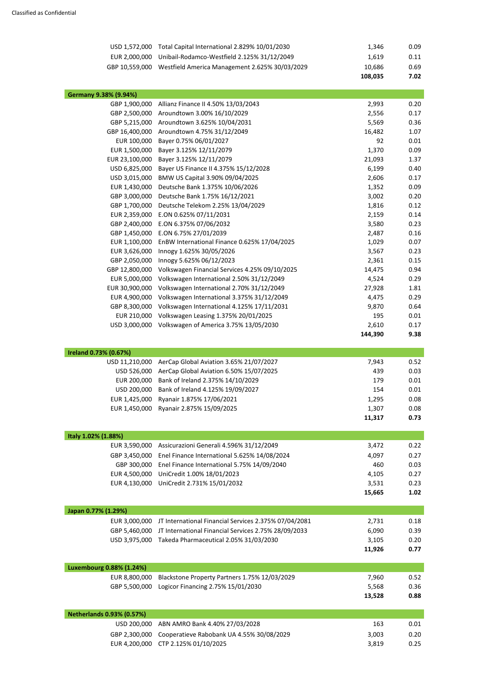| USD 1,572,000 Total Capital International 2.829% 10/01/2030   | 1,346   | 0.09 |
|---------------------------------------------------------------|---------|------|
| EUR 2,000,000 Unibail-Rodamco-Westfield 2.125% 31/12/2049     | 1,619   | 0.11 |
| GBP 10,559,000 Westfield America Management 2.625% 30/03/2029 | 10,686  | 0.69 |
|                                                               | 108,035 | 7.02 |

| Germany 9.38% (9.94%) |                                                |         |      |
|-----------------------|------------------------------------------------|---------|------|
| GBP 1,900,000         | Allianz Finance II 4.50% 13/03/2043            | 2,993   | 0.20 |
| GBP 2,500,000         | Aroundtown 3.00% 16/10/2029                    | 2,556   | 0.17 |
| GBP 5,215,000         | Aroundtown 3.625% 10/04/2031                   | 5,569   | 0.36 |
| GBP 16,400,000        | Aroundtown 4.75% 31/12/2049                    | 16,482  | 1.07 |
| EUR 100,000           | Bayer 0.75% 06/01/2027                         | 92      | 0.01 |
| EUR 1,500,000         | Bayer 3.125% 12/11/2079                        | 1,370   | 0.09 |
| EUR 23,100,000        | Bayer 3.125% 12/11/2079                        | 21,093  | 1.37 |
| USD 6,825,000         | Bayer US Finance II 4.375% 15/12/2028          | 6,199   | 0.40 |
| USD 3,015,000         | BMW US Capital 3.90% 09/04/2025                | 2,606   | 0.17 |
| EUR 1,430,000         | Deutsche Bank 1.375% 10/06/2026                | 1,352   | 0.09 |
| GBP 3,000,000         | Deutsche Bank 1.75% 16/12/2021                 | 3,002   | 0.20 |
| GBP 1,700,000         | Deutsche Telekom 2.25% 13/04/2029              | 1,816   | 0.12 |
| EUR 2,359,000         | E.ON 0.625% 07/11/2031                         | 2,159   | 0.14 |
| GBP 2,400,000         | E.ON 6.375% 07/06/2032                         | 3,580   | 0.23 |
| GBP 1,450,000         | E.ON 6.75% 27/01/2039                          | 2,487   | 0.16 |
| EUR 1,100,000         | EnBW International Finance 0.625% 17/04/2025   | 1,029   | 0.07 |
| EUR 3,626,000         | Innogy 1.625% 30/05/2026                       | 3,567   | 0.23 |
| GBP 2,050,000         | Innogy 5.625% 06/12/2023                       | 2,361   | 0.15 |
| GBP 12,800,000        | Volkswagen Financial Services 4.25% 09/10/2025 | 14,475  | 0.94 |
| EUR 5,000,000         | Volkswagen International 2.50% 31/12/2049      | 4,524   | 0.29 |
| EUR 30,900,000        | Volkswagen International 2.70% 31/12/2049      | 27,928  | 1.81 |
| EUR 4,900,000         | Volkswagen International 3.375% 31/12/2049     | 4,475   | 0.29 |
| GBP 8,300,000         | Volkswagen International 4.125% 17/11/2031     | 9,870   | 0.64 |
| EUR 210,000           | Volkswagen Leasing 1.375% 20/01/2025           | 195     | 0.01 |
| USD 3,000,000         | Volkswagen of America 3.75% 13/05/2030         | 2,610   | 0.17 |
|                       |                                                | 144,390 | 9.38 |
|                       |                                                |         |      |

| Ireland 0.73% (0.67%) |                                         |        |      |
|-----------------------|-----------------------------------------|--------|------|
| USD 11,210,000        | AerCap Global Aviation 3.65% 21/07/2027 | 7,943  | 0.52 |
| USD 526.000           | AerCap Global Aviation 6.50% 15/07/2025 | 439    | 0.03 |
| EUR 200.000           | Bank of Ireland 2.375% 14/10/2029       | 179    | 0.01 |
| USD 200,000           | Bank of Ireland 4.125% 19/09/2027       | 154    | 0.01 |
| EUR 1,425,000         | Ryanair 1.875% 17/06/2021               | 1,295  | 0.08 |
| EUR 1,450,000         | Ryanair 2.875% 15/09/2025               | 1,307  | 0.08 |
|                       |                                         | 11,317 | 0.73 |

| Italy 1.02% (1.88%) |                                                            |        |      |
|---------------------|------------------------------------------------------------|--------|------|
|                     | EUR 3,590,000 Assicurazioni Generali 4.596% 31/12/2049     | 3,472  | 0.22 |
|                     | GBP 3,450,000 Enel Finance International 5.625% 14/08/2024 | 4,097  | 0.27 |
|                     | GBP 300,000 Enel Finance International 5.75% 14/09/2040    | 460    | 0.03 |
| EUR 4,500,000       | UniCredit 1.00% 18/01/2023                                 | 4,105  | 0.27 |
|                     | EUR 4,130,000 UniCredit 2.731% 15/01/2032                  | 3,531  | 0.23 |
|                     |                                                            | 15,665 | 1.02 |

| Japan 0.77% (1.29%) |                                                                     |        |      |
|---------------------|---------------------------------------------------------------------|--------|------|
|                     | EUR 3,000,000 JT International Financial Services 2.375% 07/04/2081 | 2,731  | 0.18 |
|                     | GBP 5,460,000 JT International Financial Services 2.75% 28/09/2033  | 6,090  | 0.39 |
|                     | USD 3,975,000 Takeda Pharmaceutical 2.05% 31/03/2030                | 3,105  | 0.20 |
|                     |                                                                     | 11,926 | 0.77 |

| Luxembourg 0.88% (1.24%) |                                                             |        |      |
|--------------------------|-------------------------------------------------------------|--------|------|
|                          | EUR 8,800,000 Blackstone Property Partners 1.75% 12/03/2029 | 7,960  | 0.52 |
|                          | GBP 5,500,000 Logicor Financing 2.75% 15/01/2030            | 5,568  | 0.36 |
|                          |                                                             | 13,528 | 0.88 |

| <b>Netherlands 0.93% (0.57%)</b> |                                                         |       |      |
|----------------------------------|---------------------------------------------------------|-------|------|
|                                  | USD 200,000 ABN AMRO Bank 4.40% 27/03/2028              | 163   | 0.01 |
|                                  | GBP 2,300,000 Cooperatieve Rabobank UA 4.55% 30/08/2029 | 3,003 | 0.20 |
|                                  | EUR 4,200,000 CTP 2.125% 01/10/2025                     | 3,819 | 0.25 |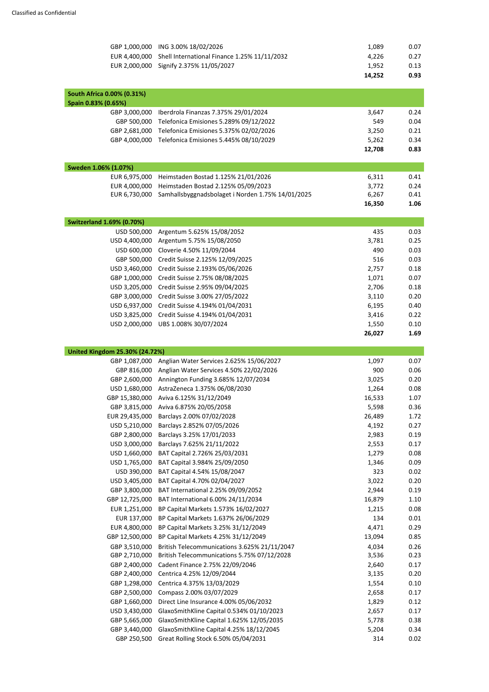| GBP 1,000,000                         | ING 3.00% 18/02/2026                              | 1,089  | 0.07 |
|---------------------------------------|---------------------------------------------------|--------|------|
| EUR 4,400,000                         | Shell International Finance 1.25% 11/11/2032      | 4,226  | 0.27 |
| EUR 2,000,000                         | Signify 2.375% 11/05/2027                         | 1,952  | 0.13 |
|                                       |                                                   | 14,252 | 0.93 |
|                                       |                                                   |        |      |
| South Africa 0.00% (0.31%)            |                                                   |        |      |
| Spain 0.83% (0.65%)                   |                                                   |        |      |
| GBP 3,000,000                         | Iberdrola Finanzas 7.375% 29/01/2024              | 3,647  | 0.24 |
| GBP 500,000                           | Telefonica Emisiones 5.289% 09/12/2022            | 549    | 0.04 |
| GBP 2,681,000                         | Telefonica Emisiones 5.375% 02/02/2026            | 3,250  | 0.21 |
| GBP 4,000,000                         | Telefonica Emisiones 5.445% 08/10/2029            | 5,262  | 0.34 |
|                                       |                                                   | 12,708 | 0.83 |
|                                       |                                                   |        |      |
| Sweden 1.06% (1.07%)                  |                                                   |        |      |
| EUR 6,975,000                         | Heimstaden Bostad 1.125% 21/01/2026               | 6,311  | 0.41 |
| EUR 4,000,000<br>EUR 6,730,000        | Heimstaden Bostad 2.125% 05/09/2023               | 3,772  | 0.24 |
|                                       | Samhallsbyggnadsbolaget i Norden 1.75% 14/01/2025 | 6,267  | 0.41 |
|                                       |                                                   | 16,350 | 1.06 |
| <b>Switzerland 1.69% (0.70%)</b>      |                                                   |        |      |
| USD 500,000                           | Argentum 5.625% 15/08/2052                        | 435    | 0.03 |
| USD 4,400,000                         | Argentum 5.75% 15/08/2050                         | 3,781  | 0.25 |
| USD 600,000                           | Cloverie 4.50% 11/09/2044                         | 490    | 0.03 |
| GBP 500,000                           | Credit Suisse 2.125% 12/09/2025                   | 516    | 0.03 |
| USD 3,460,000                         | Credit Suisse 2.193% 05/06/2026                   | 2,757  | 0.18 |
| GBP 1,000,000                         | Credit Suisse 2.75% 08/08/2025                    | 1,071  | 0.07 |
| USD 3,205,000                         | Credit Suisse 2.95% 09/04/2025                    | 2,706  | 0.18 |
| GBP 3,000,000                         | Credit Suisse 3.00% 27/05/2022                    | 3,110  | 0.20 |
| USD 6,937,000                         | Credit Suisse 4.194% 01/04/2031                   | 6,195  | 0.40 |
| USD 3,825,000                         | Credit Suisse 4.194% 01/04/2031                   | 3,416  | 0.22 |
| USD 2,000,000                         | UBS 1.008% 30/07/2024                             | 1,550  | 0.10 |
|                                       |                                                   | 26,027 | 1.69 |
|                                       |                                                   |        |      |
| <b>United Kingdom 25.30% (24.72%)</b> |                                                   |        |      |
| GBP 1,087,000                         | Anglian Water Services 2.625% 15/06/2027          | 1,097  | 0.07 |
| GBP 816,000                           | Anglian Water Services 4.50% 22/02/2026           | 900    | 0.06 |
| GBP 2,600,000                         | Annington Funding 3.685% 12/07/2034               | 3,025  | 0.20 |
| USD 1,680,000                         | AstraZeneca 1.375% 06/08/2030                     | 1,264  | 0.08 |
| GBP 15,380,000                        | Aviva 6.125% 31/12/2049                           | 16,533 | 1.07 |
| GBP 3,815,000                         | Aviva 6.875% 20/05/2058                           | 5,598  | 0.36 |
| EUR 29,435,000                        | Barclays 2.00% 07/02/2028                         | 26,489 | 1.72 |
| USD 5,210,000                         | Barclays 2.852% 07/05/2026                        | 4,192  | 0.27 |
| GBP 2,800,000                         | Barclays 3.25% 17/01/2033                         | 2,983  | 0.19 |
| USD 3,000,000                         | Barclays 7.625% 21/11/2022                        | 2,553  | 0.17 |
| USD 1,660,000                         | BAT Capital 2.726% 25/03/2031                     | 1,279  | 0.08 |

USD 1,765,000 BAT Capital 3.984% 25/09/2050 1,346 1,346 0.09 USD 390,000 BAT Capital 4.54% 15/08/2047 323 0.02 USD 3,405,000 BAT Capital 4.70% 02/04/2027 3,022 0.20 GBP 3,800,000 BAT International 2.25% 09/09/2052 2,944 2,944 0.19 GBP 12,725,000 BAT International 6.00% 24/11/2034 16,879 16,879 1.10 EUR 1,251,000 BP Capital Markets 1.573% 16/02/2027 1,215 1,215 0.08 EUR 137,000 BP Capital Markets 1.637% 26/06/2029 134 134 0.01

| EUR 4,800,000  | BP Capital Markets 3.25% 31/12/2049          | 4,471  | 0.29 |
|----------------|----------------------------------------------|--------|------|
| GBP 12,500,000 | BP Capital Markets 4.25% 31/12/2049          | 13,094 | 0.85 |
| GBP 3,510,000  | British Telecommunications 3.625% 21/11/2047 | 4,034  | 0.26 |
| GBP 2,710,000  | British Telecommunications 5.75% 07/12/2028  | 3,536  | 0.23 |
| GBP 2,400,000  | Cadent Finance 2.75% 22/09/2046              | 2,640  | 0.17 |
| GBP 2,400,000  | Centrica 4.25% 12/09/2044                    | 3,135  | 0.20 |
| GBP 1,298,000  | Centrica 4.375% 13/03/2029                   | 1,554  | 0.10 |
| GBP 2,500,000  | Compass 2.00% 03/07/2029                     | 2,658  | 0.17 |
| GBP 1,660,000  | Direct Line Insurance 4.00% 05/06/2032       | 1,829  | 0.12 |
| USD 3,430,000  | GlaxoSmithKline Capital 0.534% 01/10/2023    | 2,657  | 0.17 |
| GBP 5,665,000  | GlaxoSmithKline Capital 1.625% 12/05/2035    | 5,778  | 0.38 |
| GBP 3,440,000  | GlaxoSmithKline Capital 4.25% 18/12/2045     | 5,204  | 0.34 |
| GBP 250,500    | Great Rolling Stock 6.50% 05/04/2031         | 314    | 0.02 |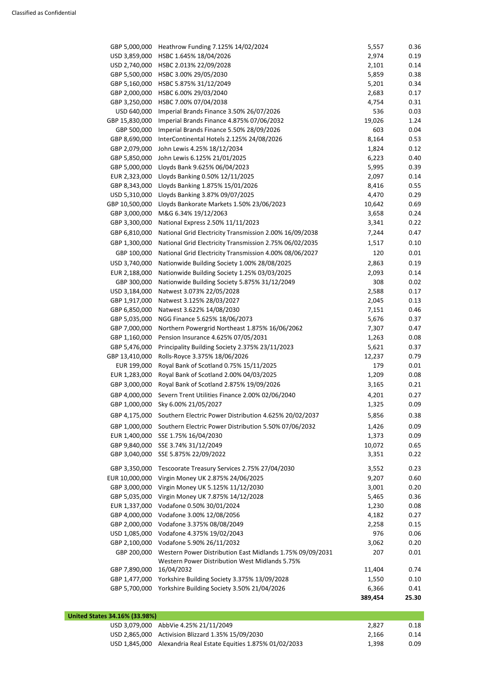| GBP 5,000,000  | Heathrow Funding 7.125% 14/02/2024                                                                          | 5,557   | 0.36  |
|----------------|-------------------------------------------------------------------------------------------------------------|---------|-------|
| USD 3,859,000  | HSBC 1.645% 18/04/2026                                                                                      | 2,974   | 0.19  |
| USD 2,740,000  | HSBC 2.013% 22/09/2028                                                                                      | 2,101   | 0.14  |
| GBP 5,500,000  | HSBC 3.00% 29/05/2030                                                                                       | 5,859   | 0.38  |
| GBP 5,160,000  | HSBC 5.875% 31/12/2049                                                                                      | 5,201   | 0.34  |
| GBP 2,000,000  | HSBC 6.00% 29/03/2040                                                                                       | 2,683   | 0.17  |
| GBP 3,250,000  | HSBC 7.00% 07/04/2038                                                                                       | 4,754   | 0.31  |
| USD 640,000    | Imperial Brands Finance 3.50% 26/07/2026                                                                    | 536     | 0.03  |
| GBP 15,830,000 | Imperial Brands Finance 4.875% 07/06/2032                                                                   | 19,026  | 1.24  |
| GBP 500,000    | Imperial Brands Finance 5.50% 28/09/2026                                                                    | 603     | 0.04  |
| GBP 8,690,000  | InterContinental Hotels 2.125% 24/08/2026                                                                   | 8,164   | 0.53  |
| GBP 2,079,000  | John Lewis 4.25% 18/12/2034                                                                                 | 1,824   | 0.12  |
| GBP 5,850,000  | John Lewis 6.125% 21/01/2025                                                                                | 6,223   | 0.40  |
| GBP 5,000,000  | Lloyds Bank 9.625% 06/04/2023                                                                               | 5,995   | 0.39  |
| EUR 2,323,000  | Lloyds Banking 0.50% 12/11/2025                                                                             | 2,097   | 0.14  |
| GBP 8,343,000  | Lloyds Banking 1.875% 15/01/2026                                                                            | 8,416   | 0.55  |
| USD 5,310,000  | Lloyds Banking 3.87% 09/07/2025                                                                             | 4,470   | 0.29  |
| GBP 10,500,000 | Lloyds Bankorate Markets 1.50% 23/06/2023                                                                   | 10,642  | 0.69  |
| GBP 3,000,000  | M&G 6.34% 19/12/2063                                                                                        | 3,658   | 0.24  |
| GBP 3,300,000  | National Express 2.50% 11/11/2023                                                                           | 3,341   | 0.22  |
| GBP 6,810,000  | National Grid Electricity Transmission 2.00% 16/09/2038                                                     | 7,244   | 0.47  |
| GBP 1,300,000  | National Grid Electricity Transmission 2.75% 06/02/2035                                                     | 1,517   | 0.10  |
|                |                                                                                                             |         |       |
| GBP 100,000    | National Grid Electricity Transmission 4.00% 08/06/2027                                                     | 120     | 0.01  |
| USD 3,740,000  | Nationwide Building Society 1.00% 28/08/2025                                                                | 2,863   | 0.19  |
| EUR 2,188,000  | Nationwide Building Society 1.25% 03/03/2025                                                                | 2,093   | 0.14  |
| GBP 300,000    | Nationwide Building Society 5.875% 31/12/2049                                                               | 308     | 0.02  |
| USD 3,184,000  | Natwest 3.073% 22/05/2028                                                                                   | 2,588   | 0.17  |
| GBP 1,917,000  | Natwest 3.125% 28/03/2027                                                                                   | 2,045   | 0.13  |
| GBP 6,850,000  | Natwest 3.622% 14/08/2030                                                                                   | 7,151   | 0.46  |
| GBP 5,035,000  | NGG Finance 5.625% 18/06/2073                                                                               | 5,676   | 0.37  |
| GBP 7,000,000  | Northern Powergrid Northeast 1.875% 16/06/2062                                                              | 7,307   | 0.47  |
| GBP 1,160,000  | Pension Insurance 4.625% 07/05/2031                                                                         | 1,263   | 0.08  |
| GBP 5,476,000  | Principality Building Society 2.375% 23/11/2023                                                             | 5,621   | 0.37  |
| GBP 13,410,000 | Rolls-Royce 3.375% 18/06/2026                                                                               | 12,237  | 0.79  |
| EUR 199,000    | Royal Bank of Scotland 0.75% 15/11/2025                                                                     | 179     | 0.01  |
| EUR 1,283,000  | Royal Bank of Scotland 2.00% 04/03/2025                                                                     | 1,209   | 0.08  |
| GBP 3,000,000  | Royal Bank of Scotland 2.875% 19/09/2026                                                                    | 3,165   | 0.21  |
| GBP 4,000,000  | Severn Trent Utilities Finance 2.00% 02/06/2040                                                             | 4,201   | 0.27  |
| GBP 1,000,000  | Sky 6.00% 21/05/2027                                                                                        | 1,325   | 0.09  |
| GBP 4,175,000  | Southern Electric Power Distribution 4.625% 20/02/2037                                                      | 5,856   | 0.38  |
| GBP 1,000,000  | Southern Electric Power Distribution 5.50% 07/06/2032                                                       | 1,426   | 0.09  |
| EUR 1,400,000  | SSE 1.75% 16/04/2030                                                                                        | 1,373   | 0.09  |
| GBP 9,840,000  | SSE 3.74% 31/12/2049                                                                                        | 10,072  | 0.65  |
| GBP 3,040,000  | SSE 5.875% 22/09/2022                                                                                       | 3,351   | 0.22  |
|                |                                                                                                             |         |       |
| GBP 3,350,000  | Tescoorate Treasury Services 2.75% 27/04/2030                                                               | 3,552   | 0.23  |
| EUR 10,000,000 | Virgin Money UK 2.875% 24/06/2025                                                                           | 9,207   | 0.60  |
| GBP 3,000,000  | Virgin Money UK 5.125% 11/12/2030                                                                           | 3,001   | 0.20  |
| GBP 5,035,000  | Virgin Money UK 7.875% 14/12/2028                                                                           | 5,465   | 0.36  |
| EUR 1,337,000  | Vodafone 0.50% 30/01/2024                                                                                   | 1,230   | 0.08  |
| GBP 4,000,000  | Vodafone 3.00% 12/08/2056                                                                                   | 4,182   | 0.27  |
| GBP 2,000,000  | Vodafone 3.375% 08/08/2049                                                                                  | 2,258   | 0.15  |
| USD 1,085,000  | Vodafone 4.375% 19/02/2043                                                                                  | 976     | 0.06  |
| GBP 2,100,000  | Vodafone 5.90% 26/11/2032                                                                                   | 3,062   | 0.20  |
| GBP 200,000    | Western Power Distribution East Midlands 1.75% 09/09/2031<br>Western Power Distribution West Midlands 5.75% | 207     | 0.01  |
| GBP 7,890,000  | 16/04/2032                                                                                                  | 11,404  | 0.74  |
| GBP 1,477,000  | Yorkshire Building Society 3.375% 13/09/2028                                                                | 1,550   | 0.10  |
| GBP 5,700,000  | Yorkshire Building Society 3.50% 21/04/2026                                                                 | 6,366   | 0.41  |
|                |                                                                                                             | 389,454 | 25.30 |

| United States 34.16% (33.98%) |                                                                 |       |      |  |
|-------------------------------|-----------------------------------------------------------------|-------|------|--|
|                               | USD 3,079,000 AbbVie 4.25% 21/11/2049                           | 2,827 | 0.18 |  |
|                               | USD 2,865,000 Activision Blizzard 1.35% 15/09/2030              | 2,166 | 0.14 |  |
|                               | USD 1,845,000 Alexandria Real Estate Equities 1.875% 01/02/2033 | 1,398 | 0.09 |  |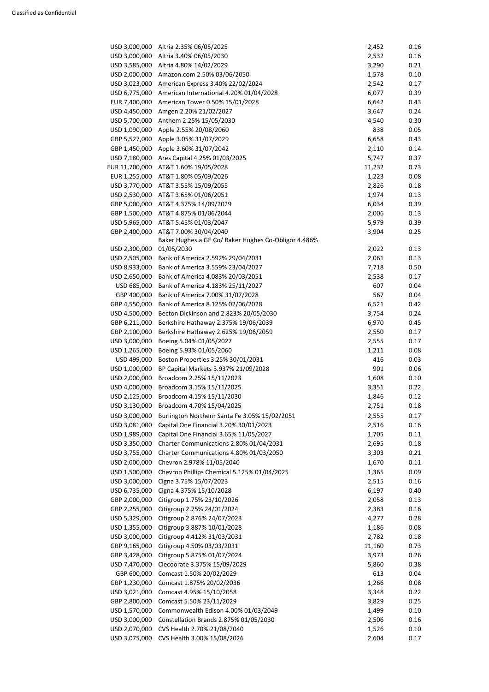| USD 3,000,000  | Altria 2.35% 06/05/2025                              | 2,452  | 0.16 |
|----------------|------------------------------------------------------|--------|------|
| USD 3,000,000  | Altria 3.40% 06/05/2030                              | 2,532  | 0.16 |
| USD 3,585,000  | Altria 4.80% 14/02/2029                              | 3,290  | 0.21 |
| USD 2,000,000  | Amazon.com 2.50% 03/06/2050                          | 1,578  | 0.10 |
| USD 3,023,000  | American Express 3.40% 22/02/2024                    | 2,542  | 0.17 |
| USD 6,775,000  | American International 4.20% 01/04/2028              | 6,077  | 0.39 |
| EUR 7,400,000  | American Tower 0.50% 15/01/2028                      | 6,642  | 0.43 |
|                | Amgen 2.20% 21/02/2027                               | 3,647  |      |
| USD 4,450,000  |                                                      |        | 0.24 |
| USD 5,700,000  | Anthem 2.25% 15/05/2030                              | 4,540  | 0.30 |
| USD 1,090,000  | Apple 2.55% 20/08/2060                               | 838    | 0.05 |
| GBP 5,527,000  | Apple 3.05% 31/07/2029                               | 6,658  | 0.43 |
| GBP 1,450,000  | Apple 3.60% 31/07/2042                               | 2,110  | 0.14 |
| USD 7,180,000  | Ares Capital 4.25% 01/03/2025                        | 5,747  | 0.37 |
| EUR 11,700,000 | AT&T 1.60% 19/05/2028                                | 11,232 | 0.73 |
| EUR 1,255,000  | AT&T 1.80% 05/09/2026                                | 1,223  | 0.08 |
| USD 3,770,000  | AT&T 3.55% 15/09/2055                                | 2,826  | 0.18 |
| USD 2,530,000  | AT&T 3.65% 01/06/2051                                | 1,974  | 0.13 |
| GBP 5,000,000  | AT&T 4.375% 14/09/2029                               | 6,034  | 0.39 |
| GBP 1,500,000  | AT&T 4.875% 01/06/2044                               | 2,006  | 0.13 |
| USD 5,965,000  | AT&T 5.45% 01/03/2047                                | 5,979  | 0.39 |
| GBP 2,400,000  | AT&T 7.00% 30/04/2040                                | 3,904  | 0.25 |
|                | Baker Hughes a GE Co/ Baker Hughes Co-Obligor 4.486% |        |      |
| USD 2,300,000  | 01/05/2030                                           | 2,022  | 0.13 |
| USD 2,505,000  | Bank of America 2.592% 29/04/2031                    | 2,061  | 0.13 |
| USD 8,933,000  | Bank of America 3.559% 23/04/2027                    | 7,718  | 0.50 |
| USD 2,650,000  | Bank of America 4.083% 20/03/2051                    | 2,538  | 0.17 |
| USD 685,000    | Bank of America 4.183% 25/11/2027                    | 607    | 0.04 |
| GBP 400,000    | Bank of America 7.00% 31/07/2028                     | 567    | 0.04 |
|                | GBP 4,550,000 Bank of America 8.125% 02/06/2028      | 6,521  | 0.42 |
| USD 4,500,000  | Becton Dickinson and 2.823% 20/05/2030               | 3,754  | 0.24 |
| GBP 6,211,000  | Berkshire Hathaway 2.375% 19/06/2039                 | 6,970  | 0.45 |
| GBP 2,100,000  | Berkshire Hathaway 2.625% 19/06/2059                 | 2,550  | 0.17 |
| USD 3,000,000  | Boeing 5.04% 01/05/2027                              | 2,555  | 0.17 |
| USD 1,265,000  | Boeing 5.93% 01/05/2060                              | 1,211  | 0.08 |
| USD 499,000    | Boston Properties 3.25% 30/01/2031                   | 416    | 0.03 |
| USD 1,000,000  | BP Capital Markets 3.937% 21/09/2028                 | 901    | 0.06 |
| USD 2,000,000  | Broadcom 2.25% 15/11/2023                            | 1,608  | 0.10 |
| USD 4,000,000  | Broadcom 3.15% 15/11/2025                            | 3,351  | 0.22 |
| USD 2,125,000  | Broadcom 4.15% 15/11/2030                            | 1,846  | 0.12 |
| USD 3,130,000  | Broadcom 4.70% 15/04/2025                            | 2,751  | 0.18 |
| USD 3,000,000  | Burlington Northern Santa Fe 3.05% 15/02/2051        | 2,555  | 0.17 |
| USD 3,081,000  | Capital One Financial 3.20% 30/01/2023               | 2,516  | 0.16 |
| USD 1,989,000  | Capital One Financial 3.65% 11/05/2027               | 1,705  | 0.11 |
| USD 3,350,000  | Charter Communications 2.80% 01/04/2031              | 2,695  | 0.18 |
| USD 3,755,000  | Charter Communications 4.80% 01/03/2050              | 3,303  | 0.21 |
| USD 2,000,000  | Chevron 2.978% 11/05/2040                            | 1,670  | 0.11 |
|                |                                                      |        |      |
| USD 1,500,000  | Chevron Phillips Chemical 5.125% 01/04/2025          | 1,365  | 0.09 |
| USD 3,000,000  | Cigna 3.75% 15/07/2023                               | 2,515  | 0.16 |
| USD 6,735,000  | Cigna 4.375% 15/10/2028                              | 6,197  | 0.40 |
| GBP 2,000,000  | Citigroup 1.75% 23/10/2026                           | 2,058  | 0.13 |
| GBP 2,255,000  | Citigroup 2.75% 24/01/2024                           | 2,383  | 0.16 |
| USD 5,329,000  | Citigroup 2.876% 24/07/2023                          | 4,277  | 0.28 |
| USD 1,355,000  | Citigroup 3.887% 10/01/2028                          | 1,186  | 0.08 |
| USD 3,000,000  | Citigroup 4.412% 31/03/2031                          | 2,782  | 0.18 |
| GBP 9,165,000  | Citigroup 4.50% 03/03/2031                           | 11,160 | 0.73 |
| GBP 3,428,000  | Citigroup 5.875% 01/07/2024                          | 3,973  | 0.26 |
| USD 7,470,000  | Clecoorate 3.375% 15/09/2029                         | 5,860  | 0.38 |
| GBP 600,000    | Comcast 1.50% 20/02/2029                             | 613    | 0.04 |
| GBP 1,230,000  | Comcast 1.875% 20/02/2036                            | 1,266  | 0.08 |
| USD 3,021,000  | Comcast 4.95% 15/10/2058                             | 3,348  | 0.22 |
| GBP 2,800,000  | Comcast 5.50% 23/11/2029                             | 3,829  | 0.25 |
| USD 1,570,000  | Commonwealth Edison 4.00% 01/03/2049                 | 1,499  | 0.10 |
| USD 3,000,000  | Constellation Brands 2.875% 01/05/2030               | 2,506  | 0.16 |
| USD 2,070,000  | CVS Health 2.70% 21/08/2040                          | 1,526  | 0.10 |
| USD 3,075,000  | CVS Health 3.00% 15/08/2026                          | 2,604  | 0.17 |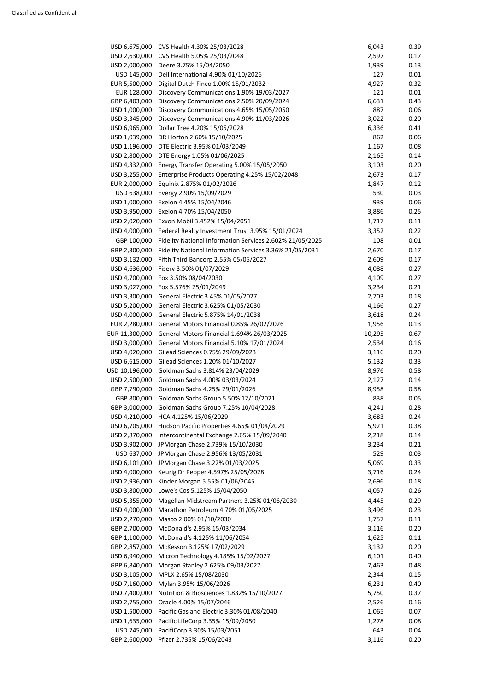| USD 6,675,000  | CVS Health 4.30% 25/03/2028                              | 6,043  | 0.39 |
|----------------|----------------------------------------------------------|--------|------|
| USD 2,630,000  | CVS Health 5.05% 25/03/2048                              | 2,597  | 0.17 |
| USD 2,000,000  | Deere 3.75% 15/04/2050                                   | 1,939  | 0.13 |
| USD 145,000    | Dell International 4.90% 01/10/2026                      | 127    | 0.01 |
| EUR 5,500,000  | Digital Dutch Finco 1.00% 15/01/2032                     | 4,927  | 0.32 |
| EUR 128,000    | Discovery Communications 1.90% 19/03/2027                | 121    | 0.01 |
| GBP 6,403,000  | Discovery Communications 2.50% 20/09/2024                | 6,631  | 0.43 |
| USD 1,000,000  | Discovery Communications 4.65% 15/05/2050                | 887    | 0.06 |
| USD 3,345,000  | Discovery Communications 4.90% 11/03/2026                | 3,022  | 0.20 |
| USD 6,965,000  | Dollar Tree 4.20% 15/05/2028                             | 6,336  | 0.41 |
| USD 1,039,000  | DR Horton 2.60% 15/10/2025                               | 862    | 0.06 |
| USD 1,196,000  | DTE Electric 3.95% 01/03/2049                            | 1,167  | 0.08 |
| USD 2,800,000  | DTE Energy 1.05% 01/06/2025                              | 2,165  | 0.14 |
| USD 4,332,000  | Energy Transfer Operating 5.00% 15/05/2050               | 3,103  | 0.20 |
| USD 3,255,000  | Enterprise Products Operating 4.25% 15/02/2048           | 2,673  | 0.17 |
| EUR 2,000,000  | Equinix 2.875% 01/02/2026                                | 1,847  | 0.12 |
|                |                                                          |        |      |
| USD 638,000    | Evergy 2.90% 15/09/2029                                  | 530    | 0.03 |
| USD 1,000,000  | Exelon 4.45% 15/04/2046                                  | 939    | 0.06 |
| USD 3,950,000  | Exelon 4.70% 15/04/2050                                  | 3,886  | 0.25 |
| USD 2,020,000  | Exxon Mobil 3.452% 15/04/2051                            | 1,717  | 0.11 |
| USD 4,000,000  | Federal Realty Investment Trust 3.95% 15/01/2024         | 3,352  | 0.22 |
| GBP 100,000    | Fidelity National Information Services 2.602% 21/05/2025 | 108    | 0.01 |
| GBP 2,300,000  | Fidelity National Information Services 3.36% 21/05/2031  | 2,670  | 0.17 |
| USD 3,132,000  | Fifth Third Bancorp 2.55% 05/05/2027                     | 2,609  | 0.17 |
| USD 4,636,000  | Fiserv 3.50% 01/07/2029                                  | 4,088  | 0.27 |
| USD 4,700,000  | Fox 3.50% 08/04/2030                                     | 4,109  | 0.27 |
| USD 3,027,000  | Fox 5.576% 25/01/2049                                    | 3,234  | 0.21 |
|                | USD 3,300,000 General Electric 3.45% 01/05/2027          | 2,703  | 0.18 |
| USD 5,200,000  | General Electric 3.625% 01/05/2030                       | 4,166  | 0.27 |
| USD 4,000,000  | General Electric 5.875% 14/01/2038                       | 3,618  | 0.24 |
| EUR 2,280,000  | General Motors Financial 0.85% 26/02/2026                | 1,956  | 0.13 |
| EUR 11,300,000 | General Motors Financial 1.694% 26/03/2025               | 10,295 | 0.67 |
|                |                                                          | 2,534  | 0.16 |
| USD 3,000,000  | General Motors Financial 5.10% 17/01/2024                |        |      |
| USD 4,020,000  | Gilead Sciences 0.75% 29/09/2023                         | 3,116  | 0.20 |
| USD 6,615,000  | Gilead Sciences 1.20% 01/10/2027                         | 5,132  | 0.33 |
| USD 10,196,000 | Goldman Sachs 3.814% 23/04/2029                          | 8,976  | 0.58 |
| USD 2,500,000  | Goldman Sachs 4.00% 03/03/2024                           | 2,127  | 0.14 |
| GBP 7,790,000  | Goldman Sachs 4.25% 29/01/2026                           | 8,958  | 0.58 |
| GBP 800,000    | Goldman Sachs Group 5.50% 12/10/2021                     | 838    | 0.05 |
| GBP 3,000,000  | Goldman Sachs Group 7.25% 10/04/2028                     | 4,241  | 0.28 |
| USD 4,210,000  | HCA 4.125% 15/06/2029                                    | 3,683  | 0.24 |
| USD 6,705,000  | Hudson Pacific Properties 4.65% 01/04/2029               | 5,921  | 0.38 |
| USD 2,870,000  | Intercontinental Exchange 2.65% 15/09/2040               | 2,218  | 0.14 |
| USD 3,902,000  | JPMorgan Chase 2.739% 15/10/2030                         | 3,234  | 0.21 |
| USD 637,000    | JPMorgan Chase 2.956% 13/05/2031                         | 529    | 0.03 |
| USD 6,101,000  | JPMorgan Chase 3.22% 01/03/2025                          | 5,069  | 0.33 |
| USD 4,000,000  | Keurig Dr Pepper 4.597% 25/05/2028                       | 3,716  | 0.24 |
| USD 2,936,000  | Kinder Morgan 5.55% 01/06/2045                           | 2,696  | 0.18 |
| USD 3,800,000  | Lowe's Cos 5.125% 15/04/2050                             | 4,057  | 0.26 |
| USD 5,355,000  | Magellan Midstream Partners 3.25% 01/06/2030             | 4,445  | 0.29 |
| USD 4,000,000  | Marathon Petroleum 4.70% 01/05/2025                      | 3,496  | 0.23 |
| USD 2,270,000  | Masco 2.00% 01/10/2030                                   | 1,757  | 0.11 |
| GBP 2,700,000  |                                                          |        | 0.20 |
|                | McDonald's 2.95% 15/03/2034                              | 3,116  |      |
| GBP 1,100,000  | McDonald's 4.125% 11/06/2054                             | 1,625  | 0.11 |
| GBP 2,857,000  | McKesson 3.125% 17/02/2029                               | 3,132  | 0.20 |
| USD 6,940,000  | Micron Technology 4.185% 15/02/2027                      | 6,101  | 0.40 |
| GBP 6,840,000  | Morgan Stanley 2.625% 09/03/2027                         | 7,463  | 0.48 |
| USD 3,105,000  | MPLX 2.65% 15/08/2030                                    | 2,344  | 0.15 |
| USD 7,160,000  | Mylan 3.95% 15/06/2026                                   | 6,231  | 0.40 |
| USD 7,400,000  | Nutrition & Biosciences 1.832% 15/10/2027                | 5,750  | 0.37 |
| USD 2,755,000  | Oracle 4.00% 15/07/2046                                  | 2,526  | 0.16 |
| USD 1,500,000  | Pacific Gas and Electric 3.30% 01/08/2040                | 1,065  | 0.07 |
| USD 1,635,000  | Pacific LifeCorp 3.35% 15/09/2050                        | 1,278  | 0.08 |
| USD 745,000    | PacifiCorp 3.30% 15/03/2051                              | 643    | 0.04 |
| GBP 2,600,000  | Pfizer 2.735% 15/06/2043                                 | 3,116  | 0.20 |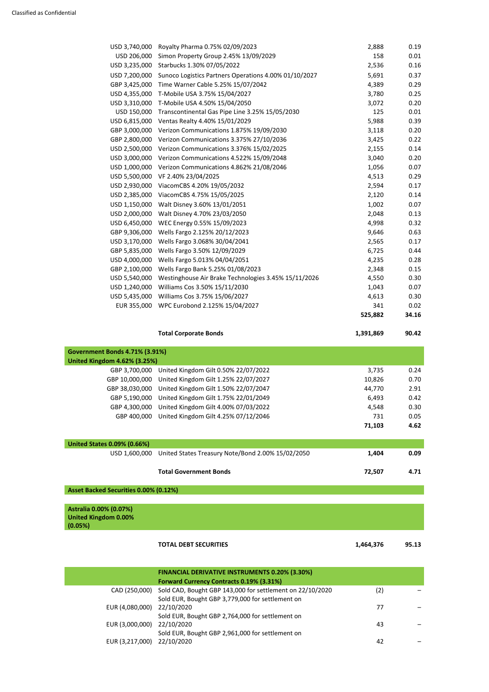| USD 3,740,000                         | Royalty Pharma 0.75% 02/09/2023                                    | 2,888     | 0.19  |
|---------------------------------------|--------------------------------------------------------------------|-----------|-------|
| USD 206,000                           | Simon Property Group 2.45% 13/09/2029                              | 158       | 0.01  |
| USD 3,235,000                         | Starbucks 1.30% 07/05/2022                                         | 2,536     | 0.16  |
| USD 7,200,000                         | Sunoco Logistics Partners Operations 4.00% 01/10/2027              | 5,691     | 0.37  |
| GBP 3,425,000                         | Time Warner Cable 5.25% 15/07/2042                                 | 4,389     | 0.29  |
|                                       | USD 4,355,000 T-Mobile USA 3.75% 15/04/2027                        | 3,780     | 0.25  |
|                                       | USD 3,310,000 T-Mobile USA 4.50% 15/04/2050                        | 3,072     | 0.20  |
| USD 150,000                           | Transcontinental Gas Pipe Line 3.25% 15/05/2030                    | 125       | 0.01  |
|                                       | USD 6,815,000 Ventas Realty 4.40% 15/01/2029                       | 5,988     | 0.39  |
|                                       | GBP 3,000,000 Verizon Communications 1.875% 19/09/2030             | 3,118     | 0.20  |
|                                       | GBP 2,800,000 Verizon Communications 3.375% 27/10/2036             | 3,425     | 0.22  |
|                                       | USD 2,500,000 Verizon Communications 3.376% 15/02/2025             | 2,155     | 0.14  |
| USD 3,000,000                         | Verizon Communications 4.522% 15/09/2048                           | 3,040     | 0.20  |
| USD 1,000,000                         | Verizon Communications 4.862% 21/08/2046                           | 1,056     | 0.07  |
| USD 5,500,000                         | VF 2.40% 23/04/2025                                                | 4,513     | 0.29  |
| USD 2,930,000                         | ViacomCBS 4.20% 19/05/2032                                         | 2,594     | 0.17  |
|                                       | USD 2,385,000 ViacomCBS 4.75% 15/05/2025                           | 2,120     | 0.14  |
| USD 1,150,000                         | Walt Disney 3.60% 13/01/2051                                       | 1,002     | 0.07  |
| USD 2,000,000                         | Walt Disney 4.70% 23/03/2050                                       | 2,048     | 0.13  |
|                                       | USD 6,450,000 WEC Energy 0.55% 15/09/2023                          | 4,998     | 0.32  |
| GBP 9,306,000                         | Wells Fargo 2.125% 20/12/2023                                      | 9,646     | 0.63  |
| USD 3,170,000                         | Wells Fargo 3.068% 30/04/2041                                      | 2,565     | 0.17  |
| GBP 5,835,000                         | Wells Fargo 3.50% 12/09/2029                                       | 6,725     | 0.44  |
| USD 4,000,000                         | Wells Fargo 5.013% 04/04/2051                                      | 4,235     | 0.28  |
| GBP 2,100,000                         | Wells Fargo Bank 5.25% 01/08/2023                                  | 2,348     | 0.15  |
|                                       | USD 5,540,000 Westinghouse Air Brake Technologies 3.45% 15/11/2026 | 4,550     | 0.30  |
| USD 1,240,000                         | Williams Cos 3.50% 15/11/2030                                      | 1,043     | 0.07  |
|                                       | USD 5,435,000 Williams Cos 3.75% 15/06/2027                        | 4,613     | 0.30  |
|                                       | EUR 355,000 WPC Eurobond 2.125% 15/04/2027                         | 341       | 0.02  |
|                                       |                                                                    | 525,882   | 34.16 |
|                                       | <b>Total Corporate Bonds</b>                                       | 1,391,869 | 90.42 |
| <b>Government Bonds 4.71% (3.91%)</b> |                                                                    |           |       |
| <b>United Kingdom 4.62% (3.25%)</b>   |                                                                    |           |       |
| GBP 3,700,000                         | United Kingdom Gilt 0.50% 22/07/2022                               | 3,735     | 0.24  |
|                                       | GRP 10 000 000 United Kingdom Gilt 1 25% 22/07/2027                | 10.826    | 0.70  |

|                                    | <b>Total Government Bonds</b>                         | 72,507 | 4.71          |
|------------------------------------|-------------------------------------------------------|--------|---------------|
| USD 1,600,000                      | United States Treasury Note/Bond 2.00% 15/02/2050     | 1,404  | 0.09          |
| <b>United States 0.09% (0.66%)</b> |                                                       |        |               |
|                                    |                                                       | 71,103 | 4.62          |
|                                    | GBP 400,000 United Kingdom Gilt 4.25% 07/12/2046      | 731    | 0.05          |
|                                    | GBP 4,300,000 United Kingdom Gilt 4.00% 07/03/2022    | 4,548  | 0.30          |
|                                    | GBP 5,190,000 United Kingdom Gilt 1.75% 22/01/2049    | 6,493  | 0.42          |
|                                    | GBP 38,030,000 United Kingdom Gilt 1.50% 22/07/2047   | 44,770 | 2.91          |
|                                    | ODE 10,000,000 OHILEG KIHGQUHI OIIL 1.2070 ZZ/O7/ZUZ7 | 10,020 | <u>v. / v</u> |

**Asset Backed Securities 0.00% (0.12%)** 

**Astralia 0.00% (0.07%) United Kingdom 0.00%** 



|                 | <b>FINANCIAL DERIVATIVE INSTRUMENTS 0.20% (3.30%)</b>     |     |  |
|-----------------|-----------------------------------------------------------|-----|--|
|                 | <b>Forward Currency Contracts 0.19% (3.31%)</b>           |     |  |
| CAD (250,000)   | Sold CAD, Bought GBP 143,000 for settlement on 22/10/2020 | (2) |  |
|                 | Sold EUR, Bought GBP 3,779,000 for settlement on          |     |  |
| EUR (4,080,000) | 22/10/2020                                                | 77  |  |
|                 | Sold EUR, Bought GBP 2,764,000 for settlement on          |     |  |
| EUR (3,000,000) | 22/10/2020                                                | 43  |  |
|                 | Sold EUR, Bought GBP 2,961,000 for settlement on          |     |  |
| EUR (3,217,000) | 22/10/2020                                                | 42  |  |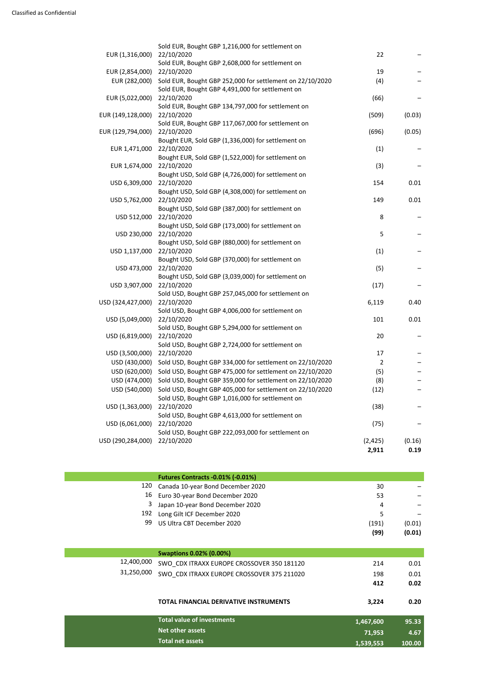|                                |                                                                                                                        | 2,911                | 0.19   |
|--------------------------------|------------------------------------------------------------------------------------------------------------------------|----------------------|--------|
| USD (290,284,000)              | Sold USD, Bought GBP 222,093,000 for settlement on<br>22/10/2020                                                       | (2, 425)             | (0.16) |
| USD (6,061,000)                | 22/10/2020                                                                                                             | (75)                 |        |
|                                | Sold USD, Bought GBP 4,613,000 for settlement on                                                                       |                      |        |
| USD (1,363,000)                | 22/10/2020                                                                                                             | (38)                 |        |
|                                | Sold USD, Bought GBP 1,016,000 for settlement on                                                                       |                      |        |
| USD (474,000)<br>USD (540,000) | Sold USD, Bought GBP 359,000 for settlement on 22/10/2020<br>Sold USD, Bought GBP 405,000 for settlement on 22/10/2020 | (8)<br>(12)          |        |
|                                | Sold USD, Bought GBP 475,000 for settlement on 22/10/2020                                                              | (5)                  |        |
| USD (430,000)<br>USD (620,000) |                                                                                                                        |                      |        |
| USD (3,500,000)                | 22/10/2020<br>Sold USD, Bought GBP 334,000 for settlement on 22/10/2020                                                | 17<br>$\overline{2}$ |        |
|                                | Sold USD, Bought GBP 2,724,000 for settlement on                                                                       |                      |        |
| USD (6,819,000)                | 22/10/2020                                                                                                             | 20                   |        |
|                                | Sold USD, Bought GBP 5,294,000 for settlement on                                                                       |                      |        |
| USD (5,049,000)                | 22/10/2020                                                                                                             | 101                  | 0.01   |
|                                | Sold USD, Bought GBP 4,006,000 for settlement on                                                                       |                      |        |
| USD (324,427,000) 22/10/2020   |                                                                                                                        | 6,119                | 0.40   |
|                                | Sold USD, Bought GBP 257,045,000 for settlement on                                                                     |                      |        |
| USD 3,907,000                  | Bought USD, Sold GBP (3,039,000) for settlement on<br>22/10/2020                                                       | (17)                 |        |
| USD 473,000                    | 22/10/2020                                                                                                             | (5)                  |        |
|                                | Bought USD, Sold GBP (370,000) for settlement on                                                                       |                      |        |
| USD 1,137,000                  | 22/10/2020                                                                                                             | (1)                  |        |
|                                | Bought USD, Sold GBP (880,000) for settlement on                                                                       |                      |        |
| USD 230,000                    | 22/10/2020                                                                                                             | 5                    |        |
|                                | Bought USD, Sold GBP (173,000) for settlement on                                                                       |                      |        |
| USD 512,000                    | 22/10/2020                                                                                                             | 8                    |        |
| USD 5,762,000                  | 22/10/2020<br>Bought USD, Sold GBP (387,000) for settlement on                                                         | 149                  | 0.01   |
|                                | Bought USD, Sold GBP (4,308,000) for settlement on                                                                     |                      |        |
| USD 6,309,000                  | 22/10/2020                                                                                                             | 154                  | 0.01   |
|                                | Bought USD, Sold GBP (4,726,000) for settlement on                                                                     |                      |        |
| EUR 1,674,000                  | 22/10/2020                                                                                                             | (3)                  |        |
|                                | Bought EUR, Sold GBP (1,522,000) for settlement on                                                                     |                      |        |
| EUR 1,471,000                  | 22/10/2020                                                                                                             | (1)                  |        |
| EUR (129,794,000)              | Bought EUR, Sold GBP (1,336,000) for settlement on                                                                     | (696)                | (0.05) |
|                                | Sold EUR, Bought GBP 117,067,000 for settlement on<br>22/10/2020                                                       |                      |        |
| EUR (149,128,000)              | 22/10/2020                                                                                                             | (509)                | (0.03) |
|                                | Sold EUR, Bought GBP 134,797,000 for settlement on                                                                     |                      |        |
| EUR (5,022,000)                | 22/10/2020                                                                                                             | (66)                 |        |
|                                | Sold EUR, Bought GBP 4,491,000 for settlement on                                                                       |                      |        |
| EUR (282,000)                  | Sold EUR, Bought GBP 252,000 for settlement on 22/10/2020                                                              | (4)                  |        |
| EUR (2,854,000)                | Sold EUR, Bought GBP 2,608,000 for settlement on<br>22/10/2020                                                         | 19                   |        |
| EUR (1,316,000)                | 22/10/2020                                                                                                             | 22                   |        |
|                                | Sold EUR, Bought GBP 1,216,000 for settlement on                                                                       |                      |        |

|            | <b>Futures Contracts -0.01% (-0.01%)</b>      |           |        |
|------------|-----------------------------------------------|-----------|--------|
| 120        | Canada 10-year Bond December 2020             | 30        |        |
| 16         | Euro 30-year Bond December 2020               | 53        |        |
| 3          | Japan 10-year Bond December 2020              | 4         |        |
| 192        | Long Gilt ICF December 2020                   | 5         |        |
| 99         | US Ultra CBT December 2020                    | (191)     | (0.01) |
|            |                                               | (99)      | (0.01) |
|            |                                               |           |        |
|            | <b>Swaptions 0.02% (0.00%)</b>                |           |        |
| 12,400,000 | SWO CDX ITRAXX EUROPE CROSSOVER 350 181120    | 214       | 0.01   |
| 31,250,000 | SWO CDX ITRAXX EUROPE CROSSOVER 375 211020    | 198       | 0.01   |
|            |                                               | 412       | 0.02   |
|            |                                               |           |        |
|            | <b>TOTAL FINANCIAL DERIVATIVE INSTRUMENTS</b> | 3,224     | 0.20   |
|            | <b>Total value of investments</b>             |           |        |
|            |                                               | 1,467,600 | 95.33  |
|            | Net other assets                              | 71,953    | 4.67   |
|            | <b>Total net assets</b>                       | 1,539,553 | 100.00 |